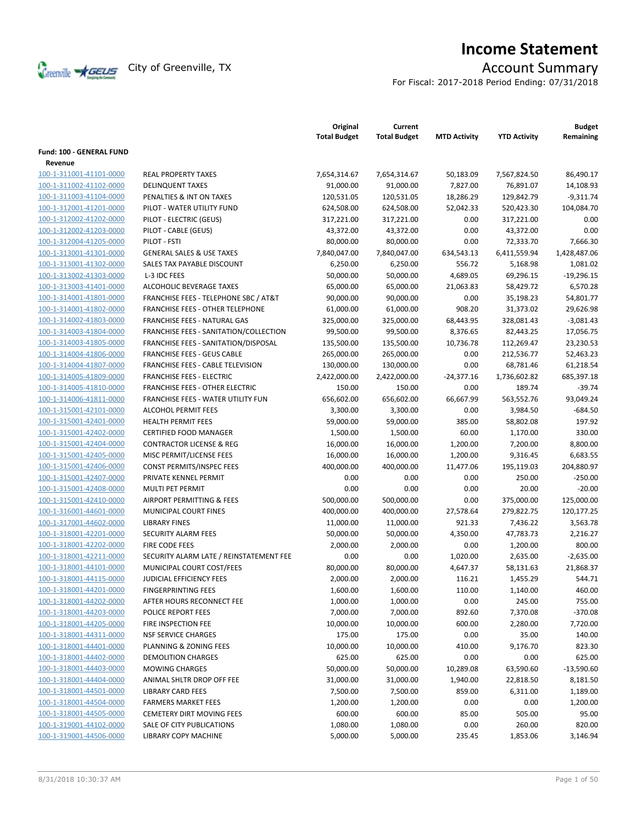

# **Income Statement**

For Fiscal: 2017-2018 Period Ending: 07/31/2018

|                          |                                           | Original<br><b>Total Budget</b> | Current<br><b>Total Budget</b> | <b>MTD Activity</b> | <b>YTD Activity</b> | <b>Budget</b><br>Remaining |
|--------------------------|-------------------------------------------|---------------------------------|--------------------------------|---------------------|---------------------|----------------------------|
| Fund: 100 - GENERAL FUND |                                           |                                 |                                |                     |                     |                            |
| Revenue                  |                                           |                                 |                                |                     |                     |                            |
| 100-1-311001-41101-0000  | <b>REAL PROPERTY TAXES</b>                | 7,654,314.67                    | 7,654,314.67                   | 50,183.09           | 7,567,824.50        | 86,490.17                  |
| 100-1-311002-41102-0000  | <b>DELINQUENT TAXES</b>                   | 91,000.00                       | 91,000.00                      | 7,827.00            | 76,891.07           | 14,108.93                  |
| 100-1-311003-41104-0000  | PENALTIES & INT ON TAXES                  | 120,531.05                      | 120,531.05                     | 18,286.29           | 129,842.79          | $-9,311.74$                |
| 100-1-312001-41201-0000  | PILOT - WATER UTILITY FUND                | 624,508.00                      | 624,508.00                     | 52,042.33           | 520,423.30          | 104,084.70                 |
| 100-1-312002-41202-0000  | PILOT - ELECTRIC (GEUS)                   | 317,221.00                      | 317,221.00                     | 0.00                | 317,221.00          | 0.00                       |
| 100-1-312002-41203-0000  | PILOT - CABLE (GEUS)                      | 43,372.00                       | 43,372.00                      | 0.00                | 43,372.00           | 0.00                       |
| 100-1-312004-41205-0000  | PILOT - FSTI                              | 80,000.00                       | 80,000.00                      | 0.00                | 72,333.70           | 7,666.30                   |
| 100-1-313001-41301-0000  | <b>GENERAL SALES &amp; USE TAXES</b>      | 7,840,047.00                    | 7,840,047.00                   | 634,543.13          | 6,411,559.94        | 1,428,487.06               |
| 100-1-313001-41302-0000  | SALES TAX PAYABLE DISCOUNT                | 6,250.00                        | 6,250.00                       | 556.72              | 5,168.98            | 1,081.02                   |
| 100-1-313002-41303-0000  | L-3 IDC FEES                              | 50,000.00                       | 50,000.00                      | 4,689.05            | 69,296.15           | $-19,296.15$               |
| 100-1-313003-41401-0000  | ALCOHOLIC BEVERAGE TAXES                  | 65,000.00                       | 65,000.00                      | 21,063.83           | 58,429.72           | 6,570.28                   |
| 100-1-314001-41801-0000  | FRANCHISE FEES - TELEPHONE SBC / AT&T     | 90,000.00                       | 90,000.00                      | 0.00                | 35,198.23           | 54,801.77                  |
| 100-1-314001-41802-0000  | FRANCHISE FEES - OTHER TELEPHONE          | 61,000.00                       | 61,000.00                      | 908.20              | 31,373.02           | 29,626.98                  |
| 100-1-314002-41803-0000  | FRANCHISE FEES - NATURAL GAS              | 325,000.00                      | 325,000.00                     | 68,443.95           | 328,081.43          | $-3,081.43$                |
| 100-1-314003-41804-0000  | FRANCHISE FEES - SANITATION/COLLECTION    | 99,500.00                       | 99,500.00                      | 8,376.65            | 82,443.25           | 17,056.75                  |
| 100-1-314003-41805-0000  | FRANCHISE FEES - SANITATION/DISPOSAL      | 135,500.00                      | 135,500.00                     | 10,736.78           | 112,269.47          | 23,230.53                  |
| 100-1-314004-41806-0000  | <b>FRANCHISE FEES - GEUS CABLE</b>        | 265,000.00                      | 265,000.00                     | 0.00                | 212,536.77          | 52,463.23                  |
| 100-1-314004-41807-0000  | FRANCHISE FEES - CABLE TELEVISION         | 130,000.00                      | 130,000.00                     | 0.00                | 68,781.46           | 61,218.54                  |
| 100-1-314005-41809-0000  | <b>FRANCHISE FEES - ELECTRIC</b>          | 2,422,000.00                    | 2,422,000.00                   | $-24,377.16$        | 1,736,602.82        | 685,397.18                 |
| 100-1-314005-41810-0000  | <b>FRANCHISE FEES - OTHER ELECTRIC</b>    | 150.00                          | 150.00                         | 0.00                | 189.74              | $-39.74$                   |
| 100-1-314006-41811-0000  | <b>FRANCHISE FEES - WATER UTILITY FUN</b> | 656,602.00                      | 656,602.00                     | 66,667.99           | 563,552.76          | 93,049.24                  |
| 100-1-315001-42101-0000  | <b>ALCOHOL PERMIT FEES</b>                | 3,300.00                        | 3,300.00                       | 0.00                | 3,984.50            | $-684.50$                  |
| 100-1-315001-42401-0000  | <b>HEALTH PERMIT FEES</b>                 | 59,000.00                       | 59,000.00                      | 385.00              | 58,802.08           | 197.92                     |
| 100-1-315001-42402-0000  | <b>CERTIFIED FOOD MANAGER</b>             | 1,500.00                        | 1,500.00                       | 60.00               | 1,170.00            | 330.00                     |
| 100-1-315001-42404-0000  | <b>CONTRACTOR LICENSE &amp; REG</b>       | 16,000.00                       | 16,000.00                      | 1,200.00            | 7,200.00            | 8,800.00                   |
| 100-1-315001-42405-0000  | MISC PERMIT/LICENSE FEES                  | 16,000.00                       | 16,000.00                      | 1,200.00            | 9,316.45            | 6,683.55                   |
| 100-1-315001-42406-0000  | CONST PERMITS/INSPEC FEES                 | 400,000.00                      | 400,000.00                     | 11,477.06           | 195,119.03          | 204,880.97                 |
| 100-1-315001-42407-0000  | PRIVATE KENNEL PERMIT                     | 0.00                            | 0.00                           | 0.00                | 250.00              | $-250.00$                  |
| 100-1-315001-42408-0000  | MULTI PET PERMIT                          | 0.00                            | 0.00                           | 0.00                | 20.00               | $-20.00$                   |
| 100-1-315001-42410-0000  | AIRPORT PERMITTING & FEES                 | 500,000.00                      | 500,000.00                     | 0.00                | 375,000.00          | 125,000.00                 |
| 100-1-316001-44601-0000  | MUNICIPAL COURT FINES                     | 400,000.00                      | 400,000.00                     | 27,578.64           | 279,822.75          | 120,177.25                 |
| 100-1-317001-44602-0000  | <b>LIBRARY FINES</b>                      | 11,000.00                       | 11,000.00                      | 921.33              | 7,436.22            | 3,563.78                   |
| 100-1-318001-42201-0000  | <b>SECURITY ALARM FEES</b>                | 50,000.00                       | 50,000.00                      | 4,350.00            | 47,783.73           | 2,216.27                   |
| 100-1-318001-42202-0000  | FIRE CODE FEES                            | 2,000.00                        | 2,000.00                       | 0.00                | 1,200.00            | 800.00                     |
| 100-1-318001-42211-0000  | SECURITY ALARM LATE / REINSTATEMENT FEE   | 0.00                            | 0.00                           | 1,020.00            | 2,635.00            | $-2,635.00$                |
| 100-1-318001-44101-0000  | MUNICIPAL COURT COST/FEES                 | 80,000.00                       | 80,000.00                      | 4,647.37            | 58,131.63           | 21,868.37                  |
| 100-1-318001-44115-0000  | <b>JUDICIAL EFFICIENCY FEES</b>           | 2,000.00                        | 2,000.00                       | 116.21              | 1,455.29            | 544.71                     |
| 100-1-318001-44201-0000  | <b>FINGERPRINTING FEES</b>                | 1,600.00                        | 1,600.00                       | 110.00              | 1,140.00            | 460.00                     |
| 100-1-318001-44202-0000  | AFTER HOURS RECONNECT FEE                 | 1,000.00                        | 1,000.00                       | 0.00                | 245.00              | 755.00                     |
| 100-1-318001-44203-0000  | <b>POLICE REPORT FEES</b>                 | 7,000.00                        | 7,000.00                       | 892.60              | 7,370.08            | $-370.08$                  |
| 100-1-318001-44205-0000  | FIRE INSPECTION FEE                       | 10,000.00                       | 10,000.00                      | 600.00              | 2,280.00            | 7,720.00                   |
| 100-1-318001-44311-0000  | <b>NSF SERVICE CHARGES</b>                | 175.00                          | 175.00                         | 0.00                | 35.00               | 140.00                     |
| 100-1-318001-44401-0000  | PLANNING & ZONING FEES                    | 10,000.00                       | 10,000.00                      | 410.00              | 9,176.70            | 823.30                     |
| 100-1-318001-44402-0000  | <b>DEMOLITION CHARGES</b>                 | 625.00                          | 625.00                         | 0.00                | 0.00                | 625.00                     |
| 100-1-318001-44403-0000  | <b>MOWING CHARGES</b>                     | 50,000.00                       | 50,000.00                      | 10,289.08           | 63,590.60           | $-13,590.60$               |
| 100-1-318001-44404-0000  | ANIMAL SHLTR DROP OFF FEE                 | 31,000.00                       | 31,000.00                      | 1,940.00            | 22,818.50           | 8,181.50                   |
| 100-1-318001-44501-0000  | <b>LIBRARY CARD FEES</b>                  | 7,500.00                        | 7,500.00                       | 859.00              | 6,311.00            | 1,189.00                   |
| 100-1-318001-44504-0000  | <b>FARMERS MARKET FEES</b>                | 1,200.00                        | 1,200.00                       | 0.00                | 0.00                | 1,200.00                   |
| 100-1-318001-44505-0000  | <b>CEMETERY DIRT MOVING FEES</b>          | 600.00                          | 600.00                         | 85.00               | 505.00              | 95.00                      |
| 100-1-319001-44102-0000  | SALE OF CITY PUBLICATIONS                 | 1,080.00                        | 1,080.00                       | 0.00                | 260.00              | 820.00                     |
| 100-1-319001-44506-0000  | LIBRARY COPY MACHINE                      | 5,000.00                        | 5,000.00                       | 235.45              | 1,853.06            | 3,146.94                   |
|                          |                                           |                                 |                                |                     |                     |                            |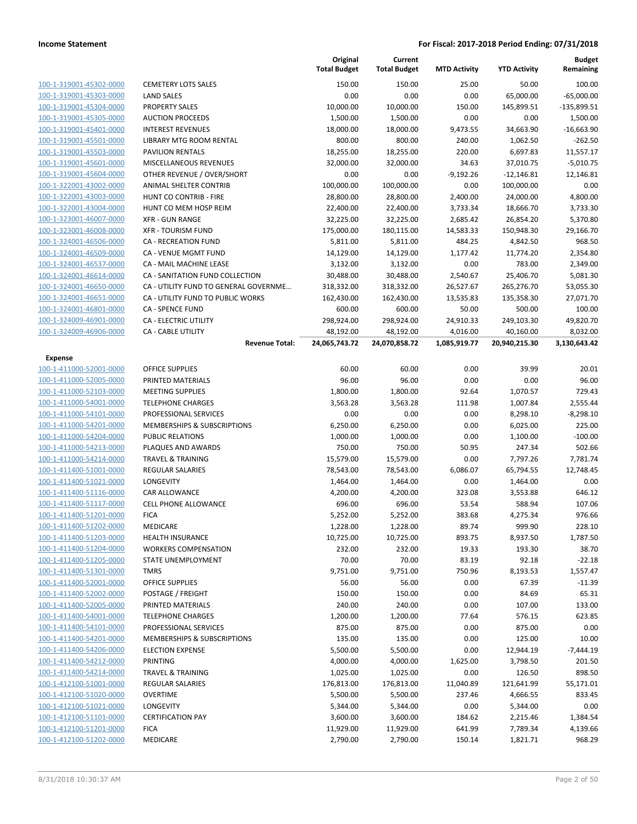|                                                    |                                                    | Original<br><b>Total Budget</b> | Current<br><b>Total Budget</b> | <b>MTD Activity</b> | <b>YTD Activity</b>   | <b>Budget</b><br>Remaining |
|----------------------------------------------------|----------------------------------------------------|---------------------------------|--------------------------------|---------------------|-----------------------|----------------------------|
| 100-1-319001-45302-0000                            | <b>CEMETERY LOTS SALES</b>                         | 150.00                          | 150.00                         | 25.00               | 50.00                 | 100.00                     |
| 100-1-319001-45303-0000                            | <b>LAND SALES</b>                                  | 0.00                            | 0.00                           | 0.00                | 65,000.00             | $-65,000.00$               |
| 100-1-319001-45304-0000                            | <b>PROPERTY SALES</b>                              | 10,000.00                       | 10,000.00                      | 150.00              | 145,899.51            | $-135,899.51$              |
| 100-1-319001-45305-0000                            | <b>AUCTION PROCEEDS</b>                            | 1,500.00                        | 1,500.00                       | 0.00                | 0.00                  | 1,500.00                   |
| 100-1-319001-45401-0000                            | <b>INTEREST REVENUES</b>                           | 18,000.00                       | 18,000.00                      | 9,473.55            | 34,663.90             | $-16,663.90$               |
| 100-1-319001-45501-0000                            | LIBRARY MTG ROOM RENTAL                            | 800.00                          | 800.00                         | 240.00              | 1,062.50              | $-262.50$                  |
| 100-1-319001-45503-0000                            | <b>PAVILION RENTALS</b>                            | 18,255.00                       | 18,255.00                      | 220.00              | 6,697.83              | 11,557.17                  |
| 100-1-319001-45601-0000                            | MISCELLANEOUS REVENUES                             | 32.000.00                       | 32,000.00                      | 34.63               | 37,010.75             | $-5,010.75$                |
| 100-1-319001-45604-0000                            | OTHER REVENUE / OVER/SHORT                         | 0.00                            | 0.00                           | $-9,192.26$         | $-12,146.81$          | 12,146.81                  |
| 100-1-322001-43002-0000                            | ANIMAL SHELTER CONTRIB                             | 100,000.00                      | 100,000.00                     | 0.00                | 100,000.00            | 0.00                       |
| 100-1-322001-43003-0000                            | HUNT CO CONTRIB - FIRE                             | 28,800.00                       | 28,800.00                      | 2,400.00            | 24,000.00             | 4,800.00                   |
| 100-1-322001-43004-0000                            | HUNT CO MEM HOSP REIM                              | 22,400.00                       | 22,400.00                      | 3,733.34            | 18,666.70             | 3,733.30                   |
| 100-1-323001-46007-0000                            | <b>XFR - GUN RANGE</b>                             | 32,225.00                       | 32,225.00                      | 2,685.42            | 26,854.20             | 5,370.80                   |
| 100-1-323001-46008-0000                            | <b>XFR - TOURISM FUND</b>                          | 175,000.00                      | 180,115.00                     | 14,583.33           | 150,948.30            | 29,166.70                  |
| 100-1-324001-46506-0000                            | <b>CA - RECREATION FUND</b>                        | 5,811.00                        | 5,811.00                       | 484.25              | 4,842.50              | 968.50                     |
| 100-1-324001-46509-0000                            | CA - VENUE MGMT FUND                               | 14,129.00                       | 14,129.00                      | 1,177.42            | 11,774.20             | 2,354.80                   |
| 100-1-324001-46537-0000                            | <b>CA - MAIL MACHINE LEASE</b>                     | 3,132.00                        | 3,132.00                       | 0.00                | 783.00                | 2,349.00                   |
| 100-1-324001-46614-0000                            | CA - SANITATION FUND COLLECTION                    | 30,488.00                       | 30,488.00                      | 2,540.67            | 25,406.70             | 5,081.30                   |
| 100-1-324001-46650-0000                            | CA - UTILITY FUND TO GENERAL GOVERNME              | 318,332.00                      | 318,332.00                     | 26,527.67           | 265,276.70            | 53,055.30                  |
| 100-1-324001-46651-0000                            | CA - UTILITY FUND TO PUBLIC WORKS                  | 162,430.00                      | 162,430.00                     | 13,535.83           | 135,358.30            | 27,071.70                  |
| 100-1-324001-46801-0000                            | <b>CA - SPENCE FUND</b>                            | 600.00                          | 600.00                         | 50.00               | 500.00                | 100.00                     |
| 100-1-324009-46901-0000                            | CA - ELECTRIC UTILITY                              | 298,924.00                      | 298,924.00                     | 24,910.33           | 249,103.30            | 49,820.70                  |
| 100-1-324009-46906-0000                            | <b>CA - CABLE UTILITY</b>                          | 48,192.00                       | 48,192.00                      | 4,016.00            | 40,160.00             | 8,032.00                   |
|                                                    | <b>Revenue Total:</b>                              | 24,065,743.72                   | 24,070,858.72                  | 1,085,919.77        | 20,940,215.30         | 3,130,643.42               |
| Expense                                            |                                                    |                                 |                                |                     |                       |                            |
| 100-1-411000-52001-0000                            | <b>OFFICE SUPPLIES</b>                             | 60.00                           | 60.00                          | 0.00                | 39.99                 | 20.01                      |
| 100-1-411000-52005-0000                            | PRINTED MATERIALS                                  | 96.00                           | 96.00                          | 0.00                | 0.00                  | 96.00                      |
| 100-1-411000-52103-0000                            | <b>MEETING SUPPLIES</b>                            | 1,800.00                        | 1,800.00                       | 92.64               | 1,070.57              | 729.43                     |
| 100-1-411000-54001-0000                            | <b>TELEPHONE CHARGES</b>                           | 3,563.28                        | 3,563.28                       | 111.98              | 1,007.84              | 2,555.44                   |
| 100-1-411000-54101-0000                            | PROFESSIONAL SERVICES                              | 0.00                            | 0.00                           | 0.00                | 8,298.10              | $-8,298.10$                |
| 100-1-411000-54201-0000                            | MEMBERSHIPS & SUBSCRIPTIONS                        | 6,250.00                        | 6,250.00                       | 0.00                | 6,025.00              | 225.00                     |
| 100-1-411000-54204-0000                            | <b>PUBLIC RELATIONS</b>                            | 1,000.00                        | 1,000.00                       | 0.00                | 1,100.00              | $-100.00$                  |
| 100-1-411000-54213-0000                            | PLAQUES AND AWARDS<br><b>TRAVEL &amp; TRAINING</b> | 750.00                          | 750.00<br>15,579.00            | 50.95               | 247.34                | 502.66                     |
| 100-1-411000-54214-0000<br>100-1-411400-51001-0000 | <b>REGULAR SALARIES</b>                            | 15,579.00<br>78,543.00          | 78,543.00                      | 0.00<br>6,086.07    | 7,797.26<br>65,794.55 | 7,781.74<br>12,748.45      |
| 100-1-411400-51021-0000                            | <b>LONGEVITY</b>                                   | 1,464.00                        | 1,464.00                       | 0.00                | 1,464.00              | 0.00                       |
| 100-1-411400-51116-0000                            | <b>CAR ALLOWANCE</b>                               | 4,200.00                        | 4,200.00                       | 323.08              | 3,553.88              | 646.12                     |
| 100-1-411400-51117-0000                            | <b>CELL PHONE ALLOWANCE</b>                        | 696.00                          | 696.00                         | 53.54               | 588.94                | 107.06                     |
| 100-1-411400-51201-0000                            | <b>FICA</b>                                        | 5,252.00                        | 5,252.00                       | 383.68              | 4,275.34              | 976.66                     |
| 100-1-411400-51202-0000                            | MEDICARE                                           | 1,228.00                        | 1,228.00                       | 89.74               | 999.90                | 228.10                     |
| 100-1-411400-51203-0000                            | <b>HEALTH INSURANCE</b>                            | 10,725.00                       | 10,725.00                      | 893.75              | 8,937.50              | 1,787.50                   |
| 100-1-411400-51204-0000                            | <b>WORKERS COMPENSATION</b>                        | 232.00                          | 232.00                         | 19.33               | 193.30                | 38.70                      |
| 100-1-411400-51205-0000                            | STATE UNEMPLOYMENT                                 | 70.00                           | 70.00                          | 83.19               | 92.18                 | $-22.18$                   |
| 100-1-411400-51301-0000                            | <b>TMRS</b>                                        | 9,751.00                        | 9,751.00                       | 750.96              | 8,193.53              | 1,557.47                   |
| 100-1-411400-52001-0000                            | OFFICE SUPPLIES                                    | 56.00                           | 56.00                          | 0.00                | 67.39                 | $-11.39$                   |
| 100-1-411400-52002-0000                            | POSTAGE / FREIGHT                                  | 150.00                          | 150.00                         | 0.00                | 84.69                 | 65.31                      |
| 100-1-411400-52005-0000                            | PRINTED MATERIALS                                  | 240.00                          | 240.00                         | 0.00                | 107.00                | 133.00                     |
| 100-1-411400-54001-0000                            | <b>TELEPHONE CHARGES</b>                           | 1,200.00                        | 1,200.00                       | 77.64               | 576.15                | 623.85                     |
| 100-1-411400-54101-0000                            | PROFESSIONAL SERVICES                              | 875.00                          | 875.00                         | 0.00                | 875.00                | 0.00                       |
| 100-1-411400-54201-0000                            | <b>MEMBERSHIPS &amp; SUBSCRIPTIONS</b>             | 135.00                          | 135.00                         | 0.00                | 125.00                | 10.00                      |
| 100-1-411400-54206-0000                            | <b>ELECTION EXPENSE</b>                            | 5,500.00                        | 5,500.00                       | 0.00                | 12,944.19             | $-7,444.19$                |
| 100-1-411400-54212-0000                            | PRINTING                                           | 4,000.00                        | 4,000.00                       | 1,625.00            | 3,798.50              | 201.50                     |
| 100-1-411400-54214-0000                            | <b>TRAVEL &amp; TRAINING</b>                       | 1,025.00                        | 1,025.00                       | 0.00                | 126.50                | 898.50                     |
| 100-1-412100-51001-0000                            | <b>REGULAR SALARIES</b>                            | 176,813.00                      | 176,813.00                     | 11,040.89           | 121,641.99            | 55,171.01                  |
| 100-1-412100-51020-0000                            | <b>OVERTIME</b>                                    | 5,500.00                        | 5,500.00                       | 237.46              | 4,666.55              | 833.45                     |
| 100-1-412100-51021-0000                            | LONGEVITY                                          | 5,344.00                        | 5,344.00                       | 0.00                | 5,344.00              | 0.00                       |
| 100-1-412100-51101-0000                            | <b>CERTIFICATION PAY</b>                           | 3,600.00                        | 3,600.00                       | 184.62              | 2,215.46              | 1,384.54                   |
| 100-1-412100-51201-0000                            | <b>FICA</b>                                        | 11,929.00                       | 11,929.00                      | 641.99              | 7,789.34              | 4,139.66                   |
| 100-1-412100-51202-0000                            | MEDICARE                                           | 2,790.00                        | 2,790.00                       | 150.14              | 1,821.71              | 968.29                     |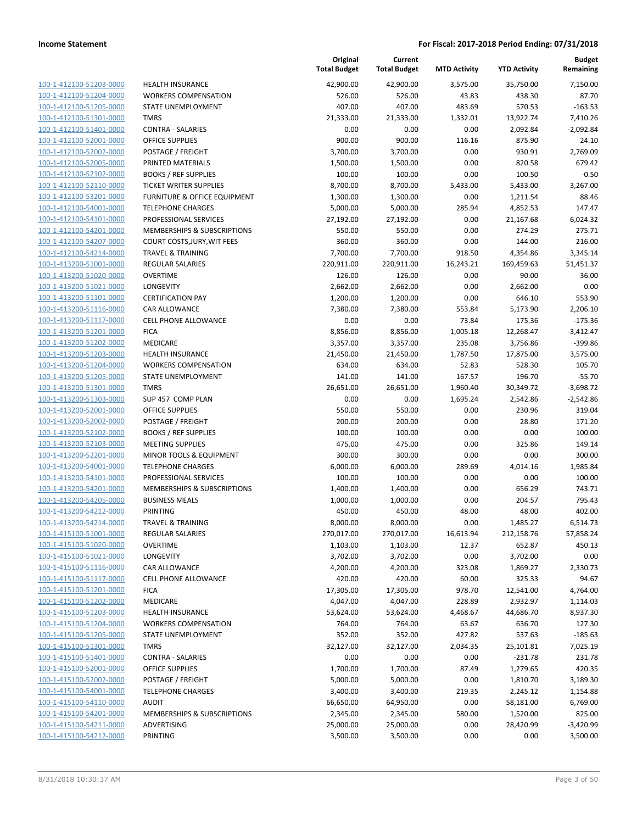| 100-1-412100-51203-0000        |
|--------------------------------|
| 100-1-412100-51204-0000        |
| 100-1-412100-51205-0000        |
| 100-1-412100-51301-0000        |
| 100-1-412100-51401-0000        |
| 100-1-412100-52001-0000        |
| 100-1-412100-52002-0000        |
| 100-1-412100-52005-0000        |
| 100-1-412100-52102-0000        |
|                                |
| 100-1-412100-52110-0000        |
| 100-1-412100-53201-0000        |
| 100-1-412100-54001-0000        |
| 100-1-412100-54101-0000        |
| 100-1-412100-54201-0000        |
| 100-1-412100-54207-0000        |
| 100-1-412100-54214-0000        |
| 100-1-413200-51001-0000        |
| 100-1-413200-51020-0000        |
|                                |
| 100-1-413200-51021-0000        |
| 100-1-413200-51101-0000        |
| 100-1-413200-51116-0000        |
| 100-1-413200-51117-0000        |
| 100-1-413200-51201-0000        |
| 100-1-413200-51202-0000        |
| 100-1-413200-51203-0000        |
| 100-1-413200-51204-0000        |
| 100-1-413200-51205-0000        |
| 100-1-413200-51301-0000        |
|                                |
| 100-1-413200-51303-0000        |
| 100-1-413200-52001-0000        |
| 100-1-413200-52002-0000        |
| 100-1-413200-52102-0000        |
| 100-1-413200-52103-0000        |
| 100-1-413200-52201-0000        |
| 100-1-413200-54001-0000        |
| 100-1-413200-54101-0000        |
| 100-1-413200-54201-0000        |
| 100-1-413200-54205-0000        |
| 100-1-413200-54212-0000        |
|                                |
| 100-1-413200-54214-0000        |
| 100-1-415100-51001-0000        |
| <u>100-1-415100-51020-0000</u> |
| <u>100-1-415100-51021-0000</u> |
| 100-1-415100-51116-0000        |
| 100-1-415100-51117-0000        |
| 100-1-415100-51201-0000        |
| 100-1-415100-51202-0000        |
| <u>100-1-415100-51203-0000</u> |
|                                |
| <u>100-1-415100-51204-0000</u> |
| 100-1-415100-51205-0000        |
| 100-1-415100-51301-0000        |
| 100-1-415100-51401-0000        |
| 100-1-415100-52001-0000        |
| 100-1-415100-52002-0000        |
| <u>100-1-415100-54001-0000</u> |
| <u>100-1-415100-54110-0000</u> |
| 100-1-415100-54201-0000        |
| <u>100-1-415100-54211-0000</u> |
|                                |
| 100-1-415100-54212-0000        |

|                                                    |                                                        | Original<br><b>Total Budget</b> | Current<br><b>Total Budget</b> | <b>MTD Activity</b> | <b>YTD Activity</b> | Budget<br>Remaining |
|----------------------------------------------------|--------------------------------------------------------|---------------------------------|--------------------------------|---------------------|---------------------|---------------------|
| 100-1-412100-51203-0000                            | <b>HEALTH INSURANCE</b>                                | 42,900.00                       | 42,900.00                      | 3,575.00            | 35,750.00           | 7,150.00            |
| 100-1-412100-51204-0000                            | <b>WORKERS COMPENSATION</b>                            | 526.00                          | 526.00                         | 43.83               | 438.30              | 87.70               |
| 100-1-412100-51205-0000                            | <b>STATE UNEMPLOYMENT</b>                              | 407.00                          | 407.00                         | 483.69              | 570.53              | $-163.53$           |
| 100-1-412100-51301-0000                            | <b>TMRS</b>                                            | 21,333.00                       | 21,333.00                      | 1,332.01            | 13,922.74           | 7,410.26            |
| 100-1-412100-51401-0000                            | <b>CONTRA - SALARIES</b>                               | 0.00                            | 0.00                           | 0.00                | 2,092.84            | $-2,092.84$         |
| 100-1-412100-52001-0000                            | <b>OFFICE SUPPLIES</b>                                 | 900.00                          | 900.00                         | 116.16              | 875.90              | 24.10               |
| 100-1-412100-52002-0000                            | POSTAGE / FREIGHT                                      | 3,700.00                        | 3,700.00                       | 0.00                | 930.91              | 2,769.09            |
| 100-1-412100-52005-0000                            | PRINTED MATERIALS                                      | 1,500.00                        | 1,500.00                       | 0.00                | 820.58              | 679.42              |
| 100-1-412100-52102-0000                            | <b>BOOKS / REF SUPPLIES</b>                            | 100.00                          | 100.00                         | 0.00                | 100.50              | $-0.50$             |
| 100-1-412100-52110-0000                            | <b>TICKET WRITER SUPPLIES</b>                          | 8,700.00                        | 8,700.00                       | 5,433.00            | 5,433.00            | 3,267.00            |
| 100-1-412100-53201-0000                            | FURNITURE & OFFICE EQUIPMENT                           | 1,300.00                        | 1,300.00                       | 0.00                | 1,211.54            | 88.46               |
| 100-1-412100-54001-0000                            | <b>TELEPHONE CHARGES</b>                               | 5,000.00                        | 5,000.00                       | 285.94              | 4,852.53            | 147.47              |
| 100-1-412100-54101-0000                            | PROFESSIONAL SERVICES                                  | 27,192.00                       | 27,192.00                      | 0.00                | 21,167.68           | 6,024.32            |
| 100-1-412100-54201-0000                            | <b>MEMBERSHIPS &amp; SUBSCRIPTIONS</b>                 | 550.00                          | 550.00                         | 0.00                | 274.29              | 275.71              |
| 100-1-412100-54207-0000                            | COURT COSTS, JURY, WIT FEES                            | 360.00                          | 360.00                         | 0.00                | 144.00              | 216.00              |
| 100-1-412100-54214-0000                            | <b>TRAVEL &amp; TRAINING</b>                           | 7,700.00                        | 7,700.00                       | 918.50              | 4,354.86            | 3,345.14            |
| 100-1-413200-51001-0000                            | <b>REGULAR SALARIES</b>                                | 220,911.00                      | 220,911.00                     | 16,243.21           | 169,459.63          | 51,451.37           |
| 100-1-413200-51020-0000                            | <b>OVERTIME</b>                                        | 126.00                          | 126.00                         | 0.00                | 90.00               | 36.00               |
| 100-1-413200-51021-0000                            | <b>LONGEVITY</b>                                       | 2,662.00                        | 2,662.00                       | 0.00                | 2,662.00            | 0.00                |
| 100-1-413200-51101-0000                            | <b>CERTIFICATION PAY</b>                               | 1,200.00                        | 1,200.00                       | 0.00                | 646.10              | 553.90              |
| 100-1-413200-51116-0000                            | <b>CAR ALLOWANCE</b>                                   | 7,380.00                        | 7,380.00                       | 553.84              | 5,173.90            | 2,206.10            |
| 100-1-413200-51117-0000                            | <b>CELL PHONE ALLOWANCE</b>                            | 0.00                            | 0.00                           | 73.84               | 175.36              | $-175.36$           |
| 100-1-413200-51201-0000                            | <b>FICA</b>                                            | 8,856.00                        | 8,856.00                       | 1,005.18            | 12,268.47           | $-3,412.47$         |
| 100-1-413200-51202-0000<br>100-1-413200-51203-0000 | <b>MEDICARE</b>                                        | 3,357.00                        | 3,357.00                       | 235.08<br>1,787.50  | 3,756.86            | $-399.86$           |
|                                                    | <b>HEALTH INSURANCE</b><br><b>WORKERS COMPENSATION</b> | 21,450.00                       | 21,450.00<br>634.00            | 52.83               | 17,875.00<br>528.30 | 3,575.00<br>105.70  |
| 100-1-413200-51204-0000<br>100-1-413200-51205-0000 | STATE UNEMPLOYMENT                                     | 634.00<br>141.00                | 141.00                         | 167.57              | 196.70              | $-55.70$            |
| 100-1-413200-51301-0000                            | <b>TMRS</b>                                            | 26,651.00                       | 26,651.00                      | 1,960.40            | 30,349.72           | $-3,698.72$         |
| 100-1-413200-51303-0000                            | SUP 457 COMP PLAN                                      | 0.00                            | 0.00                           | 1,695.24            | 2,542.86            | $-2,542.86$         |
| 100-1-413200-52001-0000                            | <b>OFFICE SUPPLIES</b>                                 | 550.00                          | 550.00                         | 0.00                | 230.96              | 319.04              |
| 100-1-413200-52002-0000                            | POSTAGE / FREIGHT                                      | 200.00                          | 200.00                         | 0.00                | 28.80               | 171.20              |
| 100-1-413200-52102-0000                            | <b>BOOKS / REF SUPPLIES</b>                            | 100.00                          | 100.00                         | 0.00                | 0.00                | 100.00              |
| 100-1-413200-52103-0000                            | <b>MEETING SUPPLIES</b>                                | 475.00                          | 475.00                         | 0.00                | 325.86              | 149.14              |
| 100-1-413200-52201-0000                            | MINOR TOOLS & EQUIPMENT                                | 300.00                          | 300.00                         | 0.00                | 0.00                | 300.00              |
| 100-1-413200-54001-0000                            | <b>TELEPHONE CHARGES</b>                               | 6,000.00                        | 6,000.00                       | 289.69              | 4,014.16            | 1,985.84            |
| 100-1-413200-54101-0000                            | PROFESSIONAL SERVICES                                  | 100.00                          | 100.00                         | 0.00                | 0.00                | 100.00              |
| 100-1-413200-54201-0000                            | <b>MEMBERSHIPS &amp; SUBSCRIPTIONS</b>                 | 1,400.00                        | 1,400.00                       | 0.00                | 656.29              | 743.71              |
| 100-1-413200-54205-0000                            | <b>BUSINESS MEALS</b>                                  | 1,000.00                        | 1,000.00                       | 0.00                | 204.57              | 795.43              |
| 100-1-413200-54212-0000                            | PRINTING                                               | 450.00                          | 450.00                         | 48.00               | 48.00               | 402.00              |
| 100-1-413200-54214-0000                            | <b>TRAVEL &amp; TRAINING</b>                           | 8,000.00                        | 8,000.00                       | 0.00                | 1,485.27            | 6,514.73            |
| 100-1-415100-51001-0000                            | <b>REGULAR SALARIES</b>                                | 270,017.00                      | 270,017.00                     | 16,613.94           | 212,158.76          | 57,858.24           |
| 100-1-415100-51020-0000                            | <b>OVERTIME</b>                                        | 1,103.00                        | 1,103.00                       | 12.37               | 652.87              | 450.13              |
| 100-1-415100-51021-0000                            | <b>LONGEVITY</b>                                       | 3,702.00                        | 3,702.00                       | 0.00                | 3,702.00            | 0.00                |
| 100-1-415100-51116-0000                            | CAR ALLOWANCE                                          | 4,200.00                        | 4,200.00                       | 323.08              | 1,869.27            | 2,330.73            |
| 100-1-415100-51117-0000                            | <b>CELL PHONE ALLOWANCE</b>                            | 420.00                          | 420.00                         | 60.00               | 325.33              | 94.67               |
| 100-1-415100-51201-0000                            | <b>FICA</b>                                            | 17,305.00                       | 17,305.00                      | 978.70              | 12,541.00           | 4,764.00            |
| 100-1-415100-51202-0000                            | <b>MEDICARE</b>                                        | 4,047.00                        | 4,047.00                       | 228.89              | 2,932.97            | 1,114.03            |
| 100-1-415100-51203-0000                            | <b>HEALTH INSURANCE</b>                                | 53,624.00                       | 53,624.00                      | 4,468.67            | 44,686.70           | 8,937.30            |
| 100-1-415100-51204-0000                            | <b>WORKERS COMPENSATION</b>                            | 764.00                          | 764.00                         | 63.67               | 636.70              | 127.30              |
| 100-1-415100-51205-0000                            | <b>STATE UNEMPLOYMENT</b>                              | 352.00                          | 352.00                         | 427.82              | 537.63              | $-185.63$           |
| 100-1-415100-51301-0000                            | <b>TMRS</b>                                            | 32,127.00                       | 32,127.00                      | 2,034.35            | 25,101.81           | 7,025.19            |
| 100-1-415100-51401-0000                            | <b>CONTRA - SALARIES</b>                               | 0.00                            | 0.00                           | 0.00                | $-231.78$           | 231.78              |
| 100-1-415100-52001-0000                            | <b>OFFICE SUPPLIES</b>                                 | 1,700.00                        | 1,700.00                       | 87.49               | 1,279.65            | 420.35              |
| 100-1-415100-52002-0000                            | POSTAGE / FREIGHT                                      | 5,000.00                        | 5,000.00                       | 0.00                | 1,810.70            | 3,189.30            |
| 100-1-415100-54001-0000                            | <b>TELEPHONE CHARGES</b>                               | 3,400.00                        | 3,400.00                       | 219.35              | 2,245.12            | 1,154.88            |
| 100-1-415100-54110-0000                            | <b>AUDIT</b>                                           | 66,650.00                       | 64,950.00                      | 0.00                | 58,181.00           | 6,769.00            |
| 100-1-415100-54201-0000                            | <b>MEMBERSHIPS &amp; SUBSCRIPTIONS</b>                 | 2,345.00                        | 2,345.00                       | 580.00              | 1,520.00            | 825.00              |
| 100-1-415100-54211-0000                            | ADVERTISING                                            | 25,000.00                       | 25,000.00                      | 0.00                | 28,420.99           | $-3,420.99$         |
| 100-1-415100-54212-0000                            | PRINTING                                               | 3,500.00                        | 3,500.00                       | 0.00                | 0.00                | 3,500.00            |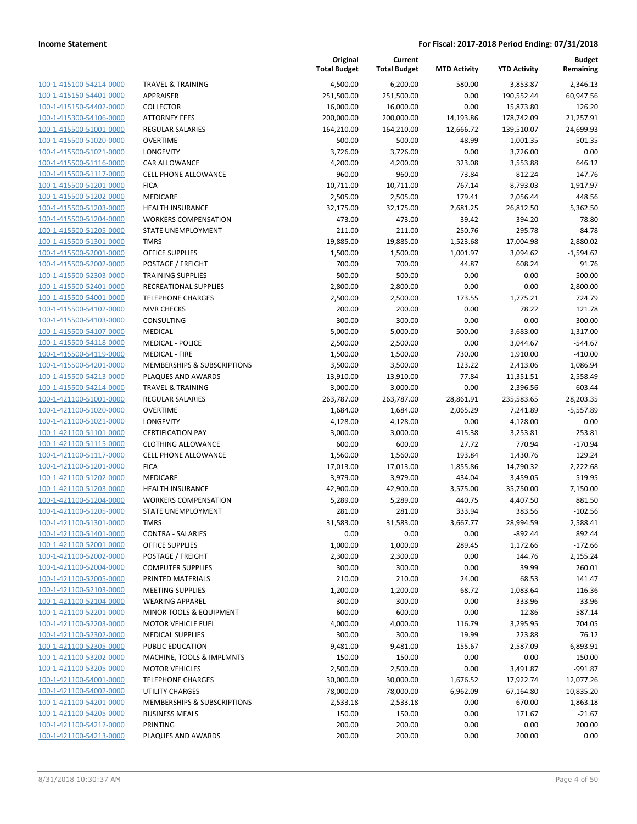| 100-1-415100-54214-0000             |
|-------------------------------------|
| 100-1-415150-54401-0000             |
| 100-1-415150-54402-0000             |
| 100-1-415300-54106-0000             |
| 100-1-415500-51001-0000             |
| 100-1-415500-51020-0000             |
| 100-1-415500-51021-0000             |
| 100-1-415500-51116-0000             |
|                                     |
| 100-1-415500-51117-0000             |
| 100-1-415500-51201-0000             |
| 100-1-415500-51202-0000             |
| 100-1-415500-51203-0000             |
| 100-1-415500-51204-0000             |
| 100-1-415500-51205-0000             |
| 100-1-415500-51301-0000             |
| 100-1-415500-52001-0000             |
| 100-1-415500-52002-0000             |
| 100-1-415500-52303-0000             |
| 100-1-415500-52401-0000             |
| 100-1-415500-54001-0000             |
| 100-1-415500-54102-0000             |
| 100-1-415500-54103-0000             |
| 100-1-415500-54107-0000             |
|                                     |
| 100-1-415500-54118-0000             |
| 100-1-415500-54119-0000             |
| 100-1-415500-54201-0000             |
| 100-1-415500-54213-0000             |
| 100-1-415500-54214-0000             |
| 100-1-421100-51001-0000             |
| 100-1-421100-51020-0000             |
| 100-1-421100-51021-0000             |
| 100-1-421100-51101-0000             |
| 100-1-421100-51115-0000             |
| 100-1-421100-51117-0000             |
| 100-1-421100-51201-0000             |
| 100-1-421100-51202-0000             |
| 100-1-421100-51203-0000             |
| 100-1-421100-51204-0000             |
| 100-1-421100-51205-0000             |
| 100-1-421100-51301-0000             |
|                                     |
| 100-1-421100-51401-0000             |
| 1<br><u>00-1-421100-52001-0000.</u> |
| 100-1-421100-52002-0000             |
| 100-1-421100-52004-0000             |
| 100-1-421100-52005-0000             |
| 100-1-421100-52103-0000             |
| <u>100-1-421100-52104-0000</u>      |
| <u>100-1-421100-52201-0000</u>      |
| 100-1-421100-52203-0000             |
| 100-1-421100-52302-0000             |
| 100-1-421100-52305-0000             |
| <u>100-1-421100-53202-0000</u>      |
| 100-1-421100-53205-0000             |
| <u>100-1-421100-54001-0000</u>      |
| 100-1-421100-54002-0000             |
|                                     |
| 100-1-421100-54201-0000             |
| <u>100-1-421100-54205-0000</u>      |
| 100-1-421100-54212-0000             |
| 100-1-421100-54213-0000             |
|                                     |

|                         |                              | Original<br><b>Total Budget</b> | Current<br><b>Total Budget</b> | <b>MTD Activity</b> | <b>YTD Activity</b> | <b>Budget</b><br>Remaining |
|-------------------------|------------------------------|---------------------------------|--------------------------------|---------------------|---------------------|----------------------------|
| 100-1-415100-54214-0000 | <b>TRAVEL &amp; TRAINING</b> | 4,500.00                        | 6,200.00                       | $-580.00$           | 3,853.87            | 2,346.13                   |
| 100-1-415150-54401-0000 | APPRAISER                    | 251,500.00                      | 251,500.00                     | 0.00                | 190,552.44          | 60,947.56                  |
| 100-1-415150-54402-0000 | <b>COLLECTOR</b>             | 16,000.00                       | 16,000.00                      | 0.00                | 15,873.80           | 126.20                     |
| 100-1-415300-54106-0000 | <b>ATTORNEY FEES</b>         | 200,000.00                      | 200,000.00                     | 14,193.86           | 178,742.09          | 21,257.91                  |
| 100-1-415500-51001-0000 | <b>REGULAR SALARIES</b>      | 164,210.00                      | 164,210.00                     | 12,666.72           | 139,510.07          | 24,699.93                  |
| 100-1-415500-51020-0000 | <b>OVERTIME</b>              | 500.00                          | 500.00                         | 48.99               | 1,001.35            | $-501.35$                  |
| 100-1-415500-51021-0000 | LONGEVITY                    | 3,726.00                        | 3,726.00                       | 0.00                | 3,726.00            | 0.00                       |
| 100-1-415500-51116-0000 | <b>CAR ALLOWANCE</b>         | 4,200.00                        | 4,200.00                       | 323.08              | 3,553.88            | 646.12                     |
| 100-1-415500-51117-0000 | <b>CELL PHONE ALLOWANCE</b>  | 960.00                          | 960.00                         | 73.84               | 812.24              | 147.76                     |
| 100-1-415500-51201-0000 | <b>FICA</b>                  | 10,711.00                       | 10,711.00                      | 767.14              | 8,793.03            | 1,917.97                   |
| 100-1-415500-51202-0000 | <b>MEDICARE</b>              | 2,505.00                        | 2,505.00                       | 179.41              | 2,056.44            | 448.56                     |
| 100-1-415500-51203-0000 | <b>HEALTH INSURANCE</b>      | 32,175.00                       | 32,175.00                      | 2,681.25            | 26,812.50           | 5,362.50                   |
| 100-1-415500-51204-0000 | <b>WORKERS COMPENSATION</b>  | 473.00                          | 473.00                         | 39.42               | 394.20              | 78.80                      |
| 100-1-415500-51205-0000 | <b>STATE UNEMPLOYMENT</b>    | 211.00                          | 211.00                         | 250.76              | 295.78              | $-84.78$                   |
| 100-1-415500-51301-0000 | <b>TMRS</b>                  | 19,885.00                       | 19,885.00                      | 1,523.68            | 17,004.98           | 2,880.02                   |
| 100-1-415500-52001-0000 | OFFICE SUPPLIES              | 1,500.00                        | 1,500.00                       | 1,001.97            | 3,094.62            | $-1,594.62$                |
| 100-1-415500-52002-0000 | POSTAGE / FREIGHT            | 700.00                          | 700.00                         | 44.87               | 608.24              | 91.76                      |
| 100-1-415500-52303-0000 | <b>TRAINING SUPPLIES</b>     | 500.00                          | 500.00                         | 0.00                | 0.00                | 500.00                     |
| 100-1-415500-52401-0000 | <b>RECREATIONAL SUPPLIES</b> | 2,800.00                        | 2,800.00                       | 0.00                | 0.00                | 2,800.00                   |
| 100-1-415500-54001-0000 | <b>TELEPHONE CHARGES</b>     | 2,500.00                        | 2,500.00                       | 173.55              | 1,775.21            | 724.79                     |
| 100-1-415500-54102-0000 | <b>MVR CHECKS</b>            | 200.00                          | 200.00                         | 0.00                | 78.22               | 121.78                     |
| 100-1-415500-54103-0000 | CONSULTING                   | 300.00                          | 300.00                         | 0.00                | 0.00                | 300.00                     |
| 100-1-415500-54107-0000 | <b>MEDICAL</b>               | 5,000.00                        | 5,000.00                       | 500.00              | 3,683.00            | 1,317.00                   |
| 100-1-415500-54118-0000 | <b>MEDICAL - POLICE</b>      | 2,500.00                        | 2,500.00                       | 0.00                | 3,044.67            | $-544.67$                  |
| 100-1-415500-54119-0000 | <b>MEDICAL - FIRE</b>        | 1,500.00                        | 1,500.00                       | 730.00              | 1,910.00            | $-410.00$                  |
| 100-1-415500-54201-0000 | MEMBERSHIPS & SUBSCRIPTIONS  | 3,500.00                        | 3,500.00                       | 123.22              | 2,413.06            | 1,086.94                   |
| 100-1-415500-54213-0000 | PLAQUES AND AWARDS           | 13,910.00                       | 13,910.00                      | 77.84               | 11,351.51           | 2,558.49                   |
| 100-1-415500-54214-0000 | <b>TRAVEL &amp; TRAINING</b> | 3,000.00                        | 3,000.00                       | 0.00                | 2,396.56            | 603.44                     |
| 100-1-421100-51001-0000 | <b>REGULAR SALARIES</b>      | 263,787.00                      | 263,787.00                     | 28,861.91           | 235,583.65          | 28,203.35                  |
| 100-1-421100-51020-0000 | <b>OVERTIME</b>              | 1,684.00                        | 1,684.00                       | 2,065.29            | 7,241.89            | $-5,557.89$                |
| 100-1-421100-51021-0000 | LONGEVITY                    | 4,128.00                        | 4,128.00                       | 0.00                | 4,128.00            | 0.00                       |
| 100-1-421100-51101-0000 | <b>CERTIFICATION PAY</b>     | 3,000.00                        | 3,000.00                       | 415.38              | 3,253.81            | $-253.81$                  |
| 100-1-421100-51115-0000 | <b>CLOTHING ALLOWANCE</b>    | 600.00                          | 600.00                         | 27.72               | 770.94              | $-170.94$                  |
| 100-1-421100-51117-0000 | <b>CELL PHONE ALLOWANCE</b>  | 1,560.00                        | 1,560.00                       | 193.84              | 1,430.76            | 129.24                     |
| 100-1-421100-51201-0000 | <b>FICA</b>                  | 17,013.00                       | 17,013.00                      | 1,855.86            | 14,790.32           | 2,222.68                   |
| 100-1-421100-51202-0000 | <b>MEDICARE</b>              | 3,979.00                        | 3,979.00                       | 434.04              | 3,459.05            | 519.95                     |
| 100-1-421100-51203-0000 | <b>HEALTH INSURANCE</b>      | 42,900.00                       | 42,900.00                      | 3,575.00            | 35,750.00           | 7,150.00                   |
| 100-1-421100-51204-0000 | <b>WORKERS COMPENSATION</b>  | 5,289.00                        | 5,289.00                       | 440.75              | 4,407.50            | 881.50                     |
| 100-1-421100-51205-0000 | <b>STATE UNEMPLOYMENT</b>    | 281.00                          | 281.00                         | 333.94              | 383.56              | $-102.56$                  |
| 100-1-421100-51301-0000 | TMRS                         | 31,583.00                       | 31,583.00                      | 3,667.77            | 28,994.59           | 2,588.41                   |
| 100-1-421100-51401-0000 | CONTRA - SALARIES            | 0.00                            | 0.00                           | 0.00                | -892.44             | 892.44                     |
| 100-1-421100-52001-0000 | <b>OFFICE SUPPLIES</b>       | 1,000.00                        | 1,000.00                       | 289.45              | 1,172.66            | $-172.66$                  |
| 100-1-421100-52002-0000 | POSTAGE / FREIGHT            | 2,300.00                        | 2,300.00                       | 0.00                | 144.76              | 2,155.24                   |
| 100-1-421100-52004-0000 | <b>COMPUTER SUPPLIES</b>     | 300.00                          | 300.00                         | 0.00                | 39.99               | 260.01                     |
| 100-1-421100-52005-0000 | PRINTED MATERIALS            | 210.00                          | 210.00                         | 24.00               | 68.53               | 141.47                     |
| 100-1-421100-52103-0000 | <b>MEETING SUPPLIES</b>      | 1,200.00                        | 1,200.00                       | 68.72               | 1,083.64            | 116.36                     |
| 100-1-421100-52104-0000 | <b>WEARING APPAREL</b>       | 300.00                          | 300.00                         | 0.00                | 333.96              | $-33.96$                   |
| 100-1-421100-52201-0000 | MINOR TOOLS & EQUIPMENT      | 600.00                          | 600.00                         | 0.00                | 12.86               | 587.14                     |
| 100-1-421100-52203-0000 | <b>MOTOR VEHICLE FUEL</b>    | 4,000.00                        | 4,000.00                       | 116.79              | 3,295.95            | 704.05                     |
| 100-1-421100-52302-0000 | <b>MEDICAL SUPPLIES</b>      | 300.00                          | 300.00                         | 19.99               | 223.88              | 76.12                      |
| 100-1-421100-52305-0000 | PUBLIC EDUCATION             | 9,481.00                        | 9,481.00                       | 155.67              | 2,587.09            | 6,893.91                   |
| 100-1-421100-53202-0000 | MACHINE, TOOLS & IMPLMNTS    | 150.00                          | 150.00                         | 0.00                | 0.00                | 150.00                     |
| 100-1-421100-53205-0000 | <b>MOTOR VEHICLES</b>        | 2,500.00                        | 2,500.00                       | 0.00                | 3,491.87            | $-991.87$                  |
| 100-1-421100-54001-0000 | <b>TELEPHONE CHARGES</b>     | 30,000.00                       | 30,000.00                      | 1,676.52            | 17,922.74           | 12,077.26                  |
| 100-1-421100-54002-0000 | UTILITY CHARGES              | 78,000.00                       | 78,000.00                      | 6,962.09            | 67,164.80           | 10,835.20                  |
| 100-1-421100-54201-0000 | MEMBERSHIPS & SUBSCRIPTIONS  | 2,533.18                        | 2,533.18                       | 0.00                | 670.00              | 1,863.18                   |
| 100-1-421100-54205-0000 | <b>BUSINESS MEALS</b>        | 150.00                          | 150.00                         | 0.00                | 171.67              | $-21.67$                   |
| 100-1-421100-54212-0000 | PRINTING                     | 200.00                          | 200.00                         | 0.00                | 0.00                | 200.00                     |
| 100-1-421100-54213-0000 | PLAQUES AND AWARDS           | 200.00                          | 200.00                         | 0.00                | 200.00              | 0.00                       |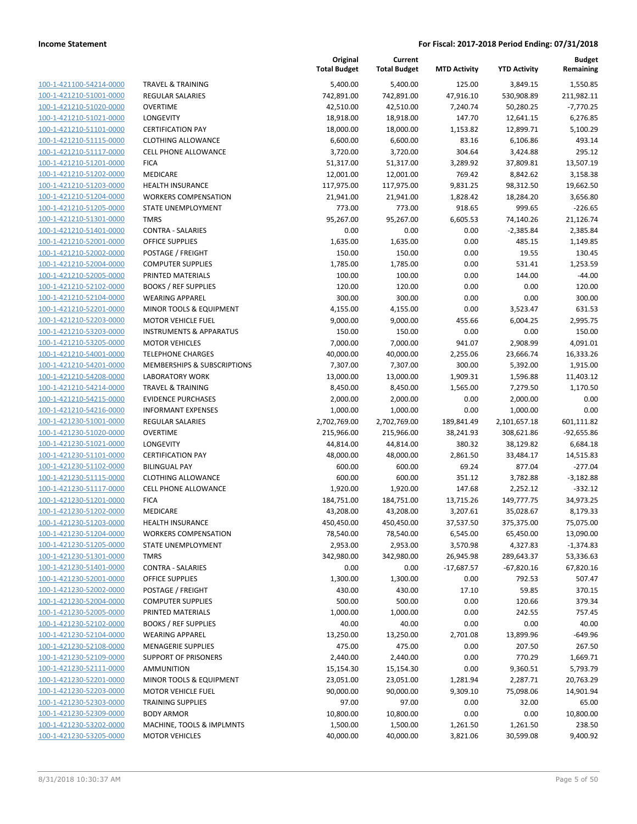| 100-1-421100-54214-0000        |
|--------------------------------|
| 100-1-421210-51001-0000        |
| 100-1-421210-51020-0000        |
| <u>100-1-421210-51021-0000</u> |
| 100-1-421210-51101-0000        |
| 100-1-421210-51115-0000        |
| 100-1-421210-51117-0000        |
| 100-1-421210-51201-0000        |
| <u>100-1-421210-51202-0000</u> |
| 100-1-421210-51203-0000        |
| 100-1-421210-51204-0000        |
|                                |
| 100-1-421210-51205-0000        |
| 100-1-421210-51301-0000        |
| <u>100-1-421210-51401-0000</u> |
| 100-1-421210-52001-0000        |
| 100-1-421210-52002-0000        |
| 100-1-421210-52004-0000        |
| 100-1-421210-52005-0000        |
| <u>100-1-421210-52102-0000</u> |
| 100-1-421210-52104-0000        |
| 100-1-421210-52201-0000        |
| 100-1-421210-52203-0000        |
| 100-1-421210-53203-0000        |
|                                |
| <u>100-1-421210-53205-0000</u> |
| 100-1-421210-54001-0000        |
| 100-1-421210-54201-0000        |
| 100-1-421210-54208-0000        |
| 100-1-421210-54214-0000        |
| <u>100-1-421210-54215-0000</u> |
| 100-1-421210-54216-0000        |
| 100-1-421230-51001-0000        |
| 100-1-421230-51020-0000        |
| 100-1-421230-51021-0000        |
| <u>100-1-421230-51101-0000</u> |
| 100-1-421230-51102-0000        |
| 100-1-421230-51115-0000        |
| 100-1-421230-51117-0000        |
| 100-1-421230-51201-0000        |
| <u>100-1-421230-51202-0000</u> |
| 100-1-421230-51203-0000        |
| 100-1-421230-51204-0000        |
|                                |
| <u>100-1-421230-51205-0000</u> |
| 100-1-421230-51301-0000        |
| 100-1-421230-51401-0000        |
| <u>100-1-421230-52001-0000</u> |
| 100-1-421230-52002-0000        |
| <u>100-1-421230-52004-0000</u> |
| 100-1-421230-52005-0000        |
| 100-1-421230-52102-0000        |
| <u>100-1-421230-52104-0000</u> |
| <u>100-1-421230-52108-0000</u> |
| 100-1-421230-52109-0000        |
| 100-1-421230-52111-0000        |
| 100-1-421230-52201-0000        |
| <u>100-1-421230-52203-0000</u> |
|                                |
| <u>100-1-421230-52303-0000</u> |
| <u>100-1-421230-52309-0000</u> |
| 100-1-421230-53202-0000        |
| <u>100-1-421230-53205-0000</u> |

|                         |                                    | Original<br><b>Total Budget</b> | Current<br><b>Total Budget</b> | <b>MTD Activity</b> | <b>YTD Activity</b> | <b>Budget</b><br>Remaining |
|-------------------------|------------------------------------|---------------------------------|--------------------------------|---------------------|---------------------|----------------------------|
| 100-1-421100-54214-0000 | <b>TRAVEL &amp; TRAINING</b>       | 5,400.00                        | 5,400.00                       | 125.00              | 3,849.15            | 1,550.85                   |
| 100-1-421210-51001-0000 | <b>REGULAR SALARIES</b>            | 742,891.00                      | 742,891.00                     | 47,916.10           | 530,908.89          | 211,982.11                 |
| 100-1-421210-51020-0000 | <b>OVERTIME</b>                    | 42,510.00                       | 42,510.00                      | 7,240.74            | 50,280.25           | $-7,770.25$                |
| 100-1-421210-51021-0000 | LONGEVITY                          | 18,918.00                       | 18,918.00                      | 147.70              | 12,641.15           | 6,276.85                   |
| 100-1-421210-51101-0000 | <b>CERTIFICATION PAY</b>           | 18,000.00                       | 18,000.00                      | 1,153.82            | 12,899.71           | 5,100.29                   |
| 100-1-421210-51115-0000 | <b>CLOTHING ALLOWANCE</b>          | 6,600.00                        | 6,600.00                       | 83.16               | 6,106.86            | 493.14                     |
| 100-1-421210-51117-0000 | CELL PHONE ALLOWANCE               | 3,720.00                        | 3,720.00                       | 304.64              | 3,424.88            | 295.12                     |
| 100-1-421210-51201-0000 | <b>FICA</b>                        | 51,317.00                       | 51,317.00                      | 3,289.92            | 37,809.81           | 13,507.19                  |
| 100-1-421210-51202-0000 | <b>MEDICARE</b>                    | 12,001.00                       | 12,001.00                      | 769.42              | 8,842.62            | 3,158.38                   |
| 100-1-421210-51203-0000 | <b>HEALTH INSURANCE</b>            | 117,975.00                      | 117,975.00                     | 9,831.25            | 98,312.50           | 19,662.50                  |
| 100-1-421210-51204-0000 | <b>WORKERS COMPENSATION</b>        | 21,941.00                       | 21,941.00                      | 1,828.42            | 18,284.20           | 3,656.80                   |
| 100-1-421210-51205-0000 | <b>STATE UNEMPLOYMENT</b>          | 773.00                          | 773.00                         | 918.65              | 999.65              | $-226.65$                  |
| 100-1-421210-51301-0000 | <b>TMRS</b>                        | 95,267.00                       | 95,267.00                      | 6,605.53            | 74,140.26           | 21,126.74                  |
| 100-1-421210-51401-0000 | <b>CONTRA - SALARIES</b>           | 0.00                            | 0.00                           | 0.00                | $-2,385.84$         | 2,385.84                   |
| 100-1-421210-52001-0000 | <b>OFFICE SUPPLIES</b>             | 1,635.00                        | 1,635.00                       | 0.00                | 485.15              | 1,149.85                   |
| 100-1-421210-52002-0000 | POSTAGE / FREIGHT                  | 150.00                          | 150.00                         | 0.00                | 19.55               | 130.45                     |
| 100-1-421210-52004-0000 | <b>COMPUTER SUPPLIES</b>           | 1,785.00                        | 1,785.00                       | 0.00                | 531.41              | 1,253.59                   |
| 100-1-421210-52005-0000 | PRINTED MATERIALS                  | 100.00                          | 100.00                         | 0.00                | 144.00              | $-44.00$                   |
| 100-1-421210-52102-0000 | <b>BOOKS / REF SUPPLIES</b>        | 120.00                          | 120.00                         | 0.00                | 0.00                | 120.00                     |
| 100-1-421210-52104-0000 | <b>WEARING APPAREL</b>             | 300.00                          | 300.00                         | 0.00                | 0.00                | 300.00                     |
| 100-1-421210-52201-0000 | MINOR TOOLS & EQUIPMENT            | 4,155.00                        | 4,155.00                       | 0.00                | 3,523.47            | 631.53                     |
| 100-1-421210-52203-0000 | <b>MOTOR VEHICLE FUEL</b>          | 9,000.00                        | 9,000.00                       | 455.66              | 6,004.25            | 2,995.75                   |
| 100-1-421210-53203-0000 | <b>INSTRUMENTS &amp; APPARATUS</b> | 150.00                          | 150.00                         | 0.00                | 0.00                | 150.00                     |
| 100-1-421210-53205-0000 | <b>MOTOR VEHICLES</b>              | 7,000.00                        | 7,000.00                       | 941.07              | 2,908.99            | 4,091.01                   |
| 100-1-421210-54001-0000 | <b>TELEPHONE CHARGES</b>           | 40,000.00                       | 40,000.00                      | 2,255.06            | 23,666.74           | 16,333.26                  |
| 100-1-421210-54201-0000 | MEMBERSHIPS & SUBSCRIPTIONS        | 7,307.00                        | 7,307.00                       | 300.00              | 5,392.00            | 1,915.00                   |
| 100-1-421210-54208-0000 | <b>LABORATORY WORK</b>             | 13,000.00                       | 13,000.00                      | 1,909.31            | 1,596.88            | 11,403.12                  |
| 100-1-421210-54214-0000 | <b>TRAVEL &amp; TRAINING</b>       | 8,450.00                        | 8,450.00                       | 1,565.00            | 7,279.50            | 1,170.50                   |
| 100-1-421210-54215-0000 | <b>EVIDENCE PURCHASES</b>          | 2,000.00                        | 2,000.00                       | 0.00                | 2,000.00            | 0.00                       |
| 100-1-421210-54216-0000 | <b>INFORMANT EXPENSES</b>          | 1,000.00                        | 1,000.00                       | 0.00                | 1,000.00            | 0.00                       |
| 100-1-421230-51001-0000 | <b>REGULAR SALARIES</b>            | 2,702,769.00                    | 2,702,769.00                   | 189,841.49          | 2,101,657.18        | 601,111.82                 |
| 100-1-421230-51020-0000 | <b>OVERTIME</b>                    | 215,966.00                      | 215,966.00                     | 38,241.93           | 308,621.86          | $-92,655.86$               |
| 100-1-421230-51021-0000 | LONGEVITY                          | 44,814.00                       | 44,814.00                      | 380.32              | 38,129.82           | 6,684.18                   |
| 100-1-421230-51101-0000 | <b>CERTIFICATION PAY</b>           | 48,000.00                       | 48,000.00                      | 2,861.50            | 33,484.17           | 14,515.83                  |
| 100-1-421230-51102-0000 | <b>BILINGUAL PAY</b>               | 600.00                          | 600.00                         | 69.24               | 877.04              | $-277.04$                  |
| 100-1-421230-51115-0000 | <b>CLOTHING ALLOWANCE</b>          | 600.00                          | 600.00                         | 351.12              | 3,782.88            | $-3,182.88$                |
| 100-1-421230-51117-0000 | CELL PHONE ALLOWANCE               | 1,920.00                        | 1,920.00                       | 147.68              | 2,252.12            | $-332.12$                  |
| 100-1-421230-51201-0000 | <b>FICA</b>                        | 184,751.00                      | 184,751.00                     | 13,715.26           | 149,777.75          | 34,973.25                  |
| 100-1-421230-51202-0000 | MEDICARE                           | 43,208.00                       | 43,208.00                      | 3,207.61            | 35,028.67           | 8,179.33                   |
| 100-1-421230-51203-0000 | <b>HEALTH INSURANCE</b>            | 450,450.00                      | 450,450.00                     | 37,537.50           | 375,375.00          | 75,075.00                  |
| 100-1-421230-51204-0000 | <b>WORKERS COMPENSATION</b>        | 78,540.00                       | 78,540.00                      | 6,545.00            | 65,450.00           | 13,090.00                  |
| 100-1-421230-51205-0000 | STATE UNEMPLOYMENT                 | 2,953.00                        | 2,953.00                       | 3,570.98            | 4,327.83            | $-1,374.83$                |
| 100-1-421230-51301-0000 | <b>TMRS</b>                        | 342,980.00                      | 342,980.00                     | 26,945.98           | 289,643.37          | 53,336.63                  |
| 100-1-421230-51401-0000 | <b>CONTRA - SALARIES</b>           | 0.00                            | 0.00                           | $-17,687.57$        | $-67,820.16$        | 67,820.16                  |
| 100-1-421230-52001-0000 | <b>OFFICE SUPPLIES</b>             | 1,300.00                        | 1,300.00                       | 0.00                | 792.53              | 507.47                     |
| 100-1-421230-52002-0000 | POSTAGE / FREIGHT                  | 430.00                          | 430.00                         | 17.10               | 59.85               | 370.15                     |
| 100-1-421230-52004-0000 | <b>COMPUTER SUPPLIES</b>           | 500.00                          | 500.00                         | 0.00                | 120.66              | 379.34                     |
| 100-1-421230-52005-0000 | PRINTED MATERIALS                  | 1,000.00                        | 1,000.00                       | 0.00                | 242.55              | 757.45                     |
| 100-1-421230-52102-0000 | <b>BOOKS / REF SUPPLIES</b>        | 40.00                           | 40.00                          | 0.00                | 0.00                | 40.00                      |
| 100-1-421230-52104-0000 | <b>WEARING APPAREL</b>             | 13,250.00                       | 13,250.00                      | 2,701.08            | 13,899.96           | $-649.96$                  |
| 100-1-421230-52108-0000 | <b>MENAGERIE SUPPLIES</b>          | 475.00                          | 475.00                         | 0.00                | 207.50              | 267.50                     |
| 100-1-421230-52109-0000 | <b>SUPPORT OF PRISONERS</b>        | 2,440.00                        | 2,440.00                       | 0.00                | 770.29              | 1,669.71                   |
| 100-1-421230-52111-0000 | <b>AMMUNITION</b>                  | 15,154.30                       | 15,154.30                      | 0.00                | 9,360.51            | 5,793.79                   |
| 100-1-421230-52201-0000 | MINOR TOOLS & EQUIPMENT            | 23,051.00                       | 23,051.00                      | 1,281.94            | 2,287.71            | 20,763.29                  |
| 100-1-421230-52203-0000 | <b>MOTOR VEHICLE FUEL</b>          | 90,000.00                       | 90,000.00                      | 9,309.10            | 75,098.06           | 14,901.94                  |
| 100-1-421230-52303-0000 | <b>TRAINING SUPPLIES</b>           | 97.00                           | 97.00                          | 0.00                | 32.00               | 65.00                      |
| 100-1-421230-52309-0000 | <b>BODY ARMOR</b>                  | 10,800.00                       | 10,800.00                      | 0.00                | 0.00                | 10,800.00                  |
| 100-1-421230-53202-0000 | MACHINE, TOOLS & IMPLMNTS          | 1,500.00                        | 1,500.00                       | 1,261.50            | 1,261.50            | 238.50                     |
| 100-1-421230-53205-0000 | <b>MOTOR VEHICLES</b>              | 40,000.00                       | 40,000.00                      | 3,821.06            | 30,599.08           | 9,400.92                   |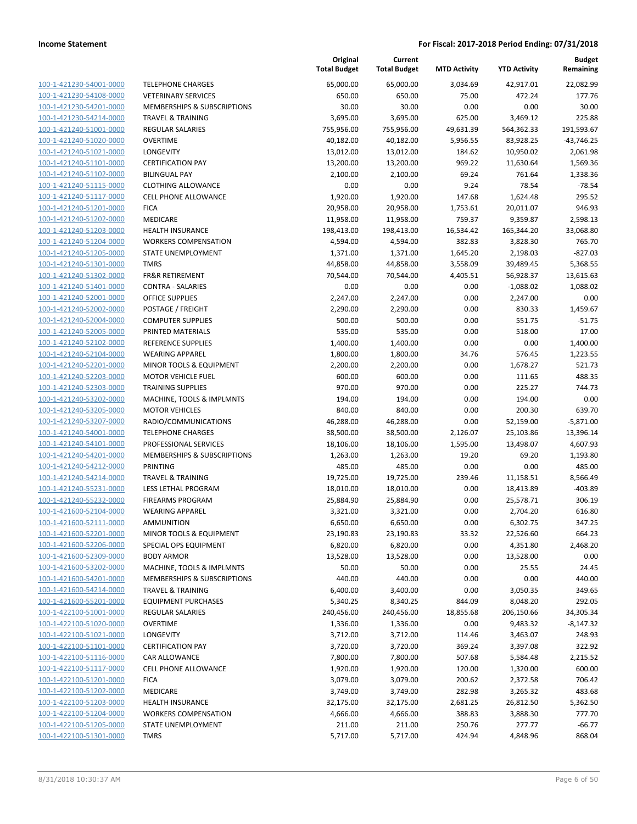| 100-1-421230-54001-0000        |
|--------------------------------|
| 100-1-421230-54108-0000        |
| 100-1-421230-54201-0000        |
| 100-1-421230-54214-0000        |
| 100-1-421240-51001-0000        |
|                                |
| 100-1-421240-51020-0000        |
| 100-1-421240-51021-0000        |
| 100-1-421240-51101-0000        |
| 100-1-421240-51102-0000        |
| 100-1-421240-51115-0000        |
| 100-1-421240-51117-0000        |
| 100-1-421240-51201-0000        |
| 100-1-421240-51202-0000        |
|                                |
| 100-1-421240-51203-0000        |
| 100-1-421240-51204-0000        |
| 100-1-421240-51205-0000        |
| 100-1-421240-51301-0000        |
| 100-1-421240-51302-0000        |
| 100-1-421240-51401-0000        |
| $100-$<br>1-421240-52001-0000  |
| 100-1-421240-52002-0000        |
|                                |
| 100-1-421240-52004-0000        |
| 100-1-421240-52005-0000        |
| 100-1-421240-52102-0000        |
| 100-1-421240-52104-0000        |
| 100-1-421240-52201-0000        |
| 100-1-421240-52203-0000        |
| 100-1-421240-52303-0000        |
| 100-1-421240-53202-0000        |
| 100-1-421240-53205-0000        |
|                                |
| 100-1-421240-53207-0000        |
| 100-1-421240-54001-0000        |
| <u>100-1-421240-54101-0000</u> |
| 100-1-421240-54201-0000        |
| 100-1-421240-54212-0000        |
| 100-1-421240-54214-0000        |
| 100-1-421240-55231-0000        |
| 100-1-421240-55232-0000        |
| 100-1-421600-52104-0000        |
| 100-1-421600-52111-0000        |
| 100-1-421600-52201-0000        |
|                                |
| 100-1-421600-52206-0000        |
| 100-1-421600-52309-0000        |
|                                |
| 100-1-421600-53202-0000        |
| 100-1-421600-54201-0000        |
| 100-1-421600-54214-0000        |
| 100-1-421600-55201-0000        |
|                                |
| <u>100-1-422100-51001-0000</u> |
| <u>100-1-422100-51020-0000</u> |
| 100-1-422100-51021-0000        |
| 100-1-422100-51101-0000        |
| 100-1-422100-51116-0000        |
| 100-1-422100-51117-0000        |
| <u>100-1-422100-51201-0000</u> |
| 100-1-422100-51202-0000        |
| <u>100-1-422100-51203-0000</u> |
| <u>100-1-422100-51204-0000</u> |
| <u>100-1-422100-51205-0000</u> |
| <u>100-1-422100-51301-0000</u> |

|                         |                              | Original<br><b>Total Budget</b> | Current<br><b>Total Budget</b> | <b>MTD Activity</b> | <b>YTD Activity</b> | <b>Budget</b><br>Remaining |
|-------------------------|------------------------------|---------------------------------|--------------------------------|---------------------|---------------------|----------------------------|
| 100-1-421230-54001-0000 | <b>TELEPHONE CHARGES</b>     | 65,000.00                       | 65,000.00                      | 3,034.69            | 42,917.01           | 22,082.99                  |
| 100-1-421230-54108-0000 | <b>VETERINARY SERVICES</b>   | 650.00                          | 650.00                         | 75.00               | 472.24              | 177.76                     |
| 100-1-421230-54201-0000 | MEMBERSHIPS & SUBSCRIPTIONS  | 30.00                           | 30.00                          | 0.00                | 0.00                | 30.00                      |
| 100-1-421230-54214-0000 | <b>TRAVEL &amp; TRAINING</b> | 3,695.00                        | 3,695.00                       | 625.00              | 3,469.12            | 225.88                     |
| 100-1-421240-51001-0000 | REGULAR SALARIES             | 755,956.00                      | 755,956.00                     | 49,631.39           | 564,362.33          | 191,593.67                 |
| 100-1-421240-51020-0000 | <b>OVERTIME</b>              | 40,182.00                       | 40,182.00                      | 5,956.55            | 83,928.25           | $-43,746.25$               |
| 100-1-421240-51021-0000 | <b>LONGEVITY</b>             | 13,012.00                       | 13,012.00                      | 184.62              | 10,950.02           | 2,061.98                   |
| 100-1-421240-51101-0000 | <b>CERTIFICATION PAY</b>     | 13,200.00                       | 13,200.00                      | 969.22              | 11,630.64           | 1,569.36                   |
| 100-1-421240-51102-0000 | <b>BILINGUAL PAY</b>         | 2,100.00                        | 2,100.00                       | 69.24               | 761.64              | 1,338.36                   |
| 100-1-421240-51115-0000 | <b>CLOTHING ALLOWANCE</b>    | 0.00                            | 0.00                           | 9.24                | 78.54               | $-78.54$                   |
| 100-1-421240-51117-0000 | CELL PHONE ALLOWANCE         | 1,920.00                        | 1,920.00                       | 147.68              | 1,624.48            | 295.52                     |
| 100-1-421240-51201-0000 | <b>FICA</b>                  | 20,958.00                       | 20,958.00                      | 1,753.61            | 20,011.07           | 946.93                     |
| 100-1-421240-51202-0000 | MEDICARE                     | 11,958.00                       | 11,958.00                      | 759.37              | 9,359.87            | 2,598.13                   |
| 100-1-421240-51203-0000 | <b>HEALTH INSURANCE</b>      | 198,413.00                      | 198,413.00                     | 16,534.42           | 165,344.20          | 33,068.80                  |
| 100-1-421240-51204-0000 | <b>WORKERS COMPENSATION</b>  | 4,594.00                        | 4,594.00                       | 382.83              | 3,828.30            | 765.70                     |
| 100-1-421240-51205-0000 | STATE UNEMPLOYMENT           | 1,371.00                        | 1,371.00                       | 1,645.20            | 2,198.03            | $-827.03$                  |
| 100-1-421240-51301-0000 | <b>TMRS</b>                  | 44,858.00                       | 44,858.00                      | 3,558.09            | 39,489.45           | 5,368.55                   |
| 100-1-421240-51302-0000 | <b>FR&amp;R RETIREMENT</b>   | 70,544.00                       | 70,544.00                      | 4,405.51            | 56,928.37           | 13,615.63                  |
| 100-1-421240-51401-0000 | <b>CONTRA - SALARIES</b>     | 0.00                            | 0.00                           | 0.00                | $-1,088.02$         | 1,088.02                   |
| 100-1-421240-52001-0000 | <b>OFFICE SUPPLIES</b>       | 2,247.00                        | 2,247.00                       | 0.00                | 2,247.00            | 0.00                       |
| 100-1-421240-52002-0000 | POSTAGE / FREIGHT            | 2,290.00                        | 2,290.00                       | 0.00                | 830.33              | 1,459.67                   |
| 100-1-421240-52004-0000 | <b>COMPUTER SUPPLIES</b>     | 500.00                          | 500.00                         | 0.00                | 551.75              | $-51.75$                   |
| 100-1-421240-52005-0000 | PRINTED MATERIALS            | 535.00                          | 535.00                         | 0.00                | 518.00              | 17.00                      |
| 100-1-421240-52102-0000 | REFERENCE SUPPLIES           | 1,400.00                        | 1,400.00                       | 0.00                | 0.00                | 1,400.00                   |
| 100-1-421240-52104-0000 | <b>WEARING APPAREL</b>       | 1,800.00                        | 1,800.00                       | 34.76               | 576.45              | 1,223.55                   |
| 100-1-421240-52201-0000 | MINOR TOOLS & EQUIPMENT      | 2,200.00                        | 2,200.00                       | 0.00                | 1,678.27            | 521.73                     |
| 100-1-421240-52203-0000 | <b>MOTOR VEHICLE FUEL</b>    | 600.00                          | 600.00                         | 0.00                | 111.65              | 488.35                     |
| 100-1-421240-52303-0000 | <b>TRAINING SUPPLIES</b>     | 970.00                          | 970.00                         | 0.00                | 225.27              | 744.73                     |
| 100-1-421240-53202-0000 | MACHINE, TOOLS & IMPLMNTS    | 194.00                          | 194.00                         | 0.00                | 194.00              | 0.00                       |
| 100-1-421240-53205-0000 | <b>MOTOR VEHICLES</b>        | 840.00                          | 840.00                         | 0.00                | 200.30              | 639.70                     |
| 100-1-421240-53207-0000 | RADIO/COMMUNICATIONS         | 46,288.00                       | 46,288.00                      | 0.00                | 52,159.00           | $-5,871.00$                |
| 100-1-421240-54001-0000 | <b>TELEPHONE CHARGES</b>     | 38,500.00                       | 38,500.00                      | 2,126.07            | 25,103.86           | 13,396.14                  |
| 100-1-421240-54101-0000 | PROFESSIONAL SERVICES        | 18,106.00                       | 18,106.00                      | 1,595.00            | 13,498.07           | 4,607.93                   |
| 100-1-421240-54201-0000 | MEMBERSHIPS & SUBSCRIPTIONS  | 1,263.00                        | 1,263.00                       | 19.20               | 69.20               | 1,193.80                   |
| 100-1-421240-54212-0000 | <b>PRINTING</b>              | 485.00                          | 485.00                         | 0.00                | 0.00                | 485.00                     |
| 100-1-421240-54214-0000 | <b>TRAVEL &amp; TRAINING</b> | 19,725.00                       | 19,725.00                      | 239.46              | 11,158.51           | 8,566.49                   |
| 100-1-421240-55231-0000 | LESS LETHAL PROGRAM          | 18,010.00                       | 18,010.00                      | 0.00                | 18,413.89           | -403.89                    |
| 100-1-421240-55232-0000 | <b>FIREARMS PROGRAM</b>      | 25,884.90                       | 25,884.90                      | 0.00                | 25,578.71           | 306.19                     |
| 100-1-421600-52104-0000 | <b>WEARING APPAREL</b>       | 3,321.00                        | 3,321.00                       | 0.00                | 2,704.20            | 616.80                     |
| 100-1-421600-52111-0000 | AMMUNITION                   | 6,650.00                        | 6,650.00                       | 0.00                | 6,302.75            | 347.25                     |
| 100-1-421600-52201-0000 | MINOR TOOLS & EQUIPMENT      | 23,190.83                       | 23,190.83                      | 33.32               | 22,526.60           | 664.23                     |
| 100-1-421600-52206-0000 | SPECIAL OPS EQUIPMENT        | 6,820.00                        | 6,820.00                       | 0.00                | 4,351.80            | 2,468.20                   |
| 100-1-421600-52309-0000 | <b>BODY ARMOR</b>            | 13,528.00                       | 13,528.00                      | 0.00                | 13,528.00           | 0.00                       |
| 100-1-421600-53202-0000 | MACHINE, TOOLS & IMPLMNTS    | 50.00                           | 50.00                          | 0.00                | 25.55               | 24.45                      |
| 100-1-421600-54201-0000 | MEMBERSHIPS & SUBSCRIPTIONS  | 440.00                          | 440.00                         | 0.00                | 0.00                | 440.00                     |
| 100-1-421600-54214-0000 | <b>TRAVEL &amp; TRAINING</b> | 6,400.00                        | 3,400.00                       | 0.00                | 3,050.35            | 349.65                     |
| 100-1-421600-55201-0000 | <b>EQUIPMENT PURCHASES</b>   | 5,340.25                        | 8,340.25                       | 844.09              | 8,048.20            | 292.05                     |
| 100-1-422100-51001-0000 | REGULAR SALARIES             | 240,456.00                      | 240,456.00                     | 18,855.68           | 206,150.66          | 34,305.34                  |
| 100-1-422100-51020-0000 | <b>OVERTIME</b>              | 1,336.00                        | 1,336.00                       | 0.00                | 9,483.32            | $-8,147.32$                |
| 100-1-422100-51021-0000 | LONGEVITY                    | 3,712.00                        | 3,712.00                       | 114.46              | 3,463.07            | 248.93                     |
| 100-1-422100-51101-0000 | <b>CERTIFICATION PAY</b>     | 3,720.00                        | 3,720.00                       | 369.24              | 3,397.08            | 322.92                     |
| 100-1-422100-51116-0000 | CAR ALLOWANCE                | 7,800.00                        | 7,800.00                       | 507.68              | 5,584.48            | 2,215.52                   |
| 100-1-422100-51117-0000 | CELL PHONE ALLOWANCE         | 1,920.00                        | 1,920.00                       | 120.00              | 1,320.00            | 600.00                     |
| 100-1-422100-51201-0000 | <b>FICA</b>                  | 3,079.00                        | 3,079.00                       | 200.62              | 2,372.58            | 706.42                     |
| 100-1-422100-51202-0000 | MEDICARE                     | 3,749.00                        | 3,749.00                       | 282.98              | 3,265.32            | 483.68                     |
| 100-1-422100-51203-0000 | <b>HEALTH INSURANCE</b>      | 32,175.00                       | 32,175.00                      | 2,681.25            | 26,812.50           | 5,362.50                   |
| 100-1-422100-51204-0000 | WORKERS COMPENSATION         | 4,666.00                        | 4,666.00                       | 388.83              | 3,888.30            | 777.70                     |
| 100-1-422100-51205-0000 | STATE UNEMPLOYMENT           | 211.00                          | 211.00                         | 250.76              | 277.77              | $-66.77$                   |
| 100-1-422100-51301-0000 | <b>TMRS</b>                  | 5,717.00                        | 5,717.00                       | 424.94              | 4,848.96            | 868.04                     |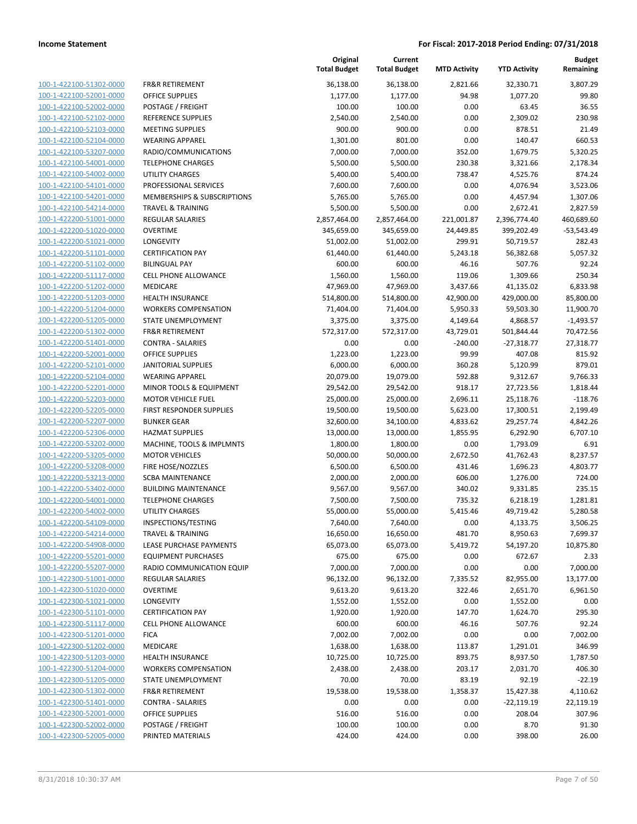100-1-422100-51302-0000 100-1-422100-52001-0000 100-1-422100-52002-0000 100-1-422100-52102-0000 100-1-422100-52103-0000 100-1-422100-52104-0000 100-1-422100-53207-0000 100-1-422100-54001-0000 100-1-422100-54002-0000 100-1-422100-54101-0000 100-1-422100-54201-0000 100-1-422100-54214-0000 100-1-422200-51001-0000 100-1-422200-51020-0000 100-1-422200-51021-0000 100-1-422200-51101-0000 100-1-422200-51102-0000 100-1-422200-51117-0000 100-1-422200-51202-0000 100-1-422200-51203-0000 100-1-422200-51204-0000 100-1-422200-51205-0000 100-1-422200-51302-0000 100-1-422200-51401-0000 100-1-422200-52001-0000 100-1-422200-52101-0000 100-1-422200-52104-0000 100-1-422200-52201-0000 100-1-422200-52203-0000 100-1-422200-52205-0000 100-1-422200-52207-0000 100-1-422200-52306-0000 100-1-422200-53202-0000 100-1-422200-53205-0000 100-1-422200-53208-0000 100-1-422200-53213-0000 100-1-422200-53402-0000 100-1-422200-54001-0000 100-1-422200-54002-0000 100-1-422200-54109-0000 100-1-422200-54214-0000 100-1-422200-54908-0000 100-1-422200-55201-0000 100-1-422200-55207-0000 100-1-422300-51001-0000 100-1-422300-51020-0000 100-1-422300-51021-0000 100-1-422300-51101-0000 100-1-422300-51117-0000 100-1-422300-51201-0000 100-1-422300-51202-0000 100-1-422300-51203-0000 100-1-422300-51204-0000 100-1-422300-51205-0000 100-1-422300-51302-0000 100-1-422300-51401-0000 100-1-422300-52001-0000 100-1-422300-52002-0000 100-1-422300-52005-0000 PRINTED MATERIALS 424.00 424.00 0.00 398.00 26.00

|                              | Original            | Current             |                     |                     | <b>Budget</b> |
|------------------------------|---------------------|---------------------|---------------------|---------------------|---------------|
|                              | <b>Total Budget</b> | <b>Total Budget</b> | <b>MTD Activity</b> | <b>YTD Activity</b> | Remaining     |
| <b>FR&amp;R RETIREMENT</b>   | 36,138.00           | 36,138.00           | 2,821.66            | 32,330.71           | 3,807.29      |
| OFFICE SUPPLIES              | 1,177.00            | 1,177.00            | 94.98               | 1,077.20            | 99.80         |
| POSTAGE / FREIGHT            | 100.00              | 100.00              | 0.00                | 63.45               | 36.55         |
| REFERENCE SUPPLIES           | 2,540.00            | 2,540.00            | 0.00                | 2,309.02            | 230.98        |
| <b>MEETING SUPPLIES</b>      | 900.00              | 900.00              | 0.00                | 878.51              | 21.49         |
| <b>WEARING APPAREL</b>       | 1,301.00            | 801.00              | 0.00                | 140.47              | 660.53        |
| RADIO/COMMUNICATIONS         | 7,000.00            | 7,000.00            | 352.00              | 1,679.75            | 5,320.25      |
| <b>TELEPHONE CHARGES</b>     | 5,500.00            | 5,500.00            | 230.38              | 3,321.66            | 2,178.34      |
| <b>UTILITY CHARGES</b>       | 5,400.00            | 5,400.00            | 738.47              | 4,525.76            | 874.24        |
| PROFESSIONAL SERVICES        | 7,600.00            | 7,600.00            | 0.00                | 4,076.94            | 3,523.06      |
| MEMBERSHIPS & SUBSCRIPTIONS  | 5,765.00            | 5,765.00            | 0.00                | 4,457.94            | 1,307.06      |
| <b>TRAVEL &amp; TRAINING</b> | 5,500.00            | 5,500.00            | 0.00                | 2,672.41            | 2,827.59      |
| <b>REGULAR SALARIES</b>      | 2,857,464.00        | 2,857,464.00        | 221,001.87          | 2,396,774.40        | 460,689.60    |
| <b>OVERTIME</b>              | 345,659.00          | 345,659.00          | 24,449.85           | 399,202.49          | $-53,543.49$  |
| <b>LONGEVITY</b>             | 51,002.00           | 51,002.00           | 299.91              | 50,719.57           | 282.43        |
| <b>CERTIFICATION PAY</b>     | 61,440.00           | 61,440.00           | 5,243.18            | 56,382.68           | 5,057.32      |
| <b>BILINGUAL PAY</b>         | 600.00              | 600.00              | 46.16               | 507.76              | 92.24         |
| <b>CELL PHONE ALLOWANCE</b>  | 1,560.00            | 1,560.00            | 119.06              | 1,309.66            | 250.34        |
| <b>MEDICARE</b>              | 47,969.00           | 47,969.00           | 3,437.66            | 41,135.02           | 6,833.98      |
| HEALTH INSURANCE             | 514,800.00          | 514,800.00          | 42,900.00           | 429,000.00          | 85,800.00     |
| <b>WORKERS COMPENSATION</b>  | 71,404.00           | 71,404.00           | 5,950.33            | 59,503.30           | 11,900.70     |
| STATE UNEMPLOYMENT           | 3,375.00            | 3,375.00            | 4,149.64            | 4,868.57            | $-1,493.57$   |
| <b>FR&amp;R RETIREMENT</b>   | 572,317.00          | 572,317.00          | 43,729.01           | 501,844.44          | 70,472.56     |
| <b>CONTRA - SALARIES</b>     | 0.00                | 0.00                | $-240.00$           | $-27,318.77$        | 27,318.77     |
| OFFICE SUPPLIES              | 1,223.00            | 1,223.00            | 99.99               | 407.08              | 815.92        |
| <b>JANITORIAL SUPPLIES</b>   | 6,000.00            | 6,000.00            | 360.28              | 5,120.99            | 879.01        |
| <b>WEARING APPAREL</b>       | 20,079.00           | 19,079.00           | 592.88              | 9,312.67            | 9,766.33      |
| MINOR TOOLS & EQUIPMENT      | 29,542.00           | 29,542.00           | 918.17              | 27,723.56           | 1,818.44      |
| <b>MOTOR VEHICLE FUEL</b>    | 25,000.00           | 25,000.00           | 2,696.11            | 25,118.76           | $-118.76$     |
| FIRST RESPONDER SUPPLIES     | 19,500.00           | 19,500.00           | 5,623.00            | 17,300.51           | 2,199.49      |
| <b>BUNKER GEAR</b>           | 32,600.00           | 34,100.00           | 4,833.62            | 29,257.74           | 4,842.26      |
| <b>HAZMAT SUPPLIES</b>       | 13,000.00           | 13,000.00           | 1,855.95            | 6,292.90            | 6,707.10      |
| MACHINE, TOOLS & IMPLMNTS    | 1,800.00            | 1,800.00            | 0.00                | 1,793.09            | 6.91          |
| <b>MOTOR VEHICLES</b>        | 50,000.00           | 50,000.00           | 2,672.50            | 41,762.43           | 8,237.57      |
| FIRE HOSE/NOZZLES            | 6,500.00            | 6,500.00            | 431.46              | 1,696.23            | 4,803.77      |
| <b>SCBA MAINTENANCE</b>      | 2,000.00            | 2,000.00            | 606.00              | 1,276.00            | 724.00        |
| <b>BUILDING MAINTENANCE</b>  | 9,567.00            | 9,567.00            | 340.02              | 9,331.85            | 235.15        |
| <b>TELEPHONE CHARGES</b>     | 7,500.00            | 7,500.00            | 735.32              | 6,218.19            | 1,281.81      |
| <b>UTILITY CHARGES</b>       | 55,000.00           | 55,000.00           | 5,415.46            | 49,719.42           | 5,280.58      |
| INSPECTIONS/TESTING          | 7,640.00            | 7,640.00            | 0.00                | 4,133.75            | 3,506.25      |
| <b>TRAVEL &amp; TRAINING</b> | 16,650.00           | 16,650.00           | 481.70              | 8,950.63            | 7,699.37      |
| LEASE PURCHASE PAYMENTS      | 65,073.00           | 65,073.00           | 5,419.72            | 54,197.20           | 10,875.80     |
| <b>EQUIPMENT PURCHASES</b>   | 675.00              | 675.00              | 0.00                | 672.67              | 2.33          |
| RADIO COMMUNICATION EQUIP    | 7,000.00            | 7,000.00            | 0.00                | 0.00                | 7,000.00      |
| <b>REGULAR SALARIES</b>      | 96,132.00           | 96,132.00           | 7,335.52            | 82,955.00           | 13,177.00     |
| <b>OVERTIME</b>              | 9,613.20            | 9,613.20            | 322.46              | 2,651.70            | 6,961.50      |
| <b>LONGEVITY</b>             | 1,552.00            | 1,552.00            | 0.00                | 1,552.00            | 0.00          |
| <b>CERTIFICATION PAY</b>     | 1,920.00            | 1,920.00            | 147.70              | 1,624.70            | 295.30        |
| <b>CELL PHONE ALLOWANCE</b>  | 600.00              | 600.00              | 46.16               | 507.76              | 92.24         |
| <b>FICA</b>                  | 7,002.00            | 7,002.00            | 0.00                | 0.00                | 7,002.00      |
| <b>MEDICARE</b>              | 1,638.00            | 1,638.00            | 113.87              | 1,291.01            | 346.99        |
| HEALTH INSURANCE             | 10,725.00           | 10,725.00           | 893.75              | 8,937.50            | 1,787.50      |
| <b>WORKERS COMPENSATION</b>  | 2,438.00            | 2,438.00            | 203.17              | 2,031.70            | 406.30        |
| STATE UNEMPLOYMENT           | 70.00               | 70.00               | 83.19               | 92.19               | $-22.19$      |
| <b>FR&amp;R RETIREMENT</b>   | 19,538.00           | 19,538.00           | 1,358.37            | 15,427.38           | 4,110.62      |
| CONTRA - SALARIES            | 0.00                | 0.00                | 0.00                | $-22,119.19$        | 22,119.19     |
| OFFICE SUPPLIES              | 516.00              | 516.00              | 0.00                | 208.04              | 307.96        |
| POSTAGE / FREIGHT            | 100.00              | 100.00              | 0.00                | 8.70                | 91.30         |
| PRINTED MATERIALS            | 424.00              | 424.00              | 0.00                | 398.00              | 26.00         |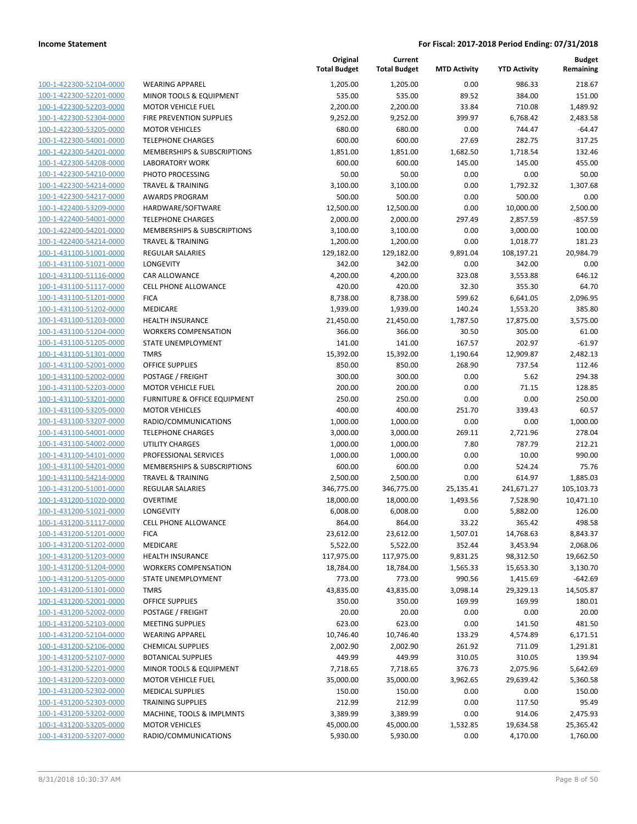| 100-1-422300-52104-0000                            | <b>WEARING APPAREL</b>                  |
|----------------------------------------------------|-----------------------------------------|
| 100-1-422300-52201-0000                            | <b>MINOR TOOLS &amp; EQUIPMENT</b>      |
| 100-1-422300-52203-0000                            | <b>MOTOR VEHICLE FUEL</b>               |
| 100-1-422300-52304-0000                            | <b>FIRE PREVENTION SUPPLIES</b>         |
| 100-1-422300-53205-0000                            | <b>MOTOR VEHICLES</b>                   |
| 100-1-422300-54001-0000                            | <b>TELEPHONE CHARGES</b>                |
| 100-1-422300-54201-0000                            | <b>MEMBERSHIPS &amp; SUBSCRIPTIONS</b>  |
| 100-1-422300-54208-0000                            | <b>LABORATORY WORK</b>                  |
| 100-1-422300-54210-0000                            | PHOTO PROCESSING                        |
| 100-1-422300-54214-0000                            | <b>TRAVEL &amp; TRAINING</b>            |
| 100-1-422300-54217-0000                            | <b>AWARDS PROGRAM</b>                   |
| 100-1-422400-53209-0000                            | HARDWARE/SOFTWARE                       |
| 100-1-422400-54001-0000                            | <b>TELEPHONE CHARGES</b>                |
| 100-1-422400-54201-0000                            | <b>MEMBERSHIPS &amp; SUBSCRIPTIONS</b>  |
| 100-1-422400-54214-0000                            | TRAVEL & TRAINING                       |
| 100-1-431100-51001-0000                            | <b>REGULAR SALARIES</b>                 |
| 100-1-431100-51021-0000                            | <b>LONGEVITY</b>                        |
| 100-1-431100-51116-0000                            | <b>CAR ALLOWANCE</b>                    |
| 100-1-431100-51117-0000                            | <b>CELL PHONE ALLOWANCE</b>             |
| 100-1-431100-51201-0000                            | <b>FICA</b>                             |
| 100-1-431100-51202-0000                            | <b>MEDICARE</b>                         |
| 100-1-431100-51203-0000                            | <b>HEALTH INSURANCE</b>                 |
| 100-1-431100-51204-0000                            | <b>WORKERS COMPENSATION</b>             |
| 100-1-431100-51205-0000                            | STATE UNEMPLOYMENT                      |
| 100-1-431100-51301-0000                            | <b>TMRS</b>                             |
| 100-1-431100-52001-0000                            | <b>OFFICE SUPPLIES</b>                  |
| 100-1-431100-52002-0000                            | POSTAGE / FREIGHT                       |
| 100-1-431100-52203-0000                            | <b>MOTOR VEHICLE FUEL</b>               |
| 100-1-431100-53201-0000                            | <b>FURNITURE &amp; OFFICE EQUIPMENT</b> |
| 100-1-431100-53205-0000                            | <b>MOTOR VEHICLES</b>                   |
| 100-1-431100-53207-0000                            | RADIO/COMMUNICATIONS                    |
| 100-1-431100-54001-0000                            | <b>TELEPHONE CHARGES</b>                |
| 100-1-431100-54002-0000                            | <b>UTILITY CHARGES</b>                  |
| 100-1-431100-54101-0000                            | PROFESSIONAL SERVICES                   |
| 100-1-431100-54201-0000                            | <b>MEMBERSHIPS &amp; SUBSCRIPTIONS</b>  |
| 100-1-431100-54214-0000                            | <b>TRAVEL &amp; TRAINING</b>            |
| 100-1-431200-51001-0000                            | <b>REGULAR SALARIES</b>                 |
| 100-1-431200-51020-0000                            | <b>OVERTIME</b>                         |
| 100-1-431200-51021-0000                            | LONGEVITY                               |
| 100-1-431200-51117-0000                            | <b>CELL PHONE ALLOWANCE</b>             |
| <u>100-1-431200-51201-0000</u>                     | <b>FICA</b>                             |
| 100-1-431200-51202-0000                            | MEDICARE                                |
| 100-1-431200-51203-0000                            | <b>HEALTH INSURANCE</b>                 |
| 100-1-431200-51204-0000                            | <b>WORKERS COMPENSATION</b>             |
| 100-1-431200-51205-0000                            | STATE UNEMPLOYMENT                      |
| 100-1-431200-51301-0000                            | TMRS                                    |
| 100-1-431200-52001-0000                            | OFFICE SUPPLIES                         |
| 100-1-431200-52002-0000                            | POSTAGE / FREIGHT                       |
| 100-1-431200-52103-0000                            | <b>MEETING SUPPLIES</b>                 |
| 100-1-431200-52104-0000                            | <b>WEARING APPAREL</b>                  |
| 100-1-431200-52106-0000                            | <b>CHEMICAL SUPPLIES</b>                |
| 100-1-431200-52107-0000                            | <b>BOTANICAL SUPPLIES</b>               |
| 100-1-431200-52201-0000                            | MINOR TOOLS & EQUIPMENT                 |
| 100-1-431200-52203-0000                            | <b>MOTOR VEHICLE FUEL</b>               |
| 100-1-431200-52302-0000                            | <b>MEDICAL SUPPLIES</b>                 |
| 100-1-431200-52303-0000                            | <b>TRAINING SUPPLIES</b>                |
|                                                    | MACHINE, TOOLS & IMPLMNTS               |
|                                                    |                                         |
| 100-1-431200-53202-0000<br>100-1-431200-53205-0000 | <b>MOTOR VEHICLES</b>                   |

|                                                    |                                                       | Original<br><b>Total Budget</b> | Current<br><b>Total Budget</b> | <b>MTD Activity</b> | <b>YTD Activity</b> | Budget<br>Remaining |
|----------------------------------------------------|-------------------------------------------------------|---------------------------------|--------------------------------|---------------------|---------------------|---------------------|
| 100-1-422300-52104-0000                            | <b>WEARING APPAREL</b>                                | 1,205.00                        | 1,205.00                       | 0.00                | 986.33              | 218.67              |
| 100-1-422300-52201-0000                            | MINOR TOOLS & EQUIPMENT                               | 535.00                          | 535.00                         | 89.52               | 384.00              | 151.00              |
| 100-1-422300-52203-0000                            | <b>MOTOR VEHICLE FUEL</b>                             | 2,200.00                        | 2,200.00                       | 33.84               | 710.08              | 1,489.92            |
| 100-1-422300-52304-0000                            | FIRE PREVENTION SUPPLIES                              | 9,252.00                        | 9,252.00                       | 399.97              | 6,768.42            | 2,483.58            |
| 100-1-422300-53205-0000                            | <b>MOTOR VEHICLES</b>                                 | 680.00                          | 680.00                         | 0.00                | 744.47              | $-64.47$            |
| 100-1-422300-54001-0000                            | <b>TELEPHONE CHARGES</b>                              | 600.00                          | 600.00                         | 27.69               | 282.75              | 317.25              |
| 100-1-422300-54201-0000                            | MEMBERSHIPS & SUBSCRIPTIONS                           | 1,851.00                        | 1,851.00                       | 1,682.50            | 1,718.54            | 132.46              |
| 100-1-422300-54208-0000                            | LABORATORY WORK                                       | 600.00                          | 600.00                         | 145.00              | 145.00              | 455.00              |
| 100-1-422300-54210-0000                            | PHOTO PROCESSING                                      | 50.00                           | 50.00                          | 0.00                | 0.00                | 50.00               |
| 100-1-422300-54214-0000                            | <b>TRAVEL &amp; TRAINING</b>                          | 3,100.00                        | 3,100.00                       | 0.00                | 1,792.32            | 1,307.68            |
| 100-1-422300-54217-0000                            | <b>AWARDS PROGRAM</b>                                 | 500.00                          | 500.00                         | 0.00                | 500.00              | 0.00                |
| 100-1-422400-53209-0000                            | HARDWARE/SOFTWARE                                     | 12,500.00                       | 12,500.00                      | 0.00                | 10,000.00           | 2,500.00            |
| 100-1-422400-54001-0000                            | <b>TELEPHONE CHARGES</b>                              | 2,000.00                        | 2,000.00                       | 297.49              | 2,857.59            | $-857.59$           |
| 100-1-422400-54201-0000                            | MEMBERSHIPS & SUBSCRIPTIONS                           | 3,100.00                        | 3,100.00                       | 0.00                | 3,000.00            | 100.00              |
| 100-1-422400-54214-0000                            | <b>TRAVEL &amp; TRAINING</b>                          | 1,200.00                        | 1,200.00                       | 0.00                | 1,018.77            | 181.23              |
| 100-1-431100-51001-0000                            | <b>REGULAR SALARIES</b>                               | 129,182.00                      | 129,182.00                     | 9,891.04            | 108,197.21          | 20,984.79           |
| 100-1-431100-51021-0000                            | <b>LONGEVITY</b>                                      | 342.00                          | 342.00                         | 0.00                | 342.00              | 0.00                |
| 100-1-431100-51116-0000                            | <b>CAR ALLOWANCE</b>                                  | 4,200.00                        | 4,200.00                       | 323.08              | 3,553.88            | 646.12              |
| 100-1-431100-51117-0000                            | <b>CELL PHONE ALLOWANCE</b>                           | 420.00                          | 420.00                         | 32.30               | 355.30              | 64.70               |
| 100-1-431100-51201-0000                            | <b>FICA</b>                                           | 8,738.00                        | 8,738.00                       | 599.62              | 6,641.05            | 2,096.95            |
| 100-1-431100-51202-0000                            | MEDICARE                                              | 1,939.00                        | 1,939.00                       | 140.24              | 1,553.20            | 385.80              |
| 100-1-431100-51203-0000                            | <b>HEALTH INSURANCE</b>                               | 21,450.00                       | 21,450.00                      | 1,787.50            | 17,875.00           | 3,575.00            |
| 100-1-431100-51204-0000                            | <b>WORKERS COMPENSATION</b>                           | 366.00                          | 366.00                         | 30.50               | 305.00              | 61.00               |
| 100-1-431100-51205-0000                            | STATE UNEMPLOYMENT                                    | 141.00                          | 141.00                         | 167.57              | 202.97              | $-61.97$            |
| 100-1-431100-51301-0000                            | <b>TMRS</b>                                           | 15,392.00                       | 15,392.00                      | 1,190.64            | 12,909.87           | 2,482.13            |
| 100-1-431100-52001-0000                            | <b>OFFICE SUPPLIES</b>                                | 850.00                          | 850.00                         | 268.90              | 737.54              | 112.46              |
| 100-1-431100-52002-0000                            | POSTAGE / FREIGHT                                     | 300.00                          | 300.00                         | 0.00                | 5.62                | 294.38              |
| 100-1-431100-52203-0000<br>100-1-431100-53201-0000 | <b>MOTOR VEHICLE FUEL</b>                             | 200.00                          | 200.00                         | 0.00                | 71.15<br>0.00       | 128.85              |
| 100-1-431100-53205-0000                            | FURNITURE & OFFICE EQUIPMENT<br><b>MOTOR VEHICLES</b> | 250.00<br>400.00                | 250.00<br>400.00               | 0.00<br>251.70      | 339.43              | 250.00<br>60.57     |
| 100-1-431100-53207-0000                            | RADIO/COMMUNICATIONS                                  | 1,000.00                        | 1,000.00                       | 0.00                | 0.00                | 1,000.00            |
| 100-1-431100-54001-0000                            | <b>TELEPHONE CHARGES</b>                              | 3,000.00                        | 3,000.00                       | 269.11              | 2,721.96            | 278.04              |
| 100-1-431100-54002-0000                            | <b>UTILITY CHARGES</b>                                | 1,000.00                        | 1,000.00                       | 7.80                | 787.79              | 212.21              |
| 100-1-431100-54101-0000                            | PROFESSIONAL SERVICES                                 | 1,000.00                        | 1,000.00                       | 0.00                | 10.00               | 990.00              |
| 100-1-431100-54201-0000                            | MEMBERSHIPS & SUBSCRIPTIONS                           | 600.00                          | 600.00                         | 0.00                | 524.24              | 75.76               |
| 100-1-431100-54214-0000                            | <b>TRAVEL &amp; TRAINING</b>                          | 2,500.00                        | 2,500.00                       | 0.00                | 614.97              | 1,885.03            |
| 100-1-431200-51001-0000                            | <b>REGULAR SALARIES</b>                               | 346,775.00                      | 346,775.00                     | 25,135.41           | 241,671.27          | 105,103.73          |
| 100-1-431200-51020-0000                            | <b>OVERTIME</b>                                       | 18,000.00                       | 18,000.00                      | 1,493.56            | 7,528.90            | 10,471.10           |
| 100-1-431200-51021-0000                            | LONGEVITY                                             | 6,008.00                        | 6,008.00                       | 0.00                | 5,882.00            | 126.00              |
| 100-1-431200-51117-0000                            | <b>CELL PHONE ALLOWANCE</b>                           | 864.00                          | 864.00                         | 33.22               | 365.42              | 498.58              |
| 100-1-431200-51201-0000                            | <b>FICA</b>                                           | 23,612.00                       | 23,612.00                      | 1,507.01            | 14,768.63           | 8,843.37            |
| 100-1-431200-51202-0000                            | MEDICARE                                              | 5,522.00                        | 5,522.00                       | 352.44              | 3,453.94            | 2,068.06            |
| 100-1-431200-51203-0000                            | <b>HEALTH INSURANCE</b>                               | 117,975.00                      | 117,975.00                     | 9,831.25            | 98,312.50           | 19,662.50           |
| 100-1-431200-51204-0000                            | <b>WORKERS COMPENSATION</b>                           | 18,784.00                       | 18,784.00                      | 1,565.33            | 15,653.30           | 3,130.70            |
| 100-1-431200-51205-0000                            | STATE UNEMPLOYMENT                                    | 773.00                          | 773.00                         | 990.56              | 1,415.69            | $-642.69$           |
| 100-1-431200-51301-0000                            | <b>TMRS</b>                                           | 43,835.00                       | 43,835.00                      | 3,098.14            | 29,329.13           | 14,505.87           |
| 100-1-431200-52001-0000                            | <b>OFFICE SUPPLIES</b>                                | 350.00                          | 350.00                         | 169.99              | 169.99              | 180.01              |
| 100-1-431200-52002-0000                            | POSTAGE / FREIGHT                                     | 20.00                           | 20.00                          | 0.00                | 0.00                | 20.00               |
| 100-1-431200-52103-0000                            | <b>MEETING SUPPLIES</b>                               | 623.00                          | 623.00                         | 0.00                | 141.50              | 481.50              |
| 100-1-431200-52104-0000                            | <b>WEARING APPAREL</b>                                | 10,746.40                       | 10,746.40                      | 133.29              | 4,574.89            | 6,171.51            |
| 100-1-431200-52106-0000                            | <b>CHEMICAL SUPPLIES</b>                              | 2,002.90                        | 2,002.90                       | 261.92              | 711.09              | 1,291.81            |
| 100-1-431200-52107-0000                            | <b>BOTANICAL SUPPLIES</b>                             | 449.99                          | 449.99                         | 310.05              | 310.05              | 139.94              |
| 100-1-431200-52201-0000                            | MINOR TOOLS & EQUIPMENT                               | 7,718.65                        | 7,718.65                       | 376.73              | 2,075.96            | 5,642.69            |
| 100-1-431200-52203-0000                            | <b>MOTOR VEHICLE FUEL</b>                             | 35,000.00                       | 35,000.00                      | 3,962.65            | 29,639.42           | 5,360.58            |
| 100-1-431200-52302-0000                            | <b>MEDICAL SUPPLIES</b>                               | 150.00                          | 150.00                         | 0.00                | 0.00                | 150.00              |
| 100-1-431200-52303-0000                            | <b>TRAINING SUPPLIES</b>                              | 212.99                          | 212.99                         | 0.00                | 117.50              | 95.49               |
| 100-1-431200-53202-0000                            | MACHINE, TOOLS & IMPLMNTS                             | 3,389.99                        | 3,389.99                       | 0.00                | 914.06              | 2,475.93            |
| 100-1-431200-53205-0000                            | <b>MOTOR VEHICLES</b>                                 | 45,000.00                       | 45,000.00                      | 1,532.85            | 19,634.58           | 25,365.42           |
| 100-1-431200-53207-0000                            | RADIO/COMMUNICATIONS                                  | 5,930.00                        | 5,930.00                       | 0.00                | 4,170.00            | 1,760.00            |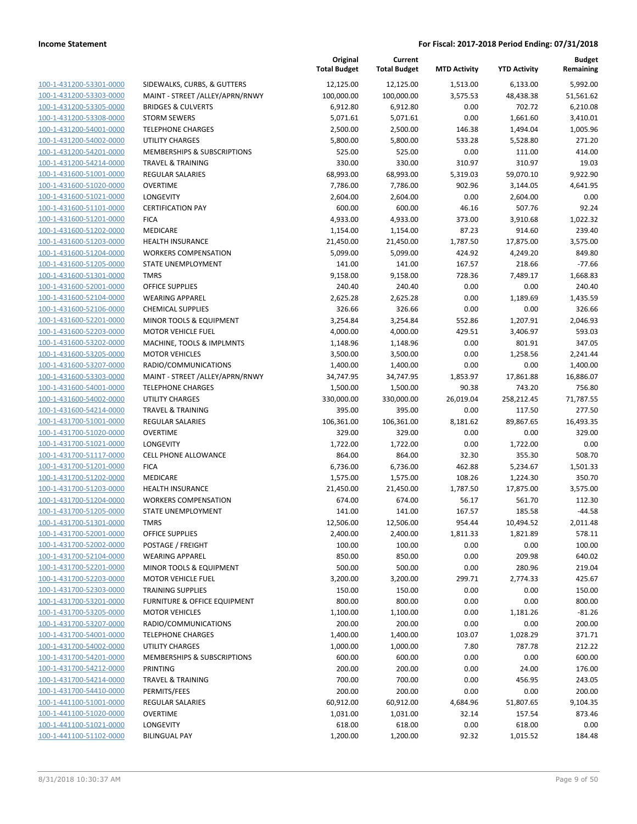|                                                    |                                                    | Original<br><b>Total Budget</b> | Current<br><b>Total Budget</b> | <b>MTD Activity</b> | <b>YTD Activity</b>  | Budget<br>Remaining |
|----------------------------------------------------|----------------------------------------------------|---------------------------------|--------------------------------|---------------------|----------------------|---------------------|
| 100-1-431200-53301-0000                            | SIDEWALKS, CURBS, & GUTTERS                        | 12,125.00                       | 12,125.00                      | 1,513.00            | 6,133.00             | 5,992.00            |
| 100-1-431200-53303-0000                            | MAINT - STREET /ALLEY/APRN/RNWY                    | 100,000.00                      | 100,000.00                     | 3,575.53            | 48,438.38            | 51,561.62           |
| 100-1-431200-53305-0000                            | <b>BRIDGES &amp; CULVERTS</b>                      | 6,912.80                        | 6,912.80                       | 0.00                | 702.72               | 6,210.08            |
| 100-1-431200-53308-0000                            | <b>STORM SEWERS</b>                                | 5,071.61                        | 5,071.61                       | 0.00                | 1,661.60             | 3,410.01            |
| 100-1-431200-54001-0000                            | <b>TELEPHONE CHARGES</b>                           | 2,500.00                        | 2,500.00                       | 146.38              | 1,494.04             | 1,005.96            |
| 100-1-431200-54002-0000                            | <b>UTILITY CHARGES</b>                             | 5,800.00                        | 5,800.00                       | 533.28              | 5,528.80             | 271.20              |
| 100-1-431200-54201-0000                            | MEMBERSHIPS & SUBSCRIPTIONS                        | 525.00                          | 525.00                         | 0.00                | 111.00               | 414.00              |
| 100-1-431200-54214-0000                            | <b>TRAVEL &amp; TRAINING</b>                       | 330.00                          | 330.00                         | 310.97              | 310.97               | 19.03               |
| 100-1-431600-51001-0000                            | <b>REGULAR SALARIES</b>                            | 68,993.00                       | 68,993.00                      | 5,319.03            | 59,070.10            | 9,922.90            |
| 100-1-431600-51020-0000                            | <b>OVERTIME</b>                                    | 7,786.00                        | 7,786.00                       | 902.96              | 3,144.05             | 4,641.95            |
| 100-1-431600-51021-0000                            | LONGEVITY                                          | 2,604.00                        | 2,604.00                       | 0.00                | 2,604.00             | 0.00                |
| 100-1-431600-51101-0000                            | <b>CERTIFICATION PAY</b>                           | 600.00                          | 600.00                         | 46.16               | 507.76               | 92.24               |
| 100-1-431600-51201-0000                            | <b>FICA</b>                                        | 4,933.00                        | 4,933.00                       | 373.00              | 3,910.68             | 1,022.32            |
| 100-1-431600-51202-0000                            | MEDICARE                                           | 1,154.00                        | 1,154.00                       | 87.23               | 914.60               | 239.40              |
| 100-1-431600-51203-0000                            | HEALTH INSURANCE                                   | 21,450.00                       | 21,450.00                      | 1,787.50            | 17,875.00            | 3,575.00            |
| 100-1-431600-51204-0000                            | <b>WORKERS COMPENSATION</b>                        | 5,099.00                        | 5,099.00                       | 424.92              | 4,249.20             | 849.80              |
| 100-1-431600-51205-0000                            | <b>STATE UNEMPLOYMENT</b>                          | 141.00                          | 141.00                         | 167.57              | 218.66               | $-77.66$            |
| 100-1-431600-51301-0000                            | <b>TMRS</b>                                        | 9,158.00                        | 9,158.00                       | 728.36              | 7,489.17             | 1,668.83            |
| 100-1-431600-52001-0000                            | <b>OFFICE SUPPLIES</b>                             | 240.40                          | 240.40                         | 0.00                | 0.00                 | 240.40              |
| 100-1-431600-52104-0000                            | <b>WEARING APPAREL</b>                             | 2,625.28                        | 2,625.28                       | 0.00                | 1,189.69             | 1,435.59            |
| 100-1-431600-52106-0000                            | <b>CHEMICAL SUPPLIES</b>                           | 326.66                          | 326.66                         | 0.00                | 0.00                 | 326.66              |
| 100-1-431600-52201-0000                            | MINOR TOOLS & EQUIPMENT                            | 3,254.84                        | 3,254.84                       | 552.86              | 1,207.91             | 2,046.93            |
| 100-1-431600-52203-0000                            | <b>MOTOR VEHICLE FUEL</b>                          | 4,000.00                        | 4,000.00                       | 429.51              | 3,406.97             | 593.03              |
| 100-1-431600-53202-0000                            | MACHINE, TOOLS & IMPLMNTS                          | 1,148.96                        | 1,148.96                       | 0.00                | 801.91               | 347.05              |
| 100-1-431600-53205-0000                            | <b>MOTOR VEHICLES</b>                              | 3,500.00                        | 3,500.00                       | 0.00                | 1,258.56             | 2,241.44            |
| 100-1-431600-53207-0000                            | RADIO/COMMUNICATIONS                               | 1,400.00                        | 1,400.00                       | 0.00                | 0.00                 | 1,400.00            |
| 100-1-431600-53303-0000                            | MAINT - STREET /ALLEY/APRN/RNWY                    | 34,747.95                       | 34,747.95                      | 1,853.97            | 17,861.88            | 16,886.07           |
| 100-1-431600-54001-0000<br>100-1-431600-54002-0000 | <b>TELEPHONE CHARGES</b><br><b>UTILITY CHARGES</b> | 1,500.00                        | 1,500.00                       | 90.38               | 743.20               | 756.80              |
| 100-1-431600-54214-0000                            | <b>TRAVEL &amp; TRAINING</b>                       | 330,000.00<br>395.00            | 330,000.00<br>395.00           | 26,019.04<br>0.00   | 258,212.45<br>117.50 | 71,787.55<br>277.50 |
| 100-1-431700-51001-0000                            | <b>REGULAR SALARIES</b>                            | 106,361.00                      | 106,361.00                     | 8,181.62            | 89,867.65            | 16,493.35           |
| 100-1-431700-51020-0000                            | <b>OVERTIME</b>                                    | 329.00                          | 329.00                         | 0.00                | 0.00                 | 329.00              |
| 100-1-431700-51021-0000                            | LONGEVITY                                          | 1,722.00                        | 1,722.00                       | 0.00                | 1,722.00             | 0.00                |
| 100-1-431700-51117-0000                            | <b>CELL PHONE ALLOWANCE</b>                        | 864.00                          | 864.00                         | 32.30               | 355.30               | 508.70              |
| 100-1-431700-51201-0000                            | <b>FICA</b>                                        | 6,736.00                        | 6,736.00                       | 462.88              | 5,234.67             | 1,501.33            |
| 100-1-431700-51202-0000                            | MEDICARE                                           | 1,575.00                        | 1,575.00                       | 108.26              | 1,224.30             | 350.70              |
| 100-1-431700-51203-0000                            | <b>HEALTH INSURANCE</b>                            | 21,450.00                       | 21,450.00                      | 1,787.50            | 17,875.00            | 3,575.00            |
| 100-1-431700-51204-0000                            | <b>WORKERS COMPENSATION</b>                        | 674.00                          | 674.00                         | 56.17               | 561.70               | 112.30              |
| 100-1-431700-51205-0000                            | STATE UNEMPLOYMENT                                 | 141.00                          | 141.00                         | 167.57              | 185.58               | $-44.58$            |
| 100-1-431700-51301-0000                            | TMRS                                               | 12,506.00                       | 12,506.00                      | 954.44              | 10,494.52            | 2,011.48            |
| 100-1-431700-52001-0000                            | OFFICE SUPPLIES                                    | 2,400.00                        | 2,400.00                       | 1,811.33            | 1,821.89             | 578.11              |
| 100-1-431700-52002-0000                            | POSTAGE / FREIGHT                                  | 100.00                          | 100.00                         | 0.00                | 0.00                 | 100.00              |
| 100-1-431700-52104-0000                            | <b>WEARING APPAREL</b>                             | 850.00                          | 850.00                         | 0.00                | 209.98               | 640.02              |
| 100-1-431700-52201-0000                            | MINOR TOOLS & EQUIPMENT                            | 500.00                          | 500.00                         | 0.00                | 280.96               | 219.04              |
| 100-1-431700-52203-0000                            | MOTOR VEHICLE FUEL                                 | 3,200.00                        | 3,200.00                       | 299.71              | 2,774.33             | 425.67              |
| 100-1-431700-52303-0000                            | <b>TRAINING SUPPLIES</b>                           | 150.00                          | 150.00                         | 0.00                | 0.00                 | 150.00              |
| 100-1-431700-53201-0000                            | <b>FURNITURE &amp; OFFICE EQUIPMENT</b>            | 800.00                          | 800.00                         | 0.00                | 0.00                 | 800.00              |
| 100-1-431700-53205-0000                            | <b>MOTOR VEHICLES</b>                              | 1,100.00                        | 1,100.00                       | 0.00                | 1,181.26             | $-81.26$            |
| 100-1-431700-53207-0000                            | RADIO/COMMUNICATIONS                               | 200.00                          | 200.00                         | 0.00                | 0.00                 | 200.00              |
| 100-1-431700-54001-0000                            | <b>TELEPHONE CHARGES</b>                           | 1,400.00                        | 1,400.00                       | 103.07              | 1,028.29             | 371.71              |
| 100-1-431700-54002-0000                            | <b>UTILITY CHARGES</b>                             | 1,000.00                        | 1,000.00                       | 7.80                | 787.78               | 212.22              |
| 100-1-431700-54201-0000                            | MEMBERSHIPS & SUBSCRIPTIONS                        | 600.00                          | 600.00                         | 0.00                | 0.00                 | 600.00              |
| 100-1-431700-54212-0000                            | <b>PRINTING</b>                                    | 200.00                          | 200.00                         | 0.00                | 24.00                | 176.00              |
| 100-1-431700-54214-0000                            | <b>TRAVEL &amp; TRAINING</b>                       | 700.00                          | 700.00                         | 0.00                | 456.95               | 243.05              |
| 100-1-431700-54410-0000                            | PERMITS/FEES                                       | 200.00                          | 200.00                         | 0.00                | 0.00                 | 200.00              |
| 100-1-441100-51001-0000                            | REGULAR SALARIES                                   | 60,912.00                       | 60,912.00                      | 4,684.96            | 51,807.65            | 9,104.35            |
| 100-1-441100-51020-0000                            | <b>OVERTIME</b>                                    | 1,031.00                        | 1,031.00                       | 32.14               | 157.54               | 873.46              |
| 100-1-441100-51021-0000                            | LONGEVITY                                          | 618.00                          | 618.00                         | 0.00                | 618.00               | 0.00                |
| 100-1-441100-51102-0000                            | <b>BILINGUAL PAY</b>                               | 1,200.00                        | 1,200.00                       | 92.32               | 1,015.52             | 184.48              |
|                                                    |                                                    |                                 |                                |                     |                      |                     |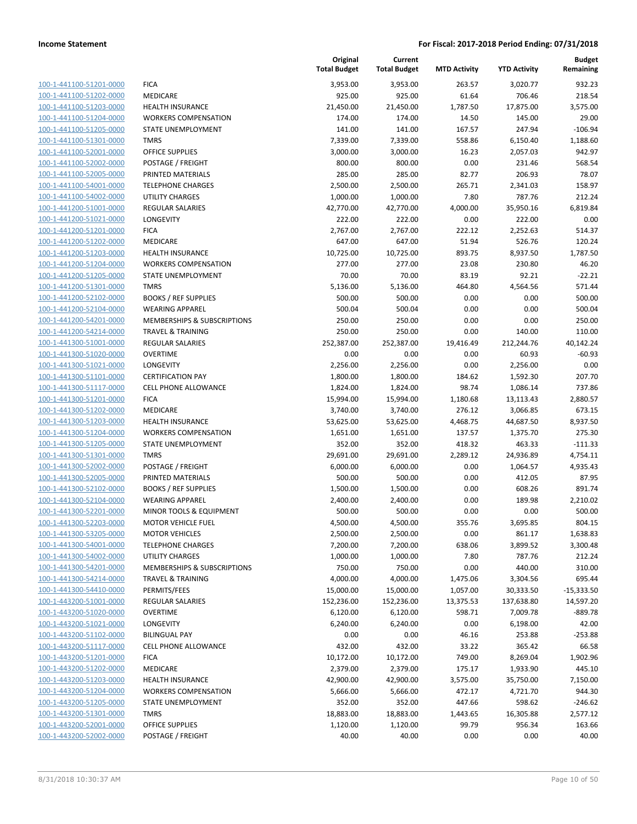| 100-1-441100-51201-0000        |
|--------------------------------|
| 100-1-441100-51202-0000        |
| 100-1-441100-51203-0000        |
| 100-1-441100-51204-0000        |
| 100-1-441100-51205-0000        |
| 100-1-441100-51301-0000        |
| 100-1-441100-52001-0000        |
| 100-1-441100-52002-0000        |
| 100-1-441100-52005-0000        |
| 100-1-441100-54001-0000        |
| 100-1-441100-54002-0000        |
| 100-1-441200-51001-0000        |
| 100-1-441200-51021-0000        |
| 100-1-441200-51201-0000        |
| 100-1-441200-51202-0000        |
| 100-1-441200-51203-0000        |
| 100-1-441200-51204-0000        |
| 100-1-441200-51205-0000        |
| 100-1-441200-51301-0000        |
| 100-1-441200-52102-0000        |
| 100-1-441200-52104-0000        |
| 100-1-441200-54201-0000        |
| 100-1-441200-54214-0000        |
| 100-1-441300-51001-0000        |
| 100-1-441300-51020-0000        |
| 100-1-441300-51021-0000        |
| 100-1-441300-51101-0000        |
| 100-1-441300-51117-0000        |
| 100-1-441300-51201-0000        |
| 100-1-441300-51202-0000        |
| 100-1-441300-51203-0000        |
| 100-1-441300-51204-0000        |
| 100-1-441300-51205-0000        |
| 100-1-441300-51301-0000        |
| 100-1-441300-52002-0000        |
| 100-1-441300-52005-0000        |
| 100-1-441300-52102-0000        |
| 100-1-441300-52104-0000        |
| 100-1-441300-52201-0000        |
| 100-1-441300-52203-0000        |
| 100-1-441300-53205-0000        |
| <u>100-1-441300-54001-0000</u> |
| <u>100-1-441300-54002-0000</u> |
| 100-1-441300-54201-0000        |
| 100-1-441300-54214-0000        |
| 100-1-441300-54410-0000        |
| <u>100-1-443200-51001-0000</u> |
|                                |
| <u>100-1-443200-51020-0000</u> |
| 100-1-443200-51021-0000        |
| 100-1-443200-51102-0000        |
| <u>100-1-443200-51117-0000</u> |
| <u>100-1-443200-51201-0000</u> |
| 100-1-443200-51202-0000        |
| 100-1-443200-51203-0000        |
| 100-1-443200-51204-0000        |
| <u>100-1-443200-51205-0000</u> |
| <u>100-1-443200-51301-0000</u> |
| <u>100-1-443200-52001-0000</u> |
| <u>100-1-443200-52002-0000</u> |

|                         |                                    | Original<br><b>Total Budget</b> | Current<br><b>Total Budget</b> | <b>MTD Activity</b> | <b>YTD Activity</b> | <b>Budget</b><br>Remaining |
|-------------------------|------------------------------------|---------------------------------|--------------------------------|---------------------|---------------------|----------------------------|
| 100-1-441100-51201-0000 | <b>FICA</b>                        | 3,953.00                        | 3,953.00                       | 263.57              | 3,020.77            | 932.23                     |
| 100-1-441100-51202-0000 | <b>MEDICARE</b>                    | 925.00                          | 925.00                         | 61.64               | 706.46              | 218.54                     |
| 100-1-441100-51203-0000 | <b>HEALTH INSURANCE</b>            | 21,450.00                       | 21,450.00                      | 1,787.50            | 17,875.00           | 3,575.00                   |
| 100-1-441100-51204-0000 | <b>WORKERS COMPENSATION</b>        | 174.00                          | 174.00                         | 14.50               | 145.00              | 29.00                      |
| 100-1-441100-51205-0000 | STATE UNEMPLOYMENT                 | 141.00                          | 141.00                         | 167.57              | 247.94              | $-106.94$                  |
| 100-1-441100-51301-0000 | <b>TMRS</b>                        | 7,339.00                        | 7,339.00                       | 558.86              | 6,150.40            | 1,188.60                   |
| 100-1-441100-52001-0000 | <b>OFFICE SUPPLIES</b>             | 3,000.00                        | 3,000.00                       | 16.23               | 2,057.03            | 942.97                     |
| 100-1-441100-52002-0000 | POSTAGE / FREIGHT                  | 800.00                          | 800.00                         | 0.00                | 231.46              | 568.54                     |
| 100-1-441100-52005-0000 | PRINTED MATERIALS                  | 285.00                          | 285.00                         | 82.77               | 206.93              | 78.07                      |
| 100-1-441100-54001-0000 | <b>TELEPHONE CHARGES</b>           | 2,500.00                        | 2,500.00                       | 265.71              | 2,341.03            | 158.97                     |
| 100-1-441100-54002-0000 | UTILITY CHARGES                    | 1,000.00                        | 1,000.00                       | 7.80                | 787.76              | 212.24                     |
| 100-1-441200-51001-0000 | REGULAR SALARIES                   | 42,770.00                       | 42,770.00                      | 4,000.00            | 35,950.16           | 6,819.84                   |
| 100-1-441200-51021-0000 | LONGEVITY                          | 222.00                          | 222.00                         | 0.00                | 222.00              | 0.00                       |
| 100-1-441200-51201-0000 | <b>FICA</b>                        | 2,767.00                        | 2,767.00                       | 222.12              | 2,252.63            | 514.37                     |
| 100-1-441200-51202-0000 | MEDICARE                           | 647.00                          | 647.00                         | 51.94               | 526.76              | 120.24                     |
| 100-1-441200-51203-0000 | <b>HEALTH INSURANCE</b>            | 10,725.00                       | 10,725.00                      | 893.75              | 8,937.50            | 1,787.50                   |
| 100-1-441200-51204-0000 | <b>WORKERS COMPENSATION</b>        | 277.00                          | 277.00                         | 23.08               | 230.80              | 46.20                      |
| 100-1-441200-51205-0000 | <b>STATE UNEMPLOYMENT</b>          | 70.00                           | 70.00                          | 83.19               | 92.21               | $-22.21$                   |
| 100-1-441200-51301-0000 | <b>TMRS</b>                        | 5,136.00                        | 5,136.00                       | 464.80              | 4,564.56            | 571.44                     |
| 100-1-441200-52102-0000 | <b>BOOKS / REF SUPPLIES</b>        | 500.00                          | 500.00                         | 0.00                | 0.00                | 500.00                     |
| 100-1-441200-52104-0000 | <b>WEARING APPAREL</b>             | 500.04                          | 500.04                         | 0.00                | 0.00                | 500.04                     |
| 100-1-441200-54201-0000 | MEMBERSHIPS & SUBSCRIPTIONS        | 250.00                          | 250.00                         | 0.00                | 0.00                | 250.00                     |
| 100-1-441200-54214-0000 | <b>TRAVEL &amp; TRAINING</b>       | 250.00                          | 250.00                         | 0.00                | 140.00              | 110.00                     |
| 100-1-441300-51001-0000 | <b>REGULAR SALARIES</b>            | 252,387.00                      | 252,387.00                     | 19,416.49           | 212,244.76          | 40,142.24                  |
| 100-1-441300-51020-0000 | <b>OVERTIME</b>                    | 0.00                            | 0.00                           | 0.00                | 60.93               | $-60.93$                   |
| 100-1-441300-51021-0000 | LONGEVITY                          | 2,256.00                        | 2,256.00                       | 0.00                | 2,256.00            | 0.00                       |
| 100-1-441300-51101-0000 | <b>CERTIFICATION PAY</b>           | 1,800.00                        | 1,800.00                       | 184.62              | 1,592.30            | 207.70                     |
| 100-1-441300-51117-0000 | <b>CELL PHONE ALLOWANCE</b>        | 1,824.00                        | 1,824.00                       | 98.74               | 1,086.14            | 737.86                     |
| 100-1-441300-51201-0000 | <b>FICA</b>                        | 15,994.00                       | 15,994.00                      | 1,180.68            | 13,113.43           | 2,880.57                   |
| 100-1-441300-51202-0000 | <b>MEDICARE</b>                    | 3,740.00                        | 3,740.00                       | 276.12              | 3,066.85            | 673.15                     |
| 100-1-441300-51203-0000 | <b>HEALTH INSURANCE</b>            | 53,625.00                       | 53,625.00                      | 4,468.75            | 44,687.50           | 8,937.50                   |
| 100-1-441300-51204-0000 | <b>WORKERS COMPENSATION</b>        | 1,651.00                        | 1,651.00                       | 137.57              | 1,375.70            | 275.30                     |
| 100-1-441300-51205-0000 | STATE UNEMPLOYMENT                 | 352.00                          | 352.00                         | 418.32              | 463.33              | $-111.33$                  |
| 100-1-441300-51301-0000 | <b>TMRS</b>                        | 29,691.00                       | 29,691.00                      | 2,289.12            | 24,936.89           | 4,754.11                   |
| 100-1-441300-52002-0000 | POSTAGE / FREIGHT                  | 6,000.00                        | 6,000.00                       | 0.00                | 1,064.57            | 4,935.43                   |
| 100-1-441300-52005-0000 | PRINTED MATERIALS                  | 500.00                          | 500.00                         | 0.00                | 412.05              | 87.95                      |
| 100-1-441300-52102-0000 | <b>BOOKS / REF SUPPLIES</b>        | 1,500.00                        | 1,500.00                       | 0.00                | 608.26              | 891.74                     |
| 100-1-441300-52104-0000 | <b>WEARING APPAREL</b>             | 2,400.00                        | 2,400.00                       | 0.00                | 189.98              | 2,210.02                   |
| 100-1-441300-52201-0000 | <b>MINOR TOOLS &amp; EQUIPMENT</b> | 500.00                          | 500.00                         | 0.00                | 0.00                | 500.00                     |
| 100-1-441300-52203-0000 | <b>MOTOR VEHICLE FUEL</b>          | 4,500.00                        | 4,500.00                       | 355.76              | 3,695.85            | 804.15                     |
| 100-1-441300-53205-0000 | <b>MOTOR VEHICLES</b>              | 2,500.00                        | 2,500.00                       | 0.00                | 861.17              | 1,638.83                   |
| 100-1-441300-54001-0000 | <b>TELEPHONE CHARGES</b>           | 7,200.00                        | 7,200.00                       | 638.06              | 3,899.52            | 3,300.48                   |
| 100-1-441300-54002-0000 | UTILITY CHARGES                    | 1,000.00                        | 1,000.00                       | 7.80                | 787.76              | 212.24                     |
| 100-1-441300-54201-0000 | MEMBERSHIPS & SUBSCRIPTIONS        | 750.00                          | 750.00                         | 0.00                | 440.00              | 310.00                     |
| 100-1-441300-54214-0000 | <b>TRAVEL &amp; TRAINING</b>       | 4,000.00                        | 4,000.00                       | 1,475.06            | 3,304.56            | 695.44                     |
| 100-1-441300-54410-0000 | PERMITS/FEES                       | 15,000.00                       | 15,000.00                      | 1,057.00            | 30,333.50           | $-15,333.50$               |
| 100-1-443200-51001-0000 | REGULAR SALARIES                   | 152,236.00                      | 152,236.00                     | 13,375.53           | 137,638.80          | 14,597.20                  |
| 100-1-443200-51020-0000 | <b>OVERTIME</b>                    | 6,120.00                        | 6,120.00                       | 598.71              | 7,009.78            | $-889.78$                  |
| 100-1-443200-51021-0000 | <b>LONGEVITY</b>                   | 6,240.00                        | 6,240.00                       | 0.00                | 6,198.00            | 42.00                      |
| 100-1-443200-51102-0000 | <b>BILINGUAL PAY</b>               | 0.00                            | 0.00                           | 46.16               | 253.88              | $-253.88$                  |
| 100-1-443200-51117-0000 | <b>CELL PHONE ALLOWANCE</b>        | 432.00                          | 432.00                         | 33.22               | 365.42              | 66.58                      |
| 100-1-443200-51201-0000 | <b>FICA</b>                        | 10,172.00                       | 10,172.00                      | 749.00              | 8,269.04            | 1,902.96                   |
| 100-1-443200-51202-0000 | MEDICARE                           | 2,379.00                        | 2,379.00                       | 175.17              | 1,933.90            | 445.10                     |
| 100-1-443200-51203-0000 | <b>HEALTH INSURANCE</b>            | 42,900.00                       | 42,900.00                      | 3,575.00            | 35,750.00           | 7,150.00                   |
| 100-1-443200-51204-0000 | <b>WORKERS COMPENSATION</b>        | 5,666.00                        | 5,666.00                       | 472.17              | 4,721.70            | 944.30                     |
| 100-1-443200-51205-0000 | STATE UNEMPLOYMENT                 | 352.00                          | 352.00                         | 447.66              | 598.62              | $-246.62$                  |
| 100-1-443200-51301-0000 | <b>TMRS</b>                        | 18,883.00                       | 18,883.00                      | 1,443.65            | 16,305.88           | 2,577.12                   |
| 100-1-443200-52001-0000 | <b>OFFICE SUPPLIES</b>             | 1,120.00                        | 1,120.00                       | 99.79               | 956.34              | 163.66                     |
| 100-1-443200-52002-0000 | POSTAGE / FREIGHT                  | 40.00                           | 40.00                          | 0.00                | 0.00                | 40.00                      |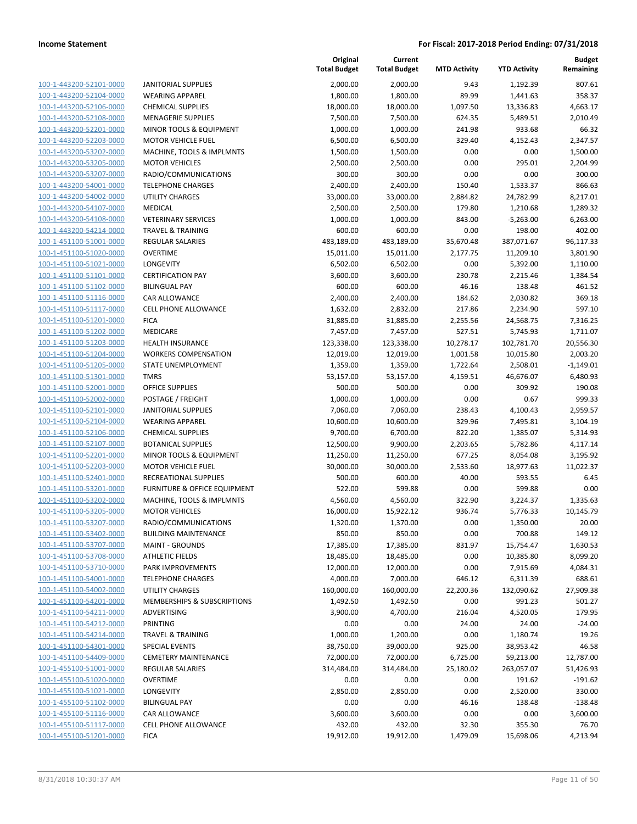| 100-1-443200-52101-0000                                   |
|-----------------------------------------------------------|
| 100-1-443200-52104-0000                                   |
| 100-1-443200-52106-0000                                   |
| 100-1-443200-52108-0000                                   |
| $100 - 1$<br>-443200-52201-0000                           |
| 100-1-443200-52203-0000                                   |
|                                                           |
| 100-1-443200-53202-0000                                   |
| 100-1-443200-53205-0000                                   |
| 100-1-443200-53207-0000                                   |
| $100 - 1$<br>$-443200 - 54001$<br>-0000                   |
| 100-1-443200-54002-0000                                   |
| 100-1-443200-54107-0000                                   |
| 100-1-443200-54108-0000                                   |
| 100-1-443200-54214-0000                                   |
| $100 - 1$                                                 |
| 451100-51001-0000                                         |
| 100-1-451100-51020-0000                                   |
| 100-1-451100-51021-0000                                   |
| 100-1-451100-51101-0000                                   |
| 100-1-451100-51102-0000                                   |
| 451100-51116-0000<br>$100 - 1$                            |
| 100-1-451100-51117-0000                                   |
| 100-1-451100-51201-0000                                   |
|                                                           |
| 100-1-451100-51202-0000                                   |
| 100-1-451100-51203-0000                                   |
| -451100-51204-0000<br>$100 - 1$                           |
| 100-1-451100-51205-0000                                   |
| 100-1-451100-51301-0000                                   |
| 100-1-451100-52001-0000                                   |
| 100-1-451100-52002-0000                                   |
| $100 - 1$<br>-451100-52101-0000                           |
| 100-1-451100-52104-0000                                   |
| 100-1-451100-52106-0000                                   |
|                                                           |
| 100-1-451100-52107-0000                                   |
| 100-1-451100-52201-0000                                   |
| -451100-52203-0000<br>$100 - 1$                           |
| 100-1-451100-52401-0000                                   |
| 100-1-451100-53201-0000                                   |
| 100-1-451100-53202-0000                                   |
| 100-1-451100-53205-0000                                   |
| -451100-53207-0000<br>$100 - 1$                           |
| 100-1-451100-53402-0000                                   |
| 100-1-451100-53707-0000                                   |
|                                                           |
| <u>100-1-451100-53708-0000</u>                            |
| 100-1-451100-53710-0000                                   |
| 100-1-451100-54001-0000                                   |
|                                                           |
| 100-1-451100-54002-0000                                   |
| 100-1-451100-54201-0000                                   |
| <u>100-1-451100-54211-0000</u>                            |
|                                                           |
| 100-1-451100-54212-0000                                   |
| 100-1-451100-54214-0000                                   |
| 100-1-451100-54301-0000                                   |
| 100-1-451100-54409-0000                                   |
| 100-1-455100-51001-0000                                   |
| 100-1-455100-51020-0000                                   |
| 100-1-455100-51021-0000                                   |
| 100-1-455100-51102-0000                                   |
| 100-1-455100-51116-0000                                   |
|                                                           |
| <u>100-1-455100-51117-0000</u><br>100-1-455100-51201-0000 |

|                         |                                        | Original<br><b>Total Budget</b> | Current<br><b>Total Budget</b> | <b>MTD Activity</b> | <b>YTD Activity</b> | <b>Budget</b><br>Remaining |
|-------------------------|----------------------------------------|---------------------------------|--------------------------------|---------------------|---------------------|----------------------------|
| 100-1-443200-52101-0000 | <b>JANITORIAL SUPPLIES</b>             | 2,000.00                        | 2,000.00                       | 9.43                | 1,192.39            | 807.61                     |
| 100-1-443200-52104-0000 | <b>WEARING APPAREL</b>                 | 1,800.00                        | 1,800.00                       | 89.99               | 1,441.63            | 358.37                     |
| 100-1-443200-52106-0000 | <b>CHEMICAL SUPPLIES</b>               | 18,000.00                       | 18,000.00                      | 1,097.50            | 13,336.83           | 4,663.17                   |
| 100-1-443200-52108-0000 | <b>MENAGERIE SUPPLIES</b>              | 7,500.00                        | 7,500.00                       | 624.35              | 5,489.51            | 2,010.49                   |
| 100-1-443200-52201-0000 | MINOR TOOLS & EQUIPMENT                | 1,000.00                        | 1,000.00                       | 241.98              | 933.68              | 66.32                      |
| 100-1-443200-52203-0000 | <b>MOTOR VEHICLE FUEL</b>              | 6,500.00                        | 6,500.00                       | 329.40              | 4,152.43            | 2,347.57                   |
| 100-1-443200-53202-0000 | MACHINE, TOOLS & IMPLMNTS              | 1,500.00                        | 1,500.00                       | 0.00                | 0.00                | 1,500.00                   |
| 100-1-443200-53205-0000 | <b>MOTOR VEHICLES</b>                  | 2,500.00                        | 2,500.00                       | 0.00                | 295.01              | 2,204.99                   |
| 100-1-443200-53207-0000 | RADIO/COMMUNICATIONS                   | 300.00                          | 300.00                         | 0.00                | 0.00                | 300.00                     |
| 100-1-443200-54001-0000 | <b>TELEPHONE CHARGES</b>               | 2,400.00                        | 2,400.00                       | 150.40              | 1,533.37            | 866.63                     |
| 100-1-443200-54002-0000 | <b>UTILITY CHARGES</b>                 | 33,000.00                       | 33,000.00                      | 2,884.82            | 24,782.99           | 8,217.01                   |
| 100-1-443200-54107-0000 | <b>MEDICAL</b>                         | 2,500.00                        | 2,500.00                       | 179.80              | 1,210.68            | 1,289.32                   |
| 100-1-443200-54108-0000 | <b>VETERINARY SERVICES</b>             | 1,000.00                        | 1,000.00                       | 843.00              | $-5,263.00$         | 6,263.00                   |
| 100-1-443200-54214-0000 | <b>TRAVEL &amp; TRAINING</b>           | 600.00                          | 600.00                         | 0.00                | 198.00              | 402.00                     |
| 100-1-451100-51001-0000 | REGULAR SALARIES                       | 483,189.00                      | 483,189.00                     | 35,670.48           | 387,071.67          | 96,117.33                  |
| 100-1-451100-51020-0000 | <b>OVERTIME</b>                        | 15,011.00                       | 15,011.00                      | 2,177.75            | 11,209.10           | 3,801.90                   |
| 100-1-451100-51021-0000 | LONGEVITY                              | 6,502.00                        | 6,502.00                       | 0.00                | 5,392.00            | 1,110.00                   |
| 100-1-451100-51101-0000 | <b>CERTIFICATION PAY</b>               | 3,600.00                        | 3,600.00                       | 230.78              | 2,215.46            | 1,384.54                   |
| 100-1-451100-51102-0000 | <b>BILINGUAL PAY</b>                   | 600.00                          | 600.00                         | 46.16               | 138.48              | 461.52                     |
| 100-1-451100-51116-0000 | CAR ALLOWANCE                          | 2,400.00                        | 2,400.00                       | 184.62              | 2,030.82            | 369.18                     |
| 100-1-451100-51117-0000 | CELL PHONE ALLOWANCE                   | 1,632.00                        | 2,832.00                       | 217.86              | 2,234.90            | 597.10                     |
| 100-1-451100-51201-0000 | <b>FICA</b>                            | 31,885.00                       | 31,885.00                      | 2,255.56            | 24,568.75           | 7,316.25                   |
| 100-1-451100-51202-0000 | MEDICARE                               | 7,457.00                        | 7,457.00                       | 527.51              | 5,745.93            | 1,711.07                   |
| 100-1-451100-51203-0000 | <b>HEALTH INSURANCE</b>                | 123,338.00                      | 123,338.00                     | 10,278.17           | 102,781.70          | 20,556.30                  |
| 100-1-451100-51204-0000 | <b>WORKERS COMPENSATION</b>            | 12,019.00                       | 12,019.00                      | 1,001.58            | 10,015.80           | 2,003.20                   |
| 100-1-451100-51205-0000 | STATE UNEMPLOYMENT                     | 1,359.00                        | 1,359.00                       | 1,722.64            | 2,508.01            | $-1,149.01$                |
| 100-1-451100-51301-0000 | <b>TMRS</b>                            | 53,157.00                       | 53,157.00                      | 4,159.51            | 46,676.07           | 6,480.93                   |
| 100-1-451100-52001-0000 | <b>OFFICE SUPPLIES</b>                 | 500.00                          | 500.00                         | 0.00                | 309.92              | 190.08                     |
| 100-1-451100-52002-0000 | POSTAGE / FREIGHT                      | 1,000.00                        | 1,000.00                       | 0.00                | 0.67                | 999.33                     |
| 100-1-451100-52101-0000 | <b>JANITORIAL SUPPLIES</b>             | 7,060.00                        | 7,060.00                       | 238.43              | 4,100.43            | 2,959.57                   |
| 100-1-451100-52104-0000 | <b>WEARING APPAREL</b>                 | 10,600.00                       | 10,600.00                      | 329.96              | 7,495.81            | 3,104.19                   |
| 100-1-451100-52106-0000 | <b>CHEMICAL SUPPLIES</b>               | 9,700.00                        | 6,700.00                       | 822.20              | 1,385.07            | 5,314.93                   |
| 100-1-451100-52107-0000 | <b>BOTANICAL SUPPLIES</b>              | 12,500.00                       | 9,900.00                       | 2,203.65            | 5,782.86            | 4,117.14                   |
| 100-1-451100-52201-0000 | MINOR TOOLS & EQUIPMENT                | 11,250.00                       | 11,250.00                      | 677.25              | 8,054.08            | 3,195.92                   |
| 100-1-451100-52203-0000 | <b>MOTOR VEHICLE FUEL</b>              | 30,000.00                       | 30,000.00                      | 2,533.60            | 18,977.63           | 11,022.37                  |
| 100-1-451100-52401-0000 | RECREATIONAL SUPPLIES                  | 500.00                          | 600.00                         | 40.00               | 593.55              | 6.45                       |
| 100-1-451100-53201-0000 | FURNITURE & OFFICE EQUIPMENT           | 522.00                          | 599.88                         | 0.00                | 599.88              | 0.00                       |
| 100-1-451100-53202-0000 | MACHINE, TOOLS & IMPLMNTS              | 4,560.00                        | 4,560.00                       | 322.90              | 3,224.37            | 1,335.63                   |
| 100-1-451100-53205-0000 | <b>MOTOR VEHICLES</b>                  | 16,000.00                       | 15,922.12                      | 936.74              | 5,776.33            | 10,145.79                  |
| 100-1-451100-53207-0000 | RADIO/COMMUNICATIONS                   | 1,320.00                        | 1,370.00                       | 0.00                | 1,350.00            | 20.00                      |
| 100-1-451100-53402-0000 | <b>BUILDING MAINTENANCE</b>            | 850.00                          | 850.00                         | 0.00                | 700.88              | 149.12                     |
| 100-1-451100-53707-0000 | <b>MAINT - GROUNDS</b>                 | 17,385.00                       | 17,385.00                      | 831.97              | 15,754.47           | 1,630.53                   |
| 100-1-451100-53708-0000 | <b>ATHLETIC FIELDS</b>                 | 18,485.00                       | 18,485.00                      | 0.00                | 10,385.80           | 8,099.20                   |
| 100-1-451100-53710-0000 | PARK IMPROVEMENTS                      | 12,000.00                       | 12,000.00                      | 0.00                | 7,915.69            | 4,084.31                   |
| 100-1-451100-54001-0000 | <b>TELEPHONE CHARGES</b>               | 4,000.00                        | 7,000.00                       | 646.12              | 6,311.39            | 688.61                     |
| 100-1-451100-54002-0000 | <b>UTILITY CHARGES</b>                 | 160,000.00                      | 160,000.00                     | 22,200.36           | 132,090.62          | 27,909.38                  |
| 100-1-451100-54201-0000 | <b>MEMBERSHIPS &amp; SUBSCRIPTIONS</b> | 1,492.50                        | 1,492.50                       | 0.00                | 991.23              | 501.27                     |
| 100-1-451100-54211-0000 | <b>ADVERTISING</b>                     | 3,900.00                        | 4,700.00                       | 216.04              | 4,520.05            | 179.95                     |
| 100-1-451100-54212-0000 | <b>PRINTING</b>                        | 0.00                            | 0.00                           | 24.00               | 24.00               | $-24.00$                   |
| 100-1-451100-54214-0000 | <b>TRAVEL &amp; TRAINING</b>           | 1,000.00                        | 1,200.00                       | 0.00                | 1,180.74            | 19.26                      |
| 100-1-451100-54301-0000 | <b>SPECIAL EVENTS</b>                  | 38,750.00                       | 39,000.00                      | 925.00              | 38,953.42           | 46.58                      |
| 100-1-451100-54409-0000 | <b>CEMETERY MAINTENANCE</b>            | 72,000.00                       | 72,000.00                      | 6,725.00            | 59,213.00           | 12,787.00                  |
| 100-1-455100-51001-0000 | <b>REGULAR SALARIES</b>                | 314,484.00                      | 314,484.00                     | 25,180.02           | 263,057.07          | 51,426.93                  |
| 100-1-455100-51020-0000 | <b>OVERTIME</b>                        | 0.00                            | 0.00                           | 0.00                | 191.62              | $-191.62$                  |
| 100-1-455100-51021-0000 | <b>LONGEVITY</b>                       | 2,850.00                        | 2,850.00                       | 0.00                | 2,520.00            | 330.00                     |
| 100-1-455100-51102-0000 | <b>BILINGUAL PAY</b>                   | 0.00                            | 0.00                           | 46.16               | 138.48              | $-138.48$                  |
| 100-1-455100-51116-0000 | CAR ALLOWANCE                          | 3,600.00                        | 3,600.00                       | 0.00                | 0.00                | 3,600.00                   |
| 100-1-455100-51117-0000 | <b>CELL PHONE ALLOWANCE</b>            | 432.00                          | 432.00                         | 32.30               | 355.30              | 76.70                      |
| 100-1-455100-51201-0000 | <b>FICA</b>                            | 19,912.00                       | 19,912.00                      | 1,479.09            | 15,698.06           | 4,213.94                   |
|                         |                                        |                                 |                                |                     |                     |                            |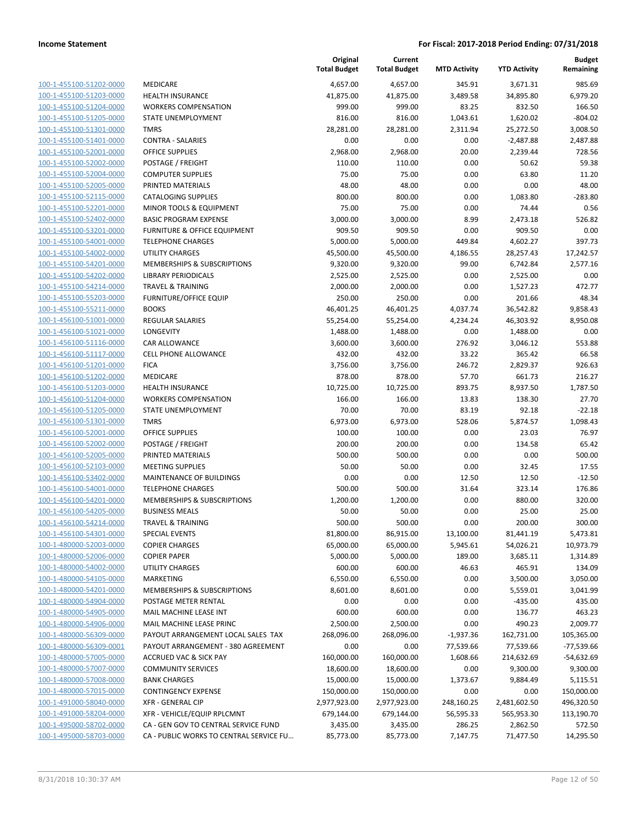| 100-1-455100-51202-0000        | <b>MEDIC</b>   |
|--------------------------------|----------------|
| 100-1-455100-51203-0000        | HEALTI         |
| 100-1-455100-51204-0000        | <b>WORKE</b>   |
| 100-1-455100-51205-0000        | <b>STATE</b>   |
| 100-1-455100-51301-0000        | <b>TMRS</b>    |
| 100-1-455100-51401-0000        | <b>CONTR</b>   |
| 100-1-455100-52001-0000        | OFFICE         |
| 100-1-455100-52002-0000        | <b>POSTA</b>   |
| 100-1-455100-52004-0000        | <b>COMPL</b>   |
| 100-1-455100-52005-0000        | <b>PRINTE</b>  |
| 100-1-455100-52115-0000        | <b>CATAL</b>   |
| 100-1-455100-52201-0000        | <b>MINOR</b>   |
| 100-1-455100-52402-0000        | <b>BASIC F</b> |
| 100-1-455100-53201-0000        | <b>FURNIT</b>  |
| 100-1-455100-54001-0000        | TELEPH         |
| 100-1-455100-54002-0000        | UTILITY        |
| 100-1-455100-54201-0000        | <b>MEMB</b>    |
| 100-1-455100-54202-0000        | LIBRAR         |
| 100-1-455100-54214-0000        | <b>TRAVEI</b>  |
| 100-1-455100-55203-0000        | <b>FURNIT</b>  |
| 100-1-455100-55211-0000        | <b>BOOKS</b>   |
| 100-1-456100-51001-0000        | <b>REGUL</b>   |
| 100-1-456100-51021-0000        | LONGE          |
| 100-1-456100-51116-0000        | CAR AL         |
| 100-1-456100-51117-0000        | <b>CELL PI</b> |
| 100-1-456100-51201-0000        | <b>FICA</b>    |
| 100-1-456100-51202-0000        | <b>MEDIC</b>   |
| 100-1-456100-51203-0000        | <b>HEALTI</b>  |
| 100-1-456100-51204-0000        | <b>WORKE</b>   |
| 100-1-456100-51205-0000        | <b>STATE</b>   |
| 100-1-456100-51301-0000        | TMRS           |
| 100-1-456100-52001-0000        | OFFICE         |
| 100-1-456100-52002-0000        | <b>POSTA</b>   |
| 100-1-456100-52005-0000        | PRINTE         |
| 100-1-456100-52103-0000        | MEETIN         |
| 100-1-456100-53402-0000        | <b>MAINT</b>   |
| 100-1-456100-54001-0000        | TELEPH         |
| 100-1-456100-54201-0000        | <b>MEMB</b>    |
| 100-1-456100-54205-0000        | <b>BUSINE</b>  |
| 100-1-456100-54214-0000        | <b>TRAVEI</b>  |
| 100-1-456100-54301-0000        | <b>SPECIA</b>  |
| 100-1-480000-52003-0000        | COPIER         |
| 100-1-480000-52006-0000        | COPIER         |
| 100-1-480000-54002-0000        | utility        |
| 100-1-480000-54105-0000        | MARKE          |
| 100-1-480000-54201-0000        | MEMBI          |
| 100-1-480000-54904-0000        | <b>POSTA</b>   |
| 100-1-480000-54905-0000        | MAIL N         |
| 100-1-480000-54906-0000        | <b>MAIL N</b>  |
| 100-1-480000-56309-0000        | PAYOU          |
| 100-1-480000-56309-0001        | PAYOU          |
| 100-1-480000-57005-0000        | ACCRU          |
| 100-1-480000-57007-0000        | COMM           |
| 100-1-480000-57008-0000        | <b>BANK C</b>  |
| 100-1-480000-57015-0000        | <b>CONTIN</b>  |
| <u>100-1-491000-58040-0000</u> | XFR - G        |
| 100-1-491000-58204-0000        | XFR - V        |
| 100-1-495000-58702-0000        | CA - GE        |
| 100-1-495000-58703-0000        | CA - PU        |
|                                |                |

|                                                    |                                         | Original<br><b>Total Budget</b> | Current<br><b>Total Budget</b> | <b>MTD Activity</b> | <b>YTD Activity</b> | <b>Budget</b><br>Remaining |
|----------------------------------------------------|-----------------------------------------|---------------------------------|--------------------------------|---------------------|---------------------|----------------------------|
| 100-1-455100-51202-0000                            | MEDICARE                                | 4,657.00                        | 4,657.00                       | 345.91              | 3,671.31            | 985.69                     |
| 100-1-455100-51203-0000                            | HEALTH INSURANCE                        | 41,875.00                       | 41,875.00                      | 3,489.58            | 34,895.80           | 6,979.20                   |
| 100-1-455100-51204-0000                            | <b>WORKERS COMPENSATION</b>             | 999.00                          | 999.00                         | 83.25               | 832.50              | 166.50                     |
| 100-1-455100-51205-0000                            | STATE UNEMPLOYMENT                      | 816.00                          | 816.00                         | 1,043.61            | 1,620.02            | $-804.02$                  |
| 100-1-455100-51301-0000                            | <b>TMRS</b>                             | 28,281.00                       | 28,281.00                      | 2,311.94            | 25,272.50           | 3,008.50                   |
| 100-1-455100-51401-0000                            | <b>CONTRA - SALARIES</b>                | 0.00                            | 0.00                           | 0.00                | $-2,487.88$         | 2,487.88                   |
| 100-1-455100-52001-0000                            | OFFICE SUPPLIES                         | 2,968.00                        | 2,968.00                       | 20.00               | 2,239.44            | 728.56                     |
| 100-1-455100-52002-0000                            | POSTAGE / FREIGHT                       | 110.00                          | 110.00                         | 0.00                | 50.62               | 59.38                      |
| 100-1-455100-52004-0000                            | <b>COMPUTER SUPPLIES</b>                | 75.00                           | 75.00                          | 0.00                | 63.80               | 11.20                      |
| 100-1-455100-52005-0000                            | PRINTED MATERIALS                       | 48.00                           | 48.00                          | 0.00                | 0.00                | 48.00                      |
| 100-1-455100-52115-0000                            | <b>CATALOGING SUPPLIES</b>              | 800.00                          | 800.00                         | 0.00                | 1,083.80            | $-283.80$                  |
| 100-1-455100-52201-0000                            | MINOR TOOLS & EQUIPMENT                 | 75.00                           | 75.00                          | 0.00                | 74.44               | 0.56                       |
| 100-1-455100-52402-0000                            | <b>BASIC PROGRAM EXPENSE</b>            | 3,000.00                        | 3,000.00                       | 8.99                | 2,473.18            | 526.82                     |
| 100-1-455100-53201-0000                            | <b>FURNITURE &amp; OFFICE EQUIPMENT</b> | 909.50                          | 909.50                         | 0.00                | 909.50              | 0.00                       |
| 100-1-455100-54001-0000                            | <b>TELEPHONE CHARGES</b>                | 5,000.00                        | 5,000.00                       | 449.84              | 4,602.27            | 397.73                     |
| 100-1-455100-54002-0000                            | <b>UTILITY CHARGES</b>                  | 45,500.00                       | 45,500.00                      | 4,186.55            | 28,257.43           | 17,242.57                  |
| 100-1-455100-54201-0000                            | MEMBERSHIPS & SUBSCRIPTIONS             | 9,320.00                        | 9,320.00                       | 99.00               | 6,742.84            | 2,577.16                   |
| 100-1-455100-54202-0000                            | <b>LIBRARY PERIODICALS</b>              | 2,525.00                        | 2,525.00                       | 0.00                | 2,525.00            | 0.00                       |
| 100-1-455100-54214-0000                            | <b>TRAVEL &amp; TRAINING</b>            | 2,000.00                        | 2,000.00                       | 0.00                | 1,527.23            | 472.77                     |
| 100-1-455100-55203-0000                            | FURNITURE/OFFICE EQUIP                  | 250.00                          | 250.00                         | 0.00                | 201.66              | 48.34                      |
| 100-1-455100-55211-0000                            | <b>BOOKS</b>                            | 46,401.25                       | 46,401.25                      | 4,037.74            | 36,542.82           | 9,858.43                   |
| 100-1-456100-51001-0000                            | <b>REGULAR SALARIES</b>                 | 55,254.00                       | 55,254.00                      | 4,234.24            | 46,303.92           | 8,950.08                   |
| 100-1-456100-51021-0000                            | LONGEVITY                               | 1,488.00                        | 1,488.00                       | 0.00                | 1,488.00            | 0.00                       |
| 100-1-456100-51116-0000                            | <b>CAR ALLOWANCE</b>                    | 3,600.00                        | 3,600.00                       | 276.92              | 3,046.12            | 553.88                     |
| 100-1-456100-51117-0000                            | <b>CELL PHONE ALLOWANCE</b>             | 432.00                          | 432.00                         | 33.22               | 365.42              | 66.58                      |
| 100-1-456100-51201-0000                            | <b>FICA</b>                             | 3,756.00                        | 3,756.00                       | 246.72              | 2,829.37            | 926.63                     |
| 100-1-456100-51202-0000                            | MEDICARE                                | 878.00                          | 878.00                         | 57.70               | 661.73              | 216.27                     |
| 100-1-456100-51203-0000                            | <b>HEALTH INSURANCE</b>                 | 10,725.00                       | 10,725.00                      | 893.75              | 8,937.50            | 1,787.50                   |
| 100-1-456100-51204-0000                            | <b>WORKERS COMPENSATION</b>             | 166.00                          | 166.00                         | 13.83               | 138.30              | 27.70                      |
| 100-1-456100-51205-0000                            | STATE UNEMPLOYMENT                      | 70.00                           | 70.00                          | 83.19               | 92.18               | $-22.18$                   |
| 100-1-456100-51301-0000                            | <b>TMRS</b>                             | 6,973.00                        | 6,973.00                       | 528.06              | 5,874.57            | 1,098.43                   |
| 100-1-456100-52001-0000<br>100-1-456100-52002-0000 | OFFICE SUPPLIES                         | 100.00                          | 100.00<br>200.00               | 0.00<br>0.00        | 23.03               | 76.97<br>65.42             |
| 100-1-456100-52005-0000                            | POSTAGE / FREIGHT<br>PRINTED MATERIALS  | 200.00<br>500.00                | 500.00                         | 0.00                | 134.58              | 500.00                     |
| 100-1-456100-52103-0000                            | <b>MEETING SUPPLIES</b>                 | 50.00                           | 50.00                          | 0.00                | 0.00<br>32.45       | 17.55                      |
| 100-1-456100-53402-0000                            | MAINTENANCE OF BUILDINGS                | 0.00                            | 0.00                           | 12.50               | 12.50               | $-12.50$                   |
| 100-1-456100-54001-0000                            | <b>TELEPHONE CHARGES</b>                | 500.00                          | 500.00                         | 31.64               | 323.14              | 176.86                     |
| 100-1-456100-54201-0000                            | <b>MEMBERSHIPS &amp; SUBSCRIPTIONS</b>  | 1,200.00                        | 1,200.00                       | 0.00                | 880.00              | 320.00                     |
| 100-1-456100-54205-0000                            | <b>BUSINESS MEALS</b>                   | 50.00                           | 50.00                          | 0.00                | 25.00               | 25.00                      |
| 100-1-456100-54214-0000                            | TRAVEL & TRAINING                       | 500.00                          | 500.00                         | 0.00                | 200.00              | 300.00                     |
| 100-1-456100-54301-0000                            | <b>SPECIAL EVENTS</b>                   | 81,800.00                       | 86,915.00                      | 13,100.00           | 81,441.19           | 5,473.81                   |
| 100-1-480000-52003-0000                            | <b>COPIER CHARGES</b>                   | 65,000.00                       | 65,000.00                      | 5,945.61            | 54,026.21           | 10,973.79                  |
| 100-1-480000-52006-0000                            | <b>COPIER PAPER</b>                     | 5,000.00                        | 5,000.00                       | 189.00              | 3,685.11            | 1,314.89                   |
| 100-1-480000-54002-0000                            | <b>UTILITY CHARGES</b>                  | 600.00                          | 600.00                         | 46.63               | 465.91              | 134.09                     |
| 100-1-480000-54105-0000                            | <b>MARKETING</b>                        | 6,550.00                        | 6,550.00                       | 0.00                | 3,500.00            | 3,050.00                   |
| 100-1-480000-54201-0000                            | MEMBERSHIPS & SUBSCRIPTIONS             | 8,601.00                        | 8,601.00                       | 0.00                | 5,559.01            | 3,041.99                   |
| 100-1-480000-54904-0000                            | POSTAGE METER RENTAL                    | 0.00                            | 0.00                           | 0.00                | $-435.00$           | 435.00                     |
| 100-1-480000-54905-0000                            | MAIL MACHINE LEASE INT                  | 600.00                          | 600.00                         | 0.00                | 136.77              | 463.23                     |
| 100-1-480000-54906-0000                            | MAIL MACHINE LEASE PRINC                | 2,500.00                        | 2,500.00                       | 0.00                | 490.23              | 2,009.77                   |
| 100-1-480000-56309-0000                            | PAYOUT ARRANGEMENT LOCAL SALES TAX      | 268,096.00                      | 268,096.00                     | -1,937.36           | 162,731.00          | 105,365.00                 |
| 100-1-480000-56309-0001                            | PAYOUT ARRANGEMENT - 380 AGREEMENT      | 0.00                            | 0.00                           | 77,539.66           | 77,539.66           | $-77,539.66$               |
| 100-1-480000-57005-0000                            | <b>ACCRUED VAC &amp; SICK PAY</b>       | 160,000.00                      | 160,000.00                     | 1,608.66            | 214,632.69          | $-54,632.69$               |
| 100-1-480000-57007-0000                            | <b>COMMUNITY SERVICES</b>               | 18,600.00                       | 18,600.00                      | 0.00                | 9,300.00            | 9,300.00                   |
| 100-1-480000-57008-0000                            | <b>BANK CHARGES</b>                     | 15,000.00                       | 15,000.00                      | 1,373.67            | 9,884.49            | 5,115.51                   |
| 100-1-480000-57015-0000                            | <b>CONTINGENCY EXPENSE</b>              | 150,000.00                      | 150,000.00                     | 0.00                | 0.00                | 150,000.00                 |
| 100-1-491000-58040-0000                            | <b>XFR - GENERAL CIP</b>                | 2,977,923.00                    | 2,977,923.00                   | 248,160.25          | 2,481,602.50        | 496,320.50                 |
| 100-1-491000-58204-0000                            | XFR - VEHICLE/EQUIP RPLCMNT             | 679,144.00                      | 679,144.00                     | 56,595.33           | 565,953.30          | 113,190.70                 |
| 100-1-495000-58702-0000                            | CA - GEN GOV TO CENTRAL SERVICE FUND    | 3,435.00                        | 3,435.00                       | 286.25              | 2,862.50            | 572.50                     |
| 100-1-495000-58703-0000                            | CA - PUBLIC WORKS TO CENTRAL SERVICE FU | 85,773.00                       | 85,773.00                      | 7,147.75            | 71,477.50           | 14,295.50                  |
|                                                    |                                         |                                 |                                |                     |                     |                            |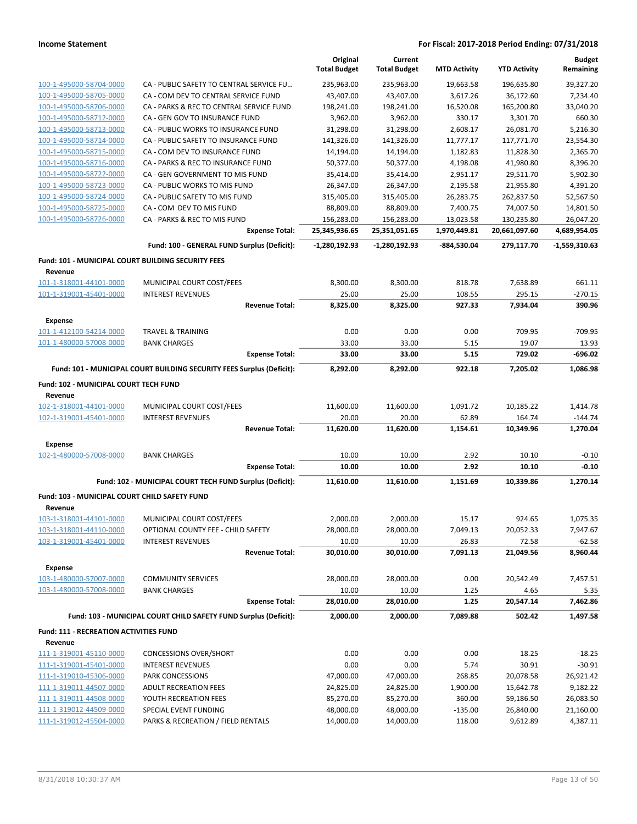|                                                                      |                                                                       | Original<br><b>Total Budget</b> | Current<br><b>Total Budget</b> | <b>MTD Activity</b> | <b>YTD Activity</b> | <b>Budget</b><br>Remaining |
|----------------------------------------------------------------------|-----------------------------------------------------------------------|---------------------------------|--------------------------------|---------------------|---------------------|----------------------------|
| 100-1-495000-58704-0000                                              | CA - PUBLIC SAFETY TO CENTRAL SERVICE FU                              | 235,963.00                      | 235,963.00                     | 19,663.58           | 196,635.80          | 39,327.20                  |
| 100-1-495000-58705-0000                                              | CA - COM DEV TO CENTRAL SERVICE FUND                                  | 43,407.00                       | 43,407.00                      | 3,617.26            | 36,172.60           | 7,234.40                   |
| 100-1-495000-58706-0000                                              | CA - PARKS & REC TO CENTRAL SERVICE FUND                              | 198,241.00                      | 198,241.00                     | 16,520.08           | 165,200.80          | 33,040.20                  |
| 100-1-495000-58712-0000                                              | CA - GEN GOV TO INSURANCE FUND                                        | 3,962.00                        | 3,962.00                       | 330.17              | 3,301.70            | 660.30                     |
| 100-1-495000-58713-0000                                              | CA - PUBLIC WORKS TO INSURANCE FUND                                   | 31,298.00                       | 31,298.00                      | 2,608.17            | 26,081.70           | 5,216.30                   |
| 100-1-495000-58714-0000                                              | CA - PUBLIC SAFETY TO INSURANCE FUND                                  | 141,326.00                      | 141,326.00                     | 11,777.17           | 117,771.70          | 23,554.30                  |
| 100-1-495000-58715-0000                                              | CA - COM DEV TO INSURANCE FUND                                        | 14,194.00                       | 14,194.00                      | 1,182.83            | 11,828.30           | 2,365.70                   |
| 100-1-495000-58716-0000                                              | CA - PARKS & REC TO INSURANCE FUND                                    | 50,377.00                       | 50,377.00                      | 4,198.08            | 41,980.80           | 8,396.20                   |
| 100-1-495000-58722-0000                                              | CA - GEN GOVERNMENT TO MIS FUND                                       | 35,414.00                       | 35,414.00                      | 2,951.17            | 29,511.70           | 5,902.30                   |
| 100-1-495000-58723-0000                                              | CA - PUBLIC WORKS TO MIS FUND                                         | 26,347.00                       | 26,347.00                      | 2,195.58            | 21,955.80           | 4,391.20                   |
| 100-1-495000-58724-0000                                              | CA - PUBLIC SAFETY TO MIS FUND                                        | 315,405.00                      | 315,405.00                     | 26,283.75           | 262,837.50          | 52,567.50                  |
| 100-1-495000-58725-0000                                              | CA - COM DEV TO MIS FUND                                              | 88,809.00                       | 88,809.00                      | 7,400.75            | 74,007.50           | 14,801.50                  |
| 100-1-495000-58726-0000                                              | CA - PARKS & REC TO MIS FUND                                          | 156,283.00                      | 156,283.00                     | 13,023.58           | 130,235.80          | 26,047.20                  |
|                                                                      | <b>Expense Total:</b>                                                 | 25,345,936.65                   | 25,351,051.65                  | 1,970,449.81        | 20,661,097.60       | 4,689,954.05               |
|                                                                      | Fund: 100 - GENERAL FUND Surplus (Deficit):                           | -1,280,192.93                   | -1,280,192.93                  | -884,530.04         | 279,117.70          | -1,559,310.63              |
| <b>Fund: 101 - MUNICIPAL COURT BUILDING SECURITY FEES</b><br>Revenue |                                                                       |                                 |                                |                     |                     |                            |
| 101-1-318001-44101-0000                                              | MUNICIPAL COURT COST/FEES                                             | 8,300.00                        | 8,300.00                       | 818.78              | 7,638.89            | 661.11                     |
| 101-1-319001-45401-0000                                              | <b>INTEREST REVENUES</b>                                              | 25.00                           | 25.00                          | 108.55              | 295.15              | $-270.15$                  |
|                                                                      | <b>Revenue Total:</b>                                                 | 8,325.00                        | 8,325.00                       | 927.33              | 7,934.04            | 390.96                     |
| <b>Expense</b>                                                       |                                                                       |                                 |                                |                     |                     |                            |
| 101-1-412100-54214-0000                                              | <b>TRAVEL &amp; TRAINING</b>                                          | 0.00                            | 0.00                           | 0.00                | 709.95              | -709.95                    |
| 101-1-480000-57008-0000                                              | <b>BANK CHARGES</b>                                                   | 33.00                           | 33.00                          | 5.15                | 19.07               | 13.93                      |
|                                                                      | <b>Expense Total:</b>                                                 | 33.00                           | 33.00                          | 5.15                | 729.02              | -696.02                    |
|                                                                      | Fund: 101 - MUNICIPAL COURT BUILDING SECURITY FEES Surplus (Deficit): | 8,292.00                        | 8,292.00                       | 922.18              | 7,205.02            | 1,086.98                   |
| Fund: 102 - MUNICIPAL COURT TECH FUND<br>Revenue                     |                                                                       |                                 |                                |                     |                     |                            |
| 102-1-318001-44101-0000                                              | MUNICIPAL COURT COST/FEES                                             | 11,600.00                       | 11,600.00                      | 1,091.72            | 10,185.22           | 1,414.78                   |
| 102-1-319001-45401-0000                                              | <b>INTEREST REVENUES</b>                                              | 20.00                           | 20.00                          | 62.89               | 164.74              | -144.74                    |
|                                                                      | <b>Revenue Total:</b>                                                 | 11,620.00                       | 11,620.00                      | 1,154.61            | 10,349.96           | 1,270.04                   |
| <b>Expense</b>                                                       |                                                                       |                                 |                                |                     |                     |                            |
| 102-1-480000-57008-0000                                              | <b>BANK CHARGES</b>                                                   | 10.00                           | 10.00                          | 2.92                | 10.10               | $-0.10$                    |
|                                                                      | <b>Expense Total:</b>                                                 | 10.00                           | 10.00                          | 2.92                | 10.10               | $-0.10$                    |
|                                                                      | Fund: 102 - MUNICIPAL COURT TECH FUND Surplus (Deficit):              | 11,610.00                       | 11,610.00                      | 1,151.69            | 10,339.86           | 1,270.14                   |
| <b>Fund: 103 - MUNICIPAL COURT CHILD SAFETY FUND</b><br>Revenue      |                                                                       |                                 |                                |                     |                     |                            |
| 103-1-318001-44101-0000                                              | MUNICIPAL COURT COST/FEES                                             | 2,000.00                        | 2,000.00                       | 15.17               | 924.65              | 1,075.35                   |
| 103-1-318001-44110-0000                                              | OPTIONAL COUNTY FEE - CHILD SAFETY                                    | 28,000.00                       | 28,000.00                      | 7,049.13            | 20,052.33           | 7,947.67                   |
| 103-1-319001-45401-0000                                              | <b>INTEREST REVENUES</b>                                              | 10.00                           | 10.00                          | 26.83               | 72.58               | $-62.58$                   |
|                                                                      | <b>Revenue Total:</b>                                                 | 30,010.00                       | 30,010.00                      | 7,091.13            | 21,049.56           | 8,960.44                   |
| <b>Expense</b>                                                       |                                                                       |                                 |                                |                     |                     |                            |
| 103-1-480000-57007-0000                                              | <b>COMMUNITY SERVICES</b>                                             | 28,000.00                       | 28,000.00                      | 0.00                | 20,542.49           | 7,457.51                   |
| 103-1-480000-57008-0000                                              | <b>BANK CHARGES</b>                                                   | 10.00                           | 10.00                          | 1.25                | 4.65                | 5.35                       |
|                                                                      | <b>Expense Total:</b>                                                 | 28,010.00                       | 28,010.00                      | 1.25                | 20,547.14           | 7,462.86                   |
|                                                                      | Fund: 103 - MUNICIPAL COURT CHILD SAFETY FUND Surplus (Deficit):      | 2,000.00                        | 2,000.00                       | 7,089.88            | 502.42              | 1,497.58                   |
| <b>Fund: 111 - RECREATION ACTIVITIES FUND</b>                        |                                                                       |                                 |                                |                     |                     |                            |
| Revenue<br>111-1-319001-45110-0000                                   | <b>CONCESSIONS OVER/SHORT</b>                                         | 0.00                            | 0.00                           | 0.00                | 18.25               | $-18.25$                   |
| 111-1-319001-45401-0000                                              | <b>INTEREST REVENUES</b>                                              | 0.00                            | 0.00                           | 5.74                | 30.91               | $-30.91$                   |
| 111-1-319010-45306-0000                                              | PARK CONCESSIONS                                                      | 47,000.00                       | 47,000.00                      | 268.85              | 20,078.58           | 26,921.42                  |
| 111-1-319011-44507-0000                                              | <b>ADULT RECREATION FEES</b>                                          | 24,825.00                       | 24,825.00                      | 1,900.00            | 15,642.78           | 9,182.22                   |
| 111-1-319011-44508-0000                                              | YOUTH RECREATION FEES                                                 | 85,270.00                       | 85,270.00                      | 360.00              | 59,186.50           | 26,083.50                  |
| 111-1-319012-44509-0000                                              | SPECIAL EVENT FUNDING                                                 | 48,000.00                       | 48,000.00                      | $-135.00$           | 26,840.00           | 21,160.00                  |
| 111-1-319012-45504-0000                                              | PARKS & RECREATION / FIELD RENTALS                                    | 14,000.00                       | 14,000.00                      | 118.00              | 9,612.89            | 4,387.11                   |
|                                                                      |                                                                       |                                 |                                |                     |                     |                            |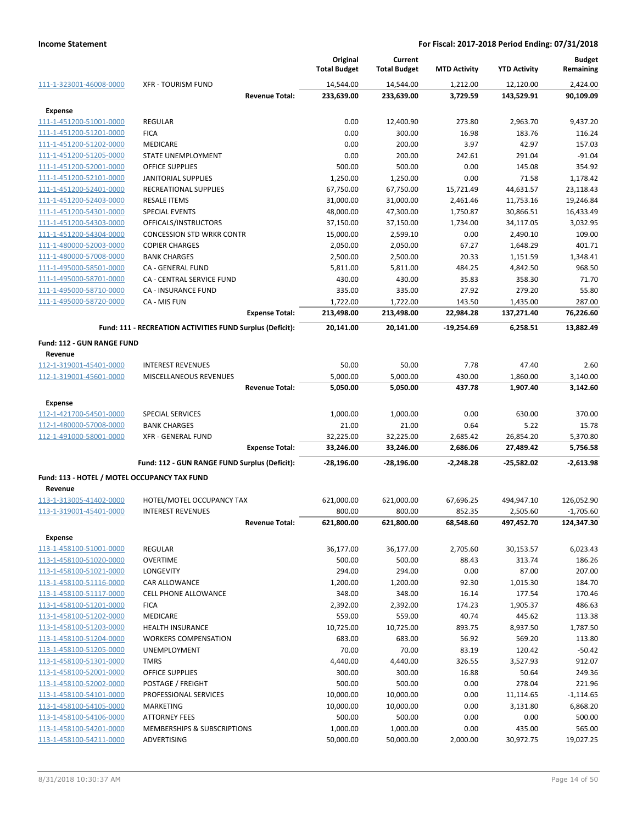|                                              |                                                           | Original<br><b>Total Budget</b> | Current<br><b>Total Budget</b> | <b>MTD Activity</b> | <b>YTD Activity</b> | <b>Budget</b><br>Remaining |
|----------------------------------------------|-----------------------------------------------------------|---------------------------------|--------------------------------|---------------------|---------------------|----------------------------|
| 111-1-323001-46008-0000                      | <b>XFR - TOURISM FUND</b>                                 | 14,544.00                       | 14,544.00                      | 1,212.00            | 12,120.00           | 2,424.00                   |
|                                              | <b>Revenue Total:</b>                                     | 233,639.00                      | 233,639.00                     | 3,729.59            | 143,529.91          | 90,109.09                  |
| <b>Expense</b>                               |                                                           |                                 |                                |                     |                     |                            |
| 111-1-451200-51001-0000                      | <b>REGULAR</b>                                            | 0.00                            | 12,400.90                      | 273.80              | 2,963.70            | 9,437.20                   |
| 111-1-451200-51201-0000                      | <b>FICA</b>                                               | 0.00                            | 300.00                         | 16.98               | 183.76              | 116.24                     |
| 111-1-451200-51202-0000                      | <b>MEDICARE</b>                                           | 0.00                            | 200.00                         | 3.97                | 42.97               | 157.03                     |
| 111-1-451200-51205-0000                      | STATE UNEMPLOYMENT                                        | 0.00                            | 200.00                         | 242.61              | 291.04              | $-91.04$                   |
| 111-1-451200-52001-0000                      | <b>OFFICE SUPPLIES</b>                                    | 500.00                          | 500.00                         | 0.00                | 145.08              | 354.92                     |
| 111-1-451200-52101-0000                      | JANITORIAL SUPPLIES                                       | 1,250.00                        | 1,250.00                       | 0.00                | 71.58               | 1,178.42                   |
| 111-1-451200-52401-0000                      | RECREATIONAL SUPPLIES                                     | 67,750.00                       | 67,750.00                      | 15,721.49           | 44,631.57           | 23,118.43                  |
| 111-1-451200-52403-0000                      | <b>RESALE ITEMS</b>                                       | 31,000.00                       | 31,000.00                      | 2,461.46            | 11,753.16           | 19,246.84                  |
| 111-1-451200-54301-0000                      | <b>SPECIAL EVENTS</b>                                     | 48,000.00                       | 47,300.00                      | 1,750.87            | 30,866.51           | 16,433.49                  |
| 111-1-451200-54303-0000                      | OFFICALS/INSTRUCTORS                                      | 37,150.00                       | 37,150.00                      | 1,734.00            | 34,117.05           | 3,032.95                   |
| 111-1-451200-54304-0000                      | <b>CONCESSION STD WRKR CONTR</b>                          | 15,000.00                       | 2,599.10                       | 0.00                | 2,490.10            | 109.00                     |
| 111-1-480000-52003-0000                      | <b>COPIER CHARGES</b>                                     | 2,050.00                        | 2,050.00                       | 67.27               | 1,648.29            | 401.71                     |
| 111-1-480000-57008-0000                      | <b>BANK CHARGES</b>                                       | 2,500.00                        | 2,500.00                       | 20.33               | 1,151.59            | 1,348.41                   |
| 111-1-495000-58501-0000                      | CA - GENERAL FUND                                         | 5,811.00                        | 5,811.00                       | 484.25              | 4,842.50            | 968.50                     |
| 111-1-495000-58701-0000                      | CA - CENTRAL SERVICE FUND                                 | 430.00                          | 430.00                         | 35.83               | 358.30              | 71.70                      |
| 111-1-495000-58710-0000                      | <b>CA - INSURANCE FUND</b>                                | 335.00                          | 335.00                         | 27.92               | 279.20              | 55.80                      |
| 111-1-495000-58720-0000                      | CA - MIS FUN                                              | 1,722.00                        | 1,722.00                       | 143.50              | 1,435.00            | 287.00                     |
|                                              | <b>Expense Total:</b>                                     | 213,498.00                      | 213,498.00                     | 22,984.28           | 137,271.40          | 76,226.60                  |
|                                              | Fund: 111 - RECREATION ACTIVITIES FUND Surplus (Deficit): | 20,141.00                       | 20,141.00                      | $-19,254.69$        | 6,258.51            | 13,882.49                  |
| Fund: 112 - GUN RANGE FUND                   |                                                           |                                 |                                |                     |                     |                            |
| Revenue                                      |                                                           |                                 |                                |                     |                     |                            |
| 112-1-319001-45401-0000                      | <b>INTEREST REVENUES</b>                                  | 50.00                           | 50.00                          | 7.78                | 47.40               | 2.60                       |
| 112-1-319001-45601-0000                      | MISCELLANEOUS REVENUES                                    | 5,000.00                        | 5,000.00                       | 430.00              | 1,860.00            | 3,140.00                   |
|                                              | <b>Revenue Total:</b>                                     | 5,050.00                        | 5,050.00                       | 437.78              | 1,907.40            | 3,142.60                   |
| Expense                                      |                                                           |                                 |                                |                     |                     |                            |
| 112-1-421700-54501-0000                      | <b>SPECIAL SERVICES</b>                                   | 1,000.00                        | 1,000.00                       | 0.00                | 630.00              | 370.00                     |
| 112-1-480000-57008-0000                      | <b>BANK CHARGES</b>                                       | 21.00                           | 21.00                          | 0.64                | 5.22                | 15.78                      |
| 112-1-491000-58001-0000                      | <b>XFR - GENERAL FUND</b>                                 | 32,225.00                       | 32,225.00                      | 2,685.42            | 26,854.20           | 5,370.80                   |
|                                              | <b>Expense Total:</b>                                     | 33,246.00                       | 33,246.00                      | 2,686.06            | 27,489.42           | 5,756.58                   |
|                                              | Fund: 112 - GUN RANGE FUND Surplus (Deficit):             | $-28,196.00$                    | $-28,196.00$                   | $-2,248.28$         | $-25,582.02$        | $-2,613.98$                |
| Fund: 113 - HOTEL / MOTEL OCCUPANCY TAX FUND |                                                           |                                 |                                |                     |                     |                            |
| Revenue                                      |                                                           |                                 |                                |                     |                     |                            |
| 113-1-313005-41402-0000                      | HOTEL/MOTEL OCCUPANCY TAX                                 | 621,000.00                      | 621,000.00                     | 67,696.25           | 494,947.10          | 126,052.90                 |
| 113-1-319001-45401-0000                      | <b>INTEREST REVENUES</b>                                  | 800.00                          | 800.00                         | 852.35              | 2,505.60            | $-1,705.60$                |
|                                              | <b>Revenue Total:</b>                                     | 621,800.00                      | 621,800.00                     | 68,548.60           | 497,452.70          | 124,347.30                 |
| <b>Expense</b>                               |                                                           |                                 |                                |                     |                     |                            |
| 113-1-458100-51001-0000                      | <b>REGULAR</b>                                            | 36,177.00                       | 36,177.00                      | 2,705.60            | 30,153.57           | 6,023.43                   |
| 113-1-458100-51020-0000                      | <b>OVERTIME</b>                                           | 500.00                          | 500.00                         | 88.43               | 313.74              | 186.26                     |
| 113-1-458100-51021-0000                      | LONGEVITY                                                 | 294.00                          | 294.00                         | 0.00                | 87.00               | 207.00                     |
| 113-1-458100-51116-0000                      | CAR ALLOWANCE                                             | 1,200.00                        | 1,200.00                       | 92.30               | 1,015.30            | 184.70                     |
| 113-1-458100-51117-0000                      | <b>CELL PHONE ALLOWANCE</b>                               | 348.00                          | 348.00                         | 16.14               | 177.54              | 170.46                     |
| 113-1-458100-51201-0000                      | <b>FICA</b>                                               | 2,392.00                        | 2,392.00                       | 174.23              | 1,905.37            | 486.63                     |
| 113-1-458100-51202-0000                      | <b>MEDICARE</b>                                           | 559.00                          | 559.00                         | 40.74               | 445.62              | 113.38                     |
| 113-1-458100-51203-0000                      | <b>HEALTH INSURANCE</b>                                   | 10,725.00                       | 10,725.00                      | 893.75              | 8,937.50            | 1,787.50                   |
| 113-1-458100-51204-0000                      | <b>WORKERS COMPENSATION</b>                               | 683.00                          | 683.00                         | 56.92               | 569.20              | 113.80                     |
| 113-1-458100-51205-0000                      | <b>UNEMPLOYMENT</b>                                       | 70.00                           | 70.00                          | 83.19               | 120.42              | $-50.42$                   |
| 113-1-458100-51301-0000                      | <b>TMRS</b>                                               | 4,440.00                        | 4,440.00                       | 326.55              | 3,527.93            | 912.07                     |
| 113-1-458100-52001-0000                      | OFFICE SUPPLIES                                           | 300.00                          | 300.00                         | 16.88               | 50.64               | 249.36                     |
| 113-1-458100-52002-0000                      | POSTAGE / FREIGHT                                         | 500.00                          | 500.00                         | 0.00                | 278.04              | 221.96                     |
| 113-1-458100-54101-0000                      | PROFESSIONAL SERVICES                                     | 10,000.00                       | 10,000.00                      | 0.00                | 11,114.65           | $-1,114.65$                |
| 113-1-458100-54105-0000                      | MARKETING                                                 | 10,000.00                       | 10,000.00                      | 0.00                | 3,131.80            | 6,868.20                   |
| 113-1-458100-54106-0000                      | <b>ATTORNEY FEES</b>                                      | 500.00                          | 500.00                         | 0.00                | 0.00                | 500.00                     |
| 113-1-458100-54201-0000                      | MEMBERSHIPS & SUBSCRIPTIONS                               | 1,000.00                        | 1,000.00                       | 0.00                | 435.00              | 565.00                     |
| 113-1-458100-54211-0000                      | ADVERTISING                                               | 50,000.00                       | 50,000.00                      | 2,000.00            | 30,972.75           | 19,027.25                  |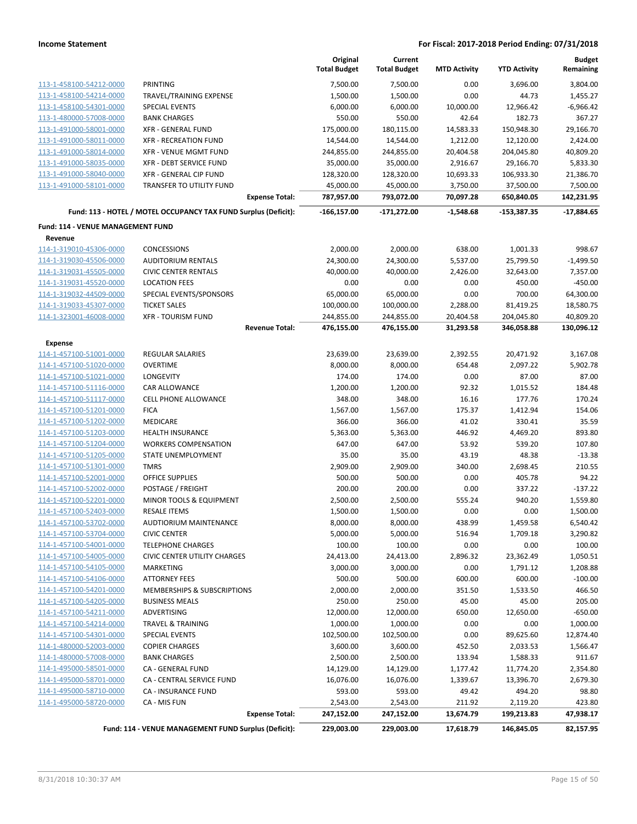|                                   |                                                                 | Original<br><b>Total Budget</b> | Current<br><b>Total Budget</b> | <b>MTD Activity</b> | <b>YTD Activity</b> | <b>Budget</b><br>Remaining |
|-----------------------------------|-----------------------------------------------------------------|---------------------------------|--------------------------------|---------------------|---------------------|----------------------------|
| 113-1-458100-54212-0000           | PRINTING                                                        | 7,500.00                        | 7,500.00                       | 0.00                | 3,696.00            | 3,804.00                   |
| 113-1-458100-54214-0000           | TRAVEL/TRAINING EXPENSE                                         | 1,500.00                        | 1,500.00                       | 0.00                | 44.73               | 1,455.27                   |
| 113-1-458100-54301-0000           | <b>SPECIAL EVENTS</b>                                           | 6,000.00                        | 6,000.00                       | 10,000.00           | 12,966.42           | $-6,966.42$                |
| 113-1-480000-57008-0000           | <b>BANK CHARGES</b>                                             | 550.00                          | 550.00                         | 42.64               | 182.73              | 367.27                     |
| 113-1-491000-58001-0000           | <b>XFR - GENERAL FUND</b>                                       | 175,000.00                      | 180,115.00                     | 14,583.33           | 150,948.30          | 29,166.70                  |
| 113-1-491000-58011-0000           | <b>XFR - RECREATION FUND</b>                                    | 14,544.00                       | 14,544.00                      | 1,212.00            | 12,120.00           | 2,424.00                   |
| 113-1-491000-58014-0000           | XFR - VENUE MGMT FUND                                           | 244,855.00                      | 244,855.00                     | 20,404.58           | 204,045.80          | 40,809.20                  |
| 113-1-491000-58035-0000           | XFR - DEBT SERVICE FUND                                         | 35,000.00                       | 35,000.00                      | 2,916.67            | 29,166.70           | 5,833.30                   |
| 113-1-491000-58040-0000           | XFR - GENERAL CIP FUND                                          | 128,320.00                      | 128,320.00                     | 10,693.33           | 106,933.30          | 21,386.70                  |
| 113-1-491000-58101-0000           | TRANSFER TO UTILITY FUND                                        | 45,000.00                       | 45,000.00                      | 3,750.00            | 37,500.00           | 7,500.00                   |
|                                   | <b>Expense Total:</b>                                           | 787,957.00                      | 793,072.00                     | 70,097.28           | 650,840.05          | 142,231.95                 |
|                                   | Fund: 113 - HOTEL / MOTEL OCCUPANCY TAX FUND Surplus (Deficit): | $-166, 157.00$                  | $-171,272.00$                  | $-1,548.68$         | $-153,387.35$       | $-17,884.65$               |
| Fund: 114 - VENUE MANAGEMENT FUND |                                                                 |                                 |                                |                     |                     |                            |
| Revenue                           |                                                                 |                                 |                                |                     |                     |                            |
| 114-1-319010-45306-0000           | <b>CONCESSIONS</b>                                              | 2,000.00                        | 2,000.00                       | 638.00              | 1,001.33            | 998.67                     |
| 114-1-319030-45506-0000           | <b>AUDITORIUM RENTALS</b>                                       | 24,300.00                       | 24,300.00                      | 5,537.00            | 25,799.50           | $-1,499.50$                |
| 114-1-319031-45505-0000           | <b>CIVIC CENTER RENTALS</b>                                     | 40,000.00                       | 40,000.00                      | 2,426.00            | 32,643.00           | 7,357.00                   |
| 114-1-319031-45520-0000           | <b>LOCATION FEES</b>                                            | 0.00                            | 0.00                           | 0.00                | 450.00              | $-450.00$                  |
| 114-1-319032-44509-0000           | SPECIAL EVENTS/SPONSORS                                         | 65,000.00                       | 65,000.00                      | 0.00                | 700.00              | 64,300.00                  |
| 114-1-319033-45307-0000           | <b>TICKET SALES</b>                                             | 100,000.00                      | 100,000.00                     | 2,288.00            | 81,419.25           | 18,580.75                  |
| 114-1-323001-46008-0000           | <b>XFR - TOURISM FUND</b>                                       | 244,855.00                      | 244,855.00                     | 20,404.58           | 204,045.80          | 40,809.20                  |
|                                   | <b>Revenue Total:</b>                                           | 476,155.00                      | 476,155.00                     | 31,293.58           | 346,058.88          | 130,096.12                 |
| <b>Expense</b>                    |                                                                 |                                 |                                |                     |                     |                            |
| 114-1-457100-51001-0000           | <b>REGULAR SALARIES</b>                                         | 23,639.00                       | 23,639.00                      | 2,392.55            | 20,471.92           | 3,167.08                   |
| 114-1-457100-51020-0000           | <b>OVERTIME</b>                                                 | 8,000.00                        | 8,000.00                       | 654.48              | 2,097.22            | 5,902.78                   |
| 114-1-457100-51021-0000           | LONGEVITY                                                       | 174.00                          | 174.00                         | 0.00                | 87.00               | 87.00                      |
| 114-1-457100-51116-0000           | <b>CAR ALLOWANCE</b>                                            | 1,200.00                        | 1,200.00                       | 92.32               | 1,015.52            | 184.48                     |
| 114-1-457100-51117-0000           | CELL PHONE ALLOWANCE                                            | 348.00                          | 348.00                         | 16.16               | 177.76              | 170.24                     |
| 114-1-457100-51201-0000           | <b>FICA</b>                                                     | 1,567.00                        | 1,567.00                       | 175.37              | 1,412.94            | 154.06                     |
| 114-1-457100-51202-0000           | <b>MEDICARE</b>                                                 | 366.00                          | 366.00                         | 41.02               | 330.41              | 35.59                      |
| 114-1-457100-51203-0000           | <b>HEALTH INSURANCE</b>                                         | 5,363.00                        | 5,363.00                       | 446.92              | 4,469.20            | 893.80                     |
| 114-1-457100-51204-0000           | <b>WORKERS COMPENSATION</b>                                     | 647.00                          | 647.00                         | 53.92               | 539.20              | 107.80                     |
| 114-1-457100-51205-0000           | STATE UNEMPLOYMENT                                              | 35.00                           | 35.00                          | 43.19               | 48.38               | $-13.38$                   |
| 114-1-457100-51301-0000           | <b>TMRS</b>                                                     | 2,909.00                        | 2,909.00                       | 340.00              | 2,698.45            | 210.55                     |
| 114-1-457100-52001-0000           | <b>OFFICE SUPPLIES</b>                                          | 500.00                          | 500.00                         | 0.00                | 405.78              | 94.22                      |
| 114-1-457100-52002-0000           | POSTAGE / FREIGHT                                               | 200.00                          | 200.00                         | 0.00                | 337.22              | $-137.22$                  |
| 114-1-457100-52201-0000           | MINOR TOOLS & EQUIPMENT                                         | 2,500.00                        | 2,500.00                       | 555.24              | 940.20              | 1,559.80                   |
| 114-1-457100-52403-0000           | <b>RESALE ITEMS</b>                                             | 1,500.00                        | 1,500.00                       | 0.00                | 0.00                | 1,500.00                   |
| 114-1-457100-53702-0000           | AUDTIORIUM MAINTENANCE                                          | 8,000.00                        | 8,000.00                       | 438.99              | 1,459.58            | 6,540.42                   |
| 114-1-457100-53704-0000           | <b>CIVIC CENTER</b>                                             | 5,000.00                        | 5,000.00                       | 516.94              | 1,709.18            | 3,290.82                   |
| 114-1-457100-54001-0000           | <b>TELEPHONE CHARGES</b>                                        | 100.00                          | 100.00                         | 0.00                | 0.00                | 100.00                     |
| 114-1-457100-54005-0000           | <b>CIVIC CENTER UTILITY CHARGES</b>                             | 24,413.00                       | 24,413.00                      | 2,896.32            | 23,362.49           | 1,050.51                   |
| 114-1-457100-54105-0000           | MARKETING                                                       | 3,000.00                        | 3,000.00                       | 0.00                | 1,791.12            | 1,208.88                   |
| 114-1-457100-54106-0000           | <b>ATTORNEY FEES</b>                                            | 500.00                          | 500.00                         | 600.00              | 600.00              | $-100.00$                  |
| 114-1-457100-54201-0000           | MEMBERSHIPS & SUBSCRIPTIONS                                     | 2,000.00                        | 2,000.00                       | 351.50              | 1,533.50            | 466.50                     |
| 114-1-457100-54205-0000           | <b>BUSINESS MEALS</b>                                           | 250.00                          | 250.00                         | 45.00               | 45.00               | 205.00                     |
| 114-1-457100-54211-0000           | <b>ADVERTISING</b>                                              | 12,000.00                       | 12,000.00                      | 650.00              | 12,650.00           | $-650.00$                  |
| 114-1-457100-54214-0000           | <b>TRAVEL &amp; TRAINING</b>                                    | 1,000.00                        | 1,000.00                       | 0.00                | 0.00                | 1,000.00                   |
| 114-1-457100-54301-0000           | <b>SPECIAL EVENTS</b>                                           | 102,500.00                      | 102,500.00                     | 0.00                | 89,625.60           | 12,874.40                  |
| 114-1-480000-52003-0000           | <b>COPIER CHARGES</b>                                           | 3,600.00                        | 3,600.00                       | 452.50              | 2,033.53            | 1,566.47                   |
| 114-1-480000-57008-0000           | <b>BANK CHARGES</b>                                             | 2,500.00                        | 2,500.00                       | 133.94              | 1,588.33            | 911.67                     |
| 114-1-495000-58501-0000           | CA - GENERAL FUND                                               | 14,129.00                       | 14,129.00                      | 1,177.42            | 11,774.20           | 2,354.80                   |
| 114-1-495000-58701-0000           | CA - CENTRAL SERVICE FUND                                       | 16,076.00                       | 16,076.00                      | 1,339.67            | 13,396.70           | 2,679.30                   |
| 114-1-495000-58710-0000           | CA - INSURANCE FUND                                             | 593.00                          | 593.00                         | 49.42               | 494.20              | 98.80                      |
| 114-1-495000-58720-0000           | CA - MIS FUN                                                    | 2,543.00                        | 2,543.00                       | 211.92              | 2,119.20            | 423.80                     |
|                                   | <b>Expense Total:</b>                                           | 247,152.00                      | 247,152.00                     | 13,674.79           | 199,213.83          | 47,938.17                  |
|                                   | Fund: 114 - VENUE MANAGEMENT FUND Surplus (Deficit):            | 229,003.00                      | 229,003.00                     | 17,618.79           | 146,845.05          | 82,157.95                  |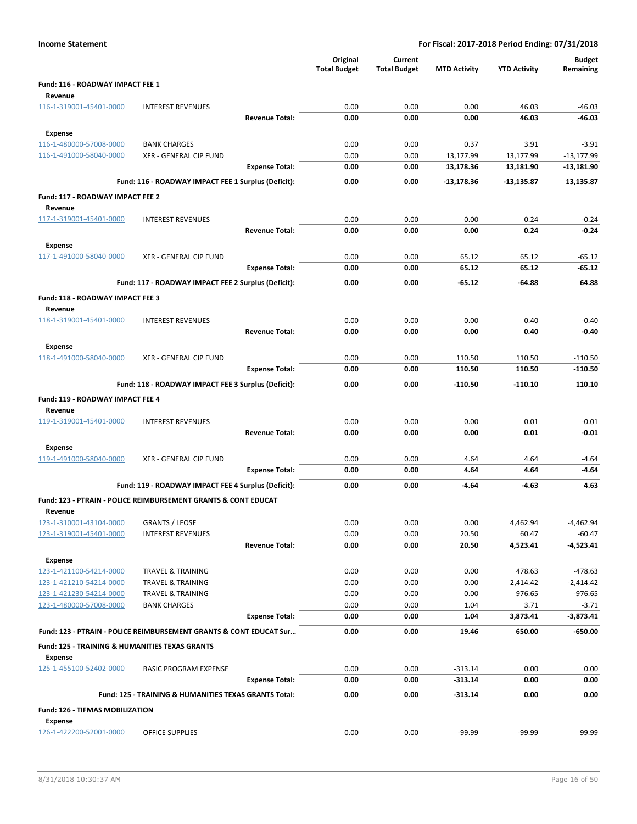|                                                           |                                                                           |                       | Original<br><b>Total Budget</b> | Current<br><b>Total Budget</b> | <b>MTD Activity</b> | <b>YTD Activity</b> | <b>Budget</b><br>Remaining |
|-----------------------------------------------------------|---------------------------------------------------------------------------|-----------------------|---------------------------------|--------------------------------|---------------------|---------------------|----------------------------|
| Fund: 116 - ROADWAY IMPACT FEE 1                          |                                                                           |                       |                                 |                                |                     |                     |                            |
| Revenue<br>116-1-319001-45401-0000                        | <b>INTEREST REVENUES</b>                                                  |                       | 0.00                            | 0.00                           | 0.00                | 46.03               | $-46.03$                   |
|                                                           |                                                                           | <b>Revenue Total:</b> | 0.00                            | 0.00                           | 0.00                | 46.03               | $-46.03$                   |
| <b>Expense</b>                                            |                                                                           |                       |                                 |                                |                     |                     |                            |
| 116-1-480000-57008-0000                                   | <b>BANK CHARGES</b>                                                       |                       | 0.00                            | 0.00                           | 0.37                | 3.91                | $-3.91$                    |
| 116-1-491000-58040-0000                                   | <b>XFR - GENERAL CIP FUND</b>                                             |                       | 0.00                            | 0.00                           | 13,177.99           | 13,177.99           | $-13,177.99$               |
|                                                           |                                                                           | <b>Expense Total:</b> | 0.00                            | 0.00                           | 13,178.36           | 13,181.90           | -13,181.90                 |
|                                                           | Fund: 116 - ROADWAY IMPACT FEE 1 Surplus (Deficit):                       |                       | 0.00                            | 0.00                           | $-13,178.36$        | $-13,135.87$        | 13,135.87                  |
| Fund: 117 - ROADWAY IMPACT FEE 2                          |                                                                           |                       |                                 |                                |                     |                     |                            |
| Revenue<br>117-1-319001-45401-0000                        | <b>INTEREST REVENUES</b>                                                  |                       | 0.00                            | 0.00                           | 0.00                | 0.24                | $-0.24$                    |
|                                                           |                                                                           | <b>Revenue Total:</b> | 0.00                            | 0.00                           | 0.00                | 0.24                | $-0.24$                    |
| <b>Expense</b>                                            |                                                                           |                       |                                 |                                |                     |                     |                            |
| 117-1-491000-58040-0000                                   | XFR - GENERAL CIP FUND                                                    |                       | 0.00                            | 0.00                           | 65.12               | 65.12               | $-65.12$                   |
|                                                           |                                                                           | <b>Expense Total:</b> | 0.00                            | 0.00                           | 65.12               | 65.12               | $-65.12$                   |
|                                                           | Fund: 117 - ROADWAY IMPACT FEE 2 Surplus (Deficit):                       |                       | 0.00                            | 0.00                           | -65.12              | -64.88              | 64.88                      |
| Fund: 118 - ROADWAY IMPACT FEE 3                          |                                                                           |                       |                                 |                                |                     |                     |                            |
| Revenue                                                   |                                                                           |                       |                                 |                                |                     |                     |                            |
| 118-1-319001-45401-0000                                   | <b>INTEREST REVENUES</b>                                                  |                       | 0.00                            | 0.00                           | 0.00                | 0.40                | $-0.40$                    |
|                                                           |                                                                           | <b>Revenue Total:</b> | 0.00                            | 0.00                           | 0.00                | 0.40                | $-0.40$                    |
| <b>Expense</b>                                            |                                                                           |                       |                                 |                                |                     |                     |                            |
| 118-1-491000-58040-0000                                   | XFR - GENERAL CIP FUND                                                    |                       | 0.00                            | 0.00                           | 110.50              | 110.50              | $-110.50$                  |
|                                                           |                                                                           | <b>Expense Total:</b> | 0.00                            | 0.00                           | 110.50              | 110.50              | $-110.50$                  |
|                                                           | Fund: 118 - ROADWAY IMPACT FEE 3 Surplus (Deficit):                       |                       | 0.00                            | 0.00                           | -110.50             | -110.10             | 110.10                     |
| Fund: 119 - ROADWAY IMPACT FEE 4                          |                                                                           |                       |                                 |                                |                     |                     |                            |
| Revenue                                                   |                                                                           |                       |                                 |                                |                     |                     |                            |
| 119-1-319001-45401-0000                                   | <b>INTEREST REVENUES</b>                                                  |                       | 0.00                            | 0.00                           | 0.00                | 0.01                | $-0.01$                    |
|                                                           |                                                                           | <b>Revenue Total:</b> | 0.00                            | 0.00                           | 0.00                | 0.01                | $-0.01$                    |
| <b>Expense</b>                                            |                                                                           |                       |                                 |                                |                     |                     |                            |
| 119-1-491000-58040-0000                                   | XFR - GENERAL CIP FUND                                                    |                       | 0.00                            | 0.00                           | 4.64                | 4.64                | $-4.64$                    |
|                                                           |                                                                           | <b>Expense Total:</b> | 0.00                            | 0.00                           | 4.64                | 4.64                | $-4.64$                    |
|                                                           | Fund: 119 - ROADWAY IMPACT FEE 4 Surplus (Deficit):                       |                       | 0.00                            | 0.00                           | $-4.64$             | -4.63               | 4.63                       |
| Revenue                                                   | <b>Fund: 123 - PTRAIN - POLICE REIMBURSEMENT GRANTS &amp; CONT EDUCAT</b> |                       |                                 |                                |                     |                     |                            |
| 123-1-310001-43104-0000                                   | <b>GRANTS / LEOSE</b>                                                     |                       | 0.00                            | 0.00                           | 0.00                | 4,462.94            | -4,462.94                  |
| 123-1-319001-45401-0000                                   | <b>INTEREST REVENUES</b>                                                  |                       | 0.00                            | 0.00                           | 20.50               | 60.47               | $-60.47$                   |
|                                                           |                                                                           | <b>Revenue Total:</b> | 0.00                            | 0.00                           | 20.50               | 4,523.41            | $-4,523.41$                |
| <b>Expense</b>                                            |                                                                           |                       |                                 |                                |                     |                     |                            |
| 123-1-421100-54214-0000                                   | <b>TRAVEL &amp; TRAINING</b>                                              |                       | 0.00                            | 0.00                           | 0.00                | 478.63              | $-478.63$                  |
| 123-1-421210-54214-0000                                   | <b>TRAVEL &amp; TRAINING</b>                                              |                       | 0.00                            | 0.00                           | 0.00                | 2,414.42            | $-2,414.42$                |
| 123-1-421230-54214-0000<br>123-1-480000-57008-0000        | <b>TRAVEL &amp; TRAINING</b><br><b>BANK CHARGES</b>                       |                       | 0.00<br>0.00                    | 0.00<br>0.00                   | 0.00<br>1.04        | 976.65<br>3.71      | $-976.65$<br>$-3.71$       |
|                                                           |                                                                           | <b>Expense Total:</b> | 0.00                            | 0.00                           | 1.04                | 3,873.41            | $-3,873.41$                |
|                                                           | Fund: 123 - PTRAIN - POLICE REIMBURSEMENT GRANTS & CONT EDUCAT Sur        |                       | 0.00                            | 0.00                           | 19.46               | 650.00              | $-650.00$                  |
| <b>Fund: 125 - TRAINING &amp; HUMANITIES TEXAS GRANTS</b> |                                                                           |                       |                                 |                                |                     |                     |                            |
| <b>Expense</b>                                            |                                                                           |                       |                                 |                                |                     |                     |                            |
| 125-1-455100-52402-0000                                   | <b>BASIC PROGRAM EXPENSE</b>                                              |                       | 0.00                            | 0.00                           | $-313.14$           | 0.00                | 0.00                       |
|                                                           |                                                                           | <b>Expense Total:</b> | 0.00                            | 0.00                           | $-313.14$           | 0.00                | 0.00                       |
|                                                           | Fund: 125 - TRAINING & HUMANITIES TEXAS GRANTS Total:                     |                       | 0.00                            | 0.00                           | $-313.14$           | 0.00                | 0.00                       |
| Fund: 126 - TIFMAS MOBILIZATION                           |                                                                           |                       |                                 |                                |                     |                     |                            |
| <b>Expense</b><br>126-1-422200-52001-0000                 | OFFICE SUPPLIES                                                           |                       | 0.00                            | 0.00                           | $-99.99$            | $-99.99$            | 99.99                      |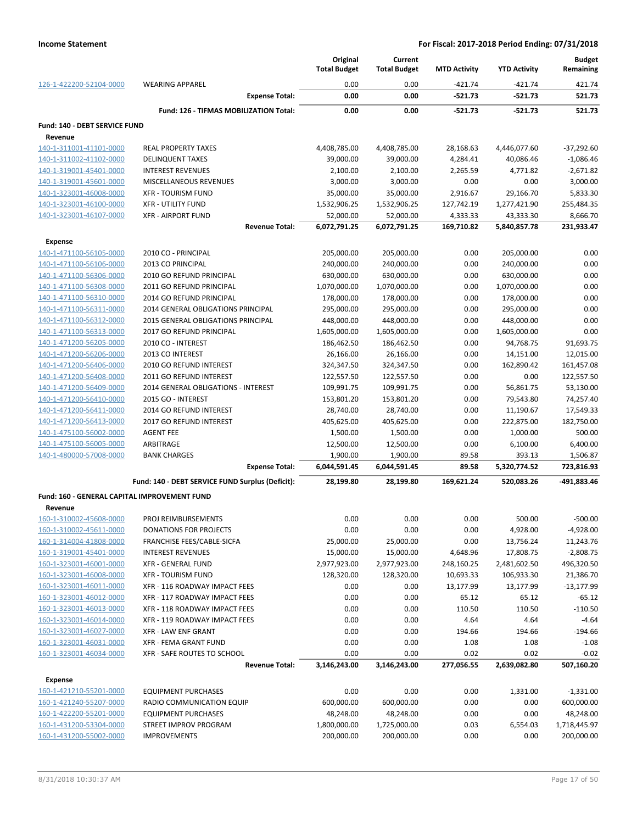|                                              |                                                  | Original<br><b>Total Budget</b> | Current<br><b>Total Budget</b> | <b>MTD Activity</b>   | <b>YTD Activity</b>       | <b>Budget</b><br>Remaining |
|----------------------------------------------|--------------------------------------------------|---------------------------------|--------------------------------|-----------------------|---------------------------|----------------------------|
| 126-1-422200-52104-0000                      | <b>WEARING APPAREL</b>                           | 0.00                            | 0.00                           | $-421.74$             | $-421.74$                 | 421.74                     |
|                                              | <b>Expense Total:</b>                            | 0.00                            | 0.00                           | $-521.73$             | $-521.73$                 | 521.73                     |
|                                              | Fund: 126 - TIFMAS MOBILIZATION Total:           | 0.00                            | 0.00                           | $-521.73$             | $-521.73$                 | 521.73                     |
| Fund: 140 - DEBT SERVICE FUND                |                                                  |                                 |                                |                       |                           |                            |
| Revenue<br>140-1-311001-41101-0000           |                                                  |                                 |                                |                       |                           | $-37,292.60$               |
| 140-1-311002-41102-0000                      | REAL PROPERTY TAXES<br><b>DELINQUENT TAXES</b>   | 4,408,785.00<br>39,000.00       | 4,408,785.00<br>39,000.00      | 28,168.63<br>4,284.41 | 4,446,077.60<br>40,086.46 | $-1,086.46$                |
| 140-1-319001-45401-0000                      | <b>INTEREST REVENUES</b>                         | 2,100.00                        | 2,100.00                       | 2,265.59              | 4,771.82                  | $-2,671.82$                |
| 140-1-319001-45601-0000                      | MISCELLANEOUS REVENUES                           | 3,000.00                        | 3,000.00                       | 0.00                  | 0.00                      | 3,000.00                   |
| 140-1-323001-46008-0000                      | <b>XFR - TOURISM FUND</b>                        | 35,000.00                       | 35,000.00                      | 2,916.67              | 29,166.70                 | 5,833.30                   |
| 140-1-323001-46100-0000                      | <b>XFR - UTILITY FUND</b>                        | 1,532,906.25                    | 1,532,906.25                   | 127,742.19            | 1,277,421.90              | 255,484.35                 |
| 140-1-323001-46107-0000                      | <b>XFR - AIRPORT FUND</b>                        | 52,000.00                       | 52,000.00                      | 4,333.33              | 43,333.30                 | 8,666.70                   |
|                                              | <b>Revenue Total:</b>                            | 6,072,791.25                    | 6,072,791.25                   | 169,710.82            | 5,840,857.78              | 231,933.47                 |
| <b>Expense</b>                               |                                                  |                                 |                                |                       |                           |                            |
| 140-1-471100-56105-0000                      | 2010 CO - PRINCIPAL                              | 205,000.00                      | 205,000.00                     | 0.00                  | 205,000.00                | 0.00                       |
| 140-1-471100-56106-0000                      | 2013 CO PRINCIPAL                                | 240,000.00                      | 240,000.00                     | 0.00                  | 240,000.00                | 0.00                       |
| 140-1-471100-56306-0000                      | 2010 GO REFUND PRINCIPAL                         | 630,000.00                      | 630,000.00                     | 0.00                  | 630,000.00                | 0.00                       |
| 140-1-471100-56308-0000                      | 2011 GO REFUND PRINCIPAL                         | 1,070,000.00                    | 1,070,000.00                   | 0.00                  | 1,070,000.00              | 0.00                       |
| 140-1-471100-56310-0000                      | 2014 GO REFUND PRINCIPAL                         | 178,000.00                      | 178,000.00                     | 0.00                  | 178,000.00                | 0.00                       |
| 140-1-471100-56311-0000                      | 2014 GENERAL OBLIGATIONS PRINCIPAL               | 295,000.00                      | 295,000.00                     | 0.00                  | 295,000.00                | 0.00                       |
| 140-1-471100-56312-0000                      | <b>2015 GENERAL OBLIGATIONS PRINCIPAL</b>        | 448,000.00                      | 448,000.00                     | 0.00                  | 448,000.00                | 0.00                       |
| 140-1-471100-56313-0000                      | 2017 GO REFUND PRINCIPAL                         | 1,605,000.00                    | 1,605,000.00                   | 0.00                  | 1,605,000.00              | 0.00                       |
| 140-1-471200-56205-0000                      | 2010 CO - INTEREST                               | 186,462.50                      | 186,462.50                     | 0.00                  | 94,768.75                 | 91,693.75                  |
| 140-1-471200-56206-0000                      | 2013 CO INTEREST                                 | 26,166.00                       | 26,166.00                      | 0.00                  | 14,151.00                 | 12,015.00                  |
| 140-1-471200-56406-0000                      | 2010 GO REFUND INTEREST                          | 324,347.50                      | 324,347.50                     | 0.00                  | 162,890.42                | 161,457.08                 |
| 140-1-471200-56408-0000                      | 2011 GO REFUND INTEREST                          | 122,557.50                      | 122,557.50                     | 0.00                  | 0.00                      | 122,557.50                 |
| 140-1-471200-56409-0000                      | 2014 GENERAL OBLIGATIONS - INTEREST              | 109,991.75                      | 109,991.75                     | 0.00                  | 56,861.75                 | 53,130.00                  |
| 140-1-471200-56410-0000                      | 2015 GO - INTEREST                               | 153,801.20                      | 153,801.20                     | 0.00                  | 79,543.80                 | 74,257.40                  |
| 140-1-471200-56411-0000                      | 2014 GO REFUND INTEREST                          | 28,740.00                       | 28,740.00                      | 0.00                  | 11,190.67                 | 17,549.33                  |
| 140-1-471200-56413-0000                      | 2017 GO REFUND INTEREST                          | 405,625.00                      | 405,625.00                     | 0.00                  | 222,875.00                | 182,750.00                 |
| 140-1-475100-56002-0000                      | <b>AGENT FEE</b>                                 | 1,500.00                        | 1,500.00                       | 0.00                  | 1,000.00                  | 500.00                     |
| 140-1-475100-56005-0000                      | ARBITRAGE                                        | 12,500.00                       | 12,500.00                      | 0.00                  | 6,100.00                  | 6,400.00                   |
| 140-1-480000-57008-0000                      | <b>BANK CHARGES</b>                              | 1,900.00                        | 1,900.00                       | 89.58                 | 393.13                    | 1,506.87                   |
|                                              | <b>Expense Total:</b>                            | 6,044,591.45                    | 6,044,591.45                   | 89.58                 | 5,320,774.52              | 723,816.93                 |
|                                              | Fund: 140 - DEBT SERVICE FUND Surplus (Deficit): | 28,199.80                       | 28,199.80                      | 169,621.24            | 520,083.26                | -491,883.46                |
| Fund: 160 - GENERAL CAPITAL IMPROVEMENT FUND |                                                  |                                 |                                |                       |                           |                            |
| Revenue                                      |                                                  |                                 |                                |                       |                           |                            |
| 160-1-310002-45608-0000                      | PROJ REIMBURSEMENTS                              | 0.00                            | 0.00                           | 0.00                  | 500.00                    | $-500.00$                  |
| 160-1-310002-45611-0000                      | <b>DONATIONS FOR PROJECTS</b>                    | 0.00                            | 0.00                           | 0.00                  | 4,928.00                  | $-4,928.00$                |
| 160-1-314004-41808-0000                      | FRANCHISE FEES/CABLE-SICFA                       | 25,000.00                       | 25,000.00                      | 0.00                  | 13,756.24                 | 11,243.76                  |
| 160-1-319001-45401-0000                      | <b>INTEREST REVENUES</b>                         | 15,000.00                       | 15,000.00                      | 4,648.96              | 17,808.75                 | $-2,808.75$                |
| 160-1-323001-46001-0000                      | <b>XFR - GENERAL FUND</b>                        | 2,977,923.00                    | 2,977,923.00                   | 248,160.25            | 2,481,602.50              | 496,320.50                 |
| 160-1-323001-46008-0000                      | <b>XFR - TOURISM FUND</b>                        | 128,320.00                      | 128,320.00                     | 10,693.33             | 106,933.30                | 21,386.70                  |
| 160-1-323001-46011-0000                      | XFR - 116 ROADWAY IMPACT FEES                    | 0.00                            | 0.00                           | 13,177.99             | 13,177.99                 | $-13,177.99$               |
| 160-1-323001-46012-0000                      | XFR - 117 ROADWAY IMPACT FEES                    | 0.00                            | 0.00                           | 65.12                 | 65.12                     | $-65.12$                   |
| 160-1-323001-46013-0000                      | XFR - 118 ROADWAY IMPACT FEES                    | 0.00                            | 0.00                           | 110.50                | 110.50                    | $-110.50$                  |
| 160-1-323001-46014-0000                      | XFR - 119 ROADWAY IMPACT FEES                    | 0.00                            | 0.00                           | 4.64                  | 4.64                      | $-4.64$                    |
| 160-1-323001-46027-0000                      | <b>XFR - LAW ENF GRANT</b>                       | 0.00                            | 0.00                           | 194.66                | 194.66                    | $-194.66$                  |
| 160-1-323001-46031-0000                      | <b>XFR - FEMA GRANT FUND</b>                     | 0.00                            | 0.00                           | 1.08                  | 1.08                      | $-1.08$                    |
| 160-1-323001-46034-0000                      | XFR - SAFE ROUTES TO SCHOOL                      | 0.00                            | 0.00                           | 0.02                  | 0.02                      | $-0.02$                    |
|                                              | <b>Revenue Total:</b>                            | 3,146,243.00                    | 3,146,243.00                   | 277,056.55            | 2,639,082.80              | 507,160.20                 |
| <b>Expense</b>                               |                                                  |                                 |                                |                       |                           |                            |
| 160-1-421210-55201-0000                      | <b>EQUIPMENT PURCHASES</b>                       | 0.00                            | 0.00                           | 0.00                  | 1,331.00                  | $-1,331.00$                |
| 160-1-421240-55207-0000                      | RADIO COMMUNICATION EQUIP                        | 600,000.00                      | 600,000.00                     | 0.00                  | 0.00                      | 600,000.00                 |
| 160-1-422200-55201-0000                      | <b>EQUIPMENT PURCHASES</b>                       | 48,248.00                       | 48,248.00                      | 0.00                  | 0.00                      | 48,248.00                  |
| 160-1-431200-53304-0000                      | STREET IMPROV PROGRAM                            | 1,800,000.00                    | 1,725,000.00                   | 0.03                  | 6,554.03                  | 1,718,445.97               |
| 160-1-431200-55002-0000                      | <b>IMPROVEMENTS</b>                              | 200,000.00                      | 200,000.00                     | 0.00                  | 0.00                      | 200,000.00                 |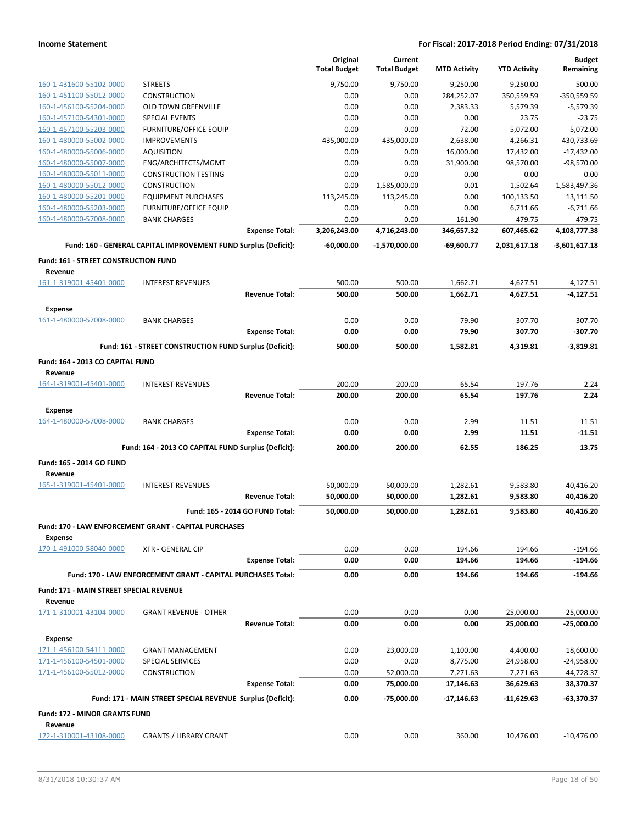|                                                           |                                                                 |                                 | Original            | Current              |                     |                     | <b>Budget</b>          |
|-----------------------------------------------------------|-----------------------------------------------------------------|---------------------------------|---------------------|----------------------|---------------------|---------------------|------------------------|
|                                                           |                                                                 |                                 | <b>Total Budget</b> | <b>Total Budget</b>  | <b>MTD Activity</b> | <b>YTD Activity</b> | Remaining              |
| 160-1-431600-55102-0000                                   | <b>STREETS</b>                                                  |                                 | 9,750.00            | 9,750.00             | 9,250.00            | 9,250.00            | 500.00                 |
| 160-1-451100-55012-0000                                   | <b>CONSTRUCTION</b>                                             |                                 | 0.00                | 0.00                 | 284,252.07          | 350,559.59          | -350,559.59            |
| 160-1-456100-55204-0000                                   | <b>OLD TOWN GREENVILLE</b>                                      |                                 | 0.00                | 0.00                 | 2,383.33            | 5,579.39            | $-5,579.39$            |
| 160-1-457100-54301-0000                                   | <b>SPECIAL EVENTS</b>                                           |                                 | 0.00                | 0.00                 | 0.00                | 23.75               | $-23.75$               |
| 160-1-457100-55203-0000                                   | FURNITURE/OFFICE EQUIP                                          |                                 | 0.00                | 0.00                 | 72.00               | 5,072.00            | $-5,072.00$            |
| 160-1-480000-55002-0000                                   | <b>IMPROVEMENTS</b>                                             |                                 | 435,000.00          | 435,000.00           | 2,638.00            | 4,266.31            | 430,733.69             |
| 160-1-480000-55006-0000                                   | <b>AQUISITION</b>                                               |                                 | 0.00                | 0.00                 | 16,000.00           | 17,432.00           | $-17,432.00$           |
| 160-1-480000-55007-0000                                   | ENG/ARCHITECTS/MGMT                                             |                                 | 0.00                | 0.00                 | 31,900.00           | 98,570.00           | $-98,570.00$           |
| 160-1-480000-55011-0000<br>160-1-480000-55012-0000        | <b>CONSTRUCTION TESTING</b>                                     |                                 | 0.00<br>0.00        | 0.00<br>1,585,000.00 | 0.00<br>$-0.01$     | 0.00<br>1,502.64    | 0.00<br>1,583,497.36   |
| 160-1-480000-55201-0000                                   | <b>CONSTRUCTION</b><br><b>EQUIPMENT PURCHASES</b>               |                                 | 113,245.00          | 113,245.00           | 0.00                | 100,133.50          | 13,111.50              |
| 160-1-480000-55203-0000                                   | FURNITURE/OFFICE EQUIP                                          |                                 | 0.00                | 0.00                 | 0.00                | 6,711.66            | $-6,711.66$            |
| 160-1-480000-57008-0000                                   | <b>BANK CHARGES</b>                                             |                                 | 0.00                | 0.00                 | 161.90              | 479.75              | $-479.75$              |
|                                                           |                                                                 | <b>Expense Total:</b>           | 3,206,243.00        | 4,716,243.00         | 346,657.32          | 607,465.62          | 4,108,777.38           |
|                                                           | Fund: 160 - GENERAL CAPITAL IMPROVEMENT FUND Surplus (Deficit): |                                 | $-60,000.00$        | -1,570,000.00        | -69,600.77          | 2,031,617.18        | $-3,601,617.18$        |
|                                                           |                                                                 |                                 |                     |                      |                     |                     |                        |
| Fund: 161 - STREET CONSTRUCTION FUND<br>Revenue           |                                                                 |                                 |                     |                      |                     |                     |                        |
| 161-1-319001-45401-0000                                   | <b>INTEREST REVENUES</b>                                        |                                 | 500.00              | 500.00               | 1,662.71            | 4,627.51            | $-4,127.51$            |
|                                                           |                                                                 | <b>Revenue Total:</b>           | 500.00              | 500.00               | 1,662.71            | 4,627.51            | $-4,127.51$            |
| Expense                                                   |                                                                 |                                 |                     |                      |                     |                     |                        |
| 161-1-480000-57008-0000                                   | <b>BANK CHARGES</b>                                             |                                 | 0.00                | 0.00                 | 79.90               | 307.70              | $-307.70$              |
|                                                           |                                                                 | <b>Expense Total:</b>           | 0.00                | 0.00                 | 79.90               | 307.70              | $-307.70$              |
|                                                           |                                                                 |                                 |                     |                      |                     |                     |                        |
|                                                           | Fund: 161 - STREET CONSTRUCTION FUND Surplus (Deficit):         |                                 | 500.00              | 500.00               | 1,582.81            | 4,319.81            | $-3,819.81$            |
| Fund: 164 - 2013 CO CAPITAL FUND<br>Revenue               |                                                                 |                                 |                     |                      |                     |                     |                        |
| 164-1-319001-45401-0000                                   | <b>INTEREST REVENUES</b>                                        |                                 | 200.00              | 200.00               | 65.54               | 197.76              | 2.24                   |
|                                                           |                                                                 | <b>Revenue Total:</b>           | 200.00              | 200.00               | 65.54               | 197.76              | 2.24                   |
| Expense                                                   |                                                                 |                                 |                     |                      |                     |                     |                        |
| 164-1-480000-57008-0000                                   | <b>BANK CHARGES</b>                                             |                                 | 0.00                | 0.00                 | 2.99                | 11.51               | $-11.51$               |
|                                                           |                                                                 | <b>Expense Total:</b>           | 0.00                | 0.00                 | 2.99                | 11.51               | $-11.51$               |
|                                                           | Fund: 164 - 2013 CO CAPITAL FUND Surplus (Deficit):             |                                 | 200.00              | 200.00               | 62.55               | 186.25              | 13.75                  |
| Fund: 165 - 2014 GO FUND                                  |                                                                 |                                 |                     |                      |                     |                     |                        |
| Revenue                                                   |                                                                 |                                 |                     |                      |                     |                     |                        |
| 165-1-319001-45401-0000                                   | <b>INTEREST REVENUES</b>                                        |                                 | 50,000.00           | 50,000.00            | 1,282.61            | 9,583.80            | 40,416.20              |
|                                                           |                                                                 | <b>Revenue Total:</b>           | 50,000.00           | 50,000.00            | 1,282.61            | 9,583.80            | 40,416.20              |
|                                                           |                                                                 | Fund: 165 - 2014 GO FUND Total: | 50,000.00           | 50,000.00            | 1,282.61            | 9,583.80            | 40,416.20              |
|                                                           |                                                                 |                                 |                     |                      |                     |                     |                        |
|                                                           | Fund: 170 - LAW ENFORCEMENT GRANT - CAPITAL PURCHASES           |                                 |                     |                      |                     |                     |                        |
| <b>Expense</b><br>170-1-491000-58040-0000                 |                                                                 |                                 |                     |                      |                     |                     |                        |
|                                                           | <b>XFR - GENERAL CIP</b>                                        | <b>Expense Total:</b>           | 0.00<br>0.00        | 0.00<br>0.00         | 194.66<br>194.66    | 194.66<br>194.66    | $-194.66$<br>$-194.66$ |
|                                                           |                                                                 |                                 |                     |                      |                     |                     |                        |
|                                                           | Fund: 170 - LAW ENFORCEMENT GRANT - CAPITAL PURCHASES Total:    |                                 | 0.00                | 0.00                 | 194.66              | 194.66              | $-194.66$              |
| <b>Fund: 171 - MAIN STREET SPECIAL REVENUE</b><br>Revenue |                                                                 |                                 |                     |                      |                     |                     |                        |
| 171-1-310001-43104-0000                                   | <b>GRANT REVENUE - OTHER</b>                                    |                                 | 0.00                | 0.00                 | 0.00                | 25,000.00           | $-25,000.00$           |
|                                                           |                                                                 | <b>Revenue Total:</b>           | 0.00                | 0.00                 | 0.00                | 25,000.00           | $-25,000.00$           |
| <b>Expense</b>                                            |                                                                 |                                 |                     |                      |                     |                     |                        |
| 171-1-456100-54111-0000                                   | <b>GRANT MANAGEMENT</b>                                         |                                 | 0.00                | 23,000.00            | 1,100.00            | 4,400.00            | 18,600.00              |
| 171-1-456100-54501-0000                                   | <b>SPECIAL SERVICES</b>                                         |                                 | 0.00                | 0.00                 | 8,775.00            | 24,958.00           | $-24,958.00$           |
| 171-1-456100-55012-0000                                   | CONSTRUCTION                                                    |                                 | 0.00                | 52,000.00            | 7,271.63            | 7,271.63            | 44,728.37              |
|                                                           |                                                                 | <b>Expense Total:</b>           | 0.00                | 75,000.00            | 17,146.63           | 36,629.63           | 38,370.37              |
|                                                           | Fund: 171 - MAIN STREET SPECIAL REVENUE Surplus (Deficit):      |                                 | 0.00                | -75,000.00           | -17,146.63          | -11,629.63          | -63,370.37             |
| <b>Fund: 172 - MINOR GRANTS FUND</b>                      |                                                                 |                                 |                     |                      |                     |                     |                        |
| Revenue<br>172-1-310001-43108-0000                        | <b>GRANTS / LIBRARY GRANT</b>                                   |                                 | 0.00                | 0.00                 | 360.00              | 10,476.00           | $-10,476.00$           |
|                                                           |                                                                 |                                 |                     |                      |                     |                     |                        |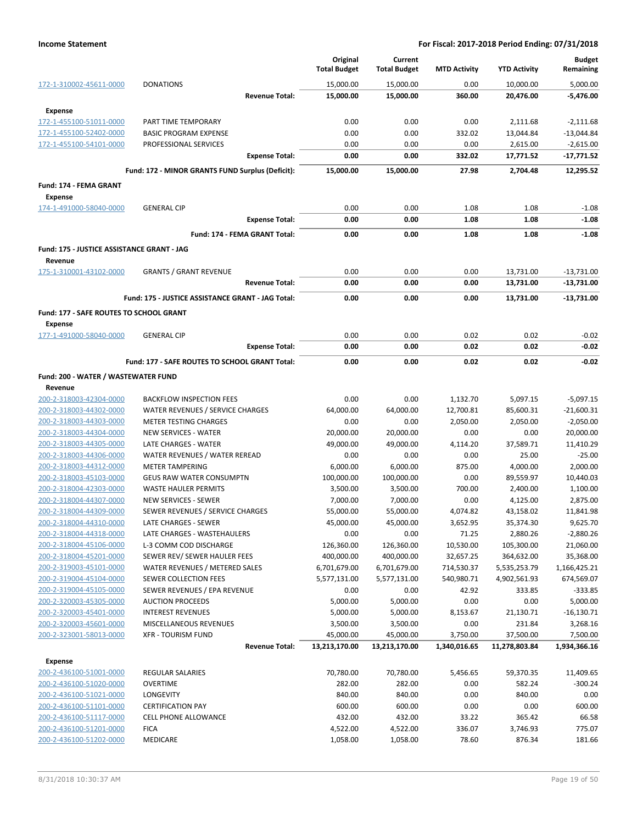|                                                              |                                                         | Original<br><b>Total Budget</b> | Current<br><b>Total Budget</b> | <b>MTD Activity</b> | <b>YTD Activity</b> | <b>Budget</b><br>Remaining |
|--------------------------------------------------------------|---------------------------------------------------------|---------------------------------|--------------------------------|---------------------|---------------------|----------------------------|
| 172-1-310002-45611-0000                                      | <b>DONATIONS</b>                                        | 15,000.00                       | 15,000.00                      | 0.00                | 10,000.00           | 5,000.00                   |
|                                                              | <b>Revenue Total:</b>                                   | 15,000.00                       | 15,000.00                      | 360.00              | 20,476.00           | $-5,476.00$                |
| <b>Expense</b>                                               |                                                         |                                 |                                |                     |                     |                            |
| 172-1-455100-51011-0000                                      | PART TIME TEMPORARY                                     | 0.00                            | 0.00                           | 0.00                | 2,111.68            | $-2,111.68$                |
| 172-1-455100-52402-0000                                      | <b>BASIC PROGRAM EXPENSE</b>                            | 0.00                            | 0.00                           | 332.02              | 13,044.84           | $-13,044.84$               |
| 172-1-455100-54101-0000                                      | PROFESSIONAL SERVICES                                   | 0.00                            | 0.00                           | 0.00                | 2,615.00            | $-2,615.00$                |
|                                                              | <b>Expense Total:</b>                                   | 0.00                            | 0.00                           | 332.02              | 17,771.52           | $-17,771.52$               |
|                                                              | Fund: 172 - MINOR GRANTS FUND Surplus (Deficit):        | 15,000.00                       | 15,000.00                      | 27.98               | 2,704.48            | 12,295.52                  |
| Fund: 174 - FEMA GRANT                                       |                                                         |                                 |                                |                     |                     |                            |
| <b>Expense</b>                                               |                                                         |                                 |                                |                     |                     |                            |
| 174-1-491000-58040-0000                                      | <b>GENERAL CIP</b>                                      | 0.00                            | 0.00                           | 1.08                | 1.08                | $-1.08$                    |
|                                                              | <b>Expense Total:</b>                                   | 0.00                            | 0.00                           | 1.08                | 1.08                | $-1.08$                    |
|                                                              | Fund: 174 - FEMA GRANT Total:                           | 0.00                            | 0.00                           | 1.08                | 1.08                | $-1.08$                    |
|                                                              |                                                         |                                 |                                |                     |                     |                            |
| <b>Fund: 175 - JUSTICE ASSISTANCE GRANT - JAG</b><br>Revenue |                                                         |                                 |                                |                     |                     |                            |
| 175-1-310001-43102-0000                                      | <b>GRANTS / GRANT REVENUE</b>                           | 0.00                            | 0.00                           | 0.00                | 13,731.00           | $-13,731.00$               |
|                                                              | <b>Revenue Total:</b>                                   | 0.00                            | 0.00                           | 0.00                | 13,731.00           | $-13,731.00$               |
|                                                              | Fund: 175 - JUSTICE ASSISTANCE GRANT - JAG Total:       | 0.00                            | 0.00                           |                     |                     |                            |
|                                                              |                                                         |                                 |                                | 0.00                | 13,731.00           | $-13,731.00$               |
| Fund: 177 - SAFE ROUTES TO SCHOOL GRANT                      |                                                         |                                 |                                |                     |                     |                            |
| <b>Expense</b>                                               |                                                         |                                 |                                |                     |                     |                            |
| 177-1-491000-58040-0000                                      | <b>GENERAL CIP</b><br><b>Expense Total:</b>             | 0.00<br>0.00                    | 0.00<br>0.00                   | 0.02<br>0.02        | 0.02<br>0.02        | $-0.02$<br>$-0.02$         |
|                                                              |                                                         |                                 |                                |                     |                     |                            |
|                                                              | Fund: 177 - SAFE ROUTES TO SCHOOL GRANT Total:          | 0.00                            | 0.00                           | 0.02                | 0.02                | $-0.02$                    |
| Fund: 200 - WATER / WASTEWATER FUND                          |                                                         |                                 |                                |                     |                     |                            |
| Revenue                                                      |                                                         |                                 |                                |                     |                     |                            |
| 200-2-318003-42304-0000                                      | <b>BACKFLOW INSPECTION FEES</b>                         | 0.00                            | 0.00                           | 1,132.70            | 5,097.15            | $-5,097.15$                |
| 200-2-318003-44302-0000                                      | WATER REVENUES / SERVICE CHARGES                        | 64,000.00                       | 64,000.00                      | 12,700.81           | 85,600.31           | $-21,600.31$               |
| 200-2-318003-44303-0000                                      | <b>METER TESTING CHARGES</b>                            | 0.00                            | 0.00                           | 2,050.00            | 2,050.00            | $-2,050.00$                |
| 200-2-318003-44304-0000                                      | <b>NEW SERVICES - WATER</b>                             | 20,000.00                       | 20,000.00                      | 0.00                | 0.00                | 20,000.00                  |
| 200-2-318003-44305-0000<br>200-2-318003-44306-0000           | LATE CHARGES - WATER                                    | 49,000.00                       | 49,000.00                      | 4,114.20            | 37,589.71           | 11,410.29                  |
| 200-2-318003-44312-0000                                      | WATER REVENUES / WATER REREAD<br><b>METER TAMPERING</b> | 0.00<br>6,000.00                | 0.00<br>6,000.00               | 0.00<br>875.00      | 25.00<br>4,000.00   | $-25.00$<br>2,000.00       |
| 200-2-318003-45103-0000                                      | <b>GEUS RAW WATER CONSUMPTN</b>                         | 100,000.00                      | 100,000.00                     | 0.00                | 89,559.97           | 10,440.03                  |
| 200-2-318004-42303-0000                                      | <b>WASTE HAULER PERMITS</b>                             | 3,500.00                        | 3,500.00                       | 700.00              | 2,400.00            | 1,100.00                   |
| 200-2-318004-44307-0000                                      | <b>NEW SERVICES - SEWER</b>                             | 7,000.00                        | 7,000.00                       | 0.00                | 4,125.00            | 2,875.00                   |
| 200-2-318004-44309-0000                                      | SEWER REVENUES / SERVICE CHARGES                        | 55,000.00                       | 55,000.00                      | 4,074.82            | 43,158.02           | 11,841.98                  |
| 200-2-318004-44310-0000                                      | LATE CHARGES - SEWER                                    | 45,000.00                       | 45,000.00                      | 3,652.95            | 35,374.30           | 9,625.70                   |
| 200-2-318004-44318-0000                                      | LATE CHARGES - WASTEHAULERS                             | 0.00                            | 0.00                           | 71.25               | 2,880.26            | $-2,880.26$                |
| 200-2-318004-45106-0000                                      | L-3 COMM COD DISCHARGE                                  | 126,360.00                      | 126,360.00                     | 10,530.00           | 105,300.00          | 21,060.00                  |
| 200-2-318004-45201-0000                                      | SEWER REV/ SEWER HAULER FEES                            | 400,000.00                      | 400,000.00                     | 32,657.25           | 364,632.00          | 35,368.00                  |
| 200-2-319003-45101-0000                                      | WATER REVENUES / METERED SALES                          | 6,701,679.00                    | 6,701,679.00                   | 714,530.37          | 5,535,253.79        | 1,166,425.21               |
| 200-2-319004-45104-0000                                      | SEWER COLLECTION FEES                                   | 5,577,131.00                    | 5,577,131.00                   | 540,980.71          | 4,902,561.93        | 674,569.07                 |
| 200-2-319004-45105-0000                                      | SEWER REVENUES / EPA REVENUE                            | 0.00                            | 0.00                           | 42.92               | 333.85              | $-333.85$                  |
| 200-2-320003-45305-0000                                      | <b>AUCTION PROCEEDS</b>                                 | 5,000.00                        | 5,000.00                       | 0.00                | 0.00                | 5,000.00                   |
| 200-2-320003-45401-0000                                      | <b>INTEREST REVENUES</b>                                | 5,000.00                        | 5,000.00                       | 8,153.67            | 21,130.71           | $-16,130.71$               |
| 200-2-320003-45601-0000                                      | MISCELLANEOUS REVENUES                                  | 3,500.00                        | 3,500.00                       | 0.00                | 231.84              | 3,268.16                   |
| 200-2-323001-58013-0000                                      | <b>XFR - TOURISM FUND</b>                               | 45,000.00                       | 45,000.00                      | 3,750.00            | 37,500.00           | 7,500.00                   |
|                                                              | <b>Revenue Total:</b>                                   | 13,213,170.00                   | 13,213,170.00                  | 1,340,016.65        | 11,278,803.84       | 1,934,366.16               |
| <b>Expense</b>                                               |                                                         |                                 |                                |                     |                     |                            |
| 200-2-436100-51001-0000                                      | REGULAR SALARIES                                        | 70,780.00                       | 70,780.00                      | 5,456.65            | 59,370.35           | 11,409.65                  |
| 200-2-436100-51020-0000                                      | OVERTIME                                                | 282.00                          | 282.00                         | 0.00                | 582.24              | $-300.24$                  |
| 200-2-436100-51021-0000                                      | LONGEVITY                                               | 840.00                          | 840.00                         | 0.00                | 840.00              | 0.00                       |
| 200-2-436100-51101-0000                                      | <b>CERTIFICATION PAY</b>                                | 600.00                          | 600.00                         | 0.00                | 0.00                | 600.00                     |
| 200-2-436100-51117-0000                                      | <b>CELL PHONE ALLOWANCE</b>                             | 432.00                          | 432.00                         | 33.22               | 365.42              | 66.58                      |
| 200-2-436100-51201-0000                                      | <b>FICA</b>                                             | 4,522.00                        | 4,522.00                       | 336.07              | 3,746.93            | 775.07                     |
| 200-2-436100-51202-0000                                      | MEDICARE                                                | 1,058.00                        | 1,058.00                       | 78.60               | 876.34              | 181.66                     |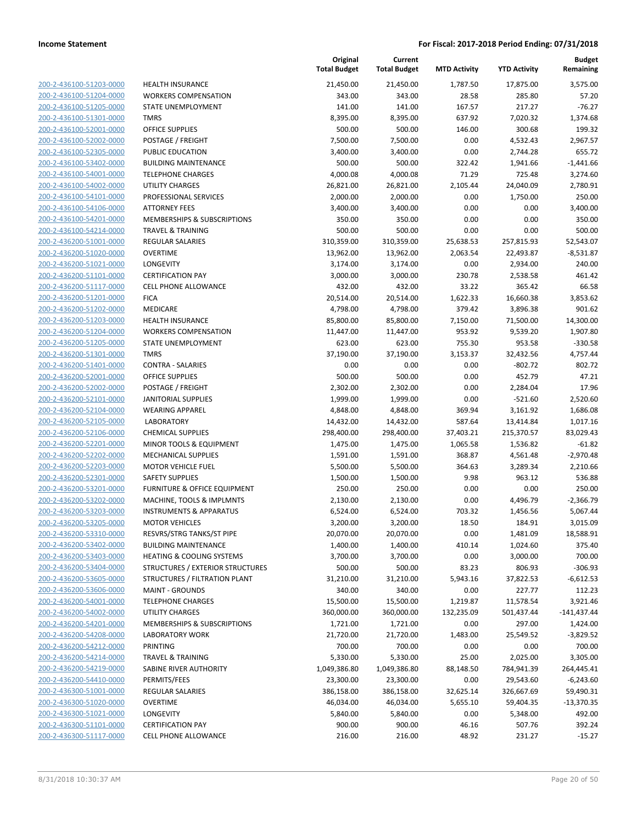200-2-436100-51203-0000 200-2-436100-51204-0000 200-2-436100-51205-0000 200-2-436100-51301-0000 200-2-436100-52001-0000 200-2-436100-52002-0000 200-2-436100-52305-0000 200-2-436100-53402-0000 200-2-436100-54001-0000 200-2-436100-54002-0000 200-2-436100-54101-0000 200-2-436100-54106-0000 200-2-436100-54201-0000 200-2-436100-54214-0000 200-2-436200-51001-0000 200-2-436200-51020-0000 200-2-436200-51021-0000 200-2-436200-51101-0000 200-2-436200-51117-0000 200-2-436200-51201-0000 200-2-436200-51202-0000 200-2-436200-51203-0000 200-2-436200-51204-0000 200-2-436200-51205-0000 200-2-436200-51301-0000 200-2-436200-51401-0000 200-2-436200-52001-0000 200-2-436200-52002-0000 200-2-436200-52101-0000 200-2-436200-52104-0000 200-2-436200-52105-0000 200-2-436200-52106-0000 200-2-436200-52201-0000 200-2-436200-52202-0000 200-2-436200-52203-0000 200-2-436200-52301-0000 200-2-436200-53201-0000 200-2-436200-53202-0000 200-2-436200-53203-0000 200-2-436200-53205-0000 200-2-436200-53310-0000 200-2-436200-53402-0000 200-2-436200-53403-0000 200-2-436200-53404-0000 200-2-436200-53605-0000 200-2-436200-53606-0000 200-2-436200-54001-0000 200-2-436200-54002-0000 200-2-436200-54201-0000 200-2-436200-54208-0000 200-2-436200-54212-0000 200-2-436200-54214-0000 200-2-436200-54219-0000 200-2-436200-54410-0000 200-2-436300-51001-0000 200-2-436300-51020-0000 200-2-436300-51021-0000 200-2-436300-51101-0000 200-2-436300-51117-0000

|                                         | Original<br><b>Total Budget</b> | Current<br><b>Total Budget</b> | <b>MTD Activity</b> | <b>YTD Activity</b> | <b>Budget</b><br>Remaining |
|-----------------------------------------|---------------------------------|--------------------------------|---------------------|---------------------|----------------------------|
|                                         |                                 |                                |                     |                     |                            |
| <b>HEALTH INSURANCE</b>                 | 21,450.00                       | 21,450.00                      | 1,787.50            | 17,875.00           | 3,575.00                   |
| <b>WORKERS COMPENSATION</b>             | 343.00                          | 343.00                         | 28.58               | 285.80              | 57.20                      |
| STATE UNEMPLOYMENT                      | 141.00                          | 141.00                         | 167.57              | 217.27              | $-76.27$                   |
| <b>TMRS</b>                             | 8,395.00                        | 8,395.00                       | 637.92              | 7,020.32            | 1,374.68                   |
| OFFICE SUPPLIES                         | 500.00                          | 500.00                         | 146.00              | 300.68              | 199.32                     |
| POSTAGE / FREIGHT                       | 7,500.00                        | 7,500.00                       | 0.00                | 4,532.43            | 2,967.57                   |
| PUBLIC EDUCATION                        | 3,400.00                        | 3,400.00                       | 0.00                | 2,744.28            | 655.72                     |
| <b>BUILDING MAINTENANCE</b>             | 500.00                          | 500.00                         | 322.42              | 1,941.66            | $-1,441.66$                |
| <b>TELEPHONE CHARGES</b>                | 4,000.08                        | 4,000.08                       | 71.29               | 725.48              | 3,274.60                   |
| <b>UTILITY CHARGES</b>                  | 26,821.00                       | 26,821.00                      | 2,105.44            | 24,040.09           | 2,780.91                   |
| PROFESSIONAL SERVICES                   | 2,000.00                        | 2,000.00                       | 0.00                | 1,750.00            | 250.00                     |
| <b>ATTORNEY FEES</b>                    | 3,400.00                        | 3,400.00                       | 0.00                | 0.00                | 3,400.00                   |
| MEMBERSHIPS & SUBSCRIPTIONS             | 350.00                          | 350.00                         | 0.00                | 0.00                | 350.00                     |
| <b>TRAVEL &amp; TRAINING</b>            | 500.00                          | 500.00                         | 0.00                | 0.00                | 500.00                     |
| <b>REGULAR SALARIES</b>                 | 310,359.00                      | 310,359.00                     | 25,638.53           | 257,815.93          | 52,543.07                  |
| <b>OVERTIME</b>                         | 13,962.00                       | 13,962.00                      | 2,063.54            | 22,493.87           | $-8,531.87$                |
| <b>LONGEVITY</b>                        | 3,174.00                        | 3,174.00                       | 0.00                | 2,934.00            | 240.00                     |
| <b>CERTIFICATION PAY</b>                | 3,000.00                        | 3,000.00                       | 230.78              | 2,538.58            | 461.42                     |
| <b>CELL PHONE ALLOWANCE</b>             | 432.00                          | 432.00                         | 33.22               | 365.42              | 66.58                      |
| <b>FICA</b>                             | 20,514.00                       | 20,514.00                      | 1,622.33            | 16,660.38           | 3,853.62                   |
| MEDICARE                                | 4,798.00                        | 4,798.00                       | 379.42              | 3,896.38            | 901.62                     |
| <b>HEALTH INSURANCE</b>                 | 85,800.00                       | 85,800.00                      | 7,150.00            | 71,500.00           | 14,300.00                  |
| <b>WORKERS COMPENSATION</b>             | 11,447.00                       | 11,447.00                      | 953.92              | 9,539.20            | 1,907.80                   |
| STATE UNEMPLOYMENT                      | 623.00                          | 623.00                         | 755.30              | 953.58              | $-330.58$                  |
| <b>TMRS</b>                             | 37,190.00                       | 37,190.00                      | 3,153.37            | 32,432.56           | 4,757.44                   |
| <b>CONTRA - SALARIES</b>                | 0.00                            | 0.00                           | 0.00                | $-802.72$           | 802.72                     |
| <b>OFFICE SUPPLIES</b>                  | 500.00                          | 500.00                         | 0.00                | 452.79              | 47.21                      |
| POSTAGE / FREIGHT                       | 2,302.00                        | 2,302.00                       | 0.00                | 2,284.04            | 17.96                      |
| <b>JANITORIAL SUPPLIES</b>              | 1,999.00                        | 1,999.00                       | 0.00                | $-521.60$           | 2,520.60                   |
| <b>WEARING APPAREL</b>                  | 4,848.00                        | 4,848.00                       | 369.94              | 3,161.92            | 1,686.08                   |
| <b>LABORATORY</b>                       | 14,432.00                       | 14,432.00                      | 587.64              | 13,414.84           | 1,017.16                   |
| <b>CHEMICAL SUPPLIES</b>                | 298,400.00                      | 298,400.00                     | 37,403.21           | 215,370.57          | 83,029.43                  |
| MINOR TOOLS & EQUIPMENT                 | 1,475.00                        | 1,475.00                       | 1,065.58            | 1,536.82            | $-61.82$                   |
| <b>MECHANICAL SUPPLIES</b>              | 1,591.00                        | 1,591.00                       | 368.87              | 4,561.48            | $-2,970.48$                |
| <b>MOTOR VEHICLE FUEL</b>               | 5,500.00                        | 5,500.00                       | 364.63              | 3,289.34            | 2,210.66                   |
| <b>SAFETY SUPPLIES</b>                  | 1,500.00                        | 1,500.00                       | 9.98                | 963.12              | 536.88                     |
| <b>FURNITURE &amp; OFFICE EQUIPMENT</b> | 250.00                          | 250.00                         | 0.00                | 0.00                | 250.00                     |
| MACHINE, TOOLS & IMPLMNTS               | 2,130.00                        | 2,130.00                       | 0.00                | 4,496.79            | $-2,366.79$                |
| <b>INSTRUMENTS &amp; APPARATUS</b>      | 6,524.00                        | 6,524.00                       | 703.32              | 1,456.56            | 5,067.44                   |
| <b>MOTOR VEHICLES</b>                   | 3,200.00                        | 3,200.00                       | 18.50               | 184.91              | 3,015.09                   |
| RESVRS/STRG TANKS/ST PIPE               | 20,070.00                       | 20,070.00                      | 0.00                | 1,481.09            | 18,588.91                  |
| <b>BUILDING MAINTENANCE</b>             | 1,400.00                        | 1,400.00                       | 410.14              | 1,024.60            | 375.40                     |
| <b>HEATING &amp; COOLING SYSTEMS</b>    | 3,700.00                        | 3,700.00                       | 0.00                | 3,000.00            | 700.00                     |
| <b>STRUCTURES / EXTERIOR STRUCTURES</b> | 500.00                          | 500.00                         | 83.23               | 806.93              | $-306.93$                  |
| STRUCTURES / FILTRATION PLANT           | 31,210.00                       | 31,210.00                      | 5,943.16            | 37,822.53           | $-6,612.53$                |
| <b>MAINT - GROUNDS</b>                  | 340.00                          | 340.00                         | 0.00                | 227.77              | 112.23                     |
| <b>TELEPHONE CHARGES</b>                | 15,500.00                       | 15,500.00                      | 1,219.87            | 11,578.54           | 3,921.46                   |
| UTILITY CHARGES                         | 360,000.00                      | 360,000.00                     | 132,235.09          | 501,437.44          | $-141,437.44$              |
| <b>MEMBERSHIPS &amp; SUBSCRIPTIONS</b>  | 1,721.00                        | 1,721.00                       | 0.00                | 297.00              | 1,424.00                   |
| <b>LABORATORY WORK</b>                  | 21,720.00                       | 21,720.00                      | 1,483.00            | 25,549.52           | $-3,829.52$                |
| PRINTING                                | 700.00                          | 700.00                         | 0.00                | 0.00                | 700.00                     |
| <b>TRAVEL &amp; TRAINING</b>            | 5,330.00                        | 5,330.00                       | 25.00               | 2,025.00            | 3,305.00                   |
| SABINE RIVER AUTHORITY                  | 1,049,386.80                    | 1,049,386.80                   | 88,148.50           | 784,941.39          | 264,445.41                 |
| PERMITS/FEES                            | 23,300.00                       | 23,300.00                      | 0.00                | 29,543.60           | $-6,243.60$                |
| REGULAR SALARIES                        | 386,158.00                      | 386,158.00                     | 32,625.14           | 326,667.69          | 59,490.31                  |
| <b>OVERTIME</b>                         | 46,034.00                       | 46,034.00                      | 5,655.10            | 59,404.35           | $-13,370.35$               |
| <b>LONGEVITY</b>                        | 5,840.00                        | 5,840.00                       | 0.00                | 5,348.00            | 492.00                     |
| <b>CERTIFICATION PAY</b>                | 900.00                          | 900.00                         | 46.16               | 507.76              | 392.24                     |
| CELL PHONE ALLOWANCE                    | 216.00                          | 216.00                         | 48.92               | 231.27              | $-15.27$                   |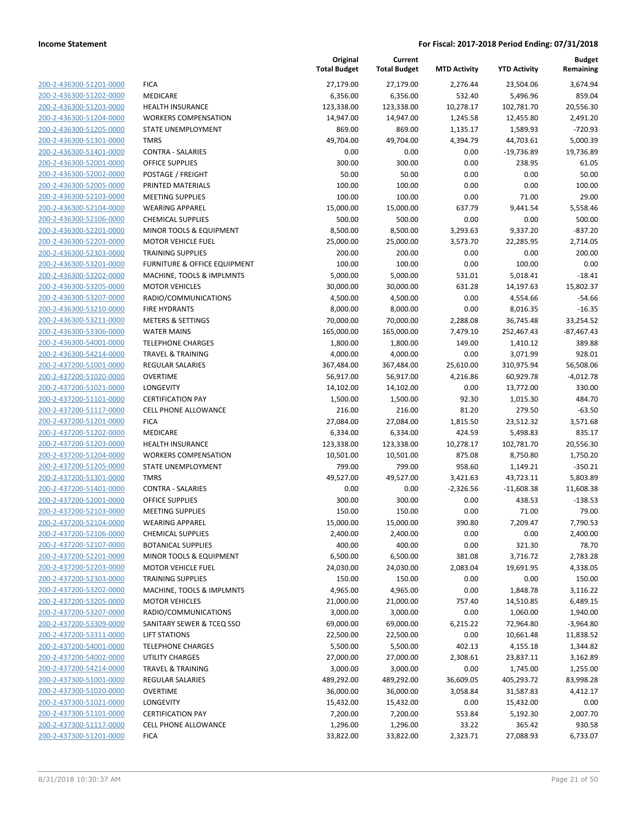| 200-2-436300-51201-0000                            | <b>FICA</b>                     |
|----------------------------------------------------|---------------------------------|
| 200-2-436300-51202-0000                            | MEDICARE                        |
| 200-2-436300-51203-0000                            | <b>HEALTH IN</b>                |
| 200-2-436300-51204-0000                            | WORKERS                         |
| 200-2-436300-51205-0000                            | <b>STATE UNE</b>                |
| 200-2-436300-51301-0000                            | <b>TMRS</b>                     |
| 200-2-436300-51401-0000                            | CONTRA - !                      |
| 200-2-436300-52001-0000                            | OFFICE SUI                      |
| 200-2-436300-52002-0000                            | POSTAGE /                       |
| 200-2-436300-52005-0000                            | PRINTED M                       |
| 200-2-436300-52103-0000                            | MEETING S                       |
| 200-2-436300-52104-0000                            | WEARING                         |
| 200-2-436300-52106-0000                            | CHEMICAL                        |
| 200-2-436300-52201-0000                            | <b>MINOR TO</b>                 |
| 200-2-436300-52203-0000                            | <b>MOTOR VE</b>                 |
| 200-2-436300-52303-0000                            | TRAINING !                      |
| 200-2-436300-53201-0000                            | <b>FURNITURI</b>                |
| 200-2-436300-53202-0000                            | MACHINE,                        |
| 200-2-436300-53205-0000                            | <b>MOTOR VE</b>                 |
| 200-2-436300-53207-0000                            | RADIO/COI                       |
| 200-2-436300-53210-0000                            | FIRE HYDR                       |
| 200-2-436300-53211-0000                            | METERS &                        |
| 200-2-436300-53306-0000                            | <b>WATER MA</b>                 |
| 200-2-436300-54001-0000                            | <b>TELEPHON</b>                 |
| 200-2-436300-54214-0000                            | TRAVEL &                        |
| 200-2-437200-51001-0000                            | <b>REGULARS</b>                 |
| 200-2-437200-51020-0000                            | OVERTIME                        |
| 200-2-437200-51021-0000                            | LONGEVITY                       |
| 200-2-437200-51101-0000                            | <b>CERTIFICAT</b>               |
| 200-2-437200-51117-0000                            | <b>CELL PHON</b>                |
| 200-2-437200-51201-0000                            | FICA                            |
| 200-2-437200-51202-0000                            | MEDICARE                        |
| 200-2-437200-51203-0000                            | <b>HEALTH IN</b>                |
| 200-2-437200-51204-0000                            | WORKERS                         |
| 200-2-437200-51205-0000                            | <b>STATE UNE</b><br><b>TMRS</b> |
| 200-2-437200-51301-0000                            | CONTRA - 9                      |
| 200-2-437200-51401-0000                            | OFFICE SUI                      |
| 200-2-437200-52001-0000<br>200-2-437200-52103-0000 | MEETING S                       |
| 200-2-437200-52104-0000                            | WEARING                         |
| 200-2-437200-52106-0000                            | CHEMICAL                        |
| 200-2-437200-52107-0000                            | <b>BOTANICA</b>                 |
| 200-2-437200-52201-0000                            | <b>MINOR TO</b>                 |
| 200-2-437200-52203-0000                            | <b>MOTOR VE</b>                 |
| 200-2-437200-52303-0000                            | TRAINING !                      |
| 200-2-437200-53202-0000                            | MACHINE,                        |
| 200-2-437200-53205-0000                            | <b>MOTOR VE</b>                 |
| 200-2-437200-53207-0000                            | RADIO/COI                       |
| 200-2-437200-53309-0000                            | SANITARY :                      |
| 200-2-437200-53311-0000                            | LIFT STATIO                     |
| 200-2-437200-54001-0000                            | <b>TELEPHON</b>                 |
| 200-2-437200-54002-0000                            | UTILITY CH                      |
| 200-2-437200-54214-0000                            | TRAVEL &                        |
| 200-2-437300-51001-0000                            | <b>REGULARS</b>                 |
| 200-2-437300-51020-0000                            | <b>OVERTIME</b>                 |
| 200-2-437300-51021-0000                            | LONGEVITY                       |
| 200-2-437300-51101-0000                            | <b>CERTIFICAT</b>               |
| 200-2-437300-51117-0000                            | <b>CELL PHON</b>                |
| 200-2-437300-51201-0000                            | <b>FICA</b>                     |
|                                                    |                                 |

|                         |                                         | Original<br><b>Total Budget</b> | Current<br><b>Total Budget</b> | <b>MTD Activity</b> | <b>YTD Activity</b> | <b>Budget</b><br>Remaining |
|-------------------------|-----------------------------------------|---------------------------------|--------------------------------|---------------------|---------------------|----------------------------|
| 200-2-436300-51201-0000 | <b>FICA</b>                             | 27,179.00                       | 27,179.00                      | 2,276.44            | 23,504.06           | 3,674.94                   |
| 200-2-436300-51202-0000 | MEDICARE                                | 6,356.00                        | 6,356.00                       | 532.40              | 5,496.96            | 859.04                     |
| 200-2-436300-51203-0000 | <b>HEALTH INSURANCE</b>                 | 123,338.00                      | 123,338.00                     | 10,278.17           | 102,781.70          | 20,556.30                  |
| 200-2-436300-51204-0000 | <b>WORKERS COMPENSATION</b>             | 14,947.00                       | 14,947.00                      | 1,245.58            | 12,455.80           | 2,491.20                   |
| 200-2-436300-51205-0000 | STATE UNEMPLOYMENT                      | 869.00                          | 869.00                         | 1,135.17            | 1,589.93            | $-720.93$                  |
| 200-2-436300-51301-0000 | <b>TMRS</b>                             | 49,704.00                       | 49,704.00                      | 4,394.79            | 44,703.61           | 5,000.39                   |
| 200-2-436300-51401-0000 | <b>CONTRA - SALARIES</b>                | 0.00                            | 0.00                           | 0.00                | -19,736.89          | 19,736.89                  |
| 200-2-436300-52001-0000 | <b>OFFICE SUPPLIES</b>                  | 300.00                          | 300.00                         | 0.00                | 238.95              | 61.05                      |
| 200-2-436300-52002-0000 | POSTAGE / FREIGHT                       | 50.00                           | 50.00                          | 0.00                | 0.00                | 50.00                      |
| 200-2-436300-52005-0000 | PRINTED MATERIALS                       | 100.00                          | 100.00                         | 0.00                | 0.00                | 100.00                     |
| 200-2-436300-52103-0000 | <b>MEETING SUPPLIES</b>                 | 100.00                          | 100.00                         | 0.00                | 71.00               | 29.00                      |
| 200-2-436300-52104-0000 | <b>WEARING APPAREL</b>                  | 15,000.00                       | 15,000.00                      | 637.79              | 9,441.54            | 5,558.46                   |
| 200-2-436300-52106-0000 | <b>CHEMICAL SUPPLIES</b>                | 500.00                          | 500.00                         | 0.00                | 0.00                | 500.00                     |
| 200-2-436300-52201-0000 | MINOR TOOLS & EQUIPMENT                 | 8,500.00                        | 8,500.00                       | 3,293.63            | 9,337.20            | $-837.20$                  |
| 200-2-436300-52203-0000 | <b>MOTOR VEHICLE FUEL</b>               | 25,000.00                       | 25,000.00                      | 3,573.70            | 22,285.95           | 2,714.05                   |
| 200-2-436300-52303-0000 | <b>TRAINING SUPPLIES</b>                | 200.00                          | 200.00                         | 0.00                | 0.00                | 200.00                     |
| 200-2-436300-53201-0000 | <b>FURNITURE &amp; OFFICE EQUIPMENT</b> | 100.00                          | 100.00                         | 0.00                | 100.00              | 0.00                       |
| 200-2-436300-53202-0000 | MACHINE, TOOLS & IMPLMNTS               | 5,000.00                        | 5,000.00                       | 531.01              | 5,018.41            | $-18.41$                   |
| 200-2-436300-53205-0000 | <b>MOTOR VEHICLES</b>                   | 30,000.00                       | 30,000.00                      | 631.28              | 14,197.63           | 15,802.37                  |
| 200-2-436300-53207-0000 | RADIO/COMMUNICATIONS                    | 4,500.00                        | 4,500.00                       | 0.00                | 4,554.66            | $-54.66$                   |
| 200-2-436300-53210-0000 | <b>FIRE HYDRANTS</b>                    | 8,000.00                        | 8,000.00                       | 0.00                | 8,016.35            | $-16.35$                   |
| 200-2-436300-53211-0000 | <b>METERS &amp; SETTINGS</b>            | 70,000.00                       | 70,000.00                      | 2,288.08            | 36,745.48           | 33,254.52                  |
| 200-2-436300-53306-0000 | <b>WATER MAINS</b>                      | 165,000.00                      | 165,000.00                     | 7,479.10            | 252,467.43          | $-87,467.43$               |
| 200-2-436300-54001-0000 | <b>TELEPHONE CHARGES</b>                | 1,800.00                        | 1,800.00                       | 149.00              | 1,410.12            | 389.88                     |
| 200-2-436300-54214-0000 | <b>TRAVEL &amp; TRAINING</b>            | 4,000.00                        | 4,000.00                       | 0.00                | 3,071.99            | 928.01                     |
| 200-2-437200-51001-0000 | <b>REGULAR SALARIES</b>                 | 367,484.00                      | 367,484.00                     | 25,610.00           | 310,975.94          | 56,508.06                  |
| 200-2-437200-51020-0000 | <b>OVERTIME</b>                         | 56,917.00                       | 56,917.00                      | 4,216.86            | 60,929.78           | $-4,012.78$                |
| 200-2-437200-51021-0000 | <b>LONGEVITY</b>                        | 14,102.00                       | 14,102.00                      | 0.00                | 13,772.00           | 330.00                     |
| 200-2-437200-51101-0000 | <b>CERTIFICATION PAY</b>                | 1,500.00                        | 1,500.00                       | 92.30               | 1,015.30            | 484.70                     |
| 200-2-437200-51117-0000 | <b>CELL PHONE ALLOWANCE</b>             | 216.00                          | 216.00                         | 81.20               | 279.50              | $-63.50$                   |
| 200-2-437200-51201-0000 | <b>FICA</b>                             | 27,084.00                       | 27,084.00                      | 1,815.50            | 23,512.32           | 3,571.68                   |
| 200-2-437200-51202-0000 | MEDICARE                                | 6,334.00                        | 6,334.00                       | 424.59              | 5,498.83            | 835.17                     |
| 200-2-437200-51203-0000 | <b>HEALTH INSURANCE</b>                 | 123,338.00                      | 123,338.00                     | 10,278.17           | 102,781.70          | 20,556.30                  |
| 200-2-437200-51204-0000 | <b>WORKERS COMPENSATION</b>             | 10,501.00                       | 10,501.00                      | 875.08              | 8,750.80            | 1,750.20                   |
| 200-2-437200-51205-0000 | STATE UNEMPLOYMENT                      | 799.00                          | 799.00                         | 958.60              | 1,149.21            | $-350.21$                  |
| 200-2-437200-51301-0000 | <b>TMRS</b>                             | 49,527.00                       | 49,527.00                      | 3,421.63            | 43,723.11           | 5,803.89                   |
| 200-2-437200-51401-0000 | <b>CONTRA - SALARIES</b>                | 0.00                            | 0.00                           | $-2,326.56$         | $-11,608.38$        | 11,608.38                  |
| 200-2-437200-52001-0000 | <b>OFFICE SUPPLIES</b>                  | 300.00                          | 300.00                         | 0.00                | 438.53              | $-138.53$                  |
| 200-2-437200-52103-0000 | <b>MEETING SUPPLIES</b>                 | 150.00                          | 150.00                         | 0.00                | 71.00               | 79.00                      |
| 200-2-437200-52104-0000 | <b>WEARING APPAREL</b>                  | 15,000.00                       | 15,000.00                      | 390.80              | 7,209.47            | 7,790.53                   |
| 200-2-437200-52106-0000 | <b>CHEMICAL SUPPLIES</b>                | 2,400.00                        | 2,400.00                       | 0.00                | 0.00                | 2,400.00                   |
| 200-2-437200-52107-0000 | <b>BOTANICAL SUPPLIES</b>               | 400.00                          | 400.00                         | 0.00                | 321.30              | 78.70                      |
| 200-2-437200-52201-0000 | MINOR TOOLS & EQUIPMENT                 | 6,500.00                        | 6,500.00                       | 381.08              | 3,716.72            | 2,783.28                   |
| 200-2-437200-52203-0000 | <b>MOTOR VEHICLE FUEL</b>               | 24,030.00                       | 24,030.00                      | 2,083.04            | 19,691.95           | 4,338.05                   |
| 200-2-437200-52303-0000 | <b>TRAINING SUPPLIES</b>                | 150.00                          | 150.00                         | 0.00                | 0.00                | 150.00                     |
| 200-2-437200-53202-0000 | MACHINE, TOOLS & IMPLMNTS               | 4,965.00                        | 4,965.00                       | 0.00                | 1,848.78            | 3,116.22                   |
| 200-2-437200-53205-0000 | <b>MOTOR VEHICLES</b>                   | 21,000.00                       | 21,000.00                      | 757.40              | 14,510.85           | 6,489.15                   |
| 200-2-437200-53207-0000 | RADIO/COMMUNICATIONS                    | 3,000.00                        | 3,000.00                       | 0.00                | 1,060.00            | 1,940.00                   |
| 200-2-437200-53309-0000 | SANITARY SEWER & TCEQ SSO               | 69,000.00                       | 69,000.00                      | 6,215.22            | 72,964.80           | $-3,964.80$                |
| 200-2-437200-53311-0000 | <b>LIFT STATIONS</b>                    | 22,500.00                       | 22,500.00                      | 0.00                | 10,661.48           | 11,838.52                  |
| 200-2-437200-54001-0000 | <b>TELEPHONE CHARGES</b>                | 5,500.00                        | 5,500.00                       | 402.13              | 4,155.18            | 1,344.82                   |
| 200-2-437200-54002-0000 | UTILITY CHARGES                         | 27,000.00                       | 27,000.00                      | 2,308.61            | 23,837.11           | 3,162.89                   |
| 200-2-437200-54214-0000 | <b>TRAVEL &amp; TRAINING</b>            | 3,000.00                        | 3,000.00                       | 0.00                | 1,745.00            | 1,255.00                   |
| 200-2-437300-51001-0000 | <b>REGULAR SALARIES</b>                 | 489,292.00                      | 489,292.00                     | 36,609.05           | 405,293.72          | 83,998.28                  |
| 200-2-437300-51020-0000 | <b>OVERTIME</b>                         | 36,000.00                       | 36,000.00                      | 3,058.84            | 31,587.83           | 4,412.17                   |
| 200-2-437300-51021-0000 | LONGEVITY                               | 15,432.00                       | 15,432.00                      | 0.00                | 15,432.00           | 0.00                       |
| 200-2-437300-51101-0000 | <b>CERTIFICATION PAY</b>                | 7,200.00                        | 7,200.00                       | 553.84              | 5,192.30            | 2,007.70                   |
| 200-2-437300-51117-0000 | <b>CELL PHONE ALLOWANCE</b>             | 1,296.00                        | 1,296.00                       | 33.22               | 365.42              | 930.58                     |
| 200-2-437300-51201-0000 | <b>FICA</b>                             | 33,822.00                       | 33,822.00                      | 2,323.71            | 27,088.93           | 6,733.07                   |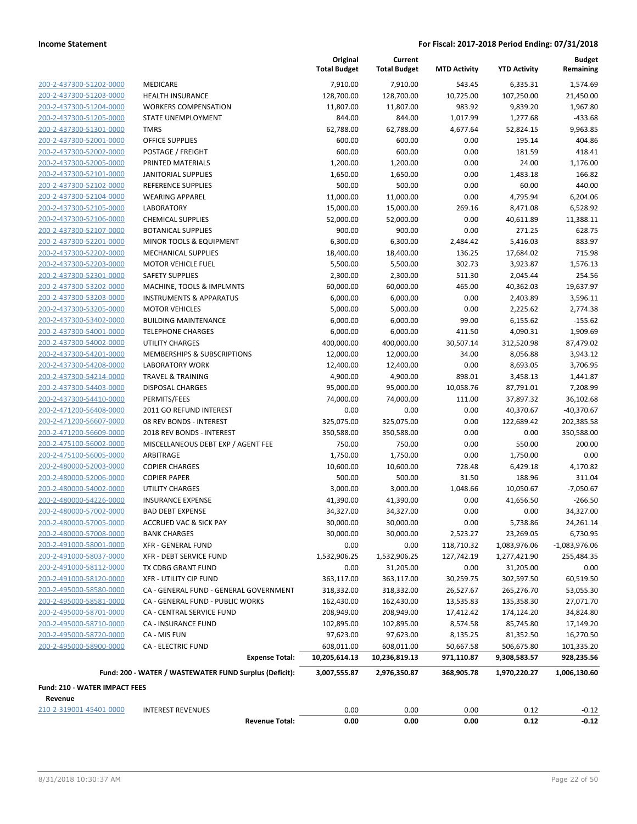|                               |                                                        | Original<br><b>Total Budget</b> | Current<br><b>Total Budget</b> | <b>MTD Activity</b> | <b>YTD Activity</b> | <b>Budget</b><br>Remaining |
|-------------------------------|--------------------------------------------------------|---------------------------------|--------------------------------|---------------------|---------------------|----------------------------|
| 200-2-437300-51202-0000       | MEDICARE                                               | 7,910.00                        | 7,910.00                       | 543.45              | 6,335.31            | 1,574.69                   |
| 200-2-437300-51203-0000       | <b>HEALTH INSURANCE</b>                                | 128,700.00                      | 128,700.00                     | 10,725.00           | 107,250.00          | 21,450.00                  |
| 200-2-437300-51204-0000       | <b>WORKERS COMPENSATION</b>                            | 11,807.00                       | 11,807.00                      | 983.92              | 9,839.20            | 1,967.80                   |
| 200-2-437300-51205-0000       | STATE UNEMPLOYMENT                                     | 844.00                          | 844.00                         | 1,017.99            | 1,277.68            | $-433.68$                  |
| 200-2-437300-51301-0000       | <b>TMRS</b>                                            | 62,788.00                       | 62,788.00                      | 4,677.64            | 52,824.15           | 9,963.85                   |
| 200-2-437300-52001-0000       | <b>OFFICE SUPPLIES</b>                                 | 600.00                          | 600.00                         | 0.00                | 195.14              | 404.86                     |
| 200-2-437300-52002-0000       | POSTAGE / FREIGHT                                      | 600.00                          | 600.00                         | 0.00                | 181.59              | 418.41                     |
| 200-2-437300-52005-0000       | PRINTED MATERIALS                                      | 1,200.00                        | 1,200.00                       | 0.00                | 24.00               | 1,176.00                   |
| 200-2-437300-52101-0000       | <b>JANITORIAL SUPPLIES</b>                             | 1,650.00                        | 1,650.00                       | 0.00                | 1,483.18            | 166.82                     |
| 200-2-437300-52102-0000       | REFERENCE SUPPLIES                                     | 500.00                          | 500.00                         | 0.00                | 60.00               | 440.00                     |
| 200-2-437300-52104-0000       | <b>WEARING APPAREL</b>                                 | 11,000.00                       | 11,000.00                      | 0.00                | 4,795.94            | 6,204.06                   |
| 200-2-437300-52105-0000       | <b>LABORATORY</b>                                      | 15,000.00                       | 15,000.00                      | 269.16              | 8,471.08            | 6,528.92                   |
| 200-2-437300-52106-0000       | <b>CHEMICAL SUPPLIES</b>                               | 52,000.00                       | 52,000.00                      | 0.00                | 40,611.89           | 11,388.11                  |
| 200-2-437300-52107-0000       | <b>BOTANICAL SUPPLIES</b>                              | 900.00                          | 900.00                         | 0.00                | 271.25              | 628.75                     |
| 200-2-437300-52201-0000       | MINOR TOOLS & EQUIPMENT                                | 6,300.00                        | 6,300.00                       | 2,484.42            | 5,416.03            | 883.97                     |
| 200-2-437300-52202-0000       | <b>MECHANICAL SUPPLIES</b>                             | 18,400.00                       | 18,400.00                      | 136.25              | 17,684.02           | 715.98                     |
| 200-2-437300-52203-0000       | <b>MOTOR VEHICLE FUEL</b>                              | 5,500.00                        | 5,500.00                       | 302.73              | 3,923.87            | 1,576.13                   |
| 200-2-437300-52301-0000       | <b>SAFETY SUPPLIES</b>                                 | 2,300.00                        | 2,300.00                       | 511.30              | 2,045.44            | 254.56                     |
| 200-2-437300-53202-0000       | MACHINE, TOOLS & IMPLMNTS                              | 60,000.00                       | 60,000.00                      | 465.00              | 40,362.03           | 19,637.97                  |
| 200-2-437300-53203-0000       | <b>INSTRUMENTS &amp; APPARATUS</b>                     | 6,000.00                        | 6,000.00                       | 0.00                | 2,403.89            | 3,596.11                   |
| 200-2-437300-53205-0000       | <b>MOTOR VEHICLES</b>                                  | 5,000.00                        | 5,000.00                       | 0.00                | 2,225.62            | 2,774.38                   |
| 200-2-437300-53402-0000       | <b>BUILDING MAINTENANCE</b>                            | 6,000.00                        | 6,000.00                       | 99.00               | 6,155.62            | $-155.62$                  |
| 200-2-437300-54001-0000       | <b>TELEPHONE CHARGES</b>                               | 6,000.00                        | 6,000.00                       | 411.50              | 4,090.31            | 1,909.69                   |
| 200-2-437300-54002-0000       | <b>UTILITY CHARGES</b>                                 | 400,000.00                      | 400,000.00                     | 30,507.14           | 312,520.98          | 87,479.02                  |
| 200-2-437300-54201-0000       | MEMBERSHIPS & SUBSCRIPTIONS                            | 12,000.00                       | 12,000.00                      | 34.00               | 8,056.88            | 3,943.12                   |
| 200-2-437300-54208-0000       | <b>LABORATORY WORK</b>                                 | 12,400.00                       | 12,400.00                      | 0.00                | 8,693.05            | 3,706.95                   |
| 200-2-437300-54214-0000       | <b>TRAVEL &amp; TRAINING</b>                           | 4,900.00                        | 4,900.00                       | 898.01              | 3,458.13            | 1,441.87                   |
| 200-2-437300-54403-0000       | <b>DISPOSAL CHARGES</b>                                | 95,000.00                       | 95,000.00                      | 10,058.76           | 87,791.01           | 7,208.99                   |
| 200-2-437300-54410-0000       | PERMITS/FEES                                           | 74,000.00                       | 74,000.00                      | 111.00              | 37,897.32           | 36,102.68                  |
| 200-2-471200-56408-0000       | 2011 GO REFUND INTEREST                                | 0.00                            | 0.00                           | 0.00                | 40,370.67           | $-40,370.67$               |
| 200-2-471200-56607-0000       | 08 REV BONDS - INTEREST                                | 325,075.00                      | 325,075.00                     | 0.00                | 122,689.42          | 202,385.58                 |
| 200-2-471200-56609-0000       | 2018 REV BONDS - INTEREST                              | 350,588.00                      | 350,588.00                     | 0.00                | 0.00                | 350,588.00                 |
| 200-2-475100-56002-0000       | MISCELLANEOUS DEBT EXP / AGENT FEE                     | 750.00                          | 750.00                         | 0.00                | 550.00              | 200.00                     |
| 200-2-475100-56005-0000       | ARBITRAGE                                              | 1,750.00                        | 1,750.00                       | 0.00                | 1,750.00            | 0.00                       |
| 200-2-480000-52003-0000       | <b>COPIER CHARGES</b>                                  | 10,600.00                       | 10,600.00                      | 728.48              | 6,429.18            | 4,170.82                   |
| 200-2-480000-52006-0000       | <b>COPIER PAPER</b>                                    | 500.00                          | 500.00                         | 31.50               | 188.96              | 311.04                     |
| 200-2-480000-54002-0000       | <b>UTILITY CHARGES</b>                                 | 3,000.00                        | 3,000.00                       | 1,048.66            | 10,050.67           | $-7,050.67$                |
| 200-2-480000-54226-0000       | <b>INSURANCE EXPENSE</b>                               | 41,390.00                       | 41,390.00                      | 0.00                | 41,656.50           | $-266.50$                  |
| 200-2-480000-57002-0000       | <b>BAD DEBT EXPENSE</b>                                | 34,327.00                       | 34,327.00                      | 0.00                | 0.00                | 34,327.00                  |
| 200-2-480000-57005-0000       | ACCRUED VAC & SICK PAY                                 | 30,000.00                       | 30,000.00                      | 0.00                | 5,738.86            | 24,261.14                  |
| 200-2-480000-57008-0000       | <b>BANK CHARGES</b>                                    | 30,000.00                       | 30,000.00                      | 2,523.27            | 23,269.05           | 6,730.95                   |
| 200-2-491000-58001-0000       | <b>XFR - GENERAL FUND</b>                              | 0.00                            | 0.00                           | 118,710.32          | 1,083,976.06        | $-1,083,976.06$            |
| 200-2-491000-58037-0000       | XFR - DEBT SERVICE FUND                                | 1,532,906.25                    | 1,532,906.25                   | 127,742.19          | 1,277,421.90        | 255,484.35                 |
| 200-2-491000-58112-0000       | TX CDBG GRANT FUND                                     | 0.00                            | 31,205.00                      | 0.00                | 31,205.00           | 0.00                       |
| 200-2-491000-58120-0000       | <b>XFR - UTILITY CIP FUND</b>                          | 363,117.00                      | 363,117.00                     | 30,259.75           | 302,597.50          | 60,519.50                  |
| 200-2-495000-58580-0000       | CA - GENERAL FUND - GENERAL GOVERNMENT                 | 318,332.00                      | 318,332.00                     | 26,527.67           | 265,276.70          | 53,055.30                  |
| 200-2-495000-58581-0000       | CA - GENERAL FUND - PUBLIC WORKS                       | 162,430.00                      | 162,430.00                     | 13,535.83           | 135,358.30          | 27,071.70                  |
| 200-2-495000-58701-0000       | CA - CENTRAL SERVICE FUND                              | 208,949.00                      | 208,949.00                     | 17,412.42           | 174,124.20          | 34,824.80                  |
| 200-2-495000-58710-0000       | CA - INSURANCE FUND                                    | 102,895.00                      | 102,895.00                     | 8,574.58            | 85,745.80           | 17,149.20                  |
| 200-2-495000-58720-0000       | CA - MIS FUN                                           | 97,623.00                       | 97,623.00                      | 8,135.25            | 81,352.50           | 16,270.50                  |
| 200-2-495000-58900-0000       | <b>CA - ELECTRIC FUND</b>                              | 608,011.00                      | 608,011.00                     | 50,667.58           | 506,675.80          | 101,335.20                 |
|                               | <b>Expense Total:</b>                                  | 10,205,614.13                   | 10,236,819.13                  | 971,110.87          | 9,308,583.57        | 928,235.56                 |
|                               | Fund: 200 - WATER / WASTEWATER FUND Surplus (Deficit): | 3,007,555.87                    | 2,976,350.87                   | 368,905.78          | 1,970,220.27        | 1,006,130.60               |
| Fund: 210 - WATER IMPACT FEES |                                                        |                                 |                                |                     |                     |                            |
| Revenue                       |                                                        |                                 |                                |                     |                     |                            |
| 210-2-319001-45401-0000       | <b>INTEREST REVENUES</b>                               | 0.00                            | 0.00                           | 0.00                | 0.12                | $-0.12$                    |
|                               | <b>Revenue Total:</b>                                  | 0.00                            | 0.00                           | 0.00                | 0.12                | $-0.12$                    |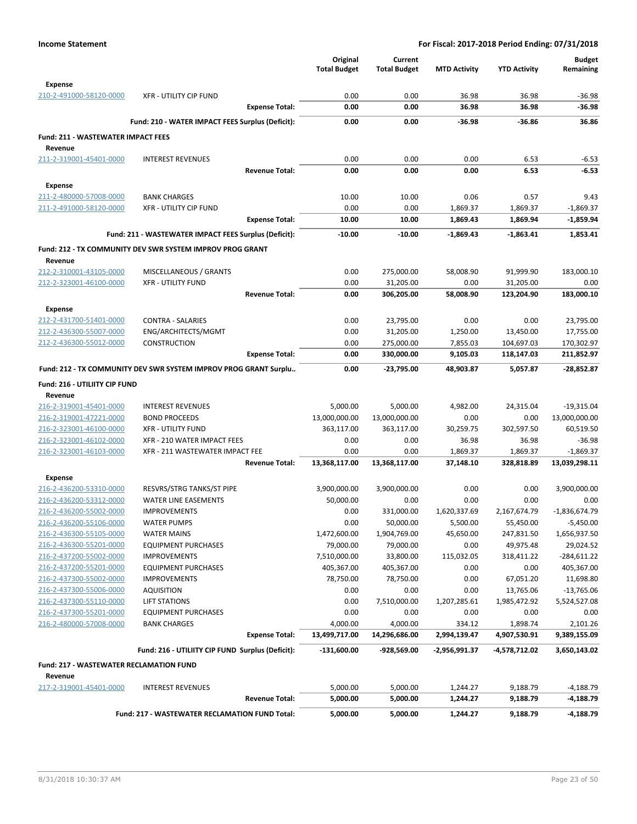|                                                    |                                                                  |                       | Original<br><b>Total Budget</b> | Current<br><b>Total Budget</b> | <b>MTD Activity</b>  | <b>YTD Activity</b>      | <b>Budget</b><br>Remaining |
|----------------------------------------------------|------------------------------------------------------------------|-----------------------|---------------------------------|--------------------------------|----------------------|--------------------------|----------------------------|
| <b>Expense</b><br>210-2-491000-58120-0000          | <b>XFR - UTILITY CIP FUND</b>                                    |                       | 0.00                            | 0.00                           | 36.98                | 36.98                    | $-36.98$                   |
|                                                    |                                                                  | <b>Expense Total:</b> | 0.00                            | 0.00                           | 36.98                | 36.98                    | $-36.98$                   |
|                                                    | Fund: 210 - WATER IMPACT FEES Surplus (Deficit):                 |                       | 0.00                            | 0.00                           | $-36.98$             | $-36.86$                 | 36.86                      |
| <b>Fund: 211 - WASTEWATER IMPACT FEES</b>          |                                                                  |                       |                                 |                                |                      |                          |                            |
| Revenue                                            |                                                                  |                       |                                 |                                |                      |                          |                            |
| 211-2-319001-45401-0000                            | <b>INTEREST REVENUES</b>                                         | <b>Revenue Total:</b> | 0.00<br>0.00                    | 0.00<br>0.00                   | 0.00<br>0.00         | 6.53<br>6.53             | $-6.53$<br>$-6.53$         |
| <b>Expense</b>                                     |                                                                  |                       |                                 |                                |                      |                          |                            |
| 211-2-480000-57008-0000                            | <b>BANK CHARGES</b>                                              |                       | 10.00                           | 10.00                          | 0.06                 | 0.57                     | 9.43                       |
| 211-2-491000-58120-0000                            | <b>XFR - UTILITY CIP FUND</b>                                    |                       | 0.00                            | 0.00                           | 1,869.37             | 1,869.37                 | $-1,869.37$                |
|                                                    |                                                                  | <b>Expense Total:</b> | 10.00                           | 10.00                          | 1,869.43             | 1,869.94                 | $-1,859.94$                |
|                                                    | Fund: 211 - WASTEWATER IMPACT FEES Surplus (Deficit):            |                       | $-10.00$                        | $-10.00$                       | -1,869.43            | $-1,863.41$              | 1,853.41                   |
|                                                    | Fund: 212 - TX COMMUNITY DEV SWR SYSTEM IMPROV PROG GRANT        |                       |                                 |                                |                      |                          |                            |
| Revenue                                            |                                                                  |                       |                                 |                                |                      |                          |                            |
| 212-2-310001-43105-0000                            | MISCELLANEOUS / GRANTS                                           |                       | 0.00                            | 275,000.00                     | 58,008.90            | 91,999.90                | 183,000.10                 |
| 212-2-323001-46100-0000                            | <b>XFR - UTILITY FUND</b>                                        |                       | 0.00                            | 31,205.00                      | 0.00                 | 31,205.00                | 0.00                       |
|                                                    |                                                                  | <b>Revenue Total:</b> | 0.00                            | 306,205.00                     | 58,008.90            | 123,204.90               | 183,000.10                 |
| <b>Expense</b>                                     |                                                                  |                       |                                 |                                |                      |                          |                            |
| 212-2-431700-51401-0000                            | <b>CONTRA - SALARIES</b>                                         |                       | 0.00                            | 23,795.00                      | 0.00                 | 0.00                     | 23,795.00                  |
| 212-2-436300-55007-0000                            | ENG/ARCHITECTS/MGMT                                              |                       | 0.00                            | 31,205.00                      | 1,250.00             | 13,450.00                | 17,755.00                  |
| 212-2-436300-55012-0000                            | <b>CONSTRUCTION</b>                                              | <b>Expense Total:</b> | 0.00<br>0.00                    | 275,000.00<br>330,000.00       | 7,855.03<br>9,105.03 | 104,697.03<br>118,147.03 | 170,302.97<br>211,852.97   |
|                                                    |                                                                  |                       |                                 |                                |                      |                          |                            |
|                                                    | Fund: 212 - TX COMMUNITY DEV SWR SYSTEM IMPROV PROG GRANT Surplu |                       | 0.00                            | -23,795.00                     | 48,903.87            | 5,057.87                 | -28,852.87                 |
| Fund: 216 - UTILIITY CIP FUND                      |                                                                  |                       |                                 |                                |                      |                          |                            |
| Revenue<br>216-2-319001-45401-0000                 | <b>INTEREST REVENUES</b>                                         |                       | 5,000.00                        | 5,000.00                       | 4,982.00             | 24,315.04                | $-19,315.04$               |
| 216-2-319001-47221-0000                            | <b>BOND PROCEEDS</b>                                             |                       | 13,000,000.00                   | 13,000,000.00                  | 0.00                 | 0.00                     | 13,000,000.00              |
| 216-2-323001-46100-0000                            | <b>XFR - UTILITY FUND</b>                                        |                       | 363,117.00                      | 363,117.00                     | 30,259.75            | 302,597.50               | 60,519.50                  |
| 216-2-323001-46102-0000                            | XFR - 210 WATER IMPACT FEES                                      |                       | 0.00                            | 0.00                           | 36.98                | 36.98                    | $-36.98$                   |
| 216-2-323001-46103-0000                            | XFR - 211 WASTEWATER IMPACT FEE                                  |                       | 0.00                            | 0.00                           | 1,869.37             | 1,869.37                 | $-1,869.37$                |
|                                                    |                                                                  | <b>Revenue Total:</b> | 13,368,117.00                   | 13,368,117.00                  | 37,148.10            | 328,818.89               | 13,039,298.11              |
| <b>Expense</b>                                     |                                                                  |                       |                                 |                                |                      |                          |                            |
| 216-2-436200-53310-0000                            | RESVRS/STRG TANKS/ST PIPE                                        |                       | 3,900,000.00                    | 3,900,000.00                   | 0.00                 | 0.00                     | 3,900,000.00               |
| 216-2-436200-53312-0000                            | <b>WATER LINE EASEMENTS</b>                                      |                       | 50,000.00                       | 0.00                           | 0.00                 | 0.00                     | 0.00                       |
| 216-2-436200-55002-0000                            | <b>IMPROVEMENTS</b>                                              |                       | 0.00                            | 331,000.00                     | 1,620,337.69         | 2,167,674.79             | -1,836,674.79              |
| 216-2-436200-55106-0000                            | <b>WATER PUMPS</b>                                               |                       | 0.00                            | 50,000.00                      | 5,500.00             | 55,450.00                | $-5,450.00$                |
| 216-2-436300-55105-0000                            | <b>WATER MAINS</b>                                               |                       | 1,472,600.00                    | 1,904,769.00                   | 45,650.00            | 247,831.50               | 1,656,937.50               |
| 216-2-436300-55201-0000                            | <b>EQUIPMENT PURCHASES</b>                                       |                       | 79,000.00                       | 79,000.00                      | 0.00                 | 49,975.48                | 29,024.52                  |
| 216-2-437200-55002-0000                            | <b>IMPROVEMENTS</b>                                              |                       | 7,510,000.00                    | 33,800.00                      | 115,032.05           | 318,411.22               | $-284,611.22$              |
| 216-2-437200-55201-0000                            | <b>EQUIPMENT PURCHASES</b>                                       |                       | 405,367.00                      | 405,367.00                     | 0.00                 | 0.00                     | 405,367.00                 |
| 216-2-437300-55002-0000<br>216-2-437300-55006-0000 | <b>IMPROVEMENTS</b><br>AQUISITION                                |                       | 78,750.00<br>0.00               | 78,750.00<br>0.00              | 0.00<br>0.00         | 67,051.20<br>13,765.06   | 11,698.80<br>$-13,765.06$  |
| 216-2-437300-55110-0000                            | <b>LIFT STATIONS</b>                                             |                       | 0.00                            | 7,510,000.00                   | 1,207,285.61         | 1,985,472.92             | 5,524,527.08               |
| 216-2-437300-55201-0000                            | <b>EQUIPMENT PURCHASES</b>                                       |                       | 0.00                            | 0.00                           | 0.00                 | 0.00                     | 0.00                       |
| 216-2-480000-57008-0000                            | <b>BANK CHARGES</b>                                              |                       | 4,000.00                        | 4,000.00                       | 334.12               | 1,898.74                 | 2,101.26                   |
|                                                    |                                                                  | <b>Expense Total:</b> | 13,499,717.00                   | 14,296,686.00                  | 2,994,139.47         | 4,907,530.91             | 9,389,155.09               |
|                                                    | Fund: 216 - UTILIITY CIP FUND Surplus (Deficit):                 |                       | $-131,600.00$                   | -928,569.00                    | -2,956,991.37        | -4,578,712.02            | 3,650,143.02               |
| <b>Fund: 217 - WASTEWATER RECLAMATION FUND</b>     |                                                                  |                       |                                 |                                |                      |                          |                            |
| Revenue                                            |                                                                  |                       |                                 |                                |                      |                          |                            |
| 217-2-319001-45401-0000                            | <b>INTEREST REVENUES</b>                                         |                       | 5,000.00                        | 5,000.00                       | 1,244.27             | 9,188.79                 | $-4,188.79$                |
|                                                    |                                                                  | <b>Revenue Total:</b> | 5,000.00                        | 5,000.00                       | 1,244.27             | 9,188.79                 | -4,188.79                  |
|                                                    | Fund: 217 - WASTEWATER RECLAMATION FUND Total:                   |                       | 5,000.00                        | 5,000.00                       | 1,244.27             | 9,188.79                 | $-4,188.79$                |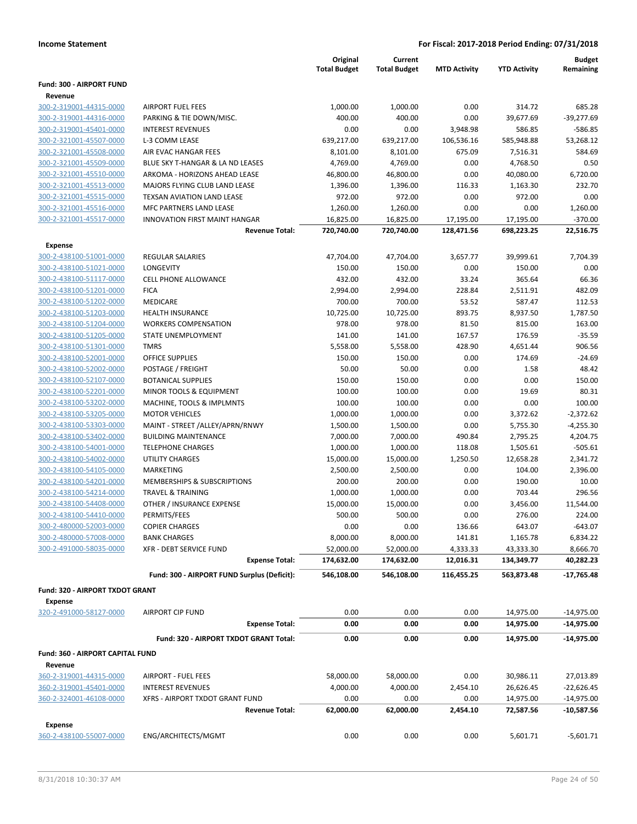| Fund: 300 - AIRPORT FUND<br>Revenue<br>300-2-319001-44315-0000<br><b>AIRPORT FUEL FEES</b><br>1,000.00<br>1,000.00<br>0.00<br>314.72<br>300-2-319001-44316-0000<br>PARKING & TIE DOWN/MISC.<br>400.00<br>400.00<br>0.00<br>39,677.69<br><b>INTEREST REVENUES</b><br>0.00<br>0.00<br>3,948.98<br>586.85<br>300-2-319001-45401-0000<br>300-2-321001-45507-0000<br>L-3 COMM LEASE<br>639,217.00<br>639,217.00<br>106,536.16<br>585,948.88<br>300-2-321001-45508-0000<br>8,101.00<br>8,101.00<br>675.09<br>7,516.31<br>AIR EVAC HANGAR FEES<br>300-2-321001-45509-0000<br>BLUE SKY T-HANGAR & LA ND LEASES<br>4,769.00<br>4,769.00<br>0.00<br>4,768.50<br>300-2-321001-45510-0000<br>ARKOMA - HORIZONS AHEAD LEASE<br>46,800.00<br>46,800.00<br>0.00<br>40,080.00<br>300-2-321001-45513-0000<br>MAJORS FLYING CLUB LAND LEASE<br>1,396.00<br>1,396.00<br>116.33<br>1,163.30<br>972.00<br>972.00<br>0.00<br>300-2-321001-45515-0000<br>TEXSAN AVIATION LAND LEASE<br>972.00<br>300-2-321001-45516-0000<br><b>MFC PARTNERS LAND LEASE</b><br>1,260.00<br>1,260.00<br>0.00<br>0.00<br>300-2-321001-45517-0000<br><b>INNOVATION FIRST MAINT HANGAR</b><br>16,825.00<br>16,825.00<br>17,195.00<br>17,195.00<br>720,740.00<br>720,740.00<br>128,471.56<br>698,223.25<br><b>Revenue Total:</b><br><b>Expense</b><br>300-2-438100-51001-0000<br><b>REGULAR SALARIES</b><br>47,704.00<br>47,704.00<br>3,657.77<br>39,999.61<br>300-2-438100-51021-0000<br><b>LONGEVITY</b><br>150.00<br>150.00<br>0.00<br>150.00<br>300-2-438100-51117-0000<br><b>CELL PHONE ALLOWANCE</b><br>432.00<br>432.00<br>33.24<br>365.64<br>228.84<br>300-2-438100-51201-0000<br><b>FICA</b><br>2,994.00<br>2,994.00<br>2,511.91<br>300-2-438100-51202-0000<br><b>MEDICARE</b><br>700.00<br>700.00<br>53.52<br>587.47<br>893.75<br>300-2-438100-51203-0000<br><b>HEALTH INSURANCE</b><br>10,725.00<br>10,725.00<br>8,937.50<br>300-2-438100-51204-0000<br>81.50<br><b>WORKERS COMPENSATION</b><br>978.00<br>978.00<br>815.00<br>300-2-438100-51205-0000<br>STATE UNEMPLOYMENT<br>141.00<br>141.00<br>167.57<br>176.59<br>428.90<br>300-2-438100-51301-0000<br><b>TMRS</b><br>5,558.00<br>5,558.00<br>4,651.44<br>300-2-438100-52001-0000<br><b>OFFICE SUPPLIES</b><br>150.00<br>150.00<br>0.00<br>174.69<br>300-2-438100-52002-0000<br>POSTAGE / FREIGHT<br>50.00<br>50.00<br>0.00<br>1.58<br>0.00<br>300-2-438100-52107-0000<br><b>BOTANICAL SUPPLIES</b><br>150.00<br>150.00<br>0.00<br>300-2-438100-52201-0000<br>MINOR TOOLS & EQUIPMENT<br>100.00<br>100.00<br>0.00<br>19.69<br>0.00<br>300-2-438100-53202-0000<br>MACHINE, TOOLS & IMPLMNTS<br>100.00<br>100.00<br>0.00<br>300-2-438100-53205-0000<br><b>MOTOR VEHICLES</b><br>1,000.00<br>1,000.00<br>0.00<br>3,372.62<br>300-2-438100-53303-0000<br>MAINT - STREET /ALLEY/APRN/RNWY<br>1,500.00<br>1,500.00<br>0.00<br>5,755.30<br>300-2-438100-53402-0000<br><b>BUILDING MAINTENANCE</b><br>7,000.00<br>7,000.00<br>490.84<br>2,795.25<br>300-2-438100-54001-0000<br><b>TELEPHONE CHARGES</b><br>1,000.00<br>1,000.00<br>118.08<br>1,505.61<br>1,250.50<br>300-2-438100-54002-0000<br>UTILITY CHARGES<br>15,000.00<br>15,000.00<br>12,658.28<br>300-2-438100-54105-0000<br><b>MARKETING</b><br>2,500.00<br>2,500.00<br>0.00<br>104.00<br>300-2-438100-54201-0000<br>MEMBERSHIPS & SUBSCRIPTIONS<br>200.00<br>200.00<br>0.00<br>190.00<br>300-2-438100-54214-0000<br><b>TRAVEL &amp; TRAINING</b><br>1,000.00<br>1,000.00<br>0.00<br>703.44<br>300-2-438100-54408-0000<br>OTHER / INSURANCE EXPENSE<br>15,000.00<br>15,000.00<br>0.00<br>3,456.00<br>300-2-438100-54410-0000<br>PERMITS/FEES<br>500.00<br>500.00<br>0.00<br>276.00<br>300-2-480000-52003-0000<br><b>COPIER CHARGES</b><br>0.00<br>0.00<br>136.66<br>643.07<br>300-2-480000-57008-0000<br>8,000.00<br>8,000.00<br>141.81<br><b>BANK CHARGES</b><br>1,165.78<br>300-2-491000-58035-0000<br><b>XFR - DEBT SERVICE FUND</b><br>52,000.00<br>4,333.33<br>52,000.00<br>43,333.30<br><b>Expense Total:</b><br>174,632.00<br>12,016.31<br>134,349.77<br>174,632.00<br>Fund: 300 - AIRPORT FUND Surplus (Deficit):<br>546,108.00<br>546,108.00<br>116,455.25<br>563,873.48<br>Fund: 320 - AIRPORT TXDOT GRANT<br>Expense<br>320-2-491000-58127-0000<br><b>AIRPORT CIP FUND</b><br>0.00<br>0.00<br>0.00<br>14,975.00<br>0.00<br>0.00<br>0.00<br>14,975.00<br><b>Expense Total:</b><br>Fund: 320 - AIRPORT TXDOT GRANT Total:<br>0.00<br>0.00<br>0.00<br>14,975.00<br>Fund: 360 - AIRPORT CAPITAL FUND |  | Original            | Current             |                     |                     | <b>Budget</b> |
|---------------------------------------------------------------------------------------------------------------------------------------------------------------------------------------------------------------------------------------------------------------------------------------------------------------------------------------------------------------------------------------------------------------------------------------------------------------------------------------------------------------------------------------------------------------------------------------------------------------------------------------------------------------------------------------------------------------------------------------------------------------------------------------------------------------------------------------------------------------------------------------------------------------------------------------------------------------------------------------------------------------------------------------------------------------------------------------------------------------------------------------------------------------------------------------------------------------------------------------------------------------------------------------------------------------------------------------------------------------------------------------------------------------------------------------------------------------------------------------------------------------------------------------------------------------------------------------------------------------------------------------------------------------------------------------------------------------------------------------------------------------------------------------------------------------------------------------------------------------------------------------------------------------------------------------------------------------------------------------------------------------------------------------------------------------------------------------------------------------------------------------------------------------------------------------------------------------------------------------------------------------------------------------------------------------------------------------------------------------------------------------------------------------------------------------------------------------------------------------------------------------------------------------------------------------------------------------------------------------------------------------------------------------------------------------------------------------------------------------------------------------------------------------------------------------------------------------------------------------------------------------------------------------------------------------------------------------------------------------------------------------------------------------------------------------------------------------------------------------------------------------------------------------------------------------------------------------------------------------------------------------------------------------------------------------------------------------------------------------------------------------------------------------------------------------------------------------------------------------------------------------------------------------------------------------------------------------------------------------------------------------------------------------------------------------------------------------------------------------------------------------------------------------------------------------------------------------------------------------------------------------------------------------------------------------------------------------------------------------------------------------------------------------------------------------------------------------------------------------------------------------------------------------------------------------------------------------------------------------------------------------------------------------------------------------------------------------------------------------------------------------------------------------------------------------------------------------------------------|--|---------------------|---------------------|---------------------|---------------------|---------------|
|                                                                                                                                                                                                                                                                                                                                                                                                                                                                                                                                                                                                                                                                                                                                                                                                                                                                                                                                                                                                                                                                                                                                                                                                                                                                                                                                                                                                                                                                                                                                                                                                                                                                                                                                                                                                                                                                                                                                                                                                                                                                                                                                                                                                                                                                                                                                                                                                                                                                                                                                                                                                                                                                                                                                                                                                                                                                                                                                                                                                                                                                                                                                                                                                                                                                                                                                                                                                                                                                                                                                                                                                                                                                                                                                                                                                                                                                                                                                                                                                                                                                                                                                                                                                                                                                                                                                                                                                                                                                                 |  | <b>Total Budget</b> | <b>Total Budget</b> | <b>MTD Activity</b> | <b>YTD Activity</b> | Remaining     |
|                                                                                                                                                                                                                                                                                                                                                                                                                                                                                                                                                                                                                                                                                                                                                                                                                                                                                                                                                                                                                                                                                                                                                                                                                                                                                                                                                                                                                                                                                                                                                                                                                                                                                                                                                                                                                                                                                                                                                                                                                                                                                                                                                                                                                                                                                                                                                                                                                                                                                                                                                                                                                                                                                                                                                                                                                                                                                                                                                                                                                                                                                                                                                                                                                                                                                                                                                                                                                                                                                                                                                                                                                                                                                                                                                                                                                                                                                                                                                                                                                                                                                                                                                                                                                                                                                                                                                                                                                                                                                 |  |                     |                     |                     |                     |               |
|                                                                                                                                                                                                                                                                                                                                                                                                                                                                                                                                                                                                                                                                                                                                                                                                                                                                                                                                                                                                                                                                                                                                                                                                                                                                                                                                                                                                                                                                                                                                                                                                                                                                                                                                                                                                                                                                                                                                                                                                                                                                                                                                                                                                                                                                                                                                                                                                                                                                                                                                                                                                                                                                                                                                                                                                                                                                                                                                                                                                                                                                                                                                                                                                                                                                                                                                                                                                                                                                                                                                                                                                                                                                                                                                                                                                                                                                                                                                                                                                                                                                                                                                                                                                                                                                                                                                                                                                                                                                                 |  |                     |                     |                     |                     |               |
|                                                                                                                                                                                                                                                                                                                                                                                                                                                                                                                                                                                                                                                                                                                                                                                                                                                                                                                                                                                                                                                                                                                                                                                                                                                                                                                                                                                                                                                                                                                                                                                                                                                                                                                                                                                                                                                                                                                                                                                                                                                                                                                                                                                                                                                                                                                                                                                                                                                                                                                                                                                                                                                                                                                                                                                                                                                                                                                                                                                                                                                                                                                                                                                                                                                                                                                                                                                                                                                                                                                                                                                                                                                                                                                                                                                                                                                                                                                                                                                                                                                                                                                                                                                                                                                                                                                                                                                                                                                                                 |  |                     |                     |                     |                     | 685.28        |
|                                                                                                                                                                                                                                                                                                                                                                                                                                                                                                                                                                                                                                                                                                                                                                                                                                                                                                                                                                                                                                                                                                                                                                                                                                                                                                                                                                                                                                                                                                                                                                                                                                                                                                                                                                                                                                                                                                                                                                                                                                                                                                                                                                                                                                                                                                                                                                                                                                                                                                                                                                                                                                                                                                                                                                                                                                                                                                                                                                                                                                                                                                                                                                                                                                                                                                                                                                                                                                                                                                                                                                                                                                                                                                                                                                                                                                                                                                                                                                                                                                                                                                                                                                                                                                                                                                                                                                                                                                                                                 |  |                     |                     |                     |                     | $-39,277.69$  |
|                                                                                                                                                                                                                                                                                                                                                                                                                                                                                                                                                                                                                                                                                                                                                                                                                                                                                                                                                                                                                                                                                                                                                                                                                                                                                                                                                                                                                                                                                                                                                                                                                                                                                                                                                                                                                                                                                                                                                                                                                                                                                                                                                                                                                                                                                                                                                                                                                                                                                                                                                                                                                                                                                                                                                                                                                                                                                                                                                                                                                                                                                                                                                                                                                                                                                                                                                                                                                                                                                                                                                                                                                                                                                                                                                                                                                                                                                                                                                                                                                                                                                                                                                                                                                                                                                                                                                                                                                                                                                 |  |                     |                     |                     |                     | $-586.85$     |
|                                                                                                                                                                                                                                                                                                                                                                                                                                                                                                                                                                                                                                                                                                                                                                                                                                                                                                                                                                                                                                                                                                                                                                                                                                                                                                                                                                                                                                                                                                                                                                                                                                                                                                                                                                                                                                                                                                                                                                                                                                                                                                                                                                                                                                                                                                                                                                                                                                                                                                                                                                                                                                                                                                                                                                                                                                                                                                                                                                                                                                                                                                                                                                                                                                                                                                                                                                                                                                                                                                                                                                                                                                                                                                                                                                                                                                                                                                                                                                                                                                                                                                                                                                                                                                                                                                                                                                                                                                                                                 |  |                     |                     |                     |                     | 53,268.12     |
|                                                                                                                                                                                                                                                                                                                                                                                                                                                                                                                                                                                                                                                                                                                                                                                                                                                                                                                                                                                                                                                                                                                                                                                                                                                                                                                                                                                                                                                                                                                                                                                                                                                                                                                                                                                                                                                                                                                                                                                                                                                                                                                                                                                                                                                                                                                                                                                                                                                                                                                                                                                                                                                                                                                                                                                                                                                                                                                                                                                                                                                                                                                                                                                                                                                                                                                                                                                                                                                                                                                                                                                                                                                                                                                                                                                                                                                                                                                                                                                                                                                                                                                                                                                                                                                                                                                                                                                                                                                                                 |  |                     |                     |                     |                     | 584.69        |
|                                                                                                                                                                                                                                                                                                                                                                                                                                                                                                                                                                                                                                                                                                                                                                                                                                                                                                                                                                                                                                                                                                                                                                                                                                                                                                                                                                                                                                                                                                                                                                                                                                                                                                                                                                                                                                                                                                                                                                                                                                                                                                                                                                                                                                                                                                                                                                                                                                                                                                                                                                                                                                                                                                                                                                                                                                                                                                                                                                                                                                                                                                                                                                                                                                                                                                                                                                                                                                                                                                                                                                                                                                                                                                                                                                                                                                                                                                                                                                                                                                                                                                                                                                                                                                                                                                                                                                                                                                                                                 |  |                     |                     |                     |                     | 0.50          |
|                                                                                                                                                                                                                                                                                                                                                                                                                                                                                                                                                                                                                                                                                                                                                                                                                                                                                                                                                                                                                                                                                                                                                                                                                                                                                                                                                                                                                                                                                                                                                                                                                                                                                                                                                                                                                                                                                                                                                                                                                                                                                                                                                                                                                                                                                                                                                                                                                                                                                                                                                                                                                                                                                                                                                                                                                                                                                                                                                                                                                                                                                                                                                                                                                                                                                                                                                                                                                                                                                                                                                                                                                                                                                                                                                                                                                                                                                                                                                                                                                                                                                                                                                                                                                                                                                                                                                                                                                                                                                 |  |                     |                     |                     |                     | 6,720.00      |
|                                                                                                                                                                                                                                                                                                                                                                                                                                                                                                                                                                                                                                                                                                                                                                                                                                                                                                                                                                                                                                                                                                                                                                                                                                                                                                                                                                                                                                                                                                                                                                                                                                                                                                                                                                                                                                                                                                                                                                                                                                                                                                                                                                                                                                                                                                                                                                                                                                                                                                                                                                                                                                                                                                                                                                                                                                                                                                                                                                                                                                                                                                                                                                                                                                                                                                                                                                                                                                                                                                                                                                                                                                                                                                                                                                                                                                                                                                                                                                                                                                                                                                                                                                                                                                                                                                                                                                                                                                                                                 |  |                     |                     |                     |                     | 232.70        |
|                                                                                                                                                                                                                                                                                                                                                                                                                                                                                                                                                                                                                                                                                                                                                                                                                                                                                                                                                                                                                                                                                                                                                                                                                                                                                                                                                                                                                                                                                                                                                                                                                                                                                                                                                                                                                                                                                                                                                                                                                                                                                                                                                                                                                                                                                                                                                                                                                                                                                                                                                                                                                                                                                                                                                                                                                                                                                                                                                                                                                                                                                                                                                                                                                                                                                                                                                                                                                                                                                                                                                                                                                                                                                                                                                                                                                                                                                                                                                                                                                                                                                                                                                                                                                                                                                                                                                                                                                                                                                 |  |                     |                     |                     |                     | 0.00          |
|                                                                                                                                                                                                                                                                                                                                                                                                                                                                                                                                                                                                                                                                                                                                                                                                                                                                                                                                                                                                                                                                                                                                                                                                                                                                                                                                                                                                                                                                                                                                                                                                                                                                                                                                                                                                                                                                                                                                                                                                                                                                                                                                                                                                                                                                                                                                                                                                                                                                                                                                                                                                                                                                                                                                                                                                                                                                                                                                                                                                                                                                                                                                                                                                                                                                                                                                                                                                                                                                                                                                                                                                                                                                                                                                                                                                                                                                                                                                                                                                                                                                                                                                                                                                                                                                                                                                                                                                                                                                                 |  |                     |                     |                     |                     | 1,260.00      |
|                                                                                                                                                                                                                                                                                                                                                                                                                                                                                                                                                                                                                                                                                                                                                                                                                                                                                                                                                                                                                                                                                                                                                                                                                                                                                                                                                                                                                                                                                                                                                                                                                                                                                                                                                                                                                                                                                                                                                                                                                                                                                                                                                                                                                                                                                                                                                                                                                                                                                                                                                                                                                                                                                                                                                                                                                                                                                                                                                                                                                                                                                                                                                                                                                                                                                                                                                                                                                                                                                                                                                                                                                                                                                                                                                                                                                                                                                                                                                                                                                                                                                                                                                                                                                                                                                                                                                                                                                                                                                 |  |                     |                     |                     |                     | $-370.00$     |
|                                                                                                                                                                                                                                                                                                                                                                                                                                                                                                                                                                                                                                                                                                                                                                                                                                                                                                                                                                                                                                                                                                                                                                                                                                                                                                                                                                                                                                                                                                                                                                                                                                                                                                                                                                                                                                                                                                                                                                                                                                                                                                                                                                                                                                                                                                                                                                                                                                                                                                                                                                                                                                                                                                                                                                                                                                                                                                                                                                                                                                                                                                                                                                                                                                                                                                                                                                                                                                                                                                                                                                                                                                                                                                                                                                                                                                                                                                                                                                                                                                                                                                                                                                                                                                                                                                                                                                                                                                                                                 |  |                     |                     |                     |                     | 22,516.75     |
|                                                                                                                                                                                                                                                                                                                                                                                                                                                                                                                                                                                                                                                                                                                                                                                                                                                                                                                                                                                                                                                                                                                                                                                                                                                                                                                                                                                                                                                                                                                                                                                                                                                                                                                                                                                                                                                                                                                                                                                                                                                                                                                                                                                                                                                                                                                                                                                                                                                                                                                                                                                                                                                                                                                                                                                                                                                                                                                                                                                                                                                                                                                                                                                                                                                                                                                                                                                                                                                                                                                                                                                                                                                                                                                                                                                                                                                                                                                                                                                                                                                                                                                                                                                                                                                                                                                                                                                                                                                                                 |  |                     |                     |                     |                     |               |
|                                                                                                                                                                                                                                                                                                                                                                                                                                                                                                                                                                                                                                                                                                                                                                                                                                                                                                                                                                                                                                                                                                                                                                                                                                                                                                                                                                                                                                                                                                                                                                                                                                                                                                                                                                                                                                                                                                                                                                                                                                                                                                                                                                                                                                                                                                                                                                                                                                                                                                                                                                                                                                                                                                                                                                                                                                                                                                                                                                                                                                                                                                                                                                                                                                                                                                                                                                                                                                                                                                                                                                                                                                                                                                                                                                                                                                                                                                                                                                                                                                                                                                                                                                                                                                                                                                                                                                                                                                                                                 |  |                     |                     |                     |                     | 7,704.39      |
|                                                                                                                                                                                                                                                                                                                                                                                                                                                                                                                                                                                                                                                                                                                                                                                                                                                                                                                                                                                                                                                                                                                                                                                                                                                                                                                                                                                                                                                                                                                                                                                                                                                                                                                                                                                                                                                                                                                                                                                                                                                                                                                                                                                                                                                                                                                                                                                                                                                                                                                                                                                                                                                                                                                                                                                                                                                                                                                                                                                                                                                                                                                                                                                                                                                                                                                                                                                                                                                                                                                                                                                                                                                                                                                                                                                                                                                                                                                                                                                                                                                                                                                                                                                                                                                                                                                                                                                                                                                                                 |  |                     |                     |                     |                     | 0.00          |
|                                                                                                                                                                                                                                                                                                                                                                                                                                                                                                                                                                                                                                                                                                                                                                                                                                                                                                                                                                                                                                                                                                                                                                                                                                                                                                                                                                                                                                                                                                                                                                                                                                                                                                                                                                                                                                                                                                                                                                                                                                                                                                                                                                                                                                                                                                                                                                                                                                                                                                                                                                                                                                                                                                                                                                                                                                                                                                                                                                                                                                                                                                                                                                                                                                                                                                                                                                                                                                                                                                                                                                                                                                                                                                                                                                                                                                                                                                                                                                                                                                                                                                                                                                                                                                                                                                                                                                                                                                                                                 |  |                     |                     |                     |                     | 66.36         |
|                                                                                                                                                                                                                                                                                                                                                                                                                                                                                                                                                                                                                                                                                                                                                                                                                                                                                                                                                                                                                                                                                                                                                                                                                                                                                                                                                                                                                                                                                                                                                                                                                                                                                                                                                                                                                                                                                                                                                                                                                                                                                                                                                                                                                                                                                                                                                                                                                                                                                                                                                                                                                                                                                                                                                                                                                                                                                                                                                                                                                                                                                                                                                                                                                                                                                                                                                                                                                                                                                                                                                                                                                                                                                                                                                                                                                                                                                                                                                                                                                                                                                                                                                                                                                                                                                                                                                                                                                                                                                 |  |                     |                     |                     |                     | 482.09        |
|                                                                                                                                                                                                                                                                                                                                                                                                                                                                                                                                                                                                                                                                                                                                                                                                                                                                                                                                                                                                                                                                                                                                                                                                                                                                                                                                                                                                                                                                                                                                                                                                                                                                                                                                                                                                                                                                                                                                                                                                                                                                                                                                                                                                                                                                                                                                                                                                                                                                                                                                                                                                                                                                                                                                                                                                                                                                                                                                                                                                                                                                                                                                                                                                                                                                                                                                                                                                                                                                                                                                                                                                                                                                                                                                                                                                                                                                                                                                                                                                                                                                                                                                                                                                                                                                                                                                                                                                                                                                                 |  |                     |                     |                     |                     | 112.53        |
|                                                                                                                                                                                                                                                                                                                                                                                                                                                                                                                                                                                                                                                                                                                                                                                                                                                                                                                                                                                                                                                                                                                                                                                                                                                                                                                                                                                                                                                                                                                                                                                                                                                                                                                                                                                                                                                                                                                                                                                                                                                                                                                                                                                                                                                                                                                                                                                                                                                                                                                                                                                                                                                                                                                                                                                                                                                                                                                                                                                                                                                                                                                                                                                                                                                                                                                                                                                                                                                                                                                                                                                                                                                                                                                                                                                                                                                                                                                                                                                                                                                                                                                                                                                                                                                                                                                                                                                                                                                                                 |  |                     |                     |                     |                     | 1,787.50      |
|                                                                                                                                                                                                                                                                                                                                                                                                                                                                                                                                                                                                                                                                                                                                                                                                                                                                                                                                                                                                                                                                                                                                                                                                                                                                                                                                                                                                                                                                                                                                                                                                                                                                                                                                                                                                                                                                                                                                                                                                                                                                                                                                                                                                                                                                                                                                                                                                                                                                                                                                                                                                                                                                                                                                                                                                                                                                                                                                                                                                                                                                                                                                                                                                                                                                                                                                                                                                                                                                                                                                                                                                                                                                                                                                                                                                                                                                                                                                                                                                                                                                                                                                                                                                                                                                                                                                                                                                                                                                                 |  |                     |                     |                     |                     | 163.00        |
|                                                                                                                                                                                                                                                                                                                                                                                                                                                                                                                                                                                                                                                                                                                                                                                                                                                                                                                                                                                                                                                                                                                                                                                                                                                                                                                                                                                                                                                                                                                                                                                                                                                                                                                                                                                                                                                                                                                                                                                                                                                                                                                                                                                                                                                                                                                                                                                                                                                                                                                                                                                                                                                                                                                                                                                                                                                                                                                                                                                                                                                                                                                                                                                                                                                                                                                                                                                                                                                                                                                                                                                                                                                                                                                                                                                                                                                                                                                                                                                                                                                                                                                                                                                                                                                                                                                                                                                                                                                                                 |  |                     |                     |                     |                     | $-35.59$      |
|                                                                                                                                                                                                                                                                                                                                                                                                                                                                                                                                                                                                                                                                                                                                                                                                                                                                                                                                                                                                                                                                                                                                                                                                                                                                                                                                                                                                                                                                                                                                                                                                                                                                                                                                                                                                                                                                                                                                                                                                                                                                                                                                                                                                                                                                                                                                                                                                                                                                                                                                                                                                                                                                                                                                                                                                                                                                                                                                                                                                                                                                                                                                                                                                                                                                                                                                                                                                                                                                                                                                                                                                                                                                                                                                                                                                                                                                                                                                                                                                                                                                                                                                                                                                                                                                                                                                                                                                                                                                                 |  |                     |                     |                     |                     | 906.56        |
|                                                                                                                                                                                                                                                                                                                                                                                                                                                                                                                                                                                                                                                                                                                                                                                                                                                                                                                                                                                                                                                                                                                                                                                                                                                                                                                                                                                                                                                                                                                                                                                                                                                                                                                                                                                                                                                                                                                                                                                                                                                                                                                                                                                                                                                                                                                                                                                                                                                                                                                                                                                                                                                                                                                                                                                                                                                                                                                                                                                                                                                                                                                                                                                                                                                                                                                                                                                                                                                                                                                                                                                                                                                                                                                                                                                                                                                                                                                                                                                                                                                                                                                                                                                                                                                                                                                                                                                                                                                                                 |  |                     |                     |                     |                     | $-24.69$      |
|                                                                                                                                                                                                                                                                                                                                                                                                                                                                                                                                                                                                                                                                                                                                                                                                                                                                                                                                                                                                                                                                                                                                                                                                                                                                                                                                                                                                                                                                                                                                                                                                                                                                                                                                                                                                                                                                                                                                                                                                                                                                                                                                                                                                                                                                                                                                                                                                                                                                                                                                                                                                                                                                                                                                                                                                                                                                                                                                                                                                                                                                                                                                                                                                                                                                                                                                                                                                                                                                                                                                                                                                                                                                                                                                                                                                                                                                                                                                                                                                                                                                                                                                                                                                                                                                                                                                                                                                                                                                                 |  |                     |                     |                     |                     | 48.42         |
|                                                                                                                                                                                                                                                                                                                                                                                                                                                                                                                                                                                                                                                                                                                                                                                                                                                                                                                                                                                                                                                                                                                                                                                                                                                                                                                                                                                                                                                                                                                                                                                                                                                                                                                                                                                                                                                                                                                                                                                                                                                                                                                                                                                                                                                                                                                                                                                                                                                                                                                                                                                                                                                                                                                                                                                                                                                                                                                                                                                                                                                                                                                                                                                                                                                                                                                                                                                                                                                                                                                                                                                                                                                                                                                                                                                                                                                                                                                                                                                                                                                                                                                                                                                                                                                                                                                                                                                                                                                                                 |  |                     |                     |                     |                     | 150.00        |
|                                                                                                                                                                                                                                                                                                                                                                                                                                                                                                                                                                                                                                                                                                                                                                                                                                                                                                                                                                                                                                                                                                                                                                                                                                                                                                                                                                                                                                                                                                                                                                                                                                                                                                                                                                                                                                                                                                                                                                                                                                                                                                                                                                                                                                                                                                                                                                                                                                                                                                                                                                                                                                                                                                                                                                                                                                                                                                                                                                                                                                                                                                                                                                                                                                                                                                                                                                                                                                                                                                                                                                                                                                                                                                                                                                                                                                                                                                                                                                                                                                                                                                                                                                                                                                                                                                                                                                                                                                                                                 |  |                     |                     |                     |                     | 80.31         |
|                                                                                                                                                                                                                                                                                                                                                                                                                                                                                                                                                                                                                                                                                                                                                                                                                                                                                                                                                                                                                                                                                                                                                                                                                                                                                                                                                                                                                                                                                                                                                                                                                                                                                                                                                                                                                                                                                                                                                                                                                                                                                                                                                                                                                                                                                                                                                                                                                                                                                                                                                                                                                                                                                                                                                                                                                                                                                                                                                                                                                                                                                                                                                                                                                                                                                                                                                                                                                                                                                                                                                                                                                                                                                                                                                                                                                                                                                                                                                                                                                                                                                                                                                                                                                                                                                                                                                                                                                                                                                 |  |                     |                     |                     |                     | 100.00        |
|                                                                                                                                                                                                                                                                                                                                                                                                                                                                                                                                                                                                                                                                                                                                                                                                                                                                                                                                                                                                                                                                                                                                                                                                                                                                                                                                                                                                                                                                                                                                                                                                                                                                                                                                                                                                                                                                                                                                                                                                                                                                                                                                                                                                                                                                                                                                                                                                                                                                                                                                                                                                                                                                                                                                                                                                                                                                                                                                                                                                                                                                                                                                                                                                                                                                                                                                                                                                                                                                                                                                                                                                                                                                                                                                                                                                                                                                                                                                                                                                                                                                                                                                                                                                                                                                                                                                                                                                                                                                                 |  |                     |                     |                     |                     | $-2,372.62$   |
|                                                                                                                                                                                                                                                                                                                                                                                                                                                                                                                                                                                                                                                                                                                                                                                                                                                                                                                                                                                                                                                                                                                                                                                                                                                                                                                                                                                                                                                                                                                                                                                                                                                                                                                                                                                                                                                                                                                                                                                                                                                                                                                                                                                                                                                                                                                                                                                                                                                                                                                                                                                                                                                                                                                                                                                                                                                                                                                                                                                                                                                                                                                                                                                                                                                                                                                                                                                                                                                                                                                                                                                                                                                                                                                                                                                                                                                                                                                                                                                                                                                                                                                                                                                                                                                                                                                                                                                                                                                                                 |  |                     |                     |                     |                     | $-4,255.30$   |
|                                                                                                                                                                                                                                                                                                                                                                                                                                                                                                                                                                                                                                                                                                                                                                                                                                                                                                                                                                                                                                                                                                                                                                                                                                                                                                                                                                                                                                                                                                                                                                                                                                                                                                                                                                                                                                                                                                                                                                                                                                                                                                                                                                                                                                                                                                                                                                                                                                                                                                                                                                                                                                                                                                                                                                                                                                                                                                                                                                                                                                                                                                                                                                                                                                                                                                                                                                                                                                                                                                                                                                                                                                                                                                                                                                                                                                                                                                                                                                                                                                                                                                                                                                                                                                                                                                                                                                                                                                                                                 |  |                     |                     |                     |                     | 4,204.75      |
|                                                                                                                                                                                                                                                                                                                                                                                                                                                                                                                                                                                                                                                                                                                                                                                                                                                                                                                                                                                                                                                                                                                                                                                                                                                                                                                                                                                                                                                                                                                                                                                                                                                                                                                                                                                                                                                                                                                                                                                                                                                                                                                                                                                                                                                                                                                                                                                                                                                                                                                                                                                                                                                                                                                                                                                                                                                                                                                                                                                                                                                                                                                                                                                                                                                                                                                                                                                                                                                                                                                                                                                                                                                                                                                                                                                                                                                                                                                                                                                                                                                                                                                                                                                                                                                                                                                                                                                                                                                                                 |  |                     |                     |                     |                     | $-505.61$     |
|                                                                                                                                                                                                                                                                                                                                                                                                                                                                                                                                                                                                                                                                                                                                                                                                                                                                                                                                                                                                                                                                                                                                                                                                                                                                                                                                                                                                                                                                                                                                                                                                                                                                                                                                                                                                                                                                                                                                                                                                                                                                                                                                                                                                                                                                                                                                                                                                                                                                                                                                                                                                                                                                                                                                                                                                                                                                                                                                                                                                                                                                                                                                                                                                                                                                                                                                                                                                                                                                                                                                                                                                                                                                                                                                                                                                                                                                                                                                                                                                                                                                                                                                                                                                                                                                                                                                                                                                                                                                                 |  |                     |                     |                     |                     | 2,341.72      |
|                                                                                                                                                                                                                                                                                                                                                                                                                                                                                                                                                                                                                                                                                                                                                                                                                                                                                                                                                                                                                                                                                                                                                                                                                                                                                                                                                                                                                                                                                                                                                                                                                                                                                                                                                                                                                                                                                                                                                                                                                                                                                                                                                                                                                                                                                                                                                                                                                                                                                                                                                                                                                                                                                                                                                                                                                                                                                                                                                                                                                                                                                                                                                                                                                                                                                                                                                                                                                                                                                                                                                                                                                                                                                                                                                                                                                                                                                                                                                                                                                                                                                                                                                                                                                                                                                                                                                                                                                                                                                 |  |                     |                     |                     |                     | 2,396.00      |
|                                                                                                                                                                                                                                                                                                                                                                                                                                                                                                                                                                                                                                                                                                                                                                                                                                                                                                                                                                                                                                                                                                                                                                                                                                                                                                                                                                                                                                                                                                                                                                                                                                                                                                                                                                                                                                                                                                                                                                                                                                                                                                                                                                                                                                                                                                                                                                                                                                                                                                                                                                                                                                                                                                                                                                                                                                                                                                                                                                                                                                                                                                                                                                                                                                                                                                                                                                                                                                                                                                                                                                                                                                                                                                                                                                                                                                                                                                                                                                                                                                                                                                                                                                                                                                                                                                                                                                                                                                                                                 |  |                     |                     |                     |                     | 10.00         |
|                                                                                                                                                                                                                                                                                                                                                                                                                                                                                                                                                                                                                                                                                                                                                                                                                                                                                                                                                                                                                                                                                                                                                                                                                                                                                                                                                                                                                                                                                                                                                                                                                                                                                                                                                                                                                                                                                                                                                                                                                                                                                                                                                                                                                                                                                                                                                                                                                                                                                                                                                                                                                                                                                                                                                                                                                                                                                                                                                                                                                                                                                                                                                                                                                                                                                                                                                                                                                                                                                                                                                                                                                                                                                                                                                                                                                                                                                                                                                                                                                                                                                                                                                                                                                                                                                                                                                                                                                                                                                 |  |                     |                     |                     |                     | 296.56        |
|                                                                                                                                                                                                                                                                                                                                                                                                                                                                                                                                                                                                                                                                                                                                                                                                                                                                                                                                                                                                                                                                                                                                                                                                                                                                                                                                                                                                                                                                                                                                                                                                                                                                                                                                                                                                                                                                                                                                                                                                                                                                                                                                                                                                                                                                                                                                                                                                                                                                                                                                                                                                                                                                                                                                                                                                                                                                                                                                                                                                                                                                                                                                                                                                                                                                                                                                                                                                                                                                                                                                                                                                                                                                                                                                                                                                                                                                                                                                                                                                                                                                                                                                                                                                                                                                                                                                                                                                                                                                                 |  |                     |                     |                     |                     | 11,544.00     |
|                                                                                                                                                                                                                                                                                                                                                                                                                                                                                                                                                                                                                                                                                                                                                                                                                                                                                                                                                                                                                                                                                                                                                                                                                                                                                                                                                                                                                                                                                                                                                                                                                                                                                                                                                                                                                                                                                                                                                                                                                                                                                                                                                                                                                                                                                                                                                                                                                                                                                                                                                                                                                                                                                                                                                                                                                                                                                                                                                                                                                                                                                                                                                                                                                                                                                                                                                                                                                                                                                                                                                                                                                                                                                                                                                                                                                                                                                                                                                                                                                                                                                                                                                                                                                                                                                                                                                                                                                                                                                 |  |                     |                     |                     |                     | 224.00        |
|                                                                                                                                                                                                                                                                                                                                                                                                                                                                                                                                                                                                                                                                                                                                                                                                                                                                                                                                                                                                                                                                                                                                                                                                                                                                                                                                                                                                                                                                                                                                                                                                                                                                                                                                                                                                                                                                                                                                                                                                                                                                                                                                                                                                                                                                                                                                                                                                                                                                                                                                                                                                                                                                                                                                                                                                                                                                                                                                                                                                                                                                                                                                                                                                                                                                                                                                                                                                                                                                                                                                                                                                                                                                                                                                                                                                                                                                                                                                                                                                                                                                                                                                                                                                                                                                                                                                                                                                                                                                                 |  |                     |                     |                     |                     | -643.07       |
|                                                                                                                                                                                                                                                                                                                                                                                                                                                                                                                                                                                                                                                                                                                                                                                                                                                                                                                                                                                                                                                                                                                                                                                                                                                                                                                                                                                                                                                                                                                                                                                                                                                                                                                                                                                                                                                                                                                                                                                                                                                                                                                                                                                                                                                                                                                                                                                                                                                                                                                                                                                                                                                                                                                                                                                                                                                                                                                                                                                                                                                                                                                                                                                                                                                                                                                                                                                                                                                                                                                                                                                                                                                                                                                                                                                                                                                                                                                                                                                                                                                                                                                                                                                                                                                                                                                                                                                                                                                                                 |  |                     |                     |                     |                     | 6,834.22      |
|                                                                                                                                                                                                                                                                                                                                                                                                                                                                                                                                                                                                                                                                                                                                                                                                                                                                                                                                                                                                                                                                                                                                                                                                                                                                                                                                                                                                                                                                                                                                                                                                                                                                                                                                                                                                                                                                                                                                                                                                                                                                                                                                                                                                                                                                                                                                                                                                                                                                                                                                                                                                                                                                                                                                                                                                                                                                                                                                                                                                                                                                                                                                                                                                                                                                                                                                                                                                                                                                                                                                                                                                                                                                                                                                                                                                                                                                                                                                                                                                                                                                                                                                                                                                                                                                                                                                                                                                                                                                                 |  |                     |                     |                     |                     | 8,666.70      |
|                                                                                                                                                                                                                                                                                                                                                                                                                                                                                                                                                                                                                                                                                                                                                                                                                                                                                                                                                                                                                                                                                                                                                                                                                                                                                                                                                                                                                                                                                                                                                                                                                                                                                                                                                                                                                                                                                                                                                                                                                                                                                                                                                                                                                                                                                                                                                                                                                                                                                                                                                                                                                                                                                                                                                                                                                                                                                                                                                                                                                                                                                                                                                                                                                                                                                                                                                                                                                                                                                                                                                                                                                                                                                                                                                                                                                                                                                                                                                                                                                                                                                                                                                                                                                                                                                                                                                                                                                                                                                 |  |                     |                     |                     |                     | 40,282.23     |
|                                                                                                                                                                                                                                                                                                                                                                                                                                                                                                                                                                                                                                                                                                                                                                                                                                                                                                                                                                                                                                                                                                                                                                                                                                                                                                                                                                                                                                                                                                                                                                                                                                                                                                                                                                                                                                                                                                                                                                                                                                                                                                                                                                                                                                                                                                                                                                                                                                                                                                                                                                                                                                                                                                                                                                                                                                                                                                                                                                                                                                                                                                                                                                                                                                                                                                                                                                                                                                                                                                                                                                                                                                                                                                                                                                                                                                                                                                                                                                                                                                                                                                                                                                                                                                                                                                                                                                                                                                                                                 |  |                     |                     |                     |                     | -17,765.48    |
|                                                                                                                                                                                                                                                                                                                                                                                                                                                                                                                                                                                                                                                                                                                                                                                                                                                                                                                                                                                                                                                                                                                                                                                                                                                                                                                                                                                                                                                                                                                                                                                                                                                                                                                                                                                                                                                                                                                                                                                                                                                                                                                                                                                                                                                                                                                                                                                                                                                                                                                                                                                                                                                                                                                                                                                                                                                                                                                                                                                                                                                                                                                                                                                                                                                                                                                                                                                                                                                                                                                                                                                                                                                                                                                                                                                                                                                                                                                                                                                                                                                                                                                                                                                                                                                                                                                                                                                                                                                                                 |  |                     |                     |                     |                     |               |
|                                                                                                                                                                                                                                                                                                                                                                                                                                                                                                                                                                                                                                                                                                                                                                                                                                                                                                                                                                                                                                                                                                                                                                                                                                                                                                                                                                                                                                                                                                                                                                                                                                                                                                                                                                                                                                                                                                                                                                                                                                                                                                                                                                                                                                                                                                                                                                                                                                                                                                                                                                                                                                                                                                                                                                                                                                                                                                                                                                                                                                                                                                                                                                                                                                                                                                                                                                                                                                                                                                                                                                                                                                                                                                                                                                                                                                                                                                                                                                                                                                                                                                                                                                                                                                                                                                                                                                                                                                                                                 |  |                     |                     |                     |                     |               |
|                                                                                                                                                                                                                                                                                                                                                                                                                                                                                                                                                                                                                                                                                                                                                                                                                                                                                                                                                                                                                                                                                                                                                                                                                                                                                                                                                                                                                                                                                                                                                                                                                                                                                                                                                                                                                                                                                                                                                                                                                                                                                                                                                                                                                                                                                                                                                                                                                                                                                                                                                                                                                                                                                                                                                                                                                                                                                                                                                                                                                                                                                                                                                                                                                                                                                                                                                                                                                                                                                                                                                                                                                                                                                                                                                                                                                                                                                                                                                                                                                                                                                                                                                                                                                                                                                                                                                                                                                                                                                 |  |                     |                     |                     |                     | $-14,975.00$  |
|                                                                                                                                                                                                                                                                                                                                                                                                                                                                                                                                                                                                                                                                                                                                                                                                                                                                                                                                                                                                                                                                                                                                                                                                                                                                                                                                                                                                                                                                                                                                                                                                                                                                                                                                                                                                                                                                                                                                                                                                                                                                                                                                                                                                                                                                                                                                                                                                                                                                                                                                                                                                                                                                                                                                                                                                                                                                                                                                                                                                                                                                                                                                                                                                                                                                                                                                                                                                                                                                                                                                                                                                                                                                                                                                                                                                                                                                                                                                                                                                                                                                                                                                                                                                                                                                                                                                                                                                                                                                                 |  |                     |                     |                     |                     | $-14,975.00$  |
|                                                                                                                                                                                                                                                                                                                                                                                                                                                                                                                                                                                                                                                                                                                                                                                                                                                                                                                                                                                                                                                                                                                                                                                                                                                                                                                                                                                                                                                                                                                                                                                                                                                                                                                                                                                                                                                                                                                                                                                                                                                                                                                                                                                                                                                                                                                                                                                                                                                                                                                                                                                                                                                                                                                                                                                                                                                                                                                                                                                                                                                                                                                                                                                                                                                                                                                                                                                                                                                                                                                                                                                                                                                                                                                                                                                                                                                                                                                                                                                                                                                                                                                                                                                                                                                                                                                                                                                                                                                                                 |  |                     |                     |                     |                     |               |
|                                                                                                                                                                                                                                                                                                                                                                                                                                                                                                                                                                                                                                                                                                                                                                                                                                                                                                                                                                                                                                                                                                                                                                                                                                                                                                                                                                                                                                                                                                                                                                                                                                                                                                                                                                                                                                                                                                                                                                                                                                                                                                                                                                                                                                                                                                                                                                                                                                                                                                                                                                                                                                                                                                                                                                                                                                                                                                                                                                                                                                                                                                                                                                                                                                                                                                                                                                                                                                                                                                                                                                                                                                                                                                                                                                                                                                                                                                                                                                                                                                                                                                                                                                                                                                                                                                                                                                                                                                                                                 |  |                     |                     |                     |                     | -14,975.00    |
|                                                                                                                                                                                                                                                                                                                                                                                                                                                                                                                                                                                                                                                                                                                                                                                                                                                                                                                                                                                                                                                                                                                                                                                                                                                                                                                                                                                                                                                                                                                                                                                                                                                                                                                                                                                                                                                                                                                                                                                                                                                                                                                                                                                                                                                                                                                                                                                                                                                                                                                                                                                                                                                                                                                                                                                                                                                                                                                                                                                                                                                                                                                                                                                                                                                                                                                                                                                                                                                                                                                                                                                                                                                                                                                                                                                                                                                                                                                                                                                                                                                                                                                                                                                                                                                                                                                                                                                                                                                                                 |  |                     |                     |                     |                     |               |
| Revenue                                                                                                                                                                                                                                                                                                                                                                                                                                                                                                                                                                                                                                                                                                                                                                                                                                                                                                                                                                                                                                                                                                                                                                                                                                                                                                                                                                                                                                                                                                                                                                                                                                                                                                                                                                                                                                                                                                                                                                                                                                                                                                                                                                                                                                                                                                                                                                                                                                                                                                                                                                                                                                                                                                                                                                                                                                                                                                                                                                                                                                                                                                                                                                                                                                                                                                                                                                                                                                                                                                                                                                                                                                                                                                                                                                                                                                                                                                                                                                                                                                                                                                                                                                                                                                                                                                                                                                                                                                                                         |  |                     |                     |                     |                     |               |
| 360-2-319001-44315-0000<br>AIRPORT - FUEL FEES<br>58,000.00<br>0.00<br>58,000.00<br>30,986.11                                                                                                                                                                                                                                                                                                                                                                                                                                                                                                                                                                                                                                                                                                                                                                                                                                                                                                                                                                                                                                                                                                                                                                                                                                                                                                                                                                                                                                                                                                                                                                                                                                                                                                                                                                                                                                                                                                                                                                                                                                                                                                                                                                                                                                                                                                                                                                                                                                                                                                                                                                                                                                                                                                                                                                                                                                                                                                                                                                                                                                                                                                                                                                                                                                                                                                                                                                                                                                                                                                                                                                                                                                                                                                                                                                                                                                                                                                                                                                                                                                                                                                                                                                                                                                                                                                                                                                                   |  |                     |                     |                     |                     | 27,013.89     |
| 360-2-319001-45401-0000<br><b>INTEREST REVENUES</b><br>4,000.00<br>4,000.00<br>2,454.10<br>26,626.45                                                                                                                                                                                                                                                                                                                                                                                                                                                                                                                                                                                                                                                                                                                                                                                                                                                                                                                                                                                                                                                                                                                                                                                                                                                                                                                                                                                                                                                                                                                                                                                                                                                                                                                                                                                                                                                                                                                                                                                                                                                                                                                                                                                                                                                                                                                                                                                                                                                                                                                                                                                                                                                                                                                                                                                                                                                                                                                                                                                                                                                                                                                                                                                                                                                                                                                                                                                                                                                                                                                                                                                                                                                                                                                                                                                                                                                                                                                                                                                                                                                                                                                                                                                                                                                                                                                                                                            |  |                     |                     |                     |                     | $-22,626.45$  |
| 360-2-324001-46108-0000<br>XFRS - AIRPORT TXDOT GRANT FUND<br>0.00<br>14,975.00<br>0.00<br>0.00                                                                                                                                                                                                                                                                                                                                                                                                                                                                                                                                                                                                                                                                                                                                                                                                                                                                                                                                                                                                                                                                                                                                                                                                                                                                                                                                                                                                                                                                                                                                                                                                                                                                                                                                                                                                                                                                                                                                                                                                                                                                                                                                                                                                                                                                                                                                                                                                                                                                                                                                                                                                                                                                                                                                                                                                                                                                                                                                                                                                                                                                                                                                                                                                                                                                                                                                                                                                                                                                                                                                                                                                                                                                                                                                                                                                                                                                                                                                                                                                                                                                                                                                                                                                                                                                                                                                                                                 |  |                     |                     |                     |                     | $-14,975.00$  |
| 62,000.00<br>62,000.00<br>2,454.10<br><b>Revenue Total:</b><br>72,587.56                                                                                                                                                                                                                                                                                                                                                                                                                                                                                                                                                                                                                                                                                                                                                                                                                                                                                                                                                                                                                                                                                                                                                                                                                                                                                                                                                                                                                                                                                                                                                                                                                                                                                                                                                                                                                                                                                                                                                                                                                                                                                                                                                                                                                                                                                                                                                                                                                                                                                                                                                                                                                                                                                                                                                                                                                                                                                                                                                                                                                                                                                                                                                                                                                                                                                                                                                                                                                                                                                                                                                                                                                                                                                                                                                                                                                                                                                                                                                                                                                                                                                                                                                                                                                                                                                                                                                                                                        |  |                     |                     |                     |                     | $-10,587.56$  |
| Expense                                                                                                                                                                                                                                                                                                                                                                                                                                                                                                                                                                                                                                                                                                                                                                                                                                                                                                                                                                                                                                                                                                                                                                                                                                                                                                                                                                                                                                                                                                                                                                                                                                                                                                                                                                                                                                                                                                                                                                                                                                                                                                                                                                                                                                                                                                                                                                                                                                                                                                                                                                                                                                                                                                                                                                                                                                                                                                                                                                                                                                                                                                                                                                                                                                                                                                                                                                                                                                                                                                                                                                                                                                                                                                                                                                                                                                                                                                                                                                                                                                                                                                                                                                                                                                                                                                                                                                                                                                                                         |  |                     |                     |                     |                     |               |
| 360-2-438100-55007-0000<br>ENG/ARCHITECTS/MGMT<br>0.00<br>0.00<br>0.00<br>5,601.71                                                                                                                                                                                                                                                                                                                                                                                                                                                                                                                                                                                                                                                                                                                                                                                                                                                                                                                                                                                                                                                                                                                                                                                                                                                                                                                                                                                                                                                                                                                                                                                                                                                                                                                                                                                                                                                                                                                                                                                                                                                                                                                                                                                                                                                                                                                                                                                                                                                                                                                                                                                                                                                                                                                                                                                                                                                                                                                                                                                                                                                                                                                                                                                                                                                                                                                                                                                                                                                                                                                                                                                                                                                                                                                                                                                                                                                                                                                                                                                                                                                                                                                                                                                                                                                                                                                                                                                              |  |                     |                     |                     |                     | $-5,601.71$   |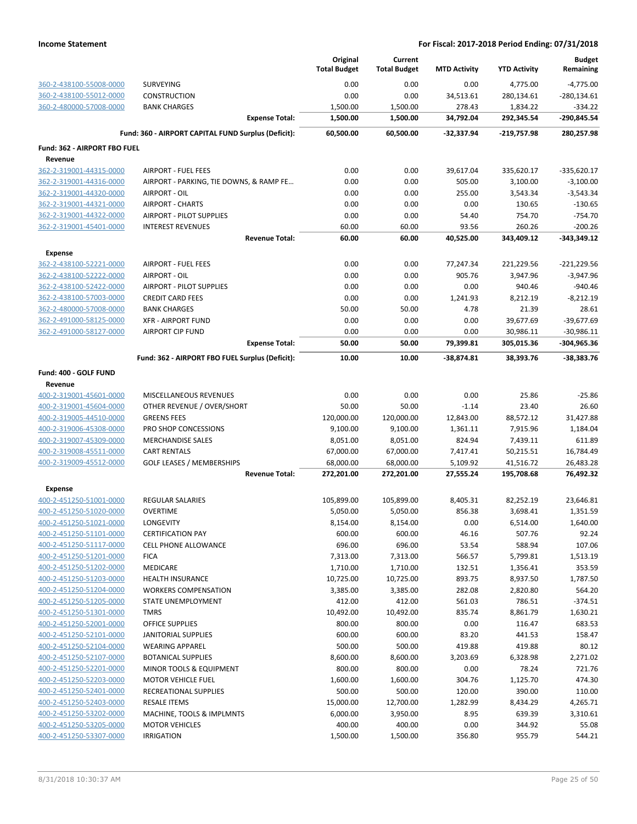|                                                    |                                                      |                       | Original<br><b>Total Budget</b> | Current<br><b>Total Budget</b> | <b>MTD Activity</b> | <b>YTD Activity</b>    | <b>Budget</b><br>Remaining   |
|----------------------------------------------------|------------------------------------------------------|-----------------------|---------------------------------|--------------------------------|---------------------|------------------------|------------------------------|
| 360-2-438100-55008-0000                            | SURVEYING                                            |                       | 0.00                            | 0.00                           | 0.00                | 4,775.00               | $-4,775.00$                  |
| 360-2-438100-55012-0000                            | CONSTRUCTION                                         |                       | 0.00                            | 0.00                           | 34,513.61           | 280,134.61             | $-280,134.61$                |
| 360-2-480000-57008-0000                            | <b>BANK CHARGES</b>                                  |                       | 1,500.00                        | 1,500.00                       | 278.43              | 1,834.22               | $-334.22$                    |
|                                                    |                                                      | <b>Expense Total:</b> | 1,500.00                        | 1,500.00                       | 34,792.04           | 292,345.54             | -290,845.54                  |
|                                                    | Fund: 360 - AIRPORT CAPITAL FUND Surplus (Deficit):  |                       | 60,500.00                       | 60,500.00                      | -32,337.94          | -219,757.98            | 280,257.98                   |
| Fund: 362 - AIRPORT FBO FUEL                       |                                                      |                       |                                 |                                |                     |                        |                              |
| Revenue                                            |                                                      |                       |                                 |                                |                     |                        |                              |
| 362-2-319001-44315-0000                            | <b>AIRPORT - FUEL FEES</b>                           |                       | 0.00                            | 0.00                           | 39,617.04           | 335,620.17             | $-335,620.17$                |
| 362-2-319001-44316-0000                            | AIRPORT - PARKING, TIE DOWNS, & RAMP FE              |                       | 0.00                            | 0.00                           | 505.00              | 3,100.00               | $-3,100.00$                  |
| 362-2-319001-44320-0000                            | <b>AIRPORT - OIL</b>                                 |                       | 0.00                            | 0.00                           | 255.00              | 3,543.34               | $-3,543.34$                  |
| 362-2-319001-44321-0000                            | <b>AIRPORT - CHARTS</b>                              |                       | 0.00                            | 0.00                           | 0.00                | 130.65                 | $-130.65$                    |
| 362-2-319001-44322-0000                            | AIRPORT - PILOT SUPPLIES                             |                       | 0.00                            | 0.00                           | 54.40               | 754.70                 | $-754.70$                    |
| 362-2-319001-45401-0000                            | <b>INTEREST REVENUES</b>                             |                       | 60.00                           | 60.00                          | 93.56               | 260.26                 | $-200.26$                    |
|                                                    |                                                      | <b>Revenue Total:</b> | 60.00                           | 60.00                          | 40,525.00           | 343,409.12             | -343,349.12                  |
| <b>Expense</b>                                     |                                                      |                       |                                 |                                |                     |                        |                              |
| 362-2-438100-52221-0000                            | <b>AIRPORT - FUEL FEES</b>                           |                       | 0.00                            | 0.00                           | 77,247.34           | 221,229.56             | $-221,229.56$                |
| 362-2-438100-52222-0000                            | AIRPORT - OIL                                        |                       | 0.00                            | 0.00                           | 905.76              | 3,947.96               | $-3,947.96$                  |
| 362-2-438100-52422-0000                            | <b>AIRPORT - PILOT SUPPLIES</b>                      |                       | 0.00                            | 0.00                           | 0.00                | 940.46                 | $-940.46$                    |
| 362-2-438100-57003-0000                            | <b>CREDIT CARD FEES</b>                              |                       | 0.00                            | 0.00                           | 1,241.93            | 8,212.19               | $-8,212.19$                  |
| 362-2-480000-57008-0000                            | <b>BANK CHARGES</b>                                  |                       | 50.00                           | 50.00                          | 4.78                | 21.39                  | 28.61                        |
| 362-2-491000-58125-0000                            | <b>XFR - AIRPORT FUND</b><br><b>AIRPORT CIP FUND</b> |                       | 0.00<br>0.00                    | 0.00<br>0.00                   | 0.00<br>0.00        | 39,677.69<br>30,986.11 | $-39,677.69$<br>$-30,986.11$ |
| 362-2-491000-58127-0000                            |                                                      | <b>Expense Total:</b> | 50.00                           | 50.00                          | 79,399.81           | 305,015.36             | -304,965.36                  |
|                                                    | Fund: 362 - AIRPORT FBO FUEL Surplus (Deficit):      |                       | 10.00                           | 10.00                          | -38,874.81          | 38,393.76              | -38,383.76                   |
| Fund: 400 - GOLF FUND                              |                                                      |                       |                                 |                                |                     |                        |                              |
| Revenue                                            |                                                      |                       |                                 |                                |                     |                        |                              |
| 400-2-319001-45601-0000                            | MISCELLANEOUS REVENUES                               |                       | 0.00                            | 0.00                           | 0.00                | 25.86                  | $-25.86$                     |
| 400-2-319001-45604-0000                            | OTHER REVENUE / OVER/SHORT                           |                       | 50.00                           | 50.00                          | $-1.14$             | 23.40                  | 26.60                        |
| 400-2-319005-44510-0000                            | <b>GREENS FEES</b>                                   |                       | 120,000.00                      | 120,000.00                     | 12,843.00           | 88,572.12              | 31,427.88                    |
| 400-2-319006-45308-0000                            | PRO SHOP CONCESSIONS                                 |                       | 9,100.00                        | 9,100.00                       | 1,361.11            | 7,915.96               | 1,184.04                     |
| 400-2-319007-45309-0000                            | <b>MERCHANDISE SALES</b>                             |                       | 8,051.00                        | 8,051.00                       | 824.94              | 7,439.11               | 611.89                       |
| 400-2-319008-45511-0000                            | <b>CART RENTALS</b>                                  |                       | 67,000.00                       | 67,000.00                      | 7,417.41            | 50,215.51              | 16,784.49                    |
| 400-2-319009-45512-0000                            | <b>GOLF LEASES / MEMBERSHIPS</b>                     |                       | 68,000.00                       | 68,000.00                      | 5,109.92            | 41,516.72              | 26,483.28                    |
|                                                    |                                                      | <b>Revenue Total:</b> | 272,201.00                      | 272,201.00                     | 27,555.24           | 195,708.68             | 76,492.32                    |
| <b>Expense</b>                                     |                                                      |                       |                                 |                                |                     |                        |                              |
| 400-2-451250-51001-0000                            | <b>REGULAR SALARIES</b>                              |                       | 105,899.00                      | 105,899.00                     | 8,405.31            | 82,252.19              | 23,646.81                    |
| 400-2-451250-51020-0000                            | <b>OVERTIME</b>                                      |                       | 5,050.00                        | 5,050.00                       | 856.38              | 3,698.41               | 1,351.59                     |
| 400-2-451250-51021-0000                            | LONGEVITY                                            |                       | 8,154.00                        | 8,154.00                       | 0.00                | 6,514.00               | 1,640.00                     |
| 400-2-451250-51101-0000                            | <b>CERTIFICATION PAY</b>                             |                       | 600.00                          | 600.00                         | 46.16               | 507.76                 | 92.24                        |
| 400-2-451250-51117-0000                            | <b>CELL PHONE ALLOWANCE</b>                          |                       | 696.00                          | 696.00                         | 53.54               | 588.94                 | 107.06                       |
| 400-2-451250-51201-0000<br>400-2-451250-51202-0000 | <b>FICA</b>                                          |                       | 7,313.00                        | 7,313.00                       | 566.57              | 5,799.81               | 1,513.19                     |
| 400-2-451250-51203-0000                            | <b>MEDICARE</b><br><b>HEALTH INSURANCE</b>           |                       | 1,710.00<br>10,725.00           | 1,710.00<br>10,725.00          | 132.51<br>893.75    | 1,356.41<br>8,937.50   | 353.59<br>1,787.50           |
| 400-2-451250-51204-0000                            | <b>WORKERS COMPENSATION</b>                          |                       | 3,385.00                        | 3,385.00                       | 282.08              | 2,820.80               | 564.20                       |
| 400-2-451250-51205-0000                            | STATE UNEMPLOYMENT                                   |                       | 412.00                          | 412.00                         | 561.03              | 786.51                 | $-374.51$                    |
| 400-2-451250-51301-0000                            | <b>TMRS</b>                                          |                       | 10,492.00                       | 10,492.00                      | 835.74              | 8,861.79               | 1,630.21                     |
| 400-2-451250-52001-0000                            | <b>OFFICE SUPPLIES</b>                               |                       | 800.00                          | 800.00                         | 0.00                | 116.47                 | 683.53                       |
| 400-2-451250-52101-0000                            | <b>JANITORIAL SUPPLIES</b>                           |                       | 600.00                          | 600.00                         | 83.20               | 441.53                 | 158.47                       |
| 400-2-451250-52104-0000                            | <b>WEARING APPAREL</b>                               |                       | 500.00                          | 500.00                         | 419.88              | 419.88                 | 80.12                        |
| 400-2-451250-52107-0000                            | <b>BOTANICAL SUPPLIES</b>                            |                       | 8,600.00                        | 8,600.00                       | 3,203.69            | 6,328.98               | 2,271.02                     |
| 400-2-451250-52201-0000                            | <b>MINOR TOOLS &amp; EQUIPMENT</b>                   |                       | 800.00                          | 800.00                         | 0.00                | 78.24                  | 721.76                       |
| 400-2-451250-52203-0000                            | <b>MOTOR VEHICLE FUEL</b>                            |                       | 1,600.00                        | 1,600.00                       | 304.76              | 1,125.70               | 474.30                       |
| 400-2-451250-52401-0000                            | RECREATIONAL SUPPLIES                                |                       | 500.00                          | 500.00                         | 120.00              | 390.00                 | 110.00                       |
| 400-2-451250-52403-0000                            | <b>RESALE ITEMS</b>                                  |                       | 15,000.00                       | 12,700.00                      | 1,282.99            | 8,434.29               | 4,265.71                     |
| 400-2-451250-53202-0000                            | MACHINE, TOOLS & IMPLMNTS                            |                       | 6,000.00                        | 3,950.00                       | 8.95                | 639.39                 | 3,310.61                     |
| 400-2-451250-53205-0000                            | <b>MOTOR VEHICLES</b>                                |                       | 400.00                          | 400.00                         | 0.00                | 344.92                 | 55.08                        |
| 400-2-451250-53307-0000                            | <b>IRRIGATION</b>                                    |                       | 1,500.00                        | 1,500.00                       | 356.80              | 955.79                 | 544.21                       |
|                                                    |                                                      |                       |                                 |                                |                     |                        |                              |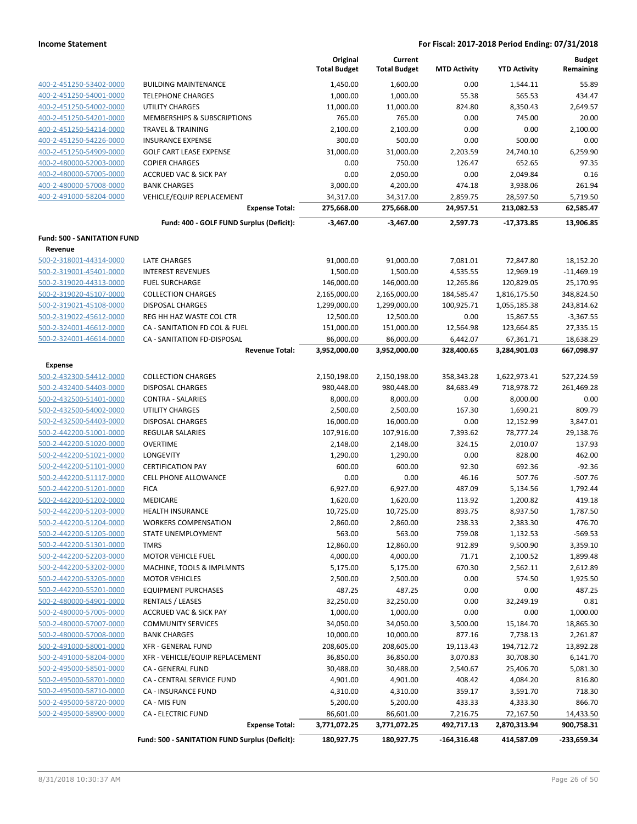|                                                    |                                                | Original<br><b>Total Budget</b> | Current<br><b>Total Budget</b> | <b>MTD Activity</b> | <b>YTD Activity</b>  | <b>Budget</b><br>Remaining |
|----------------------------------------------------|------------------------------------------------|---------------------------------|--------------------------------|---------------------|----------------------|----------------------------|
| 400-2-451250-53402-0000                            | <b>BUILDING MAINTENANCE</b>                    | 1,450.00                        | 1,600.00                       | 0.00                | 1,544.11             | 55.89                      |
| 400-2-451250-54001-0000                            | <b>TELEPHONE CHARGES</b>                       | 1,000.00                        | 1,000.00                       | 55.38               | 565.53               | 434.47                     |
| 400-2-451250-54002-0000                            | UTILITY CHARGES                                | 11,000.00                       | 11,000.00                      | 824.80              | 8,350.43             | 2,649.57                   |
| 400-2-451250-54201-0000                            | MEMBERSHIPS & SUBSCRIPTIONS                    | 765.00                          | 765.00                         | 0.00                | 745.00               | 20.00                      |
| 400-2-451250-54214-0000                            | TRAVEL & TRAINING                              | 2,100.00                        | 2,100.00                       | 0.00                | 0.00                 | 2,100.00                   |
| 400-2-451250-54226-0000                            | <b>INSURANCE EXPENSE</b>                       | 300.00                          | 500.00                         | 0.00                | 500.00               | 0.00                       |
| 400-2-451250-54909-0000                            | <b>GOLF CART LEASE EXPENSE</b>                 | 31,000.00                       | 31,000.00                      | 2,203.59            | 24,740.10            | 6,259.90                   |
| 400-2-480000-52003-0000                            | <b>COPIER CHARGES</b>                          | 0.00                            | 750.00                         | 126.47              | 652.65               | 97.35                      |
| 400-2-480000-57005-0000                            | <b>ACCRUED VAC &amp; SICK PAY</b>              | 0.00                            | 2,050.00                       | 0.00                | 2,049.84             | 0.16                       |
| 400-2-480000-57008-0000                            | <b>BANK CHARGES</b>                            | 3,000.00                        | 4,200.00                       | 474.18              | 3,938.06             | 261.94                     |
| 400-2-491000-58204-0000                            | VEHICLE/EQUIP REPLACEMENT                      | 34,317.00                       | 34,317.00                      | 2,859.75            | 28,597.50            | 5,719.50                   |
|                                                    | <b>Expense Total:</b>                          | 275,668.00                      | 275,668.00                     | 24,957.51           | 213,082.53           | 62,585.47                  |
|                                                    | Fund: 400 - GOLF FUND Surplus (Deficit):       | $-3,467.00$                     | $-3,467.00$                    | 2,597.73            | $-17,373.85$         | 13,906.85                  |
| <b>Fund: 500 - SANITATION FUND</b>                 |                                                |                                 |                                |                     |                      |                            |
| Revenue                                            |                                                |                                 |                                |                     |                      |                            |
| 500-2-318001-44314-0000                            | <b>LATE CHARGES</b>                            | 91,000.00                       | 91,000.00                      | 7,081.01            | 72,847.80            | 18,152.20                  |
| 500-2-319001-45401-0000                            | <b>INTEREST REVENUES</b>                       | 1,500.00                        | 1,500.00                       | 4,535.55            | 12,969.19            | $-11,469.19$               |
| 500-2-319020-44313-0000                            | <b>FUEL SURCHARGE</b>                          | 146,000.00                      | 146,000.00                     | 12,265.86           | 120,829.05           | 25,170.95                  |
| 500-2-319020-45107-0000                            | <b>COLLECTION CHARGES</b>                      | 2,165,000.00                    | 2,165,000.00                   | 184,585.47          | 1,816,175.50         | 348,824.50                 |
| 500-2-319021-45108-0000                            | <b>DISPOSAL CHARGES</b>                        | 1,299,000.00                    | 1,299,000.00                   | 100,925.71          | 1,055,185.38         | 243,814.62                 |
| 500-2-319022-45612-0000                            | REG HH HAZ WASTE COL CTR                       | 12,500.00                       | 12,500.00                      | 0.00                | 15,867.55            | $-3,367.55$                |
| 500-2-324001-46612-0000                            | CA - SANITATION FD COL & FUEL                  | 151,000.00                      | 151,000.00                     | 12,564.98           | 123,664.85           | 27,335.15                  |
| 500-2-324001-46614-0000                            | CA - SANITATION FD-DISPOSAL                    | 86,000.00                       | 86,000.00                      | 6,442.07            | 67,361.71            | 18,638.29                  |
|                                                    | <b>Revenue Total:</b>                          | 3,952,000.00                    | 3,952,000.00                   | 328,400.65          | 3,284,901.03         | 667,098.97                 |
| <b>Expense</b>                                     |                                                |                                 |                                |                     |                      |                            |
| 500-2-432300-54412-0000                            | <b>COLLECTION CHARGES</b>                      | 2,150,198.00                    | 2,150,198.00                   | 358,343.28          | 1,622,973.41         | 527,224.59                 |
| 500-2-432400-54403-0000                            | <b>DISPOSAL CHARGES</b>                        | 980,448.00                      | 980,448.00                     | 84,683.49           | 718,978.72           | 261,469.28                 |
| 500-2-432500-51401-0000                            | <b>CONTRA - SALARIES</b>                       | 8,000.00                        | 8,000.00                       | 0.00                | 8,000.00             | 0.00                       |
| 500-2-432500-54002-0000                            | <b>UTILITY CHARGES</b>                         | 2,500.00                        | 2,500.00                       | 167.30              | 1,690.21             | 809.79                     |
| 500-2-432500-54403-0000                            | DISPOSAL CHARGES                               | 16,000.00                       | 16,000.00                      | 0.00                | 12,152.99            | 3,847.01                   |
| 500-2-442200-51001-0000                            | REGULAR SALARIES                               | 107,916.00                      | 107,916.00                     | 7,393.62            | 78,777.24            | 29,138.76                  |
| 500-2-442200-51020-0000                            | <b>OVERTIME</b>                                | 2,148.00                        | 2,148.00                       | 324.15              | 2,010.07             | 137.93                     |
| 500-2-442200-51021-0000                            | LONGEVITY                                      | 1,290.00                        | 1,290.00                       | 0.00                | 828.00               | 462.00                     |
| 500-2-442200-51101-0000                            | <b>CERTIFICATION PAY</b>                       | 600.00                          | 600.00                         | 92.30               | 692.36               | $-92.36$                   |
| 500-2-442200-51117-0000                            | <b>CELL PHONE ALLOWANCE</b>                    | 0.00                            | 0.00                           | 46.16               | 507.76               | $-507.76$                  |
| 500-2-442200-51201-0000                            | <b>FICA</b>                                    | 6,927.00                        | 6,927.00                       | 487.09              | 5,134.56             | 1,792.44                   |
| 500-2-442200-51202-0000                            | MEDICARE                                       | 1,620.00                        | 1,620.00                       | 113.92              | 1,200.82             | 419.18                     |
| 500-2-442200-51203-0000                            | <b>HEALTH INSURANCE</b>                        | 10,725.00                       | 10,725.00                      | 893.75              | 8,937.50             | 1,787.50                   |
| 500-2-442200-51204-0000                            | <b>WORKERS COMPENSATION</b>                    | 2,860.00                        | 2,860.00                       | 238.33              | 2,383.30             | 476.70                     |
| 500-2-442200-51205-0000                            | STATE UNEMPLOYMENT                             | 563.00                          | 563.00                         | 759.08              | 1,132.53             | $-569.53$                  |
| 500-2-442200-51301-0000                            | <b>TMRS</b>                                    | 12,860.00                       | 12,860.00                      | 912.89              | 9,500.90             | 3,359.10                   |
| 500-2-442200-52203-0000                            | <b>MOTOR VEHICLE FUEL</b>                      | 4,000.00                        | 4,000.00                       | 71.71               | 2,100.52             | 1,899.48                   |
| 500-2-442200-53202-0000                            | MACHINE, TOOLS & IMPLMNTS                      | 5,175.00                        | 5,175.00                       | 670.30              | 2,562.11             | 2,612.89                   |
| 500-2-442200-53205-0000                            | <b>MOTOR VEHICLES</b>                          | 2,500.00                        | 2,500.00                       | 0.00                | 574.50               | 1,925.50                   |
| 500-2-442200-55201-0000                            | <b>EQUIPMENT PURCHASES</b>                     | 487.25                          | 487.25                         | 0.00                | 0.00                 | 487.25                     |
| 500-2-480000-54901-0000                            | <b>RENTALS / LEASES</b>                        | 32,250.00                       | 32,250.00                      | 0.00                | 32,249.19            | 0.81                       |
| 500-2-480000-57005-0000                            | <b>ACCRUED VAC &amp; SICK PAY</b>              | 1,000.00                        | 1,000.00                       | 0.00                | 0.00                 | 1,000.00                   |
| 500-2-480000-57007-0000                            | <b>COMMUNITY SERVICES</b>                      | 34,050.00                       | 34,050.00                      | 3,500.00            | 15,184.70            | 18,865.30                  |
| 500-2-480000-57008-0000                            | <b>BANK CHARGES</b>                            | 10,000.00                       | 10,000.00                      | 877.16              | 7,738.13             | 2,261.87                   |
| 500-2-491000-58001-0000                            | <b>XFR - GENERAL FUND</b>                      | 208,605.00                      | 208,605.00                     | 19,113.43           | 194,712.72           | 13,892.28                  |
| 500-2-491000-58204-0000<br>500-2-495000-58501-0000 | XFR - VEHICLE/EQUIP REPLACEMENT                | 36,850.00                       | 36,850.00                      | 3,070.83            | 30,708.30            | 6,141.70                   |
| 500-2-495000-58701-0000                            | CA - GENERAL FUND                              | 30,488.00                       | 30,488.00                      | 2,540.67            | 25,406.70            | 5,081.30                   |
| 500-2-495000-58710-0000                            | CA - CENTRAL SERVICE FUND                      | 4,901.00                        | 4,901.00                       | 408.42<br>359.17    | 4,084.20             | 816.80<br>718.30           |
| 500-2-495000-58720-0000                            | CA - INSURANCE FUND<br>CA - MIS FUN            | 4,310.00<br>5,200.00            | 4,310.00<br>5,200.00           | 433.33              | 3,591.70<br>4,333.30 | 866.70                     |
| 500-2-495000-58900-0000                            | <b>CA - ELECTRIC FUND</b>                      | 86,601.00                       | 86,601.00                      | 7,216.75            | 72,167.50            | 14,433.50                  |
|                                                    | <b>Expense Total:</b>                          | 3,771,072.25                    | 3,771,072.25                   | 492,717.13          | 2,870,313.94         | 900,758.31                 |
|                                                    | Fund: 500 - SANITATION FUND Surplus (Deficit): | 180,927.75                      | 180,927.75                     | $-164,316.48$       | 414,587.09           | -233,659.34                |
|                                                    |                                                |                                 |                                |                     |                      |                            |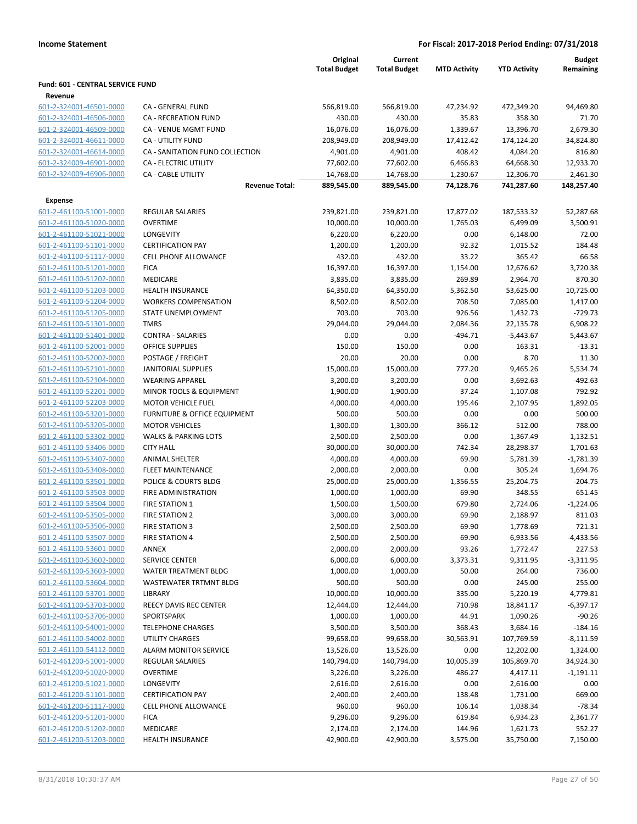|                                  |                                 | Original<br><b>Total Budget</b> | Current<br><b>Total Budget</b> | <b>MTD Activity</b> | <b>YTD Activity</b> | <b>Budget</b><br>Remaining |
|----------------------------------|---------------------------------|---------------------------------|--------------------------------|---------------------|---------------------|----------------------------|
| Fund: 601 - CENTRAL SERVICE FUND |                                 |                                 |                                |                     |                     |                            |
| Revenue                          |                                 |                                 |                                |                     |                     |                            |
| 601-2-324001-46501-0000          | CA - GENERAL FUND               | 566,819.00                      | 566,819.00                     | 47,234.92           | 472,349.20          | 94,469.80                  |
| 601-2-324001-46506-0000          | <b>CA - RECREATION FUND</b>     | 430.00                          | 430.00                         | 35.83               | 358.30              | 71.70                      |
| 601-2-324001-46509-0000          | CA - VENUE MGMT FUND            | 16,076.00                       | 16,076.00                      | 1,339.67            | 13,396.70           | 2,679.30                   |
| 601-2-324001-46611-0000          | <b>CA - UTILITY FUND</b>        | 208,949.00                      | 208,949.00                     | 17,412.42           | 174,124.20          | 34,824.80                  |
| 601-2-324001-46614-0000          | CA - SANITATION FUND COLLECTION | 4,901.00                        | 4,901.00                       | 408.42              | 4,084.20            | 816.80                     |
| 601-2-324009-46901-0000          | CA - ELECTRIC UTILITY           | 77,602.00                       | 77,602.00                      | 6,466.83            | 64,668.30           | 12,933.70                  |
| 601-2-324009-46906-0000          | <b>CA - CABLE UTILITY</b>       | 14,768.00                       | 14,768.00                      | 1,230.67            | 12,306.70           | 2,461.30                   |
|                                  | <b>Revenue Total:</b>           | 889,545.00                      | 889,545.00                     | 74,128.76           | 741,287.60          | 148,257.40                 |
| <b>Expense</b>                   |                                 |                                 |                                |                     |                     |                            |
| 601-2-461100-51001-0000          | <b>REGULAR SALARIES</b>         | 239,821.00                      | 239,821.00                     | 17,877.02           | 187,533.32          | 52,287.68                  |
| 601-2-461100-51020-0000          | <b>OVERTIME</b>                 | 10,000.00                       | 10,000.00                      | 1,765.03            | 6,499.09            | 3,500.91                   |
| 601-2-461100-51021-0000          | LONGEVITY                       | 6,220.00                        | 6,220.00                       | 0.00                | 6,148.00            | 72.00                      |
| 601-2-461100-51101-0000          | <b>CERTIFICATION PAY</b>        | 1,200.00                        | 1,200.00                       | 92.32               | 1,015.52            | 184.48                     |
| 601-2-461100-51117-0000          | <b>CELL PHONE ALLOWANCE</b>     | 432.00                          | 432.00                         | 33.22               | 365.42              | 66.58                      |
| 601-2-461100-51201-0000          | <b>FICA</b>                     | 16,397.00                       | 16,397.00                      | 1,154.00            | 12,676.62           | 3,720.38                   |
| 601-2-461100-51202-0000          | MEDICARE                        | 3,835.00                        | 3,835.00                       | 269.89              | 2,964.70            | 870.30                     |
| 601-2-461100-51203-0000          | <b>HEALTH INSURANCE</b>         | 64,350.00                       | 64,350.00                      | 5,362.50            | 53,625.00           | 10,725.00                  |
| 601-2-461100-51204-0000          | <b>WORKERS COMPENSATION</b>     | 8,502.00                        | 8,502.00                       | 708.50              | 7,085.00            | 1,417.00                   |
| 601-2-461100-51205-0000          | <b>STATE UNEMPLOYMENT</b>       | 703.00                          | 703.00                         | 926.56              | 1,432.73            | $-729.73$                  |
| 601-2-461100-51301-0000          | <b>TMRS</b>                     | 29,044.00                       | 29,044.00                      | 2,084.36            | 22,135.78           | 6,908.22                   |
| 601-2-461100-51401-0000          | <b>CONTRA - SALARIES</b>        | 0.00                            | 0.00                           | $-494.71$           | $-5,443.67$         | 5,443.67                   |
| 601-2-461100-52001-0000          | <b>OFFICE SUPPLIES</b>          | 150.00                          | 150.00                         | 0.00                | 163.31              | $-13.31$                   |
| 601-2-461100-52002-0000          | POSTAGE / FREIGHT               | 20.00                           | 20.00                          | 0.00                | 8.70                | 11.30                      |
| 601-2-461100-52101-0000          | <b>JANITORIAL SUPPLIES</b>      | 15,000.00                       | 15,000.00                      | 777.20              | 9,465.26            | 5,534.74                   |
| 601-2-461100-52104-0000          | <b>WEARING APPAREL</b>          | 3,200.00                        | 3,200.00                       | 0.00                | 3,692.63            | $-492.63$                  |
| 601-2-461100-52201-0000          | MINOR TOOLS & EQUIPMENT         | 1,900.00                        | 1,900.00                       | 37.24               | 1,107.08            | 792.92                     |
| 601-2-461100-52203-0000          | <b>MOTOR VEHICLE FUEL</b>       | 4,000.00                        | 4,000.00                       | 195.46              | 2,107.95            | 1,892.05                   |
| 601-2-461100-53201-0000          | FURNITURE & OFFICE EQUIPMENT    | 500.00                          | 500.00                         | 0.00                | 0.00                | 500.00                     |
| 601-2-461100-53205-0000          | <b>MOTOR VEHICLES</b>           | 1,300.00                        | 1,300.00                       | 366.12              | 512.00              | 788.00                     |
| 601-2-461100-53302-0000          | <b>WALKS &amp; PARKING LOTS</b> | 2,500.00                        | 2,500.00                       | 0.00                | 1,367.49            | 1,132.51                   |
| 601-2-461100-53406-0000          | <b>CITY HALL</b>                | 30,000.00                       | 30,000.00                      | 742.34              | 28,298.37           | 1,701.63                   |
| 601-2-461100-53407-0000          | <b>ANIMAL SHELTER</b>           | 4,000.00                        | 4,000.00                       | 69.90               | 5,781.39            | $-1,781.39$                |
| 601-2-461100-53408-0000          | <b>FLEET MAINTENANCE</b>        | 2,000.00                        | 2,000.00                       | 0.00                | 305.24              | 1,694.76                   |
| 601-2-461100-53501-0000          | POLICE & COURTS BLDG            | 25,000.00                       | 25,000.00                      | 1,356.55            | 25,204.75           | $-204.75$                  |
| 601-2-461100-53503-0000          | <b>FIRE ADMINISTRATION</b>      | 1,000.00                        | 1,000.00                       | 69.90               | 348.55              | 651.45                     |
| 601-2-461100-53504-0000          | <b>FIRE STATION 1</b>           | 1,500.00                        | 1,500.00                       | 679.80              | 2,724.06            | $-1,224.06$                |
| 601-2-461100-53505-0000          | <b>FIRE STATION 2</b>           | 3,000.00                        | 3,000.00                       | 69.90               | 2,188.97            | 811.03                     |
| 601-2-461100-53506-0000          | FIRE STATION 3                  | 2,500.00                        | 2,500.00                       | 69.90               | 1,778.69            | 721.31                     |
| 601-2-461100-53507-0000          | <b>FIRE STATION 4</b>           | 2,500.00                        | 2,500.00                       | 69.90               | 6,933.56            | $-4,433.56$                |
| 601-2-461100-53601-0000          | ANNEX                           | 2,000.00                        | 2,000.00                       | 93.26               | 1,772.47            | 227.53                     |
| 601-2-461100-53602-0000          | <b>SERVICE CENTER</b>           | 6,000.00                        | 6,000.00                       | 3,373.31            | 9,311.95            | $-3,311.95$                |
| 601-2-461100-53603-0000          | <b>WATER TREATMENT BLDG</b>     | 1,000.00                        | 1,000.00                       | 50.00               | 264.00              | 736.00                     |
| 601-2-461100-53604-0000          | WASTEWATER TRTMNT BLDG          | 500.00                          | 500.00                         | 0.00                | 245.00              | 255.00                     |
| 601-2-461100-53701-0000          | LIBRARY                         | 10,000.00                       | 10,000.00                      | 335.00              | 5,220.19            | 4,779.81                   |
| 601-2-461100-53703-0000          | REECY DAVIS REC CENTER          | 12,444.00                       | 12,444.00                      | 710.98              | 18,841.17           | $-6,397.17$                |
| 601-2-461100-53706-0000          | SPORTSPARK                      | 1,000.00                        | 1,000.00                       | 44.91               | 1,090.26            | $-90.26$                   |
| 601-2-461100-54001-0000          | <b>TELEPHONE CHARGES</b>        | 3,500.00                        | 3,500.00                       | 368.43              | 3,684.16            | $-184.16$                  |
| 601-2-461100-54002-0000          | UTILITY CHARGES                 | 99,658.00                       | 99,658.00                      | 30,563.91           | 107,769.59          | $-8,111.59$                |
| 601-2-461100-54112-0000          | ALARM MONITOR SERVICE           | 13,526.00                       | 13,526.00                      | 0.00                | 12,202.00           | 1,324.00                   |
| 601-2-461200-51001-0000          | <b>REGULAR SALARIES</b>         | 140,794.00                      | 140,794.00                     | 10,005.39           | 105,869.70          | 34,924.30                  |
| 601-2-461200-51020-0000          | <b>OVERTIME</b>                 | 3,226.00                        | 3,226.00                       | 486.27              | 4,417.11            | $-1,191.11$                |
| 601-2-461200-51021-0000          | <b>LONGEVITY</b>                | 2,616.00                        | 2,616.00                       | 0.00                | 2,616.00            | 0.00                       |
| 601-2-461200-51101-0000          | <b>CERTIFICATION PAY</b>        | 2,400.00                        | 2,400.00                       | 138.48              | 1,731.00            | 669.00                     |
| 601-2-461200-51117-0000          | <b>CELL PHONE ALLOWANCE</b>     | 960.00                          | 960.00                         | 106.14              | 1,038.34            | $-78.34$                   |
| 601-2-461200-51201-0000          | <b>FICA</b>                     | 9,296.00                        | 9,296.00                       | 619.84              | 6,934.23            | 2,361.77                   |
| 601-2-461200-51202-0000          | MEDICARE                        | 2,174.00                        | 2,174.00                       | 144.96              | 1,621.73            | 552.27                     |
| 601-2-461200-51203-0000          | <b>HEALTH INSURANCE</b>         | 42,900.00                       | 42,900.00                      | 3,575.00            | 35,750.00           | 7,150.00                   |
|                                  |                                 |                                 |                                |                     |                     |                            |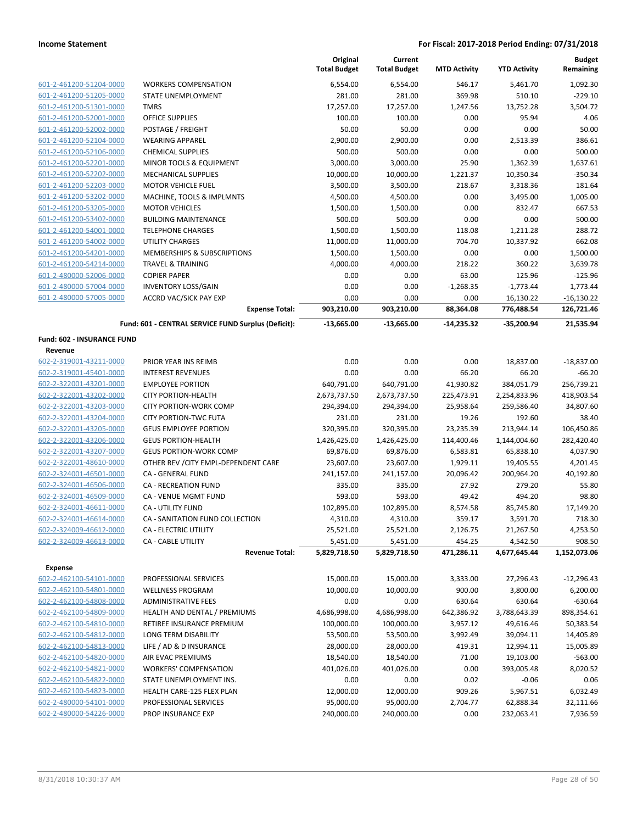|                            |                                                     | Original<br><b>Total Budget</b> | Current<br><b>Total Budget</b> | <b>MTD Activity</b> | <b>YTD Activity</b> | <b>Budget</b><br>Remaining |
|----------------------------|-----------------------------------------------------|---------------------------------|--------------------------------|---------------------|---------------------|----------------------------|
| 601-2-461200-51204-0000    | <b>WORKERS COMPENSATION</b>                         | 6,554.00                        | 6,554.00                       | 546.17              | 5,461.70            | 1,092.30                   |
| 601-2-461200-51205-0000    | STATE UNEMPLOYMENT                                  | 281.00                          | 281.00                         | 369.98              | 510.10              | $-229.10$                  |
| 601-2-461200-51301-0000    | <b>TMRS</b>                                         | 17,257.00                       | 17,257.00                      | 1,247.56            | 13,752.28           | 3,504.72                   |
| 601-2-461200-52001-0000    | <b>OFFICE SUPPLIES</b>                              | 100.00                          | 100.00                         | 0.00                | 95.94               | 4.06                       |
| 601-2-461200-52002-0000    | POSTAGE / FREIGHT                                   | 50.00                           | 50.00                          | 0.00                | 0.00                | 50.00                      |
| 601-2-461200-52104-0000    | <b>WEARING APPAREL</b>                              | 2,900.00                        | 2,900.00                       | 0.00                | 2,513.39            | 386.61                     |
| 601-2-461200-52106-0000    | <b>CHEMICAL SUPPLIES</b>                            | 500.00                          | 500.00                         | 0.00                | 0.00                | 500.00                     |
| 601-2-461200-52201-0000    | MINOR TOOLS & EQUIPMENT                             | 3,000.00                        | 3,000.00                       | 25.90               | 1,362.39            | 1.637.61                   |
| 601-2-461200-52202-0000    | <b>MECHANICAL SUPPLIES</b>                          | 10,000.00                       | 10,000.00                      | 1,221.37            | 10,350.34           | $-350.34$                  |
| 601-2-461200-52203-0000    | <b>MOTOR VEHICLE FUEL</b>                           | 3,500.00                        | 3,500.00                       | 218.67              | 3,318.36            | 181.64                     |
| 601-2-461200-53202-0000    | MACHINE, TOOLS & IMPLMNTS                           | 4,500.00                        | 4,500.00                       | 0.00                | 3,495.00            | 1,005.00                   |
| 601-2-461200-53205-0000    | <b>MOTOR VEHICLES</b>                               | 1,500.00                        | 1,500.00                       | 0.00                | 832.47              | 667.53                     |
| 601-2-461200-53402-0000    | <b>BUILDING MAINTENANCE</b>                         | 500.00                          | 500.00                         | 0.00                | 0.00                | 500.00                     |
| 601-2-461200-54001-0000    | <b>TELEPHONE CHARGES</b>                            | 1,500.00                        | 1,500.00                       | 118.08              | 1,211.28            | 288.72                     |
| 601-2-461200-54002-0000    | UTILITY CHARGES                                     | 11,000.00                       | 11,000.00                      | 704.70              | 10,337.92           | 662.08                     |
| 601-2-461200-54201-0000    | MEMBERSHIPS & SUBSCRIPTIONS                         | 1,500.00                        | 1,500.00                       | 0.00                | 0.00                | 1,500.00                   |
| 601-2-461200-54214-0000    | <b>TRAVEL &amp; TRAINING</b>                        | 4,000.00                        | 4,000.00                       | 218.22              | 360.22              | 3,639.78                   |
| 601-2-480000-52006-0000    | <b>COPIER PAPER</b>                                 | 0.00                            | 0.00                           | 63.00               | 125.96              | $-125.96$                  |
| 601-2-480000-57004-0000    | <b>INVENTORY LOSS/GAIN</b>                          | 0.00                            | 0.00                           | $-1,268.35$         | $-1,773.44$         | 1,773.44                   |
| 601-2-480000-57005-0000    | <b>ACCRD VAC/SICK PAY EXP</b>                       | 0.00                            | 0.00                           | 0.00                | 16,130.22           | $-16,130.22$               |
|                            | <b>Expense Total:</b>                               | 903,210.00                      | 903,210.00                     | 88,364.08           | 776,488.54          | 126,721.46                 |
|                            | Fund: 601 - CENTRAL SERVICE FUND Surplus (Deficit): | $-13,665.00$                    | $-13,665.00$                   | $-14,235.32$        | -35,200.94          | 21,535.94                  |
| Fund: 602 - INSURANCE FUND |                                                     |                                 |                                |                     |                     |                            |
| Revenue                    |                                                     |                                 |                                |                     |                     |                            |
| 602-2-319001-43211-0000    | PRIOR YEAR INS REIMB                                | 0.00                            | 0.00                           | 0.00                | 18,837.00           | $-18,837.00$               |
| 602-2-319001-45401-0000    | <b>INTEREST REVENUES</b>                            | 0.00                            | 0.00                           | 66.20               | 66.20               | $-66.20$                   |
| 602-2-322001-43201-0000    | <b>EMPLOYEE PORTION</b>                             | 640,791.00                      | 640,791.00                     | 41,930.82           | 384,051.79          | 256,739.21                 |
| 602-2-322001-43202-0000    | <b>CITY PORTION-HEALTH</b>                          | 2,673,737.50                    | 2,673,737.50                   | 225,473.91          | 2,254,833.96        | 418,903.54                 |
| 602-2-322001-43203-0000    | <b>CITY PORTION-WORK COMP</b>                       | 294,394.00                      | 294,394.00                     | 25,958.64           | 259,586.40          | 34,807.60                  |
| 602-2-322001-43204-0000    | <b>CITY PORTION-TWC FUTA</b>                        | 231.00                          | 231.00                         | 19.26               | 192.60              | 38.40                      |
| 602-2-322001-43205-0000    | <b>GEUS EMPLOYEE PORTION</b>                        | 320,395.00                      | 320,395.00                     | 23,235.39           | 213,944.14          | 106,450.86                 |
| 602-2-322001-43206-0000    | <b>GEUS PORTION-HEALTH</b>                          | 1,426,425.00                    | 1,426,425.00                   | 114,400.46          | 1,144,004.60        | 282,420.40                 |
| 602-2-322001-43207-0000    | <b>GEUS PORTION-WORK COMP</b>                       | 69,876.00                       | 69,876.00                      | 6,583.81            | 65,838.10           | 4,037.90                   |
| 602-2-322001-48610-0000    | OTHER REV / CITY EMPL-DEPENDENT CARE                | 23,607.00                       | 23,607.00                      | 1,929.11            | 19,405.55           | 4,201.45                   |
| 602-2-324001-46501-0000    | CA - GENERAL FUND                                   | 241,157.00                      | 241,157.00                     | 20,096.42           | 200,964.20          | 40,192.80                  |
| 602-2-324001-46506-0000    | <b>CA - RECREATION FUND</b>                         | 335.00                          | 335.00                         | 27.92               | 279.20              | 55.80                      |
| 602-2-324001-46509-0000    | CA - VENUE MGMT FUND                                | 593.00                          | 593.00                         | 49.42               | 494.20              | 98.80                      |
| 602-2-324001-46611-0000    | CA - UTILITY FUND                                   | 102,895.00                      | 102,895.00                     | 8,574.58            | 85,745.80           | 17,149.20                  |
| 602-2-324001-46614-0000    | CA - SANITATION FUND COLLECTION                     | 4,310.00                        | 4,310.00                       | 359.17              | 3,591.70            | 718.30                     |
| 602-2-324009-46612-0000    | CA - ELECTRIC UTILITY                               | 25,521.00                       | 25,521.00                      | 2,126.75            | 21,267.50           | 4,253.50                   |
| 602-2-324009-46613-0000    | CA - CABLE UTILITY                                  | 5,451.00                        | 5,451.00                       | 454.25              | 4,542.50            | 908.50                     |
|                            | <b>Revenue Total:</b>                               | 5,829,718.50                    | 5,829,718.50                   | 471,286.11          | 4,677,645.44        | 1,152,073.06               |
| Expense                    |                                                     |                                 |                                |                     |                     |                            |
| 602-2-462100-54101-0000    | PROFESSIONAL SERVICES                               | 15,000.00                       | 15,000.00                      | 3,333.00            | 27,296.43           | $-12,296.43$               |
| 602-2-462100-54801-0000    | <b>WELLNESS PROGRAM</b>                             | 10,000.00                       | 10,000.00                      | 900.00              | 3,800.00            | 6,200.00                   |
| 602-2-462100-54808-0000    | <b>ADMINISTRATIVE FEES</b>                          | 0.00                            | 0.00                           | 630.64              | 630.64              | $-630.64$                  |
| 602-2-462100-54809-0000    | HEALTH AND DENTAL / PREMIUMS                        | 4,686,998.00                    | 4,686,998.00                   | 642,386.92          | 3,788,643.39        | 898,354.61                 |
| 602-2-462100-54810-0000    | RETIREE INSURANCE PREMIUM                           | 100,000.00                      | 100,000.00                     | 3,957.12            | 49,616.46           | 50,383.54                  |
| 602-2-462100-54812-0000    | LONG TERM DISABILITY                                | 53,500.00                       | 53,500.00                      | 3,992.49            | 39,094.11           | 14,405.89                  |
| 602-2-462100-54813-0000    | LIFE / AD & D INSURANCE                             | 28,000.00                       | 28,000.00                      | 419.31              | 12,994.11           | 15,005.89                  |
| 602-2-462100-54820-0000    | AIR EVAC PREMIUMS                                   | 18,540.00                       | 18,540.00                      | 71.00               | 19,103.00           | $-563.00$                  |
| 602-2-462100-54821-0000    | <b>WORKERS' COMPENSATION</b>                        | 401,026.00                      | 401,026.00                     | 0.00                | 393,005.48          | 8,020.52                   |
| 602-2-462100-54822-0000    | STATE UNEMPLOYMENT INS.                             | 0.00                            | 0.00                           | 0.02                | $-0.06$             | 0.06                       |
| 602-2-462100-54823-0000    | HEALTH CARE-125 FLEX PLAN                           | 12,000.00                       | 12,000.00                      | 909.26              | 5,967.51            | 6,032.49                   |
| 602-2-480000-54101-0000    | PROFESSIONAL SERVICES                               | 95,000.00                       | 95,000.00                      | 2,704.77            | 62,888.34           | 32,111.66                  |
| 602-2-480000-54226-0000    | PROP INSURANCE EXP                                  | 240,000.00                      | 240,000.00                     | 0.00                | 232,063.41          | 7,936.59                   |
|                            |                                                     |                                 |                                |                     |                     |                            |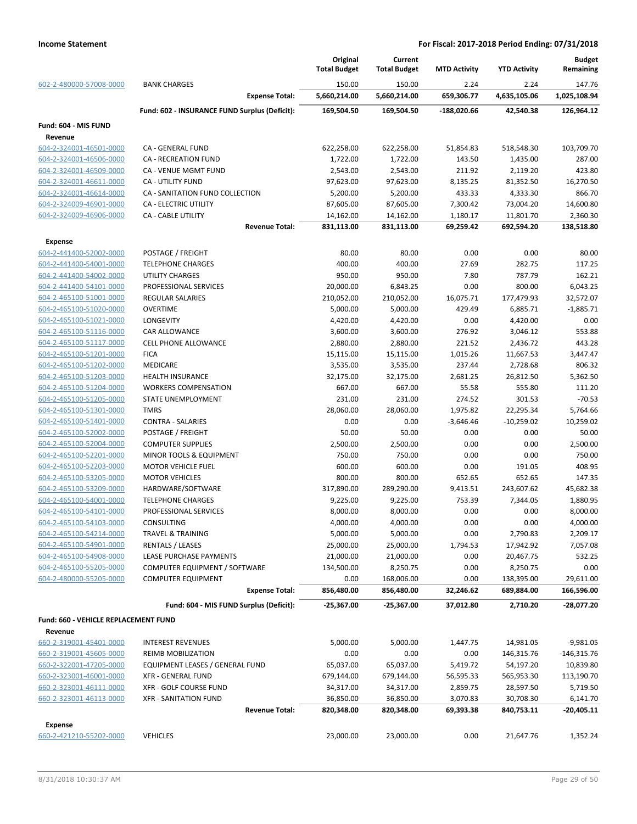|                                                 |                                                    | Original<br><b>Total Budget</b> | Current<br><b>Total Budget</b> | <b>MTD Activity</b> | <b>YTD Activity</b> | <b>Budget</b><br>Remaining |
|-------------------------------------------------|----------------------------------------------------|---------------------------------|--------------------------------|---------------------|---------------------|----------------------------|
| 602-2-480000-57008-0000                         | <b>BANK CHARGES</b>                                | 150.00                          | 150.00                         | 2.24                | 2.24                | 147.76                     |
|                                                 | <b>Expense Total:</b>                              | 5,660,214.00                    | 5,660,214.00                   | 659,306.77          | 4,635,105.06        | 1,025,108.94               |
|                                                 | Fund: 602 - INSURANCE FUND Surplus (Deficit):      | 169,504.50                      | 169,504.50                     | -188,020.66         | 42,540.38           | 126,964.12                 |
| Fund: 604 - MIS FUND                            |                                                    |                                 |                                |                     |                     |                            |
| Revenue                                         |                                                    |                                 |                                |                     |                     |                            |
| 604-2-324001-46501-0000                         | CA - GENERAL FUND                                  | 622,258.00                      | 622,258.00                     | 51,854.83           | 518,548.30          | 103,709.70                 |
| 604-2-324001-46506-0000                         | <b>CA - RECREATION FUND</b>                        | 1,722.00                        | 1,722.00                       | 143.50              | 1,435.00            | 287.00                     |
| 604-2-324001-46509-0000                         | CA - VENUE MGMT FUND                               | 2,543.00                        | 2,543.00                       | 211.92              | 2,119.20            | 423.80                     |
| 604-2-324001-46611-0000                         | CA - UTILITY FUND                                  | 97,623.00                       | 97,623.00                      | 8,135.25            | 81,352.50           | 16,270.50                  |
| 604-2-324001-46614-0000                         | CA - SANITATION FUND COLLECTION                    | 5,200.00                        | 5,200.00                       | 433.33              | 4,333.30            | 866.70                     |
| 604-2-324009-46901-0000                         | <b>CA - ELECTRIC UTILITY</b>                       | 87,605.00                       | 87,605.00                      | 7,300.42            | 73,004.20           | 14,600.80                  |
| 604-2-324009-46906-0000                         | <b>CA - CABLE UTILITY</b>                          | 14,162.00                       | 14,162.00                      | 1,180.17            | 11,801.70           | 2,360.30                   |
|                                                 | <b>Revenue Total:</b>                              | 831,113.00                      | 831,113.00                     | 69,259.42           | 692,594.20          | 138,518.80                 |
| <b>Expense</b>                                  |                                                    |                                 |                                |                     |                     |                            |
| 604-2-441400-52002-0000                         | POSTAGE / FREIGHT                                  | 80.00                           | 80.00                          | 0.00                | 0.00                | 80.00                      |
| 604-2-441400-54001-0000                         | <b>TELEPHONE CHARGES</b>                           | 400.00                          | 400.00                         | 27.69               | 282.75              | 117.25                     |
| 604-2-441400-54002-0000                         | <b>UTILITY CHARGES</b>                             | 950.00                          | 950.00                         | 7.80                | 787.79              | 162.21                     |
| 604-2-441400-54101-0000                         | PROFESSIONAL SERVICES                              | 20,000.00                       | 6,843.25                       | 0.00                | 800.00              | 6,043.25                   |
| 604-2-465100-51001-0000                         | <b>REGULAR SALARIES</b>                            | 210,052.00                      | 210,052.00                     | 16,075.71           | 177,479.93          | 32,572.07                  |
| 604-2-465100-51020-0000                         | <b>OVERTIME</b>                                    | 5,000.00                        | 5,000.00                       | 429.49              | 6,885.71            | $-1,885.71$                |
| 604-2-465100-51021-0000                         | LONGEVITY                                          | 4,420.00                        | 4,420.00                       | 0.00                | 4,420.00            | 0.00                       |
| 604-2-465100-51116-0000                         | CAR ALLOWANCE                                      | 3,600.00                        | 3,600.00                       | 276.92              | 3,046.12            | 553.88                     |
| 604-2-465100-51117-0000                         | <b>CELL PHONE ALLOWANCE</b>                        | 2,880.00                        | 2,880.00                       | 221.52              | 2,436.72            | 443.28                     |
| 604-2-465100-51201-0000                         | <b>FICA</b>                                        | 15,115.00                       | 15,115.00                      | 1,015.26            | 11,667.53           | 3,447.47                   |
| 604-2-465100-51202-0000                         | MEDICARE                                           | 3,535.00                        | 3,535.00                       | 237.44              | 2,728.68            | 806.32                     |
| 604-2-465100-51203-0000                         | <b>HEALTH INSURANCE</b>                            | 32,175.00                       | 32,175.00                      | 2,681.25            | 26,812.50           | 5,362.50                   |
| 604-2-465100-51204-0000                         | <b>WORKERS COMPENSATION</b>                        | 667.00                          | 667.00                         | 55.58               | 555.80              | 111.20                     |
| 604-2-465100-51205-0000                         | STATE UNEMPLOYMENT                                 | 231.00                          | 231.00                         | 274.52              | 301.53              | $-70.53$                   |
| 604-2-465100-51301-0000                         | <b>TMRS</b>                                        | 28,060.00                       | 28,060.00                      | 1,975.82            | 22,295.34           | 5,764.66                   |
| 604-2-465100-51401-0000                         | <b>CONTRA - SALARIES</b>                           | 0.00                            | 0.00                           | $-3,646.46$         | $-10,259.02$        | 10,259.02                  |
| 604-2-465100-52002-0000                         | POSTAGE / FREIGHT                                  | 50.00                           | 50.00                          | 0.00                | 0.00                | 50.00                      |
| 604-2-465100-52004-0000                         | <b>COMPUTER SUPPLIES</b>                           | 2,500.00                        | 2,500.00                       | 0.00                | 0.00                | 2,500.00                   |
| 604-2-465100-52201-0000                         | MINOR TOOLS & EQUIPMENT                            | 750.00                          | 750.00                         | 0.00                | 0.00                | 750.00                     |
| 604-2-465100-52203-0000                         | <b>MOTOR VEHICLE FUEL</b>                          | 600.00                          | 600.00                         | 0.00                | 191.05              | 408.95                     |
| 604-2-465100-53205-0000                         | <b>MOTOR VEHICLES</b>                              | 800.00                          | 800.00                         | 652.65              | 652.65              | 147.35                     |
| 604-2-465100-53209-0000                         | HARDWARE/SOFTWARE                                  | 317,890.00                      | 289,290.00                     | 9,413.51            | 243,607.62          | 45,682.38                  |
| 604-2-465100-54001-0000                         | <b>TELEPHONE CHARGES</b>                           | 9,225.00                        | 9,225.00                       | 753.39              | 7,344.05            | 1,880.95                   |
| 604-2-465100-54101-0000                         | PROFESSIONAL SERVICES                              | 8,000.00                        | 8,000.00                       | 0.00                | 0.00                | 8,000.00                   |
| 604-2-465100-54103-0000                         | <b>CONSULTING</b>                                  | 4,000.00                        | 4,000.00                       | 0.00                | 0.00                | 4,000.00                   |
| 604-2-465100-54214-0000                         | TRAVEL & TRAINING                                  | 5,000.00                        | 5,000.00                       | 0.00                | 2,790.83            | 2,209.17                   |
| 604-2-465100-54901-0000                         | <b>RENTALS / LEASES</b>                            | 25,000.00                       | 25,000.00                      | 1,794.53            | 17,942.92           | 7,057.08                   |
| 604-2-465100-54908-0000                         | LEASE PURCHASE PAYMENTS                            | 21,000.00                       | 21,000.00                      | 0.00                | 20,467.75           | 532.25                     |
| 604-2-465100-55205-0000                         | COMPUTER EQUIPMENT / SOFTWARE                      | 134,500.00                      | 8,250.75                       | 0.00                | 8,250.75            | 0.00                       |
| 604-2-480000-55205-0000                         | <b>COMPUTER EQUIPMENT</b><br><b>Expense Total:</b> | 0.00                            | 168,006.00                     | 0.00                | 138,395.00          | 29,611.00                  |
|                                                 |                                                    | 856,480.00                      | 856,480.00                     | 32,246.62           | 689,884.00          | 166,596.00                 |
|                                                 | Fund: 604 - MIS FUND Surplus (Deficit):            | -25,367.00                      | -25,367.00                     | 37,012.80           | 2,710.20            | -28,077.20                 |
| Fund: 660 - VEHICLE REPLACEMENT FUND<br>Revenue |                                                    |                                 |                                |                     |                     |                            |
| 660-2-319001-45401-0000                         | <b>INTEREST REVENUES</b>                           | 5,000.00                        | 5,000.00                       | 1,447.75            | 14,981.05           | $-9,981.05$                |
| 660-2-319001-45605-0000                         | REIMB MOBILIZATION                                 | 0.00                            | 0.00                           | 0.00                | 146,315.76          | $-146,315.76$              |
| 660-2-322001-47205-0000                         | EQUIPMENT LEASES / GENERAL FUND                    | 65,037.00                       | 65,037.00                      | 5,419.72            | 54,197.20           | 10,839.80                  |
| 660-2-323001-46001-0000                         | XFR - GENERAL FUND                                 | 679,144.00                      | 679,144.00                     | 56,595.33           | 565,953.30          | 113,190.70                 |
| 660-2-323001-46111-0000                         | XFR - GOLF COURSE FUND                             | 34,317.00                       | 34,317.00                      | 2,859.75            | 28,597.50           | 5,719.50                   |
| 660-2-323001-46113-0000                         | <b>XFR - SANITATION FUND</b>                       | 36,850.00                       | 36,850.00                      | 3,070.83            | 30,708.30           | 6,141.70                   |
|                                                 | <b>Revenue Total:</b>                              | 820,348.00                      | 820,348.00                     | 69,393.38           | 840,753.11          | -20,405.11                 |
|                                                 |                                                    |                                 |                                |                     |                     |                            |
| Expense<br>660-2-421210-55202-0000              |                                                    |                                 |                                |                     |                     |                            |
|                                                 | <b>VEHICLES</b>                                    | 23,000.00                       | 23,000.00                      | 0.00                | 21,647.76           | 1,352.24                   |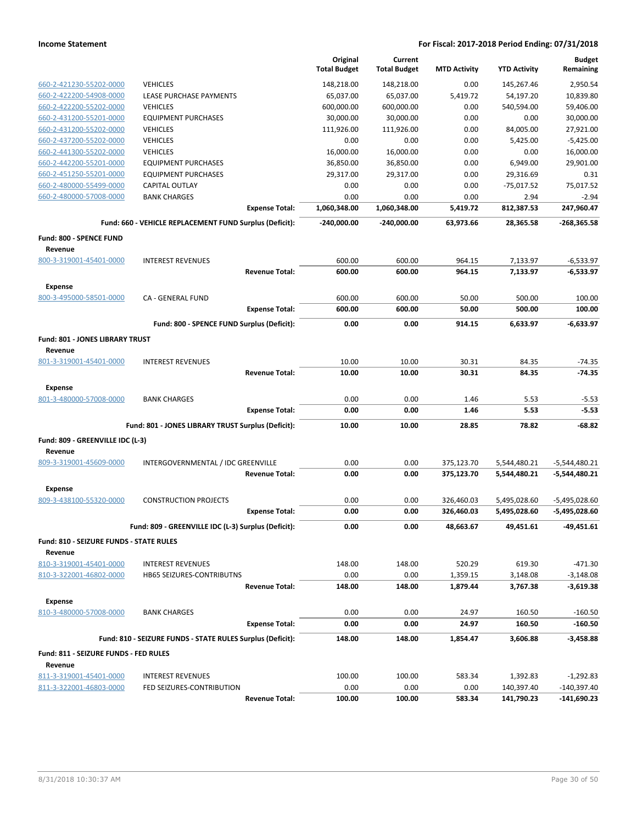|                                                  |                                                            |                       | Original<br><b>Total Budget</b> | Current<br><b>Total Budget</b> | <b>MTD Activity</b> | <b>YTD Activity</b> | <b>Budget</b><br>Remaining |
|--------------------------------------------------|------------------------------------------------------------|-----------------------|---------------------------------|--------------------------------|---------------------|---------------------|----------------------------|
| 660-2-421230-55202-0000                          | <b>VEHICLES</b>                                            |                       | 148,218.00                      | 148,218.00                     | 0.00                | 145,267.46          | 2,950.54                   |
| 660-2-422200-54908-0000                          | LEASE PURCHASE PAYMENTS                                    |                       | 65,037.00                       | 65,037.00                      | 5,419.72            | 54,197.20           | 10,839.80                  |
| 660-2-422200-55202-0000                          | <b>VEHICLES</b>                                            |                       | 600,000.00                      | 600,000.00                     | 0.00                | 540,594.00          | 59,406.00                  |
| 660-2-431200-55201-0000                          | <b>EQUIPMENT PURCHASES</b>                                 |                       | 30,000.00                       | 30,000.00                      | 0.00                | 0.00                | 30,000.00                  |
| 660-2-431200-55202-0000                          | <b>VEHICLES</b>                                            |                       | 111,926.00                      | 111,926.00                     | 0.00                | 84,005.00           | 27,921.00                  |
| 660-2-437200-55202-0000                          | <b>VEHICLES</b>                                            |                       | 0.00                            | 0.00                           | 0.00                | 5,425.00            | $-5,425.00$                |
| 660-2-441300-55202-0000                          | <b>VEHICLES</b>                                            |                       | 16,000.00                       | 16,000.00                      | 0.00                | 0.00                | 16,000.00                  |
| 660-2-442200-55201-0000                          | <b>EQUIPMENT PURCHASES</b>                                 |                       | 36,850.00                       | 36,850.00                      | 0.00                | 6,949.00            | 29,901.00                  |
| 660-2-451250-55201-0000                          | <b>EQUIPMENT PURCHASES</b>                                 |                       | 29,317.00                       | 29,317.00                      | 0.00                | 29,316.69           | 0.31                       |
| 660-2-480000-55499-0000                          | CAPITAL OUTLAY                                             |                       | 0.00                            | 0.00                           | 0.00                | $-75,017.52$        | 75,017.52                  |
| 660-2-480000-57008-0000                          | <b>BANK CHARGES</b>                                        |                       | 0.00                            | 0.00                           | 0.00                | 2.94                | $-2.94$                    |
|                                                  |                                                            | <b>Expense Total:</b> | 1,060,348.00                    | 1,060,348.00                   | 5,419.72            | 812,387.53          | 247,960.47                 |
|                                                  | Fund: 660 - VEHICLE REPLACEMENT FUND Surplus (Deficit):    |                       | $-240,000.00$                   | $-240,000.00$                  | 63,973.66           | 28,365.58           | $-268,365.58$              |
| Fund: 800 - SPENCE FUND<br>Revenue               |                                                            |                       |                                 |                                |                     |                     |                            |
| 800-3-319001-45401-0000                          | <b>INTEREST REVENUES</b>                                   |                       | 600.00                          | 600.00                         | 964.15              | 7,133.97            | $-6,533.97$                |
|                                                  |                                                            | <b>Revenue Total:</b> | 600.00                          | 600.00                         | 964.15              | 7,133.97            | $-6,533.97$                |
| <b>Expense</b>                                   |                                                            |                       |                                 |                                |                     |                     |                            |
| 800-3-495000-58501-0000                          | CA - GENERAL FUND                                          |                       | 600.00                          | 600.00                         | 50.00               | 500.00              | 100.00                     |
|                                                  |                                                            | <b>Expense Total:</b> | 600.00                          | 600.00                         | 50.00               | 500.00              | 100.00                     |
|                                                  | Fund: 800 - SPENCE FUND Surplus (Deficit):                 |                       | 0.00                            | 0.00                           | 914.15              | 6,633.97            | $-6,633.97$                |
| Fund: 801 - JONES LIBRARY TRUST                  |                                                            |                       |                                 |                                |                     |                     |                            |
| Revenue                                          |                                                            |                       |                                 |                                |                     |                     |                            |
| 801-3-319001-45401-0000                          | <b>INTEREST REVENUES</b>                                   |                       | 10.00                           | 10.00                          | 30.31               | 84.35               | $-74.35$                   |
|                                                  |                                                            | <b>Revenue Total:</b> | 10.00                           | 10.00                          | 30.31               | 84.35               | $-74.35$                   |
| <b>Expense</b>                                   |                                                            |                       |                                 |                                |                     |                     |                            |
| 801-3-480000-57008-0000                          | <b>BANK CHARGES</b>                                        |                       | 0.00                            | 0.00                           | 1.46                | 5.53                | $-5.53$                    |
|                                                  |                                                            | <b>Expense Total:</b> | 0.00                            | 0.00                           | 1.46                | 5.53                | $-5.53$                    |
|                                                  | Fund: 801 - JONES LIBRARY TRUST Surplus (Deficit):         |                       | 10.00                           | 10.00                          | 28.85               | 78.82               | -68.82                     |
|                                                  |                                                            |                       |                                 |                                |                     |                     |                            |
| Fund: 809 - GREENVILLE IDC (L-3)<br>Revenue      |                                                            |                       |                                 |                                |                     |                     |                            |
| 809-3-319001-45609-0000                          | INTERGOVERNMENTAL / IDC GREENVILLE                         |                       | 0.00                            | 0.00                           | 375,123.70          | 5,544,480.21        | $-5,544,480.21$            |
|                                                  |                                                            | <b>Revenue Total:</b> | 0.00                            | 0.00                           | 375,123.70          | 5,544,480.21        | -5,544,480.21              |
|                                                  |                                                            |                       |                                 |                                |                     |                     |                            |
| Expense<br>809-3-438100-55320-0000               | <b>CONSTRUCTION PROJECTS</b>                               |                       | 0.00                            | 0.00                           | 326,460.03          | 5,495,028.60        | -5,495,028.60              |
|                                                  |                                                            | <b>Expense Total:</b> | 0.00                            | 0.00                           | 326,460.03          | 5,495,028.60        | -5,495,028.60              |
|                                                  |                                                            |                       |                                 |                                |                     |                     |                            |
|                                                  | Fund: 809 - GREENVILLE IDC (L-3) Surplus (Deficit):        |                       | 0.00                            | 0.00                           | 48,663.67           | 49,451.61           | -49,451.61                 |
| Fund: 810 - SEIZURE FUNDS - STATE RULES          |                                                            |                       |                                 |                                |                     |                     |                            |
| Revenue                                          |                                                            |                       |                                 |                                |                     |                     |                            |
| 810-3-319001-45401-0000                          | <b>INTEREST REVENUES</b>                                   |                       | 148.00                          | 148.00                         | 520.29              | 619.30              | $-471.30$                  |
| 810-3-322001-46802-0000                          | HB65 SEIZURES-CONTRIBUTNS                                  |                       | 0.00                            | 0.00                           | 1,359.15            | 3,148.08            | $-3,148.08$                |
|                                                  |                                                            | <b>Revenue Total:</b> | 148.00                          | 148.00                         | 1,879.44            | 3,767.38            | $-3,619.38$                |
| <b>Expense</b>                                   |                                                            |                       |                                 |                                |                     |                     |                            |
| 810-3-480000-57008-0000                          | <b>BANK CHARGES</b>                                        |                       | 0.00                            | 0.00                           | 24.97               | 160.50              | $-160.50$                  |
|                                                  |                                                            | <b>Expense Total:</b> | 0.00                            | 0.00                           | 24.97               | 160.50              | $-160.50$                  |
|                                                  | Fund: 810 - SEIZURE FUNDS - STATE RULES Surplus (Deficit): |                       | 148.00                          | 148.00                         | 1,854.47            | 3,606.88            | $-3,458.88$                |
| Fund: 811 - SEIZURE FUNDS - FED RULES<br>Revenue |                                                            |                       |                                 |                                |                     |                     |                            |
| 811-3-319001-45401-0000                          | <b>INTEREST REVENUES</b>                                   |                       | 100.00                          | 100.00                         | 583.34              | 1,392.83            | $-1,292.83$                |
| 811-3-322001-46803-0000                          | FED SEIZURES-CONTRIBUTION                                  |                       | 0.00                            | 0.00                           | 0.00                | 140,397.40          | $-140,397.40$              |
|                                                  |                                                            | <b>Revenue Total:</b> | 100.00                          | 100.00                         | 583.34              | 141,790.23          | $-141,690.23$              |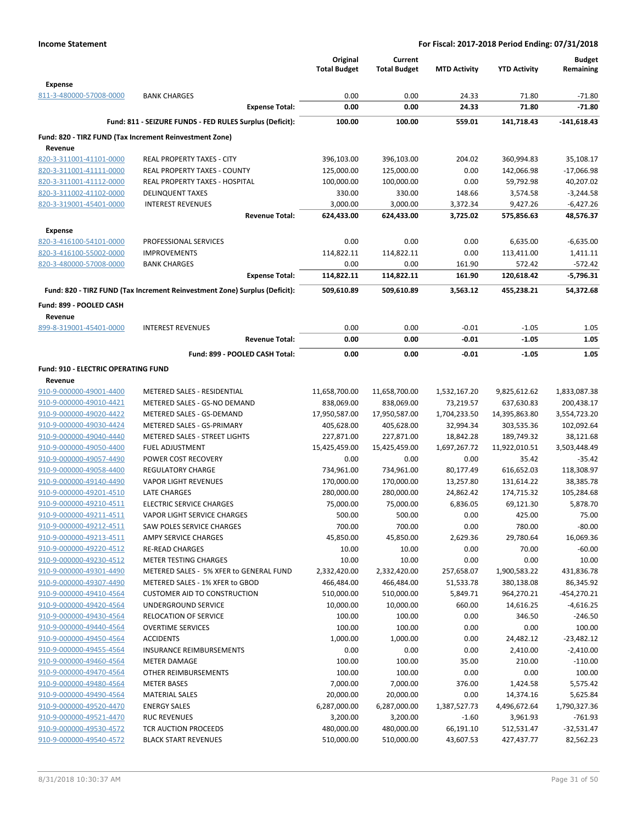|                                                    |                                                                            | Original<br><b>Total Budget</b> | Current<br><b>Total Budget</b> | <b>MTD Activity</b>    | <b>YTD Activity</b>      | <b>Budget</b><br>Remaining |
|----------------------------------------------------|----------------------------------------------------------------------------|---------------------------------|--------------------------------|------------------------|--------------------------|----------------------------|
| <b>Expense</b>                                     |                                                                            |                                 |                                |                        |                          |                            |
| 811-3-480000-57008-0000                            | <b>BANK CHARGES</b>                                                        | 0.00                            | 0.00                           | 24.33                  | 71.80                    | $-71.80$                   |
|                                                    | <b>Expense Total:</b>                                                      | 0.00                            | 0.00                           | 24.33                  | 71.80                    | $-71.80$                   |
|                                                    | Fund: 811 - SEIZURE FUNDS - FED RULES Surplus (Deficit):                   | 100.00                          | 100.00                         | 559.01                 | 141,718.43               | $-141,618.43$              |
|                                                    | Fund: 820 - TIRZ FUND (Tax Increment Reinvestment Zone)                    |                                 |                                |                        |                          |                            |
| Revenue                                            |                                                                            |                                 |                                |                        |                          |                            |
| 820-3-311001-41101-0000                            | REAL PROPERTY TAXES - CITY                                                 | 396,103.00                      | 396,103.00                     | 204.02                 | 360,994.83               | 35,108.17                  |
| 820-3-311001-41111-0000                            | REAL PROPERTY TAXES - COUNTY                                               | 125,000.00                      | 125,000.00                     | 0.00                   | 142,066.98               | $-17,066.98$               |
| 820-3-311001-41112-0000                            | <b>REAL PROPERTY TAXES - HOSPITAL</b>                                      | 100,000.00                      | 100,000.00                     | 0.00                   | 59,792.98                | 40,207.02                  |
| 820-3-311002-41102-0000                            | <b>DELINQUENT TAXES</b>                                                    | 330.00                          | 330.00                         | 148.66                 | 3,574.58                 | $-3,244.58$                |
| 820-3-319001-45401-0000                            | <b>INTEREST REVENUES</b>                                                   | 3,000.00                        | 3,000.00                       | 3,372.34               | 9,427.26                 | $-6,427.26$                |
|                                                    | <b>Revenue Total:</b>                                                      | 624,433.00                      | 624,433.00                     | 3,725.02               | 575,856.63               | 48,576.37                  |
| <b>Expense</b>                                     |                                                                            |                                 |                                |                        |                          |                            |
| 820-3-416100-54101-0000                            | PROFESSIONAL SERVICES                                                      | 0.00                            | 0.00                           | 0.00                   | 6,635.00                 | $-6,635.00$                |
| 820-3-416100-55002-0000                            | <b>IMPROVEMENTS</b>                                                        | 114,822.11                      | 114,822.11                     | 0.00                   | 113,411.00               | 1,411.11                   |
| 820-3-480000-57008-0000                            | <b>BANK CHARGES</b>                                                        | 0.00                            | 0.00                           | 161.90                 | 572.42                   | $-572.42$                  |
|                                                    | <b>Expense Total:</b>                                                      | 114,822.11                      | 114,822.11                     | 161.90                 | 120,618.42               | -5,796.31                  |
|                                                    | Fund: 820 - TIRZ FUND (Tax Increment Reinvestment Zone) Surplus (Deficit): | 509,610.89                      | 509,610.89                     | 3,563.12               | 455,238.21               | 54,372.68                  |
| Fund: 899 - POOLED CASH<br>Revenue                 |                                                                            |                                 |                                |                        |                          |                            |
| 899-8-319001-45401-0000                            | <b>INTEREST REVENUES</b>                                                   | 0.00                            | 0.00                           | $-0.01$                | $-1.05$                  | 1.05                       |
|                                                    | <b>Revenue Total:</b>                                                      | 0.00                            | 0.00                           | $-0.01$                | $-1.05$                  | 1.05                       |
|                                                    | Fund: 899 - POOLED CASH Total:                                             | 0.00                            | 0.00                           | $-0.01$                | $-1.05$                  | 1.05                       |
| Fund: 910 - ELECTRIC OPERATING FUND                |                                                                            |                                 |                                |                        |                          |                            |
| Revenue                                            |                                                                            |                                 |                                |                        |                          |                            |
| 910-9-000000-49001-4400                            | METERED SALES - RESIDENTIAL                                                | 11,658,700.00                   | 11,658,700.00                  | 1,532,167.20           | 9,825,612.62             | 1,833,087.38               |
| 910-9-000000-49010-4421                            | METERED SALES - GS-NO DEMAND                                               | 838,069.00                      | 838,069.00                     | 73,219.57              | 637,630.83               | 200,438.17                 |
| 910-9-000000-49020-4422                            | METERED SALES - GS-DEMAND                                                  | 17,950,587.00                   | 17,950,587.00                  | 1,704,233.50           | 14,395,863.80            | 3,554,723.20               |
| 910-9-000000-49030-4424                            | METERED SALES - GS-PRIMARY                                                 | 405,628.00                      | 405,628.00                     | 32,994.34              | 303,535.36               | 102,092.64                 |
| 910-9-000000-49040-4440                            | <b>METERED SALES - STREET LIGHTS</b>                                       | 227,871.00                      | 227,871.00                     | 18,842.28              | 189,749.32               | 38,121.68                  |
| 910-9-000000-49050-4400                            | <b>FUEL ADJUSTMENT</b>                                                     | 15,425,459.00                   | 15,425,459.00                  | 1,697,267.72           | 11,922,010.51            | 3,503,448.49               |
| 910-9-000000-49057-4490                            | POWER COST RECOVERY                                                        | 0.00                            | 0.00                           | 0.00                   | 35.42                    | $-35.42$                   |
| 910-9-000000-49058-4400                            | <b>REGULATORY CHARGE</b>                                                   | 734,961.00                      | 734,961.00                     | 80,177.49              | 616,652.03               | 118,308.97                 |
| 910-9-000000-49140-4490                            | <b>VAPOR LIGHT REVENUES</b>                                                | 170,000.00                      | 170,000.00                     | 13,257.80              | 131,614.22               | 38,385.78                  |
| 910-9-000000-49201-4510                            | <b>LATE CHARGES</b>                                                        | 280,000.00                      | 280,000.00                     | 24,862.42              | 174,715.32               | 105,284.68                 |
| 910-9-000000-49210-4511                            | <b>ELECTRIC SERVICE CHARGES</b>                                            | 75,000.00                       | 75,000.00                      | 6,836.05               | 69,121.30                | 5,878.70                   |
| 910-9-000000-49211-4511                            | VAPOR LIGHT SERVICE CHARGES<br><b>SAW POLES SERVICE CHARGES</b>            | 500.00<br>700.00                | 500.00                         | 0.00                   | 425.00<br>780.00         | 75.00                      |
| 910-9-000000-49212-4511<br>910-9-000000-49213-4511 | AMPY SERVICE CHARGES                                                       | 45,850.00                       | 700.00<br>45,850.00            | 0.00<br>2,629.36       | 29,780.64                | $-80.00$<br>16,069.36      |
| 910-9-000000-49220-4512                            | <b>RE-READ CHARGES</b>                                                     | 10.00                           | 10.00                          | 0.00                   | 70.00                    | $-60.00$                   |
| 910-9-000000-49230-4512                            | METER TESTING CHARGES                                                      | 10.00                           | 10.00                          | 0.00                   | 0.00                     | 10.00                      |
| 910-9-000000-49301-4490                            | METERED SALES - 5% XFER to GENERAL FUND                                    | 2,332,420.00                    | 2,332,420.00                   | 257,658.07             | 1,900,583.22             | 431,836.78                 |
| 910-9-000000-49307-4490                            | METERED SALES - 1% XFER to GBOD                                            | 466,484.00                      | 466,484.00                     | 51,533.78              | 380,138.08               | 86,345.92                  |
| 910-9-000000-49410-4564                            | <b>CUSTOMER AID TO CONSTRUCTION</b>                                        | 510,000.00                      | 510,000.00                     | 5,849.71               | 964,270.21               | $-454,270.21$              |
| 910-9-000000-49420-4564                            | UNDERGROUND SERVICE                                                        | 10,000.00                       | 10,000.00                      | 660.00                 | 14,616.25                | $-4,616.25$                |
| 910-9-000000-49430-4564                            | RELOCATION OF SERVICE                                                      | 100.00                          | 100.00                         | 0.00                   | 346.50                   | $-246.50$                  |
| 910-9-000000-49440-4564                            | <b>OVERTIME SERVICES</b>                                                   | 100.00                          | 100.00                         | 0.00                   | 0.00                     | 100.00                     |
| 910-9-000000-49450-4564                            | <b>ACCIDENTS</b>                                                           | 1,000.00                        | 1,000.00                       | 0.00                   | 24,482.12                | $-23,482.12$               |
| 910-9-000000-49455-4564                            | <b>INSURANCE REIMBURSEMENTS</b>                                            | 0.00                            | 0.00                           | 0.00                   | 2,410.00                 | $-2,410.00$                |
| 910-9-000000-49460-4564                            | <b>METER DAMAGE</b>                                                        | 100.00                          | 100.00                         | 35.00                  | 210.00                   | $-110.00$                  |
| 910-9-000000-49470-4564                            | OTHER REIMBURSEMENTS                                                       | 100.00                          | 100.00                         | 0.00                   | 0.00                     | 100.00                     |
| 910-9-000000-49480-4564                            | <b>METER BASES</b>                                                         | 7,000.00                        | 7,000.00                       | 376.00                 | 1,424.58                 | 5,575.42                   |
| 910-9-000000-49490-4564                            | <b>MATERIAL SALES</b>                                                      | 20,000.00                       | 20,000.00                      | 0.00                   | 14,374.16                | 5,625.84                   |
| 910-9-000000-49520-4470                            | <b>ENERGY SALES</b>                                                        | 6,287,000.00                    | 6,287,000.00                   | 1,387,527.73           | 4,496,672.64             | 1,790,327.36               |
| 910-9-000000-49521-4470                            | <b>RUC REVENUES</b>                                                        | 3,200.00                        | 3,200.00                       | $-1.60$                | 3,961.93                 | $-761.93$                  |
| 910-9-000000-49530-4572<br>910-9-000000-49540-4572 | TCR AUCTION PROCEEDS<br><b>BLACK START REVENUES</b>                        | 480,000.00<br>510,000.00        | 480,000.00<br>510,000.00       | 66,191.10<br>43,607.53 | 512,531.47<br>427,437.77 | $-32,531.47$<br>82,562.23  |
|                                                    |                                                                            |                                 |                                |                        |                          |                            |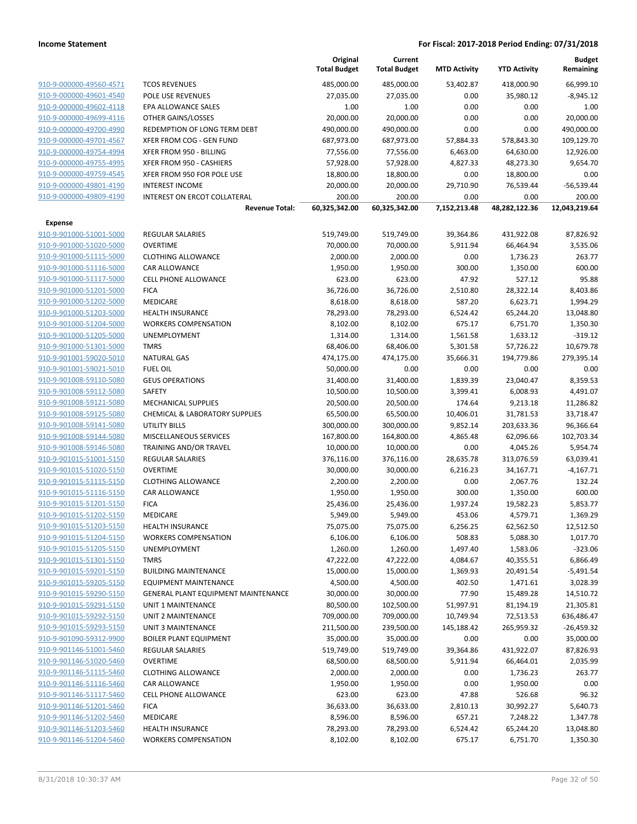|                                                    |                                                                     | Original<br><b>Total Budget</b> | Current<br><b>Total Budget</b> | <b>MTD Activity</b> | <b>YTD Activity</b>    | <b>Budget</b><br>Remaining |
|----------------------------------------------------|---------------------------------------------------------------------|---------------------------------|--------------------------------|---------------------|------------------------|----------------------------|
| 910-9-000000-49560-4571                            | <b>TCOS REVENUES</b>                                                | 485,000.00                      | 485,000.00                     | 53,402.87           | 418,000.90             | 66,999.10                  |
| 910-9-000000-49601-4540                            | POLE USE REVENUES                                                   | 27,035.00                       | 27,035.00                      | 0.00                | 35,980.12              | $-8,945.12$                |
| 910-9-000000-49602-4118                            | EPA ALLOWANCE SALES                                                 | 1.00                            | 1.00                           | 0.00                | 0.00                   | 1.00                       |
| 910-9-000000-49699-4116                            | OTHER GAINS/LOSSES                                                  | 20,000.00                       | 20,000.00                      | 0.00                | 0.00                   | 20,000.00                  |
| 910-9-000000-49700-4990                            | REDEMPTION OF LONG TERM DEBT                                        | 490,000.00                      | 490,000.00                     | 0.00                | 0.00                   | 490,000.00                 |
| 910-9-000000-49701-4567                            | XFER FROM COG - GEN FUND                                            | 687,973.00                      | 687,973.00                     | 57,884.33           | 578,843.30             | 109,129.70                 |
| 910-9-000000-49754-4994                            | XFER FROM 950 - BILLING                                             | 77,556.00                       | 77,556.00                      | 6,463.00            | 64,630.00              | 12,926.00                  |
| 910-9-000000-49755-4995                            | XFER FROM 950 - CASHIERS                                            | 57,928.00                       | 57,928.00                      | 4,827.33            | 48,273.30              | 9,654.70                   |
| 910-9-000000-49759-4545                            | XFER FROM 950 FOR POLE USE                                          | 18,800.00                       | 18,800.00                      | 0.00                | 18,800.00              | 0.00                       |
| 910-9-000000-49801-4190                            | <b>INTEREST INCOME</b>                                              | 20,000.00                       | 20,000.00                      | 29,710.90           | 76,539.44              | $-56,539.44$               |
| 910-9-000000-49809-4190                            | INTEREST ON ERCOT COLLATERAL                                        | 200.00                          | 200.00                         | 0.00                | 0.00                   | 200.00                     |
|                                                    | <b>Revenue Total:</b>                                               | 60,325,342.00                   | 60,325,342.00                  | 7,152,213.48        | 48,282,122.36          | 12,043,219.64              |
| <b>Expense</b>                                     |                                                                     |                                 |                                |                     |                        |                            |
| 910-9-901000-51001-5000                            | <b>REGULAR SALARIES</b>                                             | 519,749.00                      | 519,749.00                     | 39,364.86           | 431,922.08             | 87,826.92                  |
| 910-9-901000-51020-5000                            | <b>OVERTIME</b>                                                     | 70,000.00                       | 70,000.00                      | 5,911.94            | 66,464.94              | 3,535.06                   |
| 910-9-901000-51115-5000                            | <b>CLOTHING ALLOWANCE</b>                                           | 2,000.00                        | 2,000.00                       | 0.00                | 1,736.23               | 263.77                     |
| 910-9-901000-51116-5000                            | CAR ALLOWANCE                                                       | 1,950.00                        | 1,950.00                       | 300.00              | 1,350.00               | 600.00                     |
| 910-9-901000-51117-5000                            | <b>CELL PHONE ALLOWANCE</b>                                         | 623.00                          | 623.00                         | 47.92               | 527.12                 | 95.88                      |
| 910-9-901000-51201-5000                            | <b>FICA</b>                                                         | 36,726.00                       | 36,726.00                      | 2,510.80            | 28,322.14              | 8,403.86                   |
| 910-9-901000-51202-5000                            | MEDICARE                                                            | 8,618.00                        | 8,618.00                       | 587.20              | 6,623.71               | 1,994.29                   |
| 910-9-901000-51203-5000                            | <b>HEALTH INSURANCE</b>                                             | 78,293.00                       | 78,293.00                      | 6,524.42            | 65,244.20              | 13,048.80                  |
| 910-9-901000-51204-5000                            | <b>WORKERS COMPENSATION</b>                                         | 8,102.00                        | 8,102.00                       | 675.17              | 6,751.70               | 1,350.30                   |
| 910-9-901000-51205-5000                            | UNEMPLOYMENT                                                        | 1,314.00                        | 1,314.00                       | 1,561.58            | 1,633.12               | $-319.12$                  |
| 910-9-901000-51301-5000                            | <b>TMRS</b>                                                         | 68,406.00                       | 68,406.00                      | 5,301.58            | 57,726.22              | 10,679.78                  |
| 910-9-901001-59020-5010                            | <b>NATURAL GAS</b>                                                  | 474,175.00                      | 474,175.00                     | 35,666.31           | 194,779.86             | 279,395.14                 |
| 910-9-901001-59021-5010                            | <b>FUEL OIL</b>                                                     | 50,000.00                       | 0.00                           | 0.00                | 0.00                   | 0.00                       |
| 910-9-901008-59110-5080                            | <b>GEUS OPERATIONS</b>                                              | 31,400.00                       | 31,400.00                      | 1,839.39            | 23,040.47              | 8,359.53                   |
| 910-9-901008-59112-5080                            | SAFETY                                                              | 10,500.00                       | 10,500.00                      | 3,399.41            | 6,008.93               | 4,491.07                   |
| 910-9-901008-59121-5080                            | <b>MECHANICAL SUPPLIES</b>                                          | 20,500.00                       | 20,500.00                      | 174.64              | 9,213.18               | 11,286.82                  |
| 910-9-901008-59125-5080                            | CHEMICAL & LABORATORY SUPPLIES                                      | 65,500.00                       | 65,500.00                      | 10,406.01           | 31,781.53              | 33,718.47                  |
| 910-9-901008-59141-5080                            | UTILITY BILLS                                                       | 300,000.00                      | 300,000.00                     | 9,852.14            | 203,633.36             | 96,366.64                  |
| 910-9-901008-59144-5080                            | MISCELLANEOUS SERVICES                                              | 167,800.00                      | 164,800.00                     | 4,865.48            | 62,096.66              | 102,703.34                 |
| 910-9-901008-59146-5080                            | TRAINING AND/OR TRAVEL                                              | 10,000.00                       | 10,000.00                      | 0.00                | 4,045.26               | 5,954.74                   |
| 910-9-901015-51001-5150                            | <b>REGULAR SALARIES</b>                                             | 376,116.00                      | 376,116.00                     | 28,635.78           | 313,076.59             | 63,039.41                  |
| 910-9-901015-51020-5150                            | <b>OVERTIME</b>                                                     | 30,000.00                       | 30,000.00                      | 6,216.23            | 34,167.71              | $-4,167.71$                |
| 910-9-901015-51115-5150                            | <b>CLOTHING ALLOWANCE</b>                                           | 2,200.00                        | 2,200.00                       | 0.00                | 2,067.76               | 132.24                     |
| 910-9-901015-51116-5150                            | CAR ALLOWANCE                                                       | 1,950.00                        | 1,950.00                       | 300.00              | 1,350.00               | 600.00                     |
| 910-9-901015-51201-5150                            | <b>FICA</b>                                                         | 25,436.00                       | 25,436.00                      | 1,937.24            | 19,582.23              | 5,853.77                   |
| 910-9-901015-51202-5150                            | <b>MEDICARE</b>                                                     | 5,949.00                        | 5,949.00                       | 453.06              | 4,579.71               | 1,369.29                   |
| 910-9-901015-51203-5150                            | <b>HEALTH INSURANCE</b>                                             | 75,075.00                       | 75,075.00                      | 6,256.25            | 62,562.50              | 12,512.50                  |
| 910-9-901015-51204-5150                            | <b>WORKERS COMPENSATION</b>                                         | 6,106.00                        | 6,106.00                       | 508.83              | 5,088.30               | 1,017.70                   |
| 910-9-901015-51205-5150                            | UNEMPLOYMENT                                                        | 1,260.00                        | 1,260.00                       | 1,497.40            | 1,583.06               | $-323.06$                  |
| 910-9-901015-51301-5150                            | <b>TMRS</b>                                                         | 47,222.00                       | 47,222.00                      | 4,084.67            | 40,355.51              | 6,866.49                   |
| 910-9-901015-59201-5150                            | <b>BUILDING MAINTENANCE</b>                                         | 15,000.00                       | 15,000.00                      | 1,369.93            | 20,491.54              | -5,491.54                  |
| 910-9-901015-59205-5150<br>910-9-901015-59290-5150 | EQUIPMENT MAINTENANCE<br><b>GENERAL PLANT EQUIPMENT MAINTENANCE</b> | 4,500.00<br>30,000.00           | 4,500.00<br>30,000.00          | 402.50<br>77.90     | 1,471.61               | 3,028.39                   |
| 910-9-901015-59291-5150                            | UNIT 1 MAINTENANCE                                                  | 80,500.00                       | 102,500.00                     | 51,997.91           | 15,489.28<br>81,194.19 | 14,510.72<br>21,305.81     |
| 910-9-901015-59292-5150                            | UNIT 2 MAINTENANCE                                                  | 709,000.00                      | 709,000.00                     | 10,749.94           | 72,513.53              | 636,486.47                 |
| 910-9-901015-59293-5150                            | UNIT 3 MAINTENANCE                                                  | 211,500.00                      | 239,500.00                     | 145,188.42          | 265,959.32             | $-26,459.32$               |
| 910-9-901090-59312-9900                            | <b>BOILER PLANT EQUIPMENT</b>                                       | 35,000.00                       | 35,000.00                      | 0.00                | 0.00                   | 35,000.00                  |
| 910-9-901146-51001-5460                            | REGULAR SALARIES                                                    | 519,749.00                      | 519,749.00                     | 39,364.86           | 431,922.07             | 87,826.93                  |
| 910-9-901146-51020-5460                            | <b>OVERTIME</b>                                                     | 68,500.00                       | 68,500.00                      | 5,911.94            | 66,464.01              | 2,035.99                   |
| 910-9-901146-51115-5460                            | <b>CLOTHING ALLOWANCE</b>                                           | 2,000.00                        | 2,000.00                       | 0.00                | 1,736.23               | 263.77                     |
| 910-9-901146-51116-5460                            | CAR ALLOWANCE                                                       | 1,950.00                        | 1,950.00                       | 0.00                | 1,950.00               | 0.00                       |
| 910-9-901146-51117-5460                            | <b>CELL PHONE ALLOWANCE</b>                                         | 623.00                          | 623.00                         | 47.88               | 526.68                 | 96.32                      |
| 910-9-901146-51201-5460                            | <b>FICA</b>                                                         | 36,633.00                       | 36,633.00                      | 2,810.13            | 30,992.27              | 5,640.73                   |
| 910-9-901146-51202-5460                            | MEDICARE                                                            | 8,596.00                        | 8,596.00                       | 657.21              | 7,248.22               | 1,347.78                   |
| 910-9-901146-51203-5460                            | <b>HEALTH INSURANCE</b>                                             | 78,293.00                       | 78,293.00                      | 6,524.42            | 65,244.20              | 13,048.80                  |
| 910-9-901146-51204-5460                            | <b>WORKERS COMPENSATION</b>                                         | 8,102.00                        | 8,102.00                       | 675.17              | 6,751.70               | 1,350.30                   |
|                                                    |                                                                     |                                 |                                |                     |                        |                            |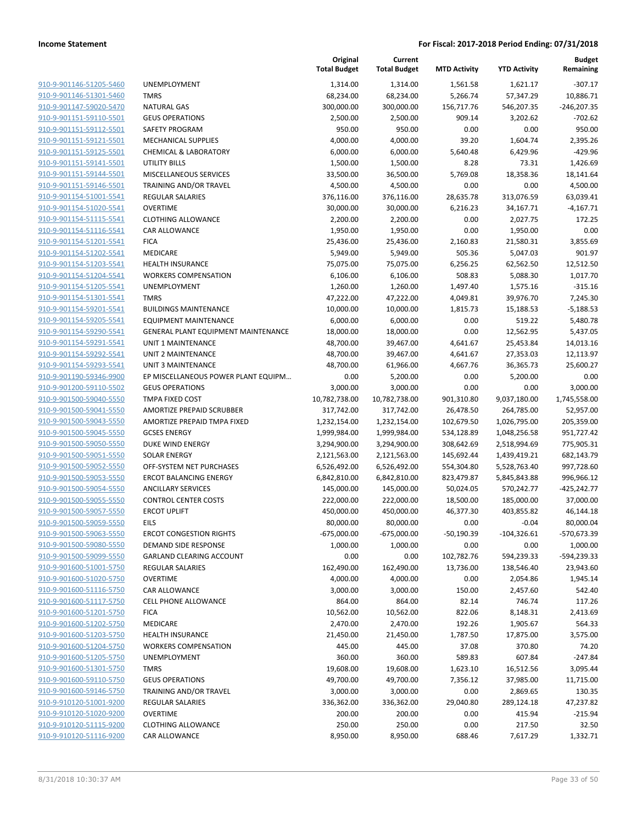**Budget Remaining**

**MTD Activity YTD Activity**

**Current**

**Original**

|                                                    |                                            | <b>Total Budget</b>    | <b>Total Budget</b>    | <b>MTD Activity</b>  | <b>YTD Activity</b>    | Remaining              |
|----------------------------------------------------|--------------------------------------------|------------------------|------------------------|----------------------|------------------------|------------------------|
| 910-9-901146-51205-5460                            | <b>UNEMPLOYMENT</b>                        | 1,314.00               | 1,314.00               | 1,561.58             | 1,621.17               | $-307.17$              |
| 910-9-901146-51301-5460                            | <b>TMRS</b>                                | 68,234.00              | 68,234.00              | 5,266.74             | 57,347.29              | 10,886.71              |
| 910-9-901147-59020-5470                            | <b>NATURAL GAS</b>                         | 300,000.00             | 300,000.00             | 156,717.76           | 546,207.35             | $-246,207.35$          |
| 910-9-901151-59110-5501                            | <b>GEUS OPERATIONS</b>                     | 2,500.00               | 2,500.00               | 909.14               | 3,202.62               | $-702.62$              |
| 910-9-901151-59112-5501                            | SAFETY PROGRAM                             | 950.00                 | 950.00                 | 0.00                 | 0.00                   | 950.00                 |
| 910-9-901151-59121-5501                            | <b>MECHANICAL SUPPLIES</b>                 | 4,000.00               | 4,000.00               | 39.20                | 1,604.74               | 2,395.26               |
| 910-9-901151-59125-5501                            | <b>CHEMICAL &amp; LABORATORY</b>           | 6,000.00               | 6,000.00               | 5,640.48             | 6,429.96               | $-429.96$              |
| 910-9-901151-59141-5501                            | <b>UTILITY BILLS</b>                       | 1,500.00               | 1,500.00               | 8.28                 | 73.31                  | 1,426.69               |
| 910-9-901151-59144-5501                            | MISCELLANEOUS SERVICES                     | 33,500.00              | 36,500.00              | 5,769.08             | 18,358.36              | 18,141.64              |
| 910-9-901151-59146-5501                            | TRAINING AND/OR TRAVEL                     | 4,500.00               | 4,500.00               | 0.00                 | 0.00                   | 4,500.00               |
| 910-9-901154-51001-5541                            | REGULAR SALARIES                           | 376,116.00             | 376,116.00             | 28,635.78            | 313,076.59             | 63,039.41              |
| 910-9-901154-51020-5541                            | <b>OVERTIME</b>                            | 30,000.00              | 30,000.00              | 6,216.23             | 34,167.71              | $-4,167.71$            |
| 910-9-901154-51115-5541                            | <b>CLOTHING ALLOWANCE</b>                  | 2,200.00               | 2,200.00               | 0.00                 | 2,027.75               | 172.25                 |
| 910-9-901154-51116-5541                            | CAR ALLOWANCE                              | 1,950.00               | 1,950.00               | 0.00                 | 1,950.00               | 0.00                   |
| 910-9-901154-51201-5541                            | <b>FICA</b>                                | 25,436.00              | 25,436.00              | 2,160.83             | 21,580.31              | 3,855.69               |
| 910-9-901154-51202-5541                            | MEDICARE                                   | 5,949.00               | 5,949.00               | 505.36               | 5,047.03               | 901.97                 |
| 910-9-901154-51203-5541                            | <b>HEALTH INSURANCE</b>                    | 75,075.00              | 75,075.00              | 6,256.25             | 62,562.50              | 12,512.50              |
| 910-9-901154-51204-5541                            | <b>WORKERS COMPENSATION</b>                | 6,106.00               | 6,106.00               | 508.83               | 5,088.30               | 1,017.70               |
| 910-9-901154-51205-5541                            | <b>UNEMPLOYMENT</b>                        | 1,260.00               | 1,260.00               | 1,497.40             | 1,575.16               | $-315.16$              |
| 910-9-901154-51301-5541                            | <b>TMRS</b>                                | 47,222.00              | 47,222.00              | 4,049.81             | 39,976.70              | 7,245.30               |
| 910-9-901154-59201-5541                            | <b>BUILDINGS MAINTENANCE</b>               | 10,000.00              | 10,000.00              | 1,815.73             | 15,188.53              | $-5,188.53$            |
| 910-9-901154-59205-5541                            | <b>EQUIPMENT MAINTENANCE</b>               | 6,000.00               | 6,000.00               | 0.00                 | 519.22                 | 5,480.78               |
| 910-9-901154-59290-5541                            | GENERAL PLANT EQUIPMENT MAINTENANCE        | 18,000.00              | 18,000.00              | 0.00                 | 12,562.95              | 5,437.05               |
| 910-9-901154-59291-5541<br>910-9-901154-59292-5541 | UNIT 1 MAINTENANCE                         | 48,700.00              | 39,467.00              | 4,641.67             | 25,453.84              | 14,013.16              |
| 910-9-901154-59293-5541                            | UNIT 2 MAINTENANCE<br>UNIT 3 MAINTENANCE   | 48,700.00<br>48,700.00 | 39,467.00<br>61,966.00 | 4,641.67<br>4,667.76 | 27,353.03<br>36,365.73 | 12,113.97<br>25,600.27 |
| 910-9-901190-59346-9900                            | EP MISCELLANEOUS POWER PLANT EQUIPM        | 0.00                   | 5,200.00               | 0.00                 | 5,200.00               | 0.00                   |
| 910-9-901200-59110-5502                            | <b>GEUS OPERATIONS</b>                     | 3,000.00               | 3,000.00               | 0.00                 | 0.00                   | 3,000.00               |
| 910-9-901500-59040-5550                            | TMPA FIXED COST                            | 10,782,738.00          | 10,782,738.00          | 901,310.80           | 9,037,180.00           | 1,745,558.00           |
| 910-9-901500-59041-5550                            | AMORTIZE PREPAID SCRUBBER                  | 317,742.00             | 317,742.00             | 26,478.50            | 264,785.00             | 52,957.00              |
| 910-9-901500-59043-5550                            | AMORTIZE PREPAID TMPA FIXED                | 1,232,154.00           | 1,232,154.00           | 102,679.50           | 1,026,795.00           | 205,359.00             |
| 910-9-901500-59045-5550                            | <b>GCSES ENERGY</b>                        | 1,999,984.00           | 1,999,984.00           | 534,128.89           | 1,048,256.58           | 951,727.42             |
| 910-9-901500-59050-5550                            | DUKE WIND ENERGY                           | 3,294,900.00           | 3,294,900.00           | 308,642.69           | 2,518,994.69           | 775,905.31             |
| 910-9-901500-59051-5550                            | <b>SOLAR ENERGY</b>                        | 2,121,563.00           | 2,121,563.00           | 145,692.44           | 1,439,419.21           | 682,143.79             |
| 910-9-901500-59052-5550                            | OFF-SYSTEM NET PURCHASES                   | 6,526,492.00           | 6,526,492.00           | 554,304.80           | 5,528,763.40           | 997,728.60             |
| 910-9-901500-59053-5550                            | <b>ERCOT BALANCING ENERGY</b>              | 6,842,810.00           | 6,842,810.00           | 823,479.87           | 5,845,843.88           | 996,966.12             |
| 910-9-901500-59054-5550                            | <b>ANCILLARY SERVICES</b>                  | 145,000.00             | 145,000.00             | 50,024.05            | 570,242.77             | $-425,242.77$          |
| 910-9-901500-59055-5550                            | <b>CONTROL CENTER COSTS</b>                | 222,000.00             | 222,000.00             | 18,500.00            | 185,000.00             | 37,000.00              |
| 910-9-901500-59057-5550                            | <b>ERCOT UPLIFT</b>                        | 450,000.00             | 450,000.00             | 46,377.30            | 403,855.82             | 46,144.18              |
| 910-9-901500-59059-5550                            | EILS                                       | 80,000.00              | 80,000.00              | 0.00                 | $-0.04$                | 80,000.04              |
| 910-9-901500-59063-5550                            | <b>ERCOT CONGESTION RIGHTS</b>             | $-675,000.00$          | $-675,000.00$          | $-50,190.39$         | $-104,326.61$          | -570,673.39            |
| 910-9-901500-59080-5550                            | DEMAND SIDE RESPONSE                       | 1,000.00               | 1,000.00               | 0.00                 | 0.00                   | 1,000.00               |
| 910-9-901500-59099-5550                            | GARLAND CLEARING ACCOUNT                   | 0.00                   | 0.00                   | 102,782.76           | 594,239.33             | -594,239.33            |
| 910-9-901600-51001-5750                            | <b>REGULAR SALARIES</b>                    | 162,490.00             | 162,490.00             | 13,736.00            | 138,546.40             | 23,943.60              |
| 910-9-901600-51020-5750                            | <b>OVERTIME</b>                            | 4,000.00               | 4,000.00               | 0.00                 | 2,054.86               | 1,945.14               |
| 910-9-901600-51116-5750                            | CAR ALLOWANCE                              | 3,000.00               | 3,000.00               | 150.00               | 2,457.60               | 542.40                 |
| 910-9-901600-51117-5750                            | <b>CELL PHONE ALLOWANCE</b>                | 864.00                 | 864.00                 | 82.14                | 746.74                 | 117.26                 |
| 910-9-901600-51201-5750                            | <b>FICA</b>                                | 10,562.00              | 10,562.00              | 822.06               | 8,148.31               | 2,413.69               |
| 910-9-901600-51202-5750                            | MEDICARE                                   | 2,470.00               | 2,470.00               | 192.26               | 1,905.67               | 564.33                 |
| 910-9-901600-51203-5750                            | <b>HEALTH INSURANCE</b>                    | 21,450.00              | 21,450.00              | 1,787.50             | 17,875.00              | 3,575.00               |
| 910-9-901600-51204-5750                            | <b>WORKERS COMPENSATION</b>                | 445.00                 | 445.00                 | 37.08                | 370.80                 | 74.20                  |
| 910-9-901600-51205-5750                            | <b>UNEMPLOYMENT</b>                        | 360.00                 | 360.00                 | 589.83               | 607.84                 | $-247.84$              |
| 910-9-901600-51301-5750                            | <b>TMRS</b>                                | 19,608.00              | 19,608.00              | 1,623.10             | 16,512.56              | 3,095.44               |
| 910-9-901600-59110-5750                            | <b>GEUS OPERATIONS</b>                     | 49,700.00              | 49,700.00              | 7,356.12             | 37,985.00              | 11,715.00              |
| 910-9-901600-59146-5750                            | TRAINING AND/OR TRAVEL                     | 3,000.00               | 3,000.00               | 0.00                 | 2,869.65               | 130.35                 |
| 910-9-910120-51001-9200                            | REGULAR SALARIES                           | 336,362.00             | 336,362.00             | 29,040.80            | 289,124.18             | 47,237.82              |
| 910-9-910120-51020-9200                            | <b>OVERTIME</b>                            | 200.00                 | 200.00                 | 0.00                 | 415.94                 | $-215.94$              |
|                                                    |                                            |                        |                        |                      |                        |                        |
| 910-9-910120-51115-9200<br>910-9-910120-51116-9200 | <b>CLOTHING ALLOWANCE</b><br>CAR ALLOWANCE | 250.00<br>8,950.00     | 250.00<br>8,950.00     | 0.00<br>688.46       | 217.50<br>7,617.29     | 32.50<br>1,332.71      |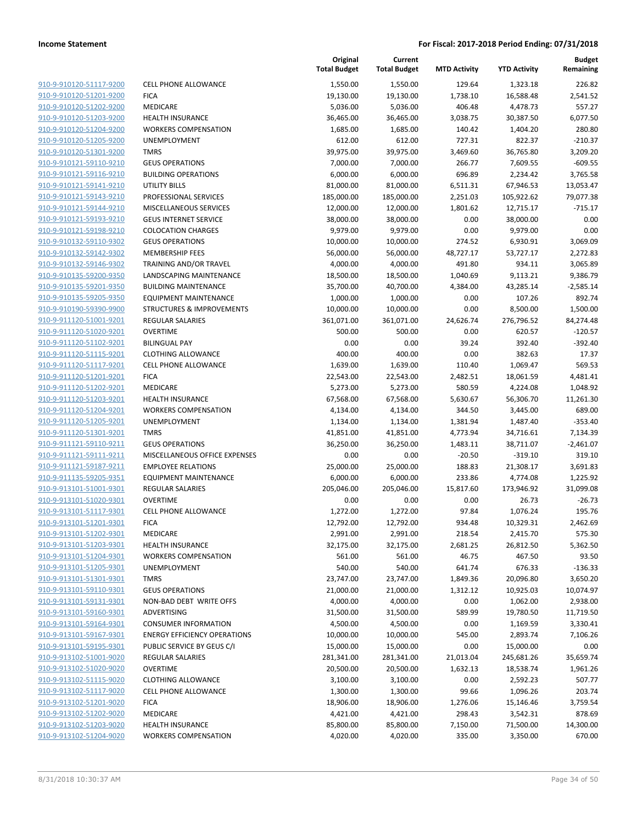**Current**

**Original**

|                                                    |                                     | Original<br><b>Total Budget</b> | Current<br><b>Total Budget</b> | <b>MTD Activity</b> | <b>YTD Activity</b>   | <b>Budget</b><br>Remaining |
|----------------------------------------------------|-------------------------------------|---------------------------------|--------------------------------|---------------------|-----------------------|----------------------------|
| 910-9-910120-51117-9200                            | <b>CELL PHONE ALLOWANCE</b>         | 1,550.00                        | 1,550.00                       | 129.64              | 1,323.18              | 226.82                     |
| 910-9-910120-51201-9200                            | <b>FICA</b>                         | 19,130.00                       | 19,130.00                      | 1,738.10            | 16,588.48             | 2,541.52                   |
| 910-9-910120-51202-9200                            | MEDICARE                            | 5,036.00                        | 5,036.00                       | 406.48              | 4,478.73              | 557.27                     |
| 910-9-910120-51203-9200                            | <b>HEALTH INSURANCE</b>             | 36,465.00                       | 36,465.00                      | 3,038.75            | 30,387.50             | 6,077.50                   |
| 910-9-910120-51204-9200                            | <b>WORKERS COMPENSATION</b>         | 1,685.00                        | 1,685.00                       | 140.42              | 1,404.20              | 280.80                     |
| 910-9-910120-51205-9200                            | UNEMPLOYMENT                        | 612.00                          | 612.00                         | 727.31              | 822.37                | $-210.37$                  |
| 910-9-910120-51301-9200                            | <b>TMRS</b>                         | 39,975.00                       | 39,975.00                      | 3,469.60            | 36,765.80             | 3,209.20                   |
| 910-9-910121-59110-9210                            | <b>GEUS OPERATIONS</b>              | 7,000.00                        | 7,000.00                       | 266.77              | 7,609.55              | $-609.55$                  |
| 910-9-910121-59116-9210                            | <b>BUILDING OPERATIONS</b>          | 6,000.00                        | 6,000.00                       | 696.89              | 2,234.42              | 3,765.58                   |
| 910-9-910121-59141-9210                            | <b>UTILITY BILLS</b>                | 81,000.00                       | 81,000.00                      | 6,511.31            | 67,946.53             | 13,053.47                  |
| 910-9-910121-59143-9210                            | PROFESSIONAL SERVICES               | 185,000.00                      | 185,000.00                     | 2,251.03            | 105,922.62            | 79,077.38                  |
| 910-9-910121-59144-9210                            | MISCELLANEOUS SERVICES              | 12,000.00                       | 12,000.00                      | 1,801.62            | 12,715.17             | $-715.17$                  |
| 910-9-910121-59193-9210                            | <b>GEUS INTERNET SERVICE</b>        | 38,000.00                       | 38,000.00                      | 0.00                | 38,000.00             | 0.00                       |
| 910-9-910121-59198-9210                            | <b>COLOCATION CHARGES</b>           | 9,979.00                        | 9,979.00                       | 0.00                | 9,979.00              | 0.00                       |
| 910-9-910132-59110-9302                            | <b>GEUS OPERATIONS</b>              | 10,000.00                       | 10,000.00                      | 274.52              | 6,930.91              | 3,069.09                   |
| 910-9-910132-59142-9302                            | <b>MEMBERSHIP FEES</b>              | 56,000.00                       | 56,000.00                      | 48,727.17           | 53,727.17             | 2,272.83                   |
| 910-9-910132-59146-9302                            | TRAINING AND/OR TRAVEL              | 4,000.00                        | 4,000.00                       | 491.80              | 934.11                | 3,065.89                   |
| 910-9-910135-59200-9350                            | LANDSCAPING MAINTENANCE             | 18,500.00                       | 18,500.00                      | 1,040.69            | 9,113.21              | 9,386.79                   |
| 910-9-910135-59201-9350                            | <b>BUILDING MAINTENANCE</b>         | 35,700.00                       | 40,700.00                      | 4,384.00            | 43,285.14             | $-2,585.14$                |
| 910-9-910135-59205-9350                            | <b>EQUIPMENT MAINTENANCE</b>        | 1,000.00                        | 1,000.00                       | 0.00                | 107.26                | 892.74                     |
| 910-9-910190-59390-9900                            | STRUCTURES & IMPROVEMENTS           | 10,000.00                       | 10,000.00                      | 0.00                | 8,500.00              | 1,500.00                   |
| 910-9-911120-51001-9201                            | <b>REGULAR SALARIES</b>             | 361,071.00                      | 361,071.00                     | 24,626.74           | 276,796.52            | 84,274.48                  |
| 910-9-911120-51020-9201                            | <b>OVERTIME</b>                     | 500.00                          | 500.00                         | 0.00                | 620.57                | $-120.57$                  |
| 910-9-911120-51102-9201                            | <b>BILINGUAL PAY</b>                | 0.00                            | 0.00                           | 39.24               | 392.40                | $-392.40$                  |
| 910-9-911120-51115-9201                            | <b>CLOTHING ALLOWANCE</b>           | 400.00                          | 400.00                         | 0.00                | 382.63                | 17.37                      |
| 910-9-911120-51117-9201                            | <b>CELL PHONE ALLOWANCE</b>         | 1,639.00                        | 1,639.00                       | 110.40              | 1,069.47              | 569.53                     |
| 910-9-911120-51201-9201                            | <b>FICA</b>                         | 22,543.00                       | 22,543.00                      | 2,482.51            | 18,061.59             | 4,481.41                   |
| 910-9-911120-51202-9201                            | MEDICARE                            | 5,273.00                        | 5,273.00                       | 580.59              | 4,224.08              | 1,048.92                   |
| 910-9-911120-51203-9201                            | <b>HEALTH INSURANCE</b>             | 67,568.00                       | 67,568.00                      | 5,630.67            | 56,306.70             | 11,261.30                  |
| 910-9-911120-51204-9201                            | <b>WORKERS COMPENSATION</b>         | 4,134.00                        | 4,134.00                       | 344.50              | 3,445.00              | 689.00                     |
| 910-9-911120-51205-9201                            | <b>UNEMPLOYMENT</b>                 | 1,134.00                        | 1,134.00                       | 1,381.94            | 1,487.40              | $-353.40$                  |
| 910-9-911120-51301-9201                            | <b>TMRS</b>                         | 41,851.00                       | 41,851.00                      | 4,773.94            | 34,716.61             | 7,134.39                   |
| 910-9-911121-59110-9211                            | <b>GEUS OPERATIONS</b>              | 36,250.00                       | 36,250.00                      | 1,483.11            | 38,711.07             | $-2,461.07$                |
| 910-9-911121-59111-9211                            | MISCELLANEOUS OFFICE EXPENSES       | 0.00                            | 0.00                           | $-20.50$            | $-319.10$             | 319.10                     |
| 910-9-911121-59187-9211                            | <b>EMPLOYEE RELATIONS</b>           | 25,000.00                       | 25,000.00                      | 188.83              | 21,308.17             | 3,691.83                   |
| 910-9-911135-59205-9351                            | EQUIPMENT MAINTENANCE               | 6,000.00                        | 6,000.00                       | 233.86              | 4,774.08              | 1,225.92                   |
| 910-9-913101-51001-9301                            | <b>REGULAR SALARIES</b>             | 205,046.00                      | 205,046.00                     | 15,817.60           | 173,946.92            | 31,099.08                  |
| 910-9-913101-51020-9301                            | <b>OVERTIME</b>                     | 0.00                            | 0.00                           | 0.00                | 26.73                 | $-26.73$                   |
| 910-9-913101-51117-9301                            | <b>CELL PHONE ALLOWANCE</b>         | 1,272.00                        | 1,272.00                       | 97.84               | 1,076.24              | 195.76                     |
| 910-9-913101-51201-9301                            | <b>FICA</b>                         | 12,792.00                       | 12,792.00                      | 934.48              | 10,329.31             | 2,462.69                   |
| 910-9-913101-51202-9301                            | MEDICARE                            | 2,991.00                        | 2,991.00                       | 218.54              | 2,415.70              | 575.30                     |
| 910-9-913101-51203-9301                            | <b>HEALTH INSURANCE</b>             | 32,175.00                       | 32,175.00                      | 2,681.25            | 26,812.50             | 5,362.50                   |
| 910-9-913101-51204-9301                            | <b>WORKERS COMPENSATION</b>         | 561.00                          | 561.00                         | 46.75               | 467.50                | 93.50                      |
| 910-9-913101-51205-9301                            | UNEMPLOYMENT<br><b>TMRS</b>         | 540.00<br>23,747.00             | 540.00                         | 641.74              | 676.33                | $-136.33$                  |
| 910-9-913101-51301-9301<br>910-9-913101-59110-9301 | <b>GEUS OPERATIONS</b>              |                                 | 23,747.00                      | 1,849.36            | 20,096.80             | 3,650.20                   |
|                                                    | NON-BAD DEBT WRITE OFFS             | 21,000.00                       | 21,000.00                      | 1,312.12            | 10,925.03             | 10,074.97                  |
| 910-9-913101-59131-9301                            | <b>ADVERTISING</b>                  | 4,000.00<br>31,500.00           | 4,000.00                       | 0.00                | 1,062.00              | 2,938.00                   |
| 910-9-913101-59160-9301<br>910-9-913101-59164-9301 | <b>CONSUMER INFORMATION</b>         | 4,500.00                        | 31,500.00<br>4,500.00          | 589.99<br>0.00      | 19,780.50<br>1,169.59 | 11,719.50                  |
| 910-9-913101-59167-9301                            | <b>ENERGY EFFICIENCY OPERATIONS</b> | 10,000.00                       | 10,000.00                      | 545.00              | 2,893.74              | 3,330.41<br>7,106.26       |
| 910-9-913101-59195-9301                            | PUBLIC SERVICE BY GEUS C/I          | 15,000.00                       | 15,000.00                      | 0.00                | 15,000.00             | 0.00                       |
| 910-9-913102-51001-9020                            | REGULAR SALARIES                    | 281,341.00                      | 281,341.00                     | 21,013.04           | 245,681.26            | 35,659.74                  |
| 910-9-913102-51020-9020                            | <b>OVERTIME</b>                     | 20,500.00                       | 20,500.00                      | 1,632.13            | 18,538.74             | 1,961.26                   |
| 910-9-913102-51115-9020                            | <b>CLOTHING ALLOWANCE</b>           | 3,100.00                        | 3,100.00                       | 0.00                | 2,592.23              | 507.77                     |
| 910-9-913102-51117-9020                            | <b>CELL PHONE ALLOWANCE</b>         | 1,300.00                        | 1,300.00                       | 99.66               | 1,096.26              | 203.74                     |
| 910-9-913102-51201-9020                            | <b>FICA</b>                         | 18,906.00                       | 18,906.00                      | 1,276.06            | 15,146.46             | 3,759.54                   |
| 910-9-913102-51202-9020                            | MEDICARE                            | 4,421.00                        | 4,421.00                       | 298.43              | 3,542.31              | 878.69                     |
| 910-9-913102-51203-9020                            | <b>HEALTH INSURANCE</b>             | 85,800.00                       | 85,800.00                      | 7,150.00            | 71,500.00             | 14,300.00                  |
| 910-9-913102-51204-9020                            | <b>WORKERS COMPENSATION</b>         | 4,020.00                        | 4,020.00                       | 335.00              | 3,350.00              | 670.00                     |
|                                                    |                                     |                                 |                                |                     |                       |                            |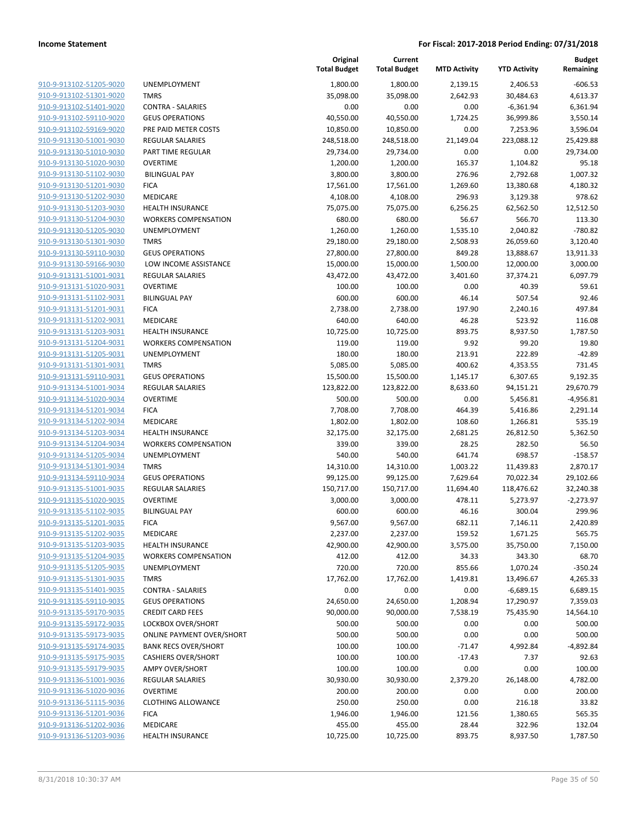| 910-9-913102-51205-9020        |
|--------------------------------|
| 910-9-913102-51301-9020        |
| 910-9-913102-51401-9020        |
| 910-9-913102-59110-9020        |
| 910-9-913102-59169-9020        |
| 910-9-913130-51001-9030        |
| 910-9-913130-51010-9030        |
| 910-9-913130-51020-9030        |
| 910-9-913130-51102-9030        |
| 910-9-913130-51201-9030        |
| 910-9-913130-51202-9030        |
| 910-9-913130-51203-9030        |
| 910-9-913130-51204-9030        |
|                                |
| 910-9-913130-51205-9030        |
| 910-9-913130-51301-9030        |
| <u>910-9-913130-59110-9030</u> |
| 910-9-913130-59166-9030        |
| 910-9-913131-51001-9031        |
| 910-9-913131-51020-9031        |
| 910-9-913131-51102-9031        |
| 910-9-913131-51201-9031        |
| 910-9-913131-51202-9031        |
| 910-9-913131-51203-9031        |
| 910-9-913131-51204-9031        |
| 910-9-913131-51205-9031        |
| <u>910-9-913131-51301-9031</u> |
| 910-9-913131-59110-9031        |
| 910-9-913134-51001-9034        |
| 910-9-913134-51020-9034        |
|                                |
| 910-9-913134-51201-9034        |
| 910-9-913134-51202-9034        |
| 910-9-913134-51203-9034        |
| 910-9-913134-51204-9034        |
| 910-9-913134-51205-9034        |
| 910-9-913134-51301-9034        |
| 910-9-913134-59110-9034        |
| 910-9-913135-51001-9035        |
| 910-9-913135-51020-9035        |
| 910-9-913135-51102-9035        |
| 910-9-913135-51201-9035        |
| 910-9-913135-51202-9035        |
| 910-9-913135-51203-9035        |
| 910-9-913135-51204-9035        |
| 910-9-913135-51205-9035        |
| 910-9-913135-51301-9035        |
|                                |
| 910-9-913135-51401-9035        |
| 910-9-913135-59110-9035        |
| 910-9-913135-59170-9035        |
| 910-9-913135-59172-9035        |
| 910-9-913135-59173-9035        |
| 910-9-913135-59174-9035        |
| 910-9-913135-59175-9035        |
| 910-9-913135-59179-9035        |
| 910-9-913136-51001-9036        |
| 910-9-913136-51020-9036        |
| 910-9-913136-51115-9036        |
| 910-9-913136-51201-9036        |
| 910-9-913136-51202-9036        |
| 910-9-913136-51203-9036        |
|                                |

|                         |                                  | Original<br><b>Total Budget</b> | Current<br><b>Total Budget</b> | <b>MTD Activity</b> | <b>YTD Activity</b> | <b>Budget</b><br>Remaining |
|-------------------------|----------------------------------|---------------------------------|--------------------------------|---------------------|---------------------|----------------------------|
| 910-9-913102-51205-9020 | <b>UNEMPLOYMENT</b>              | 1,800.00                        | 1,800.00                       | 2,139.15            | 2,406.53            | $-606.53$                  |
| 910-9-913102-51301-9020 | <b>TMRS</b>                      | 35,098.00                       | 35,098.00                      | 2,642.93            | 30,484.63           | 4,613.37                   |
| 910-9-913102-51401-9020 | <b>CONTRA - SALARIES</b>         | 0.00                            | 0.00                           | 0.00                | $-6,361.94$         | 6,361.94                   |
| 910-9-913102-59110-9020 | <b>GEUS OPERATIONS</b>           | 40,550.00                       | 40,550.00                      | 1,724.25            | 36,999.86           | 3,550.14                   |
| 910-9-913102-59169-9020 | PRE PAID METER COSTS             | 10,850.00                       | 10,850.00                      | 0.00                | 7,253.96            | 3,596.04                   |
| 910-9-913130-51001-9030 | REGULAR SALARIES                 | 248,518.00                      | 248,518.00                     | 21,149.04           | 223,088.12          | 25,429.88                  |
| 910-9-913130-51010-9030 | PART TIME REGULAR                | 29,734.00                       | 29,734.00                      | 0.00                | 0.00                | 29,734.00                  |
| 910-9-913130-51020-9030 | <b>OVERTIME</b>                  | 1,200.00                        | 1,200.00                       | 165.37              | 1,104.82            | 95.18                      |
| 910-9-913130-51102-9030 | <b>BILINGUAL PAY</b>             | 3,800.00                        | 3,800.00                       | 276.96              | 2,792.68            | 1,007.32                   |
| 910-9-913130-51201-9030 | <b>FICA</b>                      | 17,561.00                       | 17,561.00                      | 1,269.60            | 13,380.68           | 4,180.32                   |
| 910-9-913130-51202-9030 | MEDICARE                         | 4,108.00                        | 4,108.00                       | 296.93              | 3,129.38            | 978.62                     |
| 910-9-913130-51203-9030 | <b>HEALTH INSURANCE</b>          | 75,075.00                       | 75,075.00                      | 6,256.25            | 62,562.50           | 12,512.50                  |
| 910-9-913130-51204-9030 | <b>WORKERS COMPENSATION</b>      | 680.00                          | 680.00                         | 56.67               | 566.70              | 113.30                     |
| 910-9-913130-51205-9030 | <b>UNEMPLOYMENT</b>              | 1,260.00                        | 1,260.00                       | 1,535.10            | 2,040.82            | $-780.82$                  |
| 910-9-913130-51301-9030 | <b>TMRS</b>                      | 29,180.00                       | 29,180.00                      | 2,508.93            | 26,059.60           | 3,120.40                   |
| 910-9-913130-59110-9030 | <b>GEUS OPERATIONS</b>           | 27,800.00                       | 27,800.00                      | 849.28              | 13,888.67           | 13,911.33                  |
| 910-9-913130-59166-9030 | LOW INCOME ASSISTANCE            | 15,000.00                       | 15,000.00                      | 1,500.00            | 12,000.00           | 3,000.00                   |
| 910-9-913131-51001-9031 | <b>REGULAR SALARIES</b>          | 43,472.00                       | 43,472.00                      | 3,401.60            | 37,374.21           | 6,097.79                   |
| 910-9-913131-51020-9031 | <b>OVERTIME</b>                  | 100.00                          | 100.00                         | 0.00                | 40.39               | 59.61                      |
| 910-9-913131-51102-9031 | <b>BILINGUAL PAY</b>             | 600.00                          | 600.00                         | 46.14               | 507.54              | 92.46                      |
| 910-9-913131-51201-9031 | <b>FICA</b>                      | 2,738.00                        | 2,738.00                       | 197.90              | 2,240.16            | 497.84                     |
| 910-9-913131-51202-9031 | MEDICARE                         | 640.00                          | 640.00                         | 46.28               | 523.92              | 116.08                     |
| 910-9-913131-51203-9031 | <b>HEALTH INSURANCE</b>          | 10,725.00                       | 10,725.00                      | 893.75              | 8,937.50            | 1,787.50                   |
| 910-9-913131-51204-9031 | <b>WORKERS COMPENSATION</b>      | 119.00                          | 119.00                         | 9.92                | 99.20               | 19.80                      |
| 910-9-913131-51205-9031 | <b>UNEMPLOYMENT</b>              | 180.00                          | 180.00                         | 213.91              | 222.89              | $-42.89$                   |
| 910-9-913131-51301-9031 | <b>TMRS</b>                      | 5,085.00                        | 5,085.00                       | 400.62              | 4,353.55            | 731.45                     |
| 910-9-913131-59110-9031 | <b>GEUS OPERATIONS</b>           | 15,500.00                       | 15,500.00                      | 1,145.17            | 6,307.65            | 9,192.35                   |
| 910-9-913134-51001-9034 | <b>REGULAR SALARIES</b>          | 123,822.00                      | 123,822.00                     | 8,633.60            | 94,151.21           | 29,670.79                  |
| 910-9-913134-51020-9034 | <b>OVERTIME</b>                  | 500.00                          | 500.00                         | 0.00                | 5,456.81            | $-4,956.81$                |
| 910-9-913134-51201-9034 | <b>FICA</b>                      | 7,708.00                        | 7,708.00                       | 464.39              | 5,416.86            | 2,291.14                   |
| 910-9-913134-51202-9034 | MEDICARE                         | 1,802.00                        | 1,802.00                       | 108.60              | 1,266.81            | 535.19                     |
| 910-9-913134-51203-9034 | <b>HEALTH INSURANCE</b>          | 32,175.00                       | 32,175.00                      | 2,681.25            | 26,812.50           | 5,362.50                   |
| 910-9-913134-51204-9034 | <b>WORKERS COMPENSATION</b>      | 339.00                          | 339.00                         | 28.25               | 282.50              | 56.50                      |
| 910-9-913134-51205-9034 | <b>UNEMPLOYMENT</b>              | 540.00                          | 540.00                         | 641.74              | 698.57              | $-158.57$                  |
| 910-9-913134-51301-9034 | <b>TMRS</b>                      | 14,310.00                       | 14,310.00                      | 1,003.22            | 11,439.83           | 2,870.17                   |
| 910-9-913134-59110-9034 | <b>GEUS OPERATIONS</b>           | 99,125.00                       | 99,125.00                      | 7,629.64            | 70,022.34           | 29,102.66                  |
| 910-9-913135-51001-9035 | <b>REGULAR SALARIES</b>          | 150,717.00                      | 150,717.00                     | 11,694.40           | 118,476.62          | 32,240.38                  |
| 910-9-913135-51020-9035 | <b>OVERTIME</b>                  | 3,000.00                        | 3,000.00                       | 478.11              | 5,273.97            | $-2,273.97$                |
| 910-9-913135-51102-9035 | <b>BILINGUAL PAY</b>             | 600.00                          | 600.00                         | 46.16               | 300.04              | 299.96                     |
| 910-9-913135-51201-9035 | <b>FICA</b>                      | 9,567.00                        | 9,567.00                       | 682.11              | 7,146.11            | 2,420.89                   |
| 910-9-913135-51202-9035 | MEDICARE                         | 2,237.00                        | 2,237.00                       | 159.52              | 1,671.25            | 565.75                     |
| 910-9-913135-51203-9035 | <b>HEALTH INSURANCE</b>          | 42,900.00                       | 42,900.00                      | 3,575.00            | 35,750.00           | 7,150.00                   |
| 910-9-913135-51204-9035 | <b>WORKERS COMPENSATION</b>      | 412.00                          | 412.00                         | 34.33               | 343.30              | 68.70                      |
| 910-9-913135-51205-9035 | <b>UNEMPLOYMENT</b>              | 720.00                          | 720.00                         | 855.66              | 1,070.24            | $-350.24$                  |
| 910-9-913135-51301-9035 | <b>TMRS</b>                      | 17,762.00                       | 17,762.00                      | 1,419.81            | 13,496.67           | 4,265.33                   |
| 910-9-913135-51401-9035 | <b>CONTRA - SALARIES</b>         | 0.00                            | 0.00                           | 0.00                | $-6,689.15$         | 6,689.15                   |
| 910-9-913135-59110-9035 | <b>GEUS OPERATIONS</b>           | 24,650.00                       | 24,650.00                      | 1,208.94            | 17,290.97           | 7,359.03                   |
| 910-9-913135-59170-9035 | <b>CREDIT CARD FEES</b>          | 90,000.00                       | 90,000.00                      | 7,538.19            | 75,435.90           | 14,564.10                  |
| 910-9-913135-59172-9035 | LOCKBOX OVER/SHORT               | 500.00                          | 500.00                         | 0.00                | 0.00                | 500.00                     |
| 910-9-913135-59173-9035 | <b>ONLINE PAYMENT OVER/SHORT</b> | 500.00                          | 500.00                         | 0.00                | 0.00                | 500.00                     |
| 910-9-913135-59174-9035 | <b>BANK RECS OVER/SHORT</b>      | 100.00                          | 100.00                         | $-71.47$            | 4,992.84            | $-4,892.84$                |
| 910-9-913135-59175-9035 | <b>CASHIERS OVER/SHORT</b>       | 100.00                          | 100.00                         | $-17.43$            | 7.37                | 92.63                      |
| 910-9-913135-59179-9035 | <b>AMPY OVER/SHORT</b>           | 100.00                          | 100.00                         | 0.00                | 0.00                | 100.00                     |
| 910-9-913136-51001-9036 | REGULAR SALARIES                 | 30,930.00                       | 30,930.00                      | 2,379.20            | 26,148.00           | 4,782.00                   |
| 910-9-913136-51020-9036 | <b>OVERTIME</b>                  | 200.00                          | 200.00                         | 0.00                | 0.00                | 200.00                     |
| 910-9-913136-51115-9036 | <b>CLOTHING ALLOWANCE</b>        | 250.00                          | 250.00                         | 0.00                | 216.18              | 33.82                      |
| 910-9-913136-51201-9036 | <b>FICA</b>                      | 1,946.00                        | 1,946.00                       | 121.56              | 1,380.65            | 565.35                     |
| 910-9-913136-51202-9036 | MEDICARE                         | 455.00                          | 455.00                         | 28.44               | 322.96              | 132.04                     |
| 910-9-913136-51203-9036 | <b>HEALTH INSURANCE</b>          | 10,725.00                       | 10,725.00                      | 893.75              | 8,937.50            | 1,787.50                   |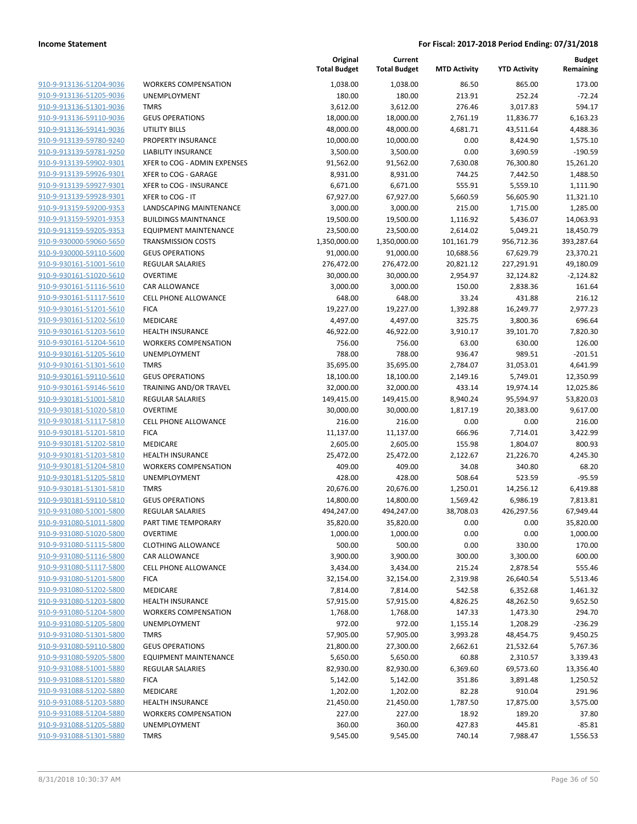| 910-9-913136-51204-9036        |
|--------------------------------|
| 910-9-913136-51205-9036        |
| 910-9-913136-51301-9036        |
| 910-9-913136-59110-9036        |
| 910-9-913136-59141-9036        |
| 910-9-913139-59780-9240        |
| 910-9-913139-59781-9250        |
| 910-9-913139-59902-9301        |
| 910-9-913139-59926-9301        |
| 910-9-913139-59927-9301        |
| 910-9-913139-59928-9301        |
| 910-9-913159-59200-9353        |
| 910-9-913159-59201-9353        |
| 910-9-913159-59205-9353        |
|                                |
| <u>910-9-930000-59060-5650</u> |
| 910-9-930000-59110-5600        |
| 910-9-930161-51001-5610        |
| 910-9-930161-51020-5610        |
| <u>910-9-930161-51116-5610</u> |
| <u>910-9-930161-51117-5610</u> |
| 910-9-930161-51201-5610        |
| 910-9-930161-51202-5610        |
| 910-9-930161-51203-5610        |
| <u>910-9-930161-51204-5610</u> |
| <u>910-9-930161-51205-5610</u> |
| 910-9-930161-51301-5610        |
| 910-9-930161-59110-5610        |
| 910-9-930161-59146-5610        |
| <u>910-9-930181-51001-5810</u> |
| <u>910-9-930181-51020-5810</u> |
| 910-9-930181-51117-5810        |
| 910-9-930181-51201-5810        |
| 910-9-930181-51202-5810        |
| <u>910-9-930181-51203-5810</u> |
| <u>910-9-930181-51204-5810</u> |
| 910-9-930181-51205-5810        |
| 910-9-930181-51301-5810        |
| 910-9-930181-59110-5810        |
|                                |
| 910-9-931080-51001-5800        |
| <u>910-9-931080-51011-5800</u> |
| 910-9-931080-51020-5800        |
| 910-9-931080-51115-5800        |
| 910-9-931080-51116-5800        |
| 910-9-931080-51117-5800        |
| <u>910-9-931080-51201-5800</u> |
| 910-9-931080-51202-5800        |
| 910-9-931080-51203-5800        |
| 910-9-931080-51204-5800        |
| 910-9-931080-51205-5800        |
| <u>910-9-931080-51301-5800</u> |
| <u>910-9-931080-59110-5800</u> |
| 910-9-931080-59205-5800        |
| 910-9-931088-51001-5880        |
| <u>910-9-931088-51201-5880</u> |
| <u>910-9-931088-51202-5880</u> |
| <u>910-9-931088-51203-5880</u> |
|                                |
| 910-9-931088-51204-5880        |
| 910-9-931088-51205-5880        |
| 910-9-931088-51301-5880        |

| <b>WORKERS COMPENSATION</b>   |
|-------------------------------|
| <b>UNEMPLOYMENT</b>           |
| <b>TMRS</b>                   |
| <b>GEUS OPERATIONS</b>        |
| UTILITY BILLS                 |
| PROPERTY INSURANCE            |
| <b>LIABILITY INSURANCE</b>    |
| XFER to COG - ADMIN EXPENSES  |
| XFER to COG - GARAGE          |
| XFER to COG - INSURANCE       |
| XFER to COG - IT              |
| LANDSCAPING MAINTENANCE       |
| <b>BUILDINGS MAINTNANCE</b>   |
| <b>EQUIPMENT MAINTENANCE</b>  |
| <b>TRANSMISSION COSTS</b>     |
| <b>GEUS OPERATIONS</b>        |
| <b>REGULAR SALARIES</b>       |
| OVERTIME                      |
| <b>CAR ALLOWANCE</b>          |
| <b>CELL PHONE ALLOWANCE</b>   |
| <b>FICA</b>                   |
| <b>MEDICARE</b>               |
| <b>HEALTH INSURANCE</b>       |
| <b>WORKERS COMPENSATION</b>   |
| <b>UNEMPLOYMENT</b>           |
| <b>TMRS</b>                   |
| <b>GEUS OPERATIONS</b>        |
| <b>TRAINING AND/OR TRAVEL</b> |
| <b>REGULAR SALARIES</b>       |
| OVERTIME                      |
| <b>CELL PHONE ALLOWANCE</b>   |
|                               |
| <b>FICA</b>                   |
| <b>MEDICARE</b>               |
| <b>HEALTH INSURANCE</b>       |
| <b>WORKERS COMPENSATION</b>   |
| <b>UNEMPLOYMENT</b>           |
| <b>TMRS</b>                   |
| <b>GEUS OPERATIONS</b>        |
| <b>REGULAR SALARIES</b>       |
| PART TIME TEMPORARY           |
| <b>OVERTIME</b>               |
| <b>CLOTHING ALLOWANCE</b>     |
| <b>CAR ALLOWANCE</b>          |
| <b>CELL PHONE ALLOWANCE</b>   |
| <b>FICA</b>                   |
| MEDICARE                      |
| <b>HEALTH INSURANCE</b>       |
| <b>WORKERS COMPENSATION</b>   |
| <b>UNEMPLOYMENT</b>           |
| <b>TMRS</b>                   |
| <b>GEUS OPERATIONS</b>        |
| <b>EQUIPMENT MAINTENANCE</b>  |
| <b>REGULAR SALARIES</b>       |
| <b>FICA</b>                   |
| MEDICARE                      |
| <b>HEALTH INSURANCE</b>       |
| <b>WORKERS COMPENSATION</b>   |
| <b>UNEMPLOYMENT</b>           |

|                                                    |                                                        | Original<br><b>Total Budget</b> | Current<br><b>Total Budget</b> | <b>MTD Activity</b> | <b>YTD Activity</b> | <b>Budget</b><br>Remaining |
|----------------------------------------------------|--------------------------------------------------------|---------------------------------|--------------------------------|---------------------|---------------------|----------------------------|
| 910-9-913136-51204-9036                            | <b>WORKERS COMPENSATION</b>                            | 1,038.00                        | 1,038.00                       | 86.50               | 865.00              | 173.00                     |
| 910-9-913136-51205-9036                            | <b>UNEMPLOYMENT</b>                                    | 180.00                          | 180.00                         | 213.91              | 252.24              | $-72.24$                   |
| 910-9-913136-51301-9036                            | <b>TMRS</b>                                            | 3,612.00                        | 3,612.00                       | 276.46              | 3,017.83            | 594.17                     |
| 910-9-913136-59110-9036                            | <b>GEUS OPERATIONS</b>                                 | 18,000.00                       | 18,000.00                      | 2,761.19            | 11,836.77           | 6,163.23                   |
| 910-9-913136-59141-9036                            | UTILITY BILLS                                          | 48,000.00                       | 48,000.00                      | 4,681.71            | 43,511.64           | 4,488.36                   |
| 910-9-913139-59780-9240                            | PROPERTY INSURANCE                                     | 10,000.00                       | 10,000.00                      | 0.00                | 8,424.90            | 1,575.10                   |
| 910-9-913139-59781-9250                            | <b>LIABILITY INSURANCE</b>                             | 3,500.00                        | 3,500.00                       | 0.00                | 3,690.59            | $-190.59$                  |
| 910-9-913139-59902-9301                            | XFER to COG - ADMIN EXPENSES                           | 91,562.00                       | 91,562.00                      | 7,630.08            | 76,300.80           | 15,261.20                  |
| 910-9-913139-59926-9301                            | XFER to COG - GARAGE                                   | 8,931.00                        | 8,931.00                       | 744.25              | 7,442.50            | 1,488.50                   |
| 910-9-913139-59927-9301                            | XFER to COG - INSURANCE                                | 6,671.00                        | 6,671.00                       | 555.91              | 5,559.10            | 1,111.90                   |
| 910-9-913139-59928-9301                            | XFER to COG - IT                                       | 67,927.00                       | 67,927.00                      | 5,660.59            | 56,605.90           | 11,321.10                  |
| 910-9-913159-59200-9353                            | LANDSCAPING MAINTENANCE                                | 3,000.00                        | 3,000.00                       | 215.00              | 1,715.00            | 1,285.00                   |
| 910-9-913159-59201-9353                            | <b>BUILDINGS MAINTNANCE</b>                            | 19,500.00                       | 19,500.00                      | 1,116.92            | 5,436.07            | 14,063.93                  |
| 910-9-913159-59205-9353                            | <b>EQUIPMENT MAINTENANCE</b>                           | 23,500.00                       | 23,500.00                      | 2,614.02            | 5,049.21            | 18,450.79                  |
| 910-9-930000-59060-5650                            | <b>TRANSMISSION COSTS</b>                              | 1,350,000.00                    | 1,350,000.00                   | 101,161.79          | 956,712.36          | 393,287.64                 |
| 910-9-930000-59110-5600                            | <b>GEUS OPERATIONS</b>                                 | 91,000.00                       | 91,000.00                      | 10,688.56           | 67,629.79           | 23,370.21                  |
| 910-9-930161-51001-5610                            | <b>REGULAR SALARIES</b>                                | 276,472.00                      | 276,472.00                     | 20,821.12           | 227,291.91          | 49,180.09                  |
| 910-9-930161-51020-5610                            | <b>OVERTIME</b>                                        | 30,000.00                       | 30,000.00                      | 2,954.97            | 32,124.82           | $-2,124.82$                |
| 910-9-930161-51116-5610                            | CAR ALLOWANCE                                          | 3,000.00                        | 3,000.00                       | 150.00              | 2,838.36            | 161.64                     |
| 910-9-930161-51117-5610                            | <b>CELL PHONE ALLOWANCE</b>                            | 648.00                          | 648.00                         | 33.24               | 431.88              | 216.12                     |
| 910-9-930161-51201-5610                            | <b>FICA</b>                                            | 19,227.00                       | 19,227.00                      | 1,392.88            | 16,249.77           | 2,977.23                   |
| 910-9-930161-51202-5610                            | MEDICARE                                               | 4,497.00                        | 4,497.00                       | 325.75              | 3,800.36            | 696.64                     |
| 910-9-930161-51203-5610                            | <b>HEALTH INSURANCE</b>                                | 46,922.00                       | 46,922.00                      | 3,910.17            | 39,101.70           | 7,820.30                   |
| 910-9-930161-51204-5610                            | <b>WORKERS COMPENSATION</b>                            | 756.00                          | 756.00                         | 63.00               | 630.00              | 126.00                     |
| 910-9-930161-51205-5610                            | <b>UNEMPLOYMENT</b>                                    | 788.00                          | 788.00                         | 936.47              | 989.51              | $-201.51$                  |
| 910-9-930161-51301-5610                            | <b>TMRS</b>                                            | 35,695.00                       | 35,695.00                      | 2,784.07            | 31,053.01           | 4,641.99                   |
| 910-9-930161-59110-5610                            | <b>GEUS OPERATIONS</b>                                 | 18,100.00                       | 18,100.00                      | 2,149.16            | 5,749.01            | 12,350.99                  |
| 910-9-930161-59146-5610                            | TRAINING AND/OR TRAVEL                                 | 32,000.00                       | 32,000.00                      | 433.14              | 19,974.14           | 12,025.86                  |
| 910-9-930181-51001-5810                            | REGULAR SALARIES                                       | 149,415.00                      | 149,415.00                     | 8,940.24            | 95,594.97           | 53,820.03                  |
| 910-9-930181-51020-5810                            | <b>OVERTIME</b>                                        | 30,000.00                       | 30,000.00                      | 1,817.19            | 20,383.00           | 9,617.00                   |
| 910-9-930181-51117-5810                            | <b>CELL PHONE ALLOWANCE</b>                            | 216.00                          | 216.00                         | 0.00                | 0.00                | 216.00                     |
| 910-9-930181-51201-5810                            | <b>FICA</b>                                            | 11,137.00                       | 11,137.00                      | 666.96              | 7,714.01            | 3,422.99                   |
| 910-9-930181-51202-5810<br>910-9-930181-51203-5810 | MEDICARE                                               | 2,605.00                        | 2,605.00                       | 155.98              | 1,804.07            | 800.93                     |
| 910-9-930181-51204-5810                            | <b>HEALTH INSURANCE</b><br><b>WORKERS COMPENSATION</b> | 25,472.00<br>409.00             | 25,472.00<br>409.00            | 2,122.67<br>34.08   | 21,226.70<br>340.80 | 4,245.30<br>68.20          |
| 910-9-930181-51205-5810                            | <b>UNEMPLOYMENT</b>                                    | 428.00                          | 428.00                         | 508.64              | 523.59              | $-95.59$                   |
| 910-9-930181-51301-5810                            | <b>TMRS</b>                                            | 20,676.00                       | 20,676.00                      | 1,250.01            | 14,256.12           | 6,419.88                   |
| 910-9-930181-59110-5810                            | <b>GEUS OPERATIONS</b>                                 | 14,800.00                       | 14,800.00                      | 1,569.42            | 6,986.19            | 7,813.81                   |
| 910-9-931080-51001-5800                            | REGULAR SALARIES                                       | 494,247.00                      | 494,247.00                     | 38,708.03           | 426,297.56          | 67,949.44                  |
| 910-9-931080-51011-5800                            | PART TIME TEMPORARY                                    | 35,820.00                       | 35,820.00                      | 0.00                | 0.00                | 35,820.00                  |
| 910-9-931080-51020-5800                            | <b>OVERTIME</b>                                        | 1,000.00                        | 1,000.00                       | 0.00                | 0.00                | 1,000.00                   |
| 910-9-931080-51115-5800                            | <b>CLOTHING ALLOWANCE</b>                              | 500.00                          | 500.00                         | 0.00                | 330.00              | 170.00                     |
| 910-9-931080-51116-5800                            | CAR ALLOWANCE                                          | 3,900.00                        | 3,900.00                       | 300.00              | 3,300.00            | 600.00                     |
| 910-9-931080-51117-5800                            | <b>CELL PHONE ALLOWANCE</b>                            | 3,434.00                        | 3,434.00                       | 215.24              | 2,878.54            | 555.46                     |
| 910-9-931080-51201-5800                            | <b>FICA</b>                                            | 32,154.00                       | 32,154.00                      | 2,319.98            | 26,640.54           | 5,513.46                   |
| 910-9-931080-51202-5800                            | MEDICARE                                               | 7,814.00                        | 7,814.00                       | 542.58              | 6,352.68            | 1,461.32                   |
| 910-9-931080-51203-5800                            | <b>HEALTH INSURANCE</b>                                | 57,915.00                       | 57,915.00                      | 4,826.25            | 48,262.50           | 9,652.50                   |
| 910-9-931080-51204-5800                            | <b>WORKERS COMPENSATION</b>                            | 1,768.00                        | 1,768.00                       | 147.33              | 1,473.30            | 294.70                     |
| 910-9-931080-51205-5800                            | UNEMPLOYMENT                                           | 972.00                          | 972.00                         | 1,155.14            | 1,208.29            | $-236.29$                  |
| 910-9-931080-51301-5800                            | <b>TMRS</b>                                            | 57,905.00                       | 57,905.00                      | 3,993.28            | 48,454.75           | 9,450.25                   |
| 910-9-931080-59110-5800                            | <b>GEUS OPERATIONS</b>                                 | 21,800.00                       | 27,300.00                      | 2,662.61            | 21,532.64           | 5,767.36                   |
| 910-9-931080-59205-5800                            | <b>EQUIPMENT MAINTENANCE</b>                           | 5,650.00                        | 5,650.00                       | 60.88               | 2,310.57            | 3,339.43                   |
| 910-9-931088-51001-5880                            | <b>REGULAR SALARIES</b>                                | 82,930.00                       | 82,930.00                      | 6,369.60            | 69,573.60           | 13,356.40                  |
| 910-9-931088-51201-5880                            | <b>FICA</b>                                            | 5,142.00                        | 5,142.00                       | 351.86              | 3,891.48            | 1,250.52                   |
| 910-9-931088-51202-5880                            | MEDICARE                                               | 1,202.00                        | 1,202.00                       | 82.28               | 910.04              | 291.96                     |
| 910-9-931088-51203-5880                            | <b>HEALTH INSURANCE</b>                                | 21,450.00                       | 21,450.00                      | 1,787.50            | 17,875.00           | 3,575.00                   |
| 910-9-931088-51204-5880                            | <b>WORKERS COMPENSATION</b>                            | 227.00                          | 227.00                         | 18.92               | 189.20              | 37.80                      |
| 910-9-931088-51205-5880                            | UNEMPLOYMENT                                           | 360.00                          | 360.00                         | 427.83              | 445.81              | $-85.81$                   |
| 910-9-931088-51301-5880                            | <b>TMRS</b>                                            | 9,545.00                        | 9,545.00                       | 740.14              | 7,988.47            | 1,556.53                   |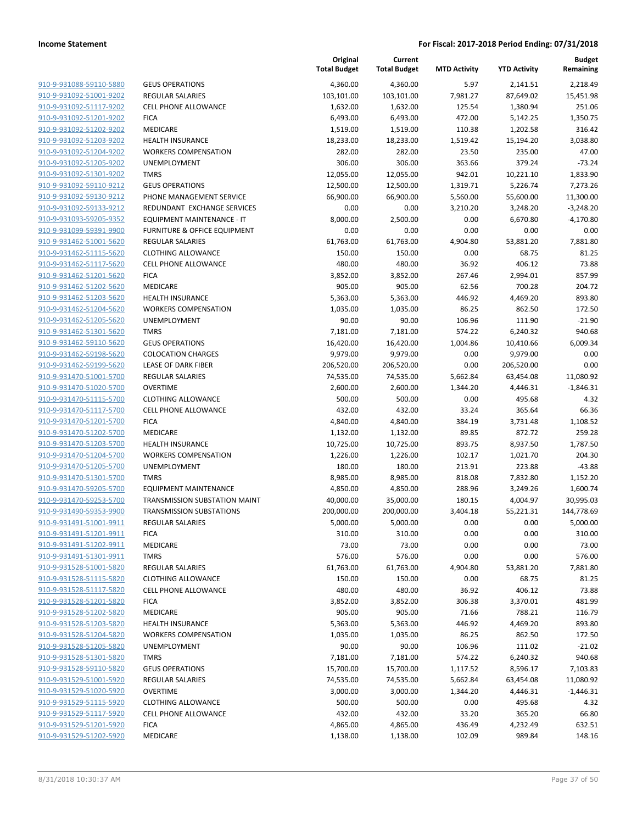|                         |                                         | Original<br><b>Total Budget</b> | Current<br><b>Total Budget</b> | <b>MTD Activity</b> | <b>YTD Activity</b> | <b>Budget</b><br>Remaining |
|-------------------------|-----------------------------------------|---------------------------------|--------------------------------|---------------------|---------------------|----------------------------|
| 910-9-931088-59110-5880 | <b>GEUS OPERATIONS</b>                  | 4,360.00                        | 4,360.00                       | 5.97                | 2,141.51            | 2,218.49                   |
| 910-9-931092-51001-9202 | <b>REGULAR SALARIES</b>                 | 103,101.00                      | 103,101.00                     | 7,981.27            | 87,649.02           | 15,451.98                  |
| 910-9-931092-51117-9202 | <b>CELL PHONE ALLOWANCE</b>             | 1,632.00                        | 1,632.00                       | 125.54              | 1,380.94            | 251.06                     |
| 910-9-931092-51201-9202 | <b>FICA</b>                             | 6,493.00                        | 6,493.00                       | 472.00              | 5,142.25            | 1,350.75                   |
| 910-9-931092-51202-9202 | MEDICARE                                | 1,519.00                        | 1,519.00                       | 110.38              | 1,202.58            | 316.42                     |
| 910-9-931092-51203-9202 | <b>HEALTH INSURANCE</b>                 | 18,233.00                       | 18,233.00                      | 1,519.42            | 15,194.20           | 3,038.80                   |
| 910-9-931092-51204-9202 | <b>WORKERS COMPENSATION</b>             | 282.00                          | 282.00                         | 23.50               | 235.00              | 47.00                      |
| 910-9-931092-51205-9202 | <b>UNEMPLOYMENT</b>                     | 306.00                          | 306.00                         | 363.66              | 379.24              | $-73.24$                   |
| 910-9-931092-51301-9202 | <b>TMRS</b>                             | 12,055.00                       | 12,055.00                      | 942.01              | 10,221.10           | 1,833.90                   |
| 910-9-931092-59110-9212 | <b>GEUS OPERATIONS</b>                  | 12,500.00                       | 12,500.00                      | 1,319.71            | 5,226.74            | 7,273.26                   |
| 910-9-931092-59130-9212 | PHONE MANAGEMENT SERVICE                | 66,900.00                       | 66,900.00                      | 5,560.00            | 55,600.00           | 11,300.00                  |
| 910-9-931092-59133-9212 | REDUNDANT EXCHANGE SERVICES             | 0.00                            | 0.00                           | 3,210.20            | 3,248.20            | $-3,248.20$                |
| 910-9-931093-59205-9352 | <b>EQUIPMENT MAINTENANCE - IT</b>       | 8,000.00                        | 2,500.00                       | 0.00                | 6,670.80            | $-4,170.80$                |
| 910-9-931099-59391-9900 | <b>FURNITURE &amp; OFFICE EQUIPMENT</b> | 0.00                            | 0.00                           | 0.00                | 0.00                | 0.00                       |
| 910-9-931462-51001-5620 | REGULAR SALARIES                        | 61,763.00                       | 61,763.00                      | 4,904.80            | 53,881.20           | 7,881.80                   |
| 910-9-931462-51115-5620 | <b>CLOTHING ALLOWANCE</b>               | 150.00                          | 150.00                         | 0.00                | 68.75               | 81.25                      |
| 910-9-931462-51117-5620 | <b>CELL PHONE ALLOWANCE</b>             | 480.00                          | 480.00                         | 36.92               | 406.12              | 73.88                      |
| 910-9-931462-51201-5620 | <b>FICA</b>                             | 3,852.00                        | 3,852.00                       | 267.46              | 2,994.01            | 857.99                     |
| 910-9-931462-51202-5620 | MEDICARE                                | 905.00                          | 905.00                         | 62.56               | 700.28              | 204.72                     |
| 910-9-931462-51203-5620 | <b>HEALTH INSURANCE</b>                 | 5,363.00                        | 5,363.00                       | 446.92              | 4,469.20            | 893.80                     |
| 910-9-931462-51204-5620 | <b>WORKERS COMPENSATION</b>             | 1,035.00                        | 1,035.00                       | 86.25               | 862.50              | 172.50                     |
| 910-9-931462-51205-5620 | UNEMPLOYMENT                            | 90.00                           | 90.00                          | 106.96              | 111.90              | $-21.90$                   |
| 910-9-931462-51301-5620 | <b>TMRS</b>                             | 7,181.00                        | 7,181.00                       | 574.22              | 6,240.32            | 940.68                     |
| 910-9-931462-59110-5620 | <b>GEUS OPERATIONS</b>                  | 16,420.00                       | 16,420.00                      | 1,004.86            | 10,410.66           | 6.009.34                   |
| 910-9-931462-59198-5620 | <b>COLOCATION CHARGES</b>               | 9,979.00                        | 9,979.00                       | 0.00                | 9,979.00            | 0.00                       |
| 910-9-931462-59199-5620 | <b>LEASE OF DARK FIBER</b>              | 206,520.00                      | 206,520.00                     | 0.00                | 206,520.00          | 0.00                       |
| 910-9-931470-51001-5700 | <b>REGULAR SALARIES</b>                 | 74,535.00                       | 74,535.00                      | 5,662.84            | 63,454.08           | 11,080.92                  |
| 910-9-931470-51020-5700 | <b>OVERTIME</b>                         | 2,600.00                        | 2,600.00                       | 1,344.20            | 4,446.31            | $-1,846.31$                |
| 910-9-931470-51115-5700 | <b>CLOTHING ALLOWANCE</b>               | 500.00                          | 500.00                         | 0.00                | 495.68              | 4.32                       |
| 910-9-931470-51117-5700 | CELL PHONE ALLOWANCE                    | 432.00                          | 432.00                         | 33.24               | 365.64              | 66.36                      |
| 910-9-931470-51201-5700 | <b>FICA</b>                             | 4,840.00                        | 4,840.00                       | 384.19              | 3,731.48            | 1,108.52                   |
| 910-9-931470-51202-5700 | MEDICARE                                | 1,132.00                        | 1,132.00                       | 89.85               | 872.72              | 259.28                     |
| 910-9-931470-51203-5700 | <b>HEALTH INSURANCE</b>                 | 10,725.00                       | 10,725.00                      | 893.75              | 8,937.50            | 1,787.50                   |
| 910-9-931470-51204-5700 | <b>WORKERS COMPENSATION</b>             | 1,226.00                        | 1,226.00                       | 102.17              | 1,021.70            | 204.30                     |
| 910-9-931470-51205-5700 | UNEMPLOYMENT                            | 180.00                          | 180.00                         | 213.91              | 223.88              | $-43.88$                   |
| 910-9-931470-51301-5700 | <b>TMRS</b>                             | 8,985.00                        | 8,985.00                       | 818.08              | 7,832.80            | 1,152.20                   |
| 910-9-931470-59205-5700 | <b>EQUIPMENT MAINTENANCE</b>            | 4,850.00                        | 4,850.00                       | 288.96              | 3,249.26            | 1,600.74                   |
| 910-9-931470-59253-5700 | <b>TRANSMISSION SUBSTATION MAINT</b>    | 40,000.00                       | 35,000.00                      | 180.15              | 4,004.97            | 30,995.03                  |
| 910-9-931490-59353-9900 | <b>TRANSMISSION SUBSTATIONS</b>         | 200,000.00                      | 200,000.00                     | 3,404.18            | 55,221.31           | 144,778.69                 |
| 910-9-931491-51001-9911 | REGULAR SALARIES                        | 5,000.00                        | 5,000.00                       | 0.00                | 0.00                | 5,000.00                   |
| 910-9-931491-51201-9911 | <b>FICA</b>                             | 310.00                          | 310.00                         | 0.00                | 0.00                | 310.00                     |
| 910-9-931491-51202-9911 | MEDICARE                                | 73.00                           | 73.00                          | 0.00                | 0.00                | 73.00                      |
| 910-9-931491-51301-9911 | <b>TMRS</b>                             | 576.00                          | 576.00                         | 0.00                | 0.00                | 576.00                     |
| 910-9-931528-51001-5820 | <b>REGULAR SALARIES</b>                 | 61,763.00                       | 61,763.00                      | 4,904.80            | 53,881.20           | 7,881.80                   |
| 910-9-931528-51115-5820 | <b>CLOTHING ALLOWANCE</b>               | 150.00                          | 150.00                         | 0.00                | 68.75               | 81.25                      |
| 910-9-931528-51117-5820 | <b>CELL PHONE ALLOWANCE</b>             | 480.00                          | 480.00                         | 36.92               | 406.12              | 73.88                      |
| 910-9-931528-51201-5820 | <b>FICA</b>                             | 3,852.00                        | 3,852.00                       | 306.38              | 3,370.01            | 481.99                     |
| 910-9-931528-51202-5820 | MEDICARE                                | 905.00                          | 905.00                         | 71.66               | 788.21              | 116.79                     |
| 910-9-931528-51203-5820 | <b>HEALTH INSURANCE</b>                 | 5,363.00                        | 5,363.00                       | 446.92              | 4,469.20            | 893.80                     |
| 910-9-931528-51204-5820 | <b>WORKERS COMPENSATION</b>             | 1,035.00                        | 1,035.00                       | 86.25               | 862.50              | 172.50                     |
| 910-9-931528-51205-5820 | <b>UNEMPLOYMENT</b>                     | 90.00                           | 90.00                          | 106.96              | 111.02              | $-21.02$                   |
| 910-9-931528-51301-5820 | <b>TMRS</b>                             | 7,181.00                        | 7,181.00                       | 574.22              | 6,240.32            | 940.68                     |
| 910-9-931528-59110-5820 | <b>GEUS OPERATIONS</b>                  | 15,700.00                       | 15,700.00                      | 1,117.52            | 8,596.17            | 7,103.83                   |
| 910-9-931529-51001-5920 | <b>REGULAR SALARIES</b>                 | 74,535.00                       | 74,535.00                      | 5,662.84            | 63,454.08           | 11,080.92                  |
| 910-9-931529-51020-5920 | <b>OVERTIME</b>                         | 3,000.00                        | 3,000.00                       | 1,344.20            | 4,446.31            | $-1,446.31$                |
| 910-9-931529-51115-5920 | <b>CLOTHING ALLOWANCE</b>               | 500.00                          | 500.00                         | 0.00                | 495.68              | 4.32                       |
| 910-9-931529-51117-5920 | <b>CELL PHONE ALLOWANCE</b>             | 432.00                          | 432.00                         | 33.20               | 365.20              | 66.80                      |
| 910-9-931529-51201-5920 | <b>FICA</b>                             | 4,865.00                        | 4,865.00                       | 436.49              | 4,232.49            | 632.51                     |
| 910-9-931529-51202-5920 | MEDICARE                                | 1,138.00                        | 1,138.00                       | 102.09              | 989.84              | 148.16                     |
|                         |                                         |                                 |                                |                     |                     |                            |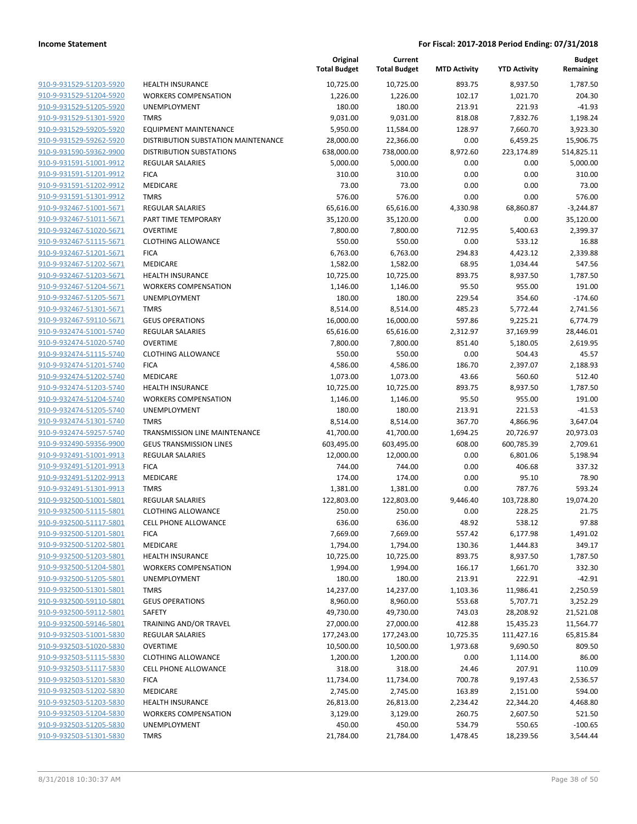|                         |                                     | Original<br><b>Total Budget</b> | Current<br><b>Total Budget</b> | <b>MTD Activity</b> | <b>YTD Activity</b> | <b>Budget</b><br>Remaining |
|-------------------------|-------------------------------------|---------------------------------|--------------------------------|---------------------|---------------------|----------------------------|
| 910-9-931529-51203-5920 | <b>HEALTH INSURANCE</b>             | 10,725.00                       | 10,725.00                      | 893.75              | 8,937.50            | 1,787.50                   |
| 910-9-931529-51204-5920 | <b>WORKERS COMPENSATION</b>         | 1,226.00                        | 1,226.00                       | 102.17              | 1,021.70            | 204.30                     |
| 910-9-931529-51205-5920 | UNEMPLOYMENT                        | 180.00                          | 180.00                         | 213.91              | 221.93              | $-41.93$                   |
| 910-9-931529-51301-5920 | <b>TMRS</b>                         | 9,031.00                        | 9,031.00                       | 818.08              | 7,832.76            | 1,198.24                   |
| 910-9-931529-59205-5920 | <b>EQUIPMENT MAINTENANCE</b>        | 5,950.00                        | 11,584.00                      | 128.97              | 7,660.70            | 3,923.30                   |
| 910-9-931529-59262-5920 | DISTRIBUTION SUBSTATION MAINTENANCE | 28,000.00                       | 22,366.00                      | 0.00                | 6,459.25            | 15,906.75                  |
| 910-9-931590-59362-9900 | <b>DISTRIBUTION SUBSTATIONS</b>     | 638,000.00                      | 738,000.00                     | 8,972.60            | 223,174.89          | 514,825.11                 |
| 910-9-931591-51001-9912 | <b>REGULAR SALARIES</b>             | 5,000.00                        | 5,000.00                       | 0.00                | 0.00                | 5,000.00                   |
| 910-9-931591-51201-9912 | <b>FICA</b>                         | 310.00                          | 310.00                         | 0.00                | 0.00                | 310.00                     |
| 910-9-931591-51202-9912 | MEDICARE                            | 73.00                           | 73.00                          | 0.00                | 0.00                | 73.00                      |
| 910-9-931591-51301-9912 | <b>TMRS</b>                         | 576.00                          | 576.00                         | 0.00                | 0.00                | 576.00                     |
| 910-9-932467-51001-5671 | <b>REGULAR SALARIES</b>             | 65,616.00                       | 65,616.00                      | 4,330.98            | 68,860.87           | $-3,244.87$                |
| 910-9-932467-51011-5671 | PART TIME TEMPORARY                 | 35,120.00                       | 35,120.00                      | 0.00                | 0.00                | 35,120.00                  |
| 910-9-932467-51020-5671 | <b>OVERTIME</b>                     | 7,800.00                        | 7,800.00                       | 712.95              | 5,400.63            | 2,399.37                   |
| 910-9-932467-51115-5671 | <b>CLOTHING ALLOWANCE</b>           | 550.00                          | 550.00                         | 0.00                | 533.12              | 16.88                      |
| 910-9-932467-51201-5671 | <b>FICA</b>                         | 6,763.00                        | 6,763.00                       | 294.83              | 4,423.12            | 2,339.88                   |
| 910-9-932467-51202-5671 | MEDICARE                            | 1,582.00                        | 1,582.00                       | 68.95               | 1,034.44            | 547.56                     |
| 910-9-932467-51203-5671 | <b>HEALTH INSURANCE</b>             | 10,725.00                       | 10,725.00                      | 893.75              | 8,937.50            | 1,787.50                   |
| 910-9-932467-51204-5671 | <b>WORKERS COMPENSATION</b>         | 1,146.00                        | 1,146.00                       | 95.50               | 955.00              | 191.00                     |
| 910-9-932467-51205-5671 | UNEMPLOYMENT                        | 180.00                          | 180.00                         | 229.54              | 354.60              | $-174.60$                  |
| 910-9-932467-51301-5671 | <b>TMRS</b>                         | 8,514.00                        | 8,514.00                       | 485.23              | 5,772.44            | 2,741.56                   |
| 910-9-932467-59110-5671 | <b>GEUS OPERATIONS</b>              | 16,000.00                       | 16,000.00                      | 597.86              | 9,225.21            | 6,774.79                   |
| 910-9-932474-51001-5740 | REGULAR SALARIES                    | 65,616.00                       | 65,616.00                      | 2,312.97            | 37,169.99           | 28,446.01                  |
| 910-9-932474-51020-5740 | <b>OVERTIME</b>                     | 7,800.00                        | 7,800.00                       | 851.40              | 5,180.05            | 2,619.95                   |
| 910-9-932474-51115-5740 | <b>CLOTHING ALLOWANCE</b>           | 550.00                          | 550.00                         | 0.00                | 504.43              | 45.57                      |
| 910-9-932474-51201-5740 | <b>FICA</b>                         | 4,586.00                        | 4,586.00                       | 186.70              | 2,397.07            | 2,188.93                   |
| 910-9-932474-51202-5740 | MEDICARE                            | 1,073.00                        | 1,073.00                       | 43.66               | 560.60              | 512.40                     |
| 910-9-932474-51203-5740 | <b>HEALTH INSURANCE</b>             | 10,725.00                       | 10,725.00                      | 893.75              | 8,937.50            | 1,787.50                   |
| 910-9-932474-51204-5740 | <b>WORKERS COMPENSATION</b>         | 1,146.00                        | 1,146.00                       | 95.50               | 955.00              | 191.00                     |
| 910-9-932474-51205-5740 | UNEMPLOYMENT                        | 180.00                          | 180.00                         | 213.91              | 221.53              | $-41.53$                   |
| 910-9-932474-51301-5740 | <b>TMRS</b>                         | 8,514.00                        | 8,514.00                       | 367.70              | 4,866.96            | 3,647.04                   |
| 910-9-932474-59257-5740 | TRANSMISSION LINE MAINTENANCE       | 41,700.00                       | 41,700.00                      | 1,694.25            | 20,726.97           | 20,973.03                  |
| 910-9-932490-59356-9900 | <b>GEUS TRANSMISSION LINES</b>      | 603,495.00                      | 603,495.00                     | 608.00              | 600,785.39          | 2,709.61                   |
| 910-9-932491-51001-9913 | <b>REGULAR SALARIES</b>             | 12,000.00                       | 12,000.00                      | 0.00                | 6,801.06            | 5,198.94                   |
| 910-9-932491-51201-9913 | <b>FICA</b>                         | 744.00                          | 744.00                         | 0.00                | 406.68              | 337.32                     |
| 910-9-932491-51202-9913 | <b>MEDICARE</b>                     | 174.00                          | 174.00                         | 0.00                | 95.10               | 78.90                      |
| 910-9-932491-51301-9913 | <b>TMRS</b>                         | 1,381.00                        | 1,381.00                       | 0.00                | 787.76              | 593.24                     |
| 910-9-932500-51001-5801 | <b>REGULAR SALARIES</b>             | 122,803.00                      | 122,803.00                     | 9,446.40            | 103,728.80          | 19,074.20                  |
| 910-9-932500-51115-5801 | <b>CLOTHING ALLOWANCE</b>           | 250.00                          | 250.00                         | 0.00                | 228.25              | 21.75                      |
| 910-9-932500-51117-5801 | <b>CELL PHONE ALLOWANCE</b>         | 636.00                          | 636.00                         | 48.92               | 538.12              | 97.88                      |
| 910-9-932500-51201-5801 | <b>FICA</b>                         | 7,669.00                        | 7,669.00                       | 557.42              | 6,177.98            | 1,491.02                   |
| 910-9-932500-51202-5801 | MEDICARE                            | 1,794.00                        | 1,794.00                       | 130.36              | 1,444.83            | 349.17                     |
| 910-9-932500-51203-5801 | <b>HEALTH INSURANCE</b>             | 10,725.00                       | 10,725.00                      | 893.75              | 8,937.50            | 1,787.50                   |
| 910-9-932500-51204-5801 | <b>WORKERS COMPENSATION</b>         | 1,994.00                        | 1,994.00                       | 166.17              | 1,661.70            | 332.30                     |
| 910-9-932500-51205-5801 | UNEMPLOYMENT                        | 180.00                          | 180.00                         | 213.91              | 222.91              | $-42.91$                   |
| 910-9-932500-51301-5801 | <b>TMRS</b>                         | 14,237.00                       | 14,237.00                      | 1,103.36            | 11,986.41           | 2,250.59                   |
| 910-9-932500-59110-5801 | <b>GEUS OPERATIONS</b>              | 8,960.00                        | 8,960.00                       | 553.68              | 5,707.71            | 3,252.29                   |
| 910-9-932500-59112-5801 | SAFETY                              | 49,730.00                       | 49,730.00                      | 743.03              | 28,208.92           | 21,521.08                  |
| 910-9-932500-59146-5801 | TRAINING AND/OR TRAVEL              | 27,000.00                       | 27,000.00                      | 412.88              | 15,435.23           | 11,564.77                  |
| 910-9-932503-51001-5830 | REGULAR SALARIES                    | 177,243.00                      | 177,243.00                     | 10,725.35           | 111,427.16          | 65,815.84                  |
| 910-9-932503-51020-5830 | <b>OVERTIME</b>                     | 10,500.00                       | 10,500.00                      | 1,973.68            | 9,690.50            | 809.50                     |
| 910-9-932503-51115-5830 | <b>CLOTHING ALLOWANCE</b>           | 1,200.00                        | 1,200.00                       | 0.00                | 1,114.00            | 86.00                      |
| 910-9-932503-51117-5830 | <b>CELL PHONE ALLOWANCE</b>         | 318.00                          | 318.00                         | 24.46               | 207.91              | 110.09                     |
| 910-9-932503-51201-5830 | <b>FICA</b>                         | 11,734.00                       | 11,734.00                      | 700.78              | 9,197.43            | 2,536.57                   |
| 910-9-932503-51202-5830 | MEDICARE                            | 2,745.00                        | 2,745.00                       | 163.89              | 2,151.00            | 594.00                     |
| 910-9-932503-51203-5830 | <b>HEALTH INSURANCE</b>             | 26,813.00                       | 26,813.00                      | 2,234.42            | 22,344.20           | 4,468.80                   |
| 910-9-932503-51204-5830 | <b>WORKERS COMPENSATION</b>         | 3,129.00                        | 3,129.00                       | 260.75              | 2,607.50            | 521.50                     |
| 910-9-932503-51205-5830 | UNEMPLOYMENT                        | 450.00                          | 450.00                         | 534.79              | 550.65              | $-100.65$                  |
| 910-9-932503-51301-5830 | <b>TMRS</b>                         | 21,784.00                       | 21,784.00                      | 1,478.45            | 18,239.56           | 3,544.44                   |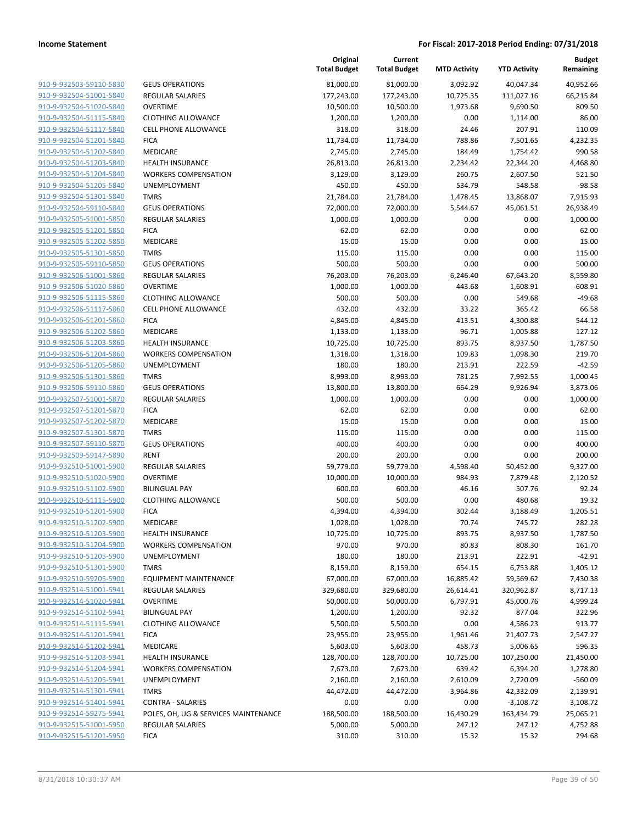| 910-9-932503-59110-5830<br>910-9-932504-51001-5840<br>910-9-932504-51020-5840<br><u>910-9-932504-51115-5840</u><br>910-9-932504-51117-5840<br>910-9-932504-51201-5840<br>910-9-932504-51202-5840 |
|--------------------------------------------------------------------------------------------------------------------------------------------------------------------------------------------------|
|                                                                                                                                                                                                  |
|                                                                                                                                                                                                  |
|                                                                                                                                                                                                  |
|                                                                                                                                                                                                  |
|                                                                                                                                                                                                  |
|                                                                                                                                                                                                  |
|                                                                                                                                                                                                  |
| 910-9-932504-51203-5840                                                                                                                                                                          |
| <u>910-9-932504-51204-5840</u>                                                                                                                                                                   |
| 910-9-932504-51205-5840                                                                                                                                                                          |
| 910-9-932504-51301-5840                                                                                                                                                                          |
|                                                                                                                                                                                                  |
| 910-9-932504-59110-5840                                                                                                                                                                          |
| <u>910-9-932505-51001-5850</u>                                                                                                                                                                   |
| <u>910-9-932505-51201-5850</u>                                                                                                                                                                   |
| 910-9-932505-51202-5850                                                                                                                                                                          |
| 910-9-932505-51301-5850                                                                                                                                                                          |
| 910-9-932505-59110-5850                                                                                                                                                                          |
| 910-9-932506-51001-5860                                                                                                                                                                          |
| <u>910-9-932506-51020-5860</u>                                                                                                                                                                   |
| 910-9-932506-51115-5860                                                                                                                                                                          |
| 910-9-932506-51117-5860                                                                                                                                                                          |
| 910-9-932506-51201-5860                                                                                                                                                                          |
| 910-9-932506-51202-5860                                                                                                                                                                          |
| 910-9-932506-51203-5860                                                                                                                                                                          |
| 910-9-932506-51204-5860                                                                                                                                                                          |
| 910-9-932506-51205-5860                                                                                                                                                                          |
| 910-9-932506-51301-5860                                                                                                                                                                          |
| 910-9-932506-59110-5860                                                                                                                                                                          |
| <u>910-9-932507-51001-5870</u>                                                                                                                                                                   |
| 910-9-932507-51201-5870                                                                                                                                                                          |
| 910-9-932507-51202-5870                                                                                                                                                                          |
| 910-9-932507-51301-5870                                                                                                                                                                          |
| 910-9-932507-59110-5870                                                                                                                                                                          |
|                                                                                                                                                                                                  |
| <u>910-9-932509-59147-5890</u>                                                                                                                                                                   |
| 910-9-932510-51001-5900                                                                                                                                                                          |
| 910-9-932510-51020-5900                                                                                                                                                                          |
| 910-9-932510-51102-5900                                                                                                                                                                          |
| 910-9-932510-51115-5900                                                                                                                                                                          |
| <u>910-9-932510-51201-5900</u>                                                                                                                                                                   |
| 910-9-932510-51202-5900                                                                                                                                                                          |
| 910-9-932510-51203-5900                                                                                                                                                                          |
| 910-9-932510-51204-5900                                                                                                                                                                          |
| 910-9-932510-51205-5900                                                                                                                                                                          |
| <u>910-9-932510-51301-5900</u>                                                                                                                                                                   |
| 910-9-932510-59205-5900                                                                                                                                                                          |
|                                                                                                                                                                                                  |
| 910-9-932514-51001-5941                                                                                                                                                                          |
| 910-9-932514-51020-5941                                                                                                                                                                          |
|                                                                                                                                                                                                  |
| 910-9-932514-51102-5941                                                                                                                                                                          |
| 910-9-932514-51115-5941<br>910-9-932514-51201-5941                                                                                                                                               |
| 910-9-932514-51202-5941                                                                                                                                                                          |
|                                                                                                                                                                                                  |
| 910-9-932514-51203-5941                                                                                                                                                                          |
| 910-9-932514-51204-5941                                                                                                                                                                          |
| <u>910-9-932514-51205-5941</u>                                                                                                                                                                   |
| 910-9-932514-51301-5941                                                                                                                                                                          |
| 910-9-932514-51401-5941                                                                                                                                                                          |
| 910-9-932514-59275-5941                                                                                                                                                                          |
| 910-9-932515-51001-5950<br><u>910-9-932515-51201-5950</u>                                                                                                                                        |

|                         |                                      | Original<br><b>Total Budget</b> | Current<br><b>Total Budget</b> | <b>MTD Activity</b> | <b>YTD Activity</b> | <b>Budget</b><br>Remaining |
|-------------------------|--------------------------------------|---------------------------------|--------------------------------|---------------------|---------------------|----------------------------|
| 910-9-932503-59110-5830 | <b>GEUS OPERATIONS</b>               | 81,000.00                       | 81,000.00                      | 3,092.92            | 40,047.34           | 40,952.66                  |
| 910-9-932504-51001-5840 | REGULAR SALARIES                     | 177,243.00                      | 177,243.00                     | 10,725.35           | 111,027.16          | 66,215.84                  |
| 910-9-932504-51020-5840 | <b>OVERTIME</b>                      | 10,500.00                       | 10,500.00                      | 1,973.68            | 9,690.50            | 809.50                     |
| 910-9-932504-51115-5840 | <b>CLOTHING ALLOWANCE</b>            | 1,200.00                        | 1,200.00                       | 0.00                | 1,114.00            | 86.00                      |
| 910-9-932504-51117-5840 | <b>CELL PHONE ALLOWANCE</b>          | 318.00                          | 318.00                         | 24.46               | 207.91              | 110.09                     |
| 910-9-932504-51201-5840 | <b>FICA</b>                          | 11,734.00                       | 11,734.00                      | 788.86              | 7,501.65            | 4,232.35                   |
| 910-9-932504-51202-5840 | MEDICARE                             | 2,745.00                        | 2,745.00                       | 184.49              | 1,754.42            | 990.58                     |
| 910-9-932504-51203-5840 | <b>HEALTH INSURANCE</b>              | 26,813.00                       | 26,813.00                      | 2,234.42            | 22,344.20           | 4,468.80                   |
| 910-9-932504-51204-5840 | <b>WORKERS COMPENSATION</b>          | 3,129.00                        | 3,129.00                       | 260.75              | 2,607.50            | 521.50                     |
| 910-9-932504-51205-5840 | <b>UNEMPLOYMENT</b>                  | 450.00                          | 450.00                         | 534.79              | 548.58              | $-98.58$                   |
| 910-9-932504-51301-5840 | <b>TMRS</b>                          | 21,784.00                       | 21,784.00                      | 1,478.45            | 13,868.07           | 7,915.93                   |
| 910-9-932504-59110-5840 | <b>GEUS OPERATIONS</b>               | 72,000.00                       | 72,000.00                      | 5,544.67            | 45,061.51           | 26,938.49                  |
| 910-9-932505-51001-5850 | <b>REGULAR SALARIES</b>              | 1,000.00                        | 1,000.00                       | 0.00                | 0.00                | 1,000.00                   |
| 910-9-932505-51201-5850 | <b>FICA</b>                          | 62.00                           | 62.00                          | 0.00                | 0.00                | 62.00                      |
| 910-9-932505-51202-5850 | MEDICARE                             | 15.00                           | 15.00                          | 0.00                | 0.00                | 15.00                      |
| 910-9-932505-51301-5850 | <b>TMRS</b>                          | 115.00                          | 115.00                         | 0.00                | 0.00                | 115.00                     |
| 910-9-932505-59110-5850 | <b>GEUS OPERATIONS</b>               | 500.00                          | 500.00                         | 0.00                | 0.00                | 500.00                     |
| 910-9-932506-51001-5860 | REGULAR SALARIES                     | 76,203.00                       | 76,203.00                      | 6,246.40            | 67,643.20           | 8,559.80                   |
| 910-9-932506-51020-5860 | <b>OVERTIME</b>                      | 1,000.00                        | 1,000.00                       | 443.68              | 1,608.91            | $-608.91$                  |
| 910-9-932506-51115-5860 | <b>CLOTHING ALLOWANCE</b>            | 500.00                          | 500.00                         | 0.00                | 549.68              | $-49.68$                   |
| 910-9-932506-51117-5860 | CELL PHONE ALLOWANCE                 | 432.00                          | 432.00                         | 33.22               | 365.42              | 66.58                      |
| 910-9-932506-51201-5860 | <b>FICA</b>                          | 4,845.00                        | 4,845.00                       | 413.51              | 4,300.88            | 544.12                     |
| 910-9-932506-51202-5860 | MEDICARE                             | 1,133.00                        | 1,133.00                       | 96.71               | 1,005.88            | 127.12                     |
| 910-9-932506-51203-5860 | <b>HEALTH INSURANCE</b>              | 10,725.00                       | 10,725.00                      | 893.75              | 8,937.50            | 1,787.50                   |
| 910-9-932506-51204-5860 | <b>WORKERS COMPENSATION</b>          | 1,318.00                        | 1,318.00                       | 109.83              | 1,098.30            | 219.70                     |
| 910-9-932506-51205-5860 | UNEMPLOYMENT                         | 180.00                          | 180.00                         | 213.91              | 222.59              | $-42.59$                   |
| 910-9-932506-51301-5860 | <b>TMRS</b>                          | 8,993.00                        | 8,993.00                       | 781.25              | 7,992.55            | 1,000.45                   |
| 910-9-932506-59110-5860 | <b>GEUS OPERATIONS</b>               | 13,800.00                       | 13,800.00                      | 664.29              | 9,926.94            | 3,873.06                   |
| 910-9-932507-51001-5870 | <b>REGULAR SALARIES</b>              | 1,000.00                        | 1,000.00                       | 0.00                | 0.00                | 1,000.00                   |
| 910-9-932507-51201-5870 | <b>FICA</b>                          | 62.00                           | 62.00                          | 0.00                | 0.00                | 62.00                      |
| 910-9-932507-51202-5870 | MEDICARE                             | 15.00                           | 15.00                          | 0.00                | 0.00                | 15.00                      |
| 910-9-932507-51301-5870 | <b>TMRS</b>                          | 115.00                          | 115.00                         | 0.00                | 0.00                | 115.00                     |
| 910-9-932507-59110-5870 | <b>GEUS OPERATIONS</b>               | 400.00                          | 400.00                         | 0.00                | 0.00                | 400.00                     |
| 910-9-932509-59147-5890 | <b>RENT</b>                          | 200.00                          | 200.00                         | 0.00                | 0.00                | 200.00                     |
| 910-9-932510-51001-5900 | REGULAR SALARIES                     | 59,779.00                       | 59,779.00                      | 4,598.40            | 50,452.00           | 9,327.00                   |
| 910-9-932510-51020-5900 | <b>OVERTIME</b>                      | 10,000.00                       | 10,000.00                      | 984.93              | 7,879.48            | 2,120.52                   |
| 910-9-932510-51102-5900 | <b>BILINGUAL PAY</b>                 | 600.00                          | 600.00                         | 46.16               | 507.76              | 92.24                      |
| 910-9-932510-51115-5900 | <b>CLOTHING ALLOWANCE</b>            | 500.00                          | 500.00                         | 0.00                | 480.68              | 19.32                      |
| 910-9-932510-51201-5900 | <b>FICA</b>                          | 4,394.00                        | 4,394.00                       | 302.44              | 3,188.49            | 1,205.51                   |
| 910-9-932510-51202-5900 | <b>MEDICARE</b>                      | 1,028.00                        | 1,028.00                       | 70.74               | 745.72              | 282.28                     |
| 910-9-932510-51203-5900 | <b>HEALTH INSURANCE</b>              | 10,725.00                       | 10,725.00                      | 893.75              | 8,937.50            | 1,787.50                   |
| 910-9-932510-51204-5900 | <b>WORKERS COMPENSATION</b>          | 970.00                          | 970.00                         | 80.83               | 808.30              | 161.70                     |
| 910-9-932510-51205-5900 | UNEMPLOYMENT                         | 180.00                          | 180.00                         | 213.91              | 222.91              | $-42.91$                   |
| 910-9-932510-51301-5900 | <b>TMRS</b>                          | 8,159.00                        | 8,159.00                       | 654.15              | 6,753.88            | 1,405.12                   |
| 910-9-932510-59205-5900 | EQUIPMENT MAINTENANCE                | 67,000.00                       | 67,000.00                      | 16,885.42           | 59,569.62           | 7,430.38                   |
| 910-9-932514-51001-5941 | REGULAR SALARIES                     | 329,680.00                      | 329,680.00                     | 26,614.41           | 320,962.87          | 8,717.13                   |
| 910-9-932514-51020-5941 | <b>OVERTIME</b>                      | 50,000.00                       | 50,000.00                      | 6,797.91            | 45,000.76           | 4,999.24                   |
| 910-9-932514-51102-5941 | <b>BILINGUAL PAY</b>                 | 1,200.00                        | 1,200.00                       | 92.32               | 877.04              | 322.96                     |
| 910-9-932514-51115-5941 | <b>CLOTHING ALLOWANCE</b>            | 5,500.00                        | 5,500.00                       | 0.00                | 4,586.23            | 913.77                     |
| 910-9-932514-51201-5941 | <b>FICA</b>                          | 23,955.00                       | 23,955.00                      | 1,961.46            | 21,407.73           | 2,547.27                   |
| 910-9-932514-51202-5941 | MEDICARE                             | 5,603.00                        | 5,603.00                       | 458.73              | 5,006.65            | 596.35                     |
| 910-9-932514-51203-5941 | <b>HEALTH INSURANCE</b>              | 128,700.00                      | 128,700.00                     | 10,725.00           | 107,250.00          | 21,450.00                  |
| 910-9-932514-51204-5941 | <b>WORKERS COMPENSATION</b>          | 7,673.00                        | 7,673.00                       | 639.42              | 6,394.20            | 1,278.80                   |
| 910-9-932514-51205-5941 | UNEMPLOYMENT                         | 2,160.00                        | 2,160.00                       | 2,610.09            | 2,720.09            | $-560.09$                  |
| 910-9-932514-51301-5941 | <b>TMRS</b>                          | 44,472.00                       | 44,472.00                      | 3,964.86            | 42,332.09           | 2,139.91                   |
| 910-9-932514-51401-5941 | CONTRA - SALARIES                    | 0.00                            | 0.00                           | 0.00                | $-3,108.72$         | 3,108.72                   |
|                         |                                      |                                 |                                |                     |                     |                            |
| 910-9-932514-59275-5941 | POLES, OH, UG & SERVICES MAINTENANCE | 188,500.00                      | 188,500.00                     | 16,430.29           | 163,434.79          | 25,065.21                  |
| 910-9-932515-51001-5950 | REGULAR SALARIES                     | 5,000.00                        | 5,000.00                       | 247.12              | 247.12              | 4,752.88                   |
| 910-9-932515-51201-5950 | <b>FICA</b>                          | 310.00                          | 310.00                         | 15.32               | 15.32               | 294.68                     |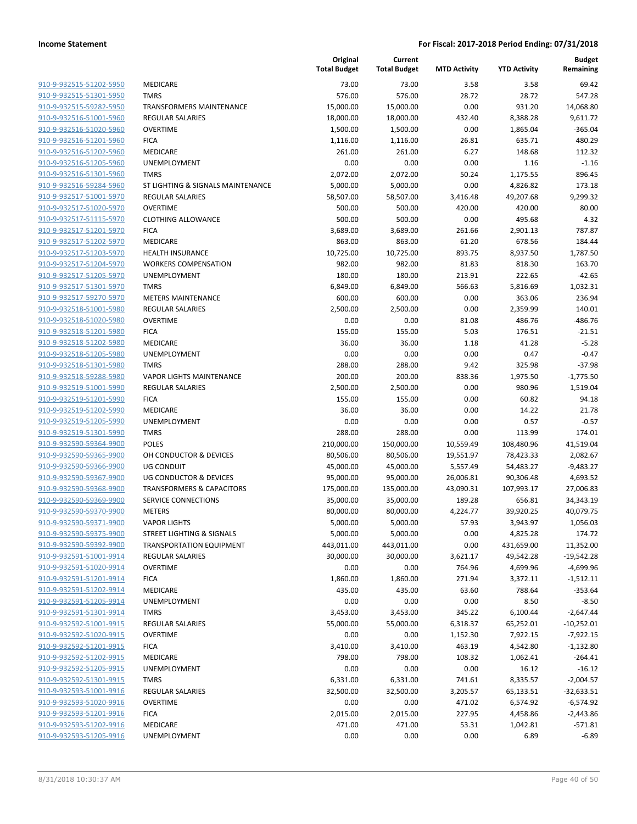|                                                    |                                      | Original<br><b>Total Budget</b> | Current<br><b>Total Budget</b> | <b>MTD Activity</b> | <b>YTD Activity</b>    | <b>Budget</b><br>Remaining |
|----------------------------------------------------|--------------------------------------|---------------------------------|--------------------------------|---------------------|------------------------|----------------------------|
| 910-9-932515-51202-5950                            | MEDICARE                             | 73.00                           | 73.00                          | 3.58                | 3.58                   | 69.42                      |
| 910-9-932515-51301-5950                            | <b>TMRS</b>                          | 576.00                          | 576.00                         | 28.72               | 28.72                  | 547.28                     |
| 910-9-932515-59282-5950                            | <b>TRANSFORMERS MAINTENANCE</b>      | 15,000.00                       | 15,000.00                      | 0.00                | 931.20                 | 14,068.80                  |
| 910-9-932516-51001-5960                            | <b>REGULAR SALARIES</b>              | 18,000.00                       | 18,000.00                      | 432.40              | 8,388.28               | 9,611.72                   |
| 910-9-932516-51020-5960                            | <b>OVERTIME</b>                      | 1,500.00                        | 1,500.00                       | 0.00                | 1,865.04               | $-365.04$                  |
| 910-9-932516-51201-5960                            | <b>FICA</b>                          | 1,116.00                        | 1,116.00                       | 26.81               | 635.71                 | 480.29                     |
| 910-9-932516-51202-5960                            | MEDICARE                             | 261.00                          | 261.00                         | 6.27                | 148.68                 | 112.32                     |
| 910-9-932516-51205-5960                            | <b>UNEMPLOYMENT</b>                  | 0.00                            | 0.00                           | 0.00                | 1.16                   | $-1.16$                    |
| 910-9-932516-51301-5960                            | <b>TMRS</b>                          | 2,072.00                        | 2,072.00                       | 50.24               | 1,175.55               | 896.45                     |
| 910-9-932516-59284-5960                            | ST LIGHTING & SIGNALS MAINTENANCE    | 5,000.00                        | 5,000.00                       | 0.00                | 4,826.82               | 173.18                     |
| 910-9-932517-51001-5970                            | REGULAR SALARIES                     | 58,507.00                       | 58,507.00                      | 3,416.48            | 49,207.68              | 9,299.32                   |
| 910-9-932517-51020-5970                            | <b>OVERTIME</b>                      | 500.00                          | 500.00                         | 420.00              | 420.00                 | 80.00                      |
| 910-9-932517-51115-5970                            | <b>CLOTHING ALLOWANCE</b>            | 500.00                          | 500.00                         | 0.00                | 495.68                 | 4.32                       |
| 910-9-932517-51201-5970                            | <b>FICA</b>                          | 3,689.00                        | 3,689.00                       | 261.66              | 2,901.13               | 787.87                     |
| 910-9-932517-51202-5970                            | MEDICARE                             | 863.00                          | 863.00                         | 61.20               | 678.56                 | 184.44                     |
| 910-9-932517-51203-5970                            | <b>HEALTH INSURANCE</b>              | 10,725.00                       | 10,725.00                      | 893.75              | 8,937.50               | 1,787.50                   |
| 910-9-932517-51204-5970                            | <b>WORKERS COMPENSATION</b>          | 982.00                          | 982.00                         | 81.83               | 818.30                 | 163.70                     |
| 910-9-932517-51205-5970                            | UNEMPLOYMENT                         | 180.00                          | 180.00                         | 213.91              | 222.65                 | $-42.65$                   |
| 910-9-932517-51301-5970                            | <b>TMRS</b>                          | 6,849.00                        | 6,849.00                       | 566.63              | 5,816.69               | 1,032.31                   |
| 910-9-932517-59270-5970                            | <b>METERS MAINTENANCE</b>            | 600.00                          | 600.00                         | 0.00                | 363.06                 | 236.94                     |
| 910-9-932518-51001-5980                            | <b>REGULAR SALARIES</b>              | 2,500.00                        | 2,500.00                       | 0.00                | 2,359.99               | 140.01                     |
| 910-9-932518-51020-5980                            | <b>OVERTIME</b>                      | 0.00                            | 0.00                           | 81.08               | 486.76                 | $-486.76$                  |
| 910-9-932518-51201-5980                            | <b>FICA</b>                          | 155.00                          | 155.00                         | 5.03                | 176.51                 | $-21.51$                   |
| 910-9-932518-51202-5980                            | MEDICARE                             | 36.00                           | 36.00                          | 1.18                | 41.28                  | $-5.28$                    |
| 910-9-932518-51205-5980                            | <b>UNEMPLOYMENT</b>                  | 0.00                            | 0.00                           | 0.00                | 0.47                   | $-0.47$                    |
| 910-9-932518-51301-5980                            | <b>TMRS</b>                          | 288.00                          | 288.00                         | 9.42                | 325.98                 | $-37.98$                   |
| 910-9-932518-59288-5980                            | <b>VAPOR LIGHTS MAINTENANCE</b>      | 200.00                          | 200.00                         | 838.36              | 1,975.50               | $-1,775.50$                |
| 910-9-932519-51001-5990                            | REGULAR SALARIES                     | 2,500.00                        | 2,500.00                       | 0.00                | 980.96                 | 1,519.04                   |
| 910-9-932519-51201-5990                            | <b>FICA</b>                          | 155.00                          | 155.00                         | 0.00                | 60.82                  | 94.18                      |
| 910-9-932519-51202-5990                            | <b>MEDICARE</b>                      | 36.00                           | 36.00                          | 0.00                | 14.22                  | 21.78                      |
| 910-9-932519-51205-5990                            | <b>UNEMPLOYMENT</b>                  | 0.00                            | 0.00                           | 0.00                | 0.57                   | $-0.57$                    |
| 910-9-932519-51301-5990                            | <b>TMRS</b>                          | 288.00                          | 288.00                         | 0.00                | 113.99                 | 174.01                     |
| 910-9-932590-59364-9900                            | <b>POLES</b>                         | 210,000.00                      | 150,000.00                     | 10,559.49           | 108,480.96             | 41,519.04                  |
| 910-9-932590-59365-9900                            | OH CONDUCTOR & DEVICES               | 80,506.00                       | 80,506.00                      | 19,551.97           | 78,423.33              | 2,082.67                   |
| 910-9-932590-59366-9900                            | <b>UG CONDUIT</b>                    | 45,000.00                       | 45,000.00                      | 5,557.49            | 54,483.27              | $-9,483.27$                |
| 910-9-932590-59367-9900                            | UG CONDUCTOR & DEVICES               | 95,000.00                       | 95,000.00                      | 26,006.81           | 90,306.48              | 4,693.52                   |
| 910-9-932590-59368-9900                            | <b>TRANSFORMERS &amp; CAPACITORS</b> | 175,000.00                      | 135,000.00                     | 43,090.31           | 107,993.17             | 27,006.83                  |
| 910-9-932590-59369-9900                            | SERVICE CONNECTIONS                  | 35,000.00                       | 35,000.00                      | 189.28              | 656.81                 | 34,343.19                  |
| 910-9-932590-59370-9900<br>910-9-932590-59371-9900 | <b>METERS</b><br><b>VAPOR LIGHTS</b> | 80,000.00                       | 80,000.00                      | 4,224.77            | 39,920.25              | 40,079.75<br>1,056.03      |
| 910-9-932590-59375-9900                            | STREET LIGHTING & SIGNALS            | 5,000.00<br>5,000.00            | 5,000.00<br>5,000.00           | 57.93<br>0.00       | 3,943.97               | 174.72                     |
| 910-9-932590-59392-9900                            | <b>TRANSPORTATION EQUIPMENT</b>      | 443,011.00                      | 443,011.00                     | 0.00                | 4,825.28<br>431,659.00 | 11,352.00                  |
| 910-9-932591-51001-9914                            | <b>REGULAR SALARIES</b>              | 30,000.00                       | 30,000.00                      | 3,621.17            | 49,542.28              | $-19,542.28$               |
| 910-9-932591-51020-9914                            | <b>OVERTIME</b>                      | 0.00                            | 0.00                           | 764.96              | 4,699.96               | $-4,699.96$                |
| 910-9-932591-51201-9914                            | <b>FICA</b>                          | 1,860.00                        | 1,860.00                       | 271.94              | 3,372.11               | $-1,512.11$                |
| 910-9-932591-51202-9914                            | MEDICARE                             | 435.00                          | 435.00                         | 63.60               | 788.64                 | $-353.64$                  |
| 910-9-932591-51205-9914                            | UNEMPLOYMENT                         | 0.00                            | 0.00                           | 0.00                | 8.50                   | $-8.50$                    |
| 910-9-932591-51301-9914                            | <b>TMRS</b>                          | 3,453.00                        | 3,453.00                       | 345.22              | 6,100.44               | $-2,647.44$                |
| 910-9-932592-51001-9915                            | <b>REGULAR SALARIES</b>              | 55,000.00                       | 55,000.00                      | 6,318.37            | 65,252.01              | $-10,252.01$               |
| 910-9-932592-51020-9915                            | <b>OVERTIME</b>                      | 0.00                            | 0.00                           | 1,152.30            | 7,922.15               | $-7,922.15$                |
| 910-9-932592-51201-9915                            | <b>FICA</b>                          | 3,410.00                        | 3,410.00                       | 463.19              | 4,542.80               | $-1,132.80$                |
| 910-9-932592-51202-9915                            | MEDICARE                             | 798.00                          | 798.00                         | 108.32              | 1,062.41               | $-264.41$                  |
| 910-9-932592-51205-9915                            | UNEMPLOYMENT                         | 0.00                            | 0.00                           | 0.00                | 16.12                  | $-16.12$                   |
| 910-9-932592-51301-9915                            | <b>TMRS</b>                          | 6,331.00                        | 6,331.00                       | 741.61              | 8,335.57               | $-2,004.57$                |
| 910-9-932593-51001-9916                            | <b>REGULAR SALARIES</b>              | 32,500.00                       | 32,500.00                      | 3,205.57            | 65,133.51              | $-32,633.51$               |
| 910-9-932593-51020-9916                            | <b>OVERTIME</b>                      | 0.00                            | 0.00                           | 471.02              | 6,574.92               | $-6,574.92$                |
| 910-9-932593-51201-9916                            | <b>FICA</b>                          |                                 |                                | 227.95              |                        | $-2,443.86$                |
| 910-9-932593-51202-9916                            | MEDICARE                             | 2,015.00                        | 2,015.00                       |                     | 4,458.86               | $-571.81$                  |
| 910-9-932593-51205-9916                            |                                      | 471.00                          | 471.00                         | 53.31               | 1,042.81               |                            |
|                                                    | UNEMPLOYMENT                         | 0.00                            | 0.00                           | 0.00                | 6.89                   | $-6.89$                    |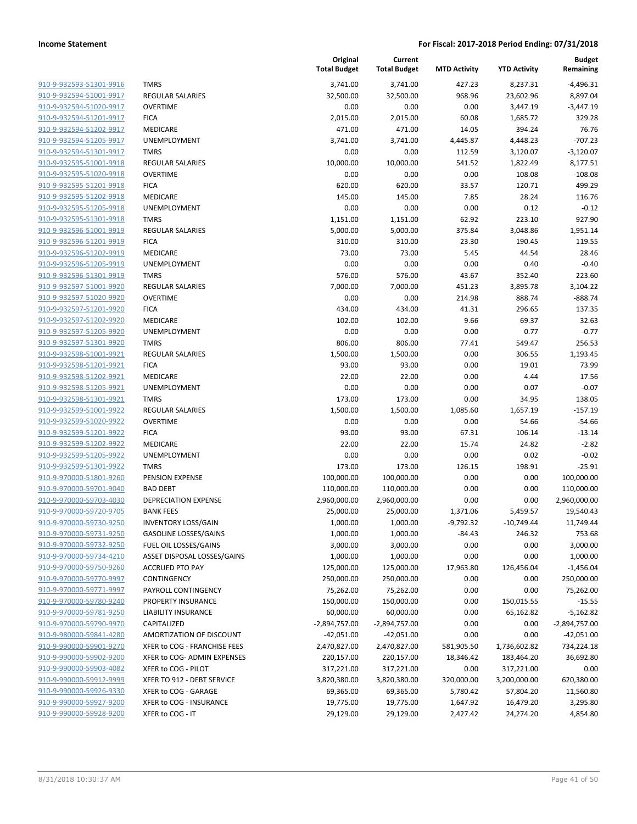| 910-9-932593-51301-9916        |
|--------------------------------|
| 910-9-932594-51001-9917        |
| 910-9-932594-51020-9917        |
| 910-9-932594-51201-9917        |
| <u>910-9-932594-51202-9917</u> |
| 910-9-932594-51205-9917        |
| 910-9-932594-51301-9917        |
| 910-9-932595-51001-9918        |
| 910-9-932595-51020-9918        |
| 910-9-932595-51201-9918        |
| 910-9-932595-51202-9918        |
| 910-9-932595-51205-9918        |
| 910-9-932595-51301-9918        |
| 910-9-932596-51001-9919        |
| <u>910-9-932596-51201-9919</u> |
| 910-9-932596-51202-9919        |
| 910-9-932596-51205-9919        |
| 910-9-932596-51301-9919        |
| 910-9-932597-51001-9920        |
| 910-9-932597-51020-9920        |
| 910-9-932597-51201-9920        |
| 910-9-932597-51202-9920        |
| 910-9-932597-51205-9920        |
| 910-9-932597-51301-9920        |
| <u>910-9-932598-51001-9921</u> |
| 910-9-932598-51201-9921        |
| 910-9-932598-51202-9921        |
| 910-9-932598-51205-9921        |
| 910-9-932598-51301-9921        |
| 910-9-932599-51001-9922        |
| 910-9-932599-51020-9922        |
| 910-9-932599-51201-9922        |
| 910-9-932599-51202-9922        |
| 910-9-932599-51205-9922        |
| <u>910-9-932599-51301-9922</u> |
| 910-9-970000-51801-9260        |
| 910-9-970000-59701-9040        |
| 910-9-970000-59703-4030        |
|                                |
| 910-9-970000-59720-9705        |
| 910-9-970000-59730-9250        |
| 910-9-970000-59731-9250        |
| 910-9-970000-59732-9250        |
| 910-9-970000-59734-4210        |
| 910-9-970000-59750-9260        |
| 910-9-970000-59770-9997        |
| 910-9-970000-59771-9997        |
| 910-9-970000-59780-9240        |
| 910-9-970000-59781-9250        |
| 910-9-970000-59790-9970        |
| <u>910-9-980000-59841-4280</u> |
| 910-9-990000-59901-9270        |
| 910-9-990000-59902-9200        |
| 910-9-990000-59903-4082        |
| 910-9-990000-59912-9999        |
| 910-9-990000-59926-9330        |
| 910-9-990000-59927-9200        |
| 910-9-990000-59928-9200        |
|                                |

|                         |                              | Original<br><b>Total Budget</b> | Current<br><b>Total Budget</b> | <b>MTD Activity</b> | <b>YTD Activity</b> | <b>Budget</b><br>Remaining |
|-------------------------|------------------------------|---------------------------------|--------------------------------|---------------------|---------------------|----------------------------|
| 910-9-932593-51301-9916 | <b>TMRS</b>                  | 3,741.00                        | 3,741.00                       | 427.23              | 8,237.31            | $-4,496.31$                |
| 910-9-932594-51001-9917 | <b>REGULAR SALARIES</b>      | 32,500.00                       | 32,500.00                      | 968.96              | 23,602.96           | 8,897.04                   |
| 910-9-932594-51020-9917 | <b>OVERTIME</b>              | 0.00                            | 0.00                           | 0.00                | 3,447.19            | $-3,447.19$                |
| 910-9-932594-51201-9917 | <b>FICA</b>                  | 2,015.00                        | 2,015.00                       | 60.08               | 1,685.72            | 329.28                     |
| 910-9-932594-51202-9917 | MEDICARE                     | 471.00                          | 471.00                         | 14.05               | 394.24              | 76.76                      |
| 910-9-932594-51205-9917 | UNEMPLOYMENT                 | 3,741.00                        | 3,741.00                       | 4,445.87            | 4,448.23            | $-707.23$                  |
| 910-9-932594-51301-9917 | <b>TMRS</b>                  | 0.00                            | 0.00                           | 112.59              | 3,120.07            | $-3,120.07$                |
| 910-9-932595-51001-9918 | <b>REGULAR SALARIES</b>      | 10,000.00                       | 10,000.00                      | 541.52              | 1,822.49            | 8,177.51                   |
| 910-9-932595-51020-9918 | <b>OVERTIME</b>              | 0.00                            | 0.00                           | 0.00                | 108.08              | $-108.08$                  |
| 910-9-932595-51201-9918 | <b>FICA</b>                  | 620.00                          | 620.00                         | 33.57               | 120.71              | 499.29                     |
| 910-9-932595-51202-9918 | MEDICARE                     | 145.00                          | 145.00                         | 7.85                | 28.24               | 116.76                     |
| 910-9-932595-51205-9918 | UNEMPLOYMENT                 | 0.00                            | 0.00                           | 0.00                | 0.12                | $-0.12$                    |
| 910-9-932595-51301-9918 | <b>TMRS</b>                  | 1,151.00                        | 1,151.00                       | 62.92               | 223.10              | 927.90                     |
| 910-9-932596-51001-9919 | <b>REGULAR SALARIES</b>      | 5,000.00                        | 5,000.00                       | 375.84              | 3,048.86            | 1,951.14                   |
| 910-9-932596-51201-9919 | <b>FICA</b>                  | 310.00                          | 310.00                         | 23.30               | 190.45              | 119.55                     |
| 910-9-932596-51202-9919 | MEDICARE                     | 73.00                           | 73.00                          | 5.45                | 44.54               | 28.46                      |
| 910-9-932596-51205-9919 | UNEMPLOYMENT                 | 0.00                            | 0.00                           | 0.00                | 0.40                | $-0.40$                    |
| 910-9-932596-51301-9919 | <b>TMRS</b>                  | 576.00                          | 576.00                         | 43.67               | 352.40              | 223.60                     |
| 910-9-932597-51001-9920 | <b>REGULAR SALARIES</b>      | 7,000.00                        | 7,000.00                       | 451.23              | 3,895.78            | 3,104.22                   |
| 910-9-932597-51020-9920 | <b>OVERTIME</b>              | 0.00                            | 0.00                           | 214.98              | 888.74              | $-888.74$                  |
| 910-9-932597-51201-9920 | <b>FICA</b>                  | 434.00                          | 434.00                         | 41.31               | 296.65              | 137.35                     |
| 910-9-932597-51202-9920 | MEDICARE                     | 102.00                          | 102.00                         | 9.66                | 69.37               | 32.63                      |
| 910-9-932597-51205-9920 | UNEMPLOYMENT                 | 0.00                            | 0.00                           | 0.00                | 0.77                | $-0.77$                    |
| 910-9-932597-51301-9920 | <b>TMRS</b>                  | 806.00                          | 806.00                         | 77.41               | 549.47              | 256.53                     |
| 910-9-932598-51001-9921 | <b>REGULAR SALARIES</b>      | 1,500.00                        | 1,500.00                       | 0.00                | 306.55              | 1,193.45                   |
| 910-9-932598-51201-9921 | <b>FICA</b>                  | 93.00                           | 93.00                          | 0.00                | 19.01               | 73.99                      |
| 910-9-932598-51202-9921 | MEDICARE                     | 22.00                           | 22.00                          | 0.00                | 4.44                | 17.56                      |
| 910-9-932598-51205-9921 | UNEMPLOYMENT                 | 0.00                            | 0.00                           | 0.00                | 0.07                | $-0.07$                    |
| 910-9-932598-51301-9921 | <b>TMRS</b>                  | 173.00                          | 173.00                         | 0.00                | 34.95               | 138.05                     |
| 910-9-932599-51001-9922 | <b>REGULAR SALARIES</b>      | 1,500.00                        | 1,500.00                       | 1,085.60            | 1,657.19            | $-157.19$                  |
| 910-9-932599-51020-9922 | <b>OVERTIME</b>              | 0.00                            | 0.00                           | 0.00                | 54.66               | $-54.66$                   |
| 910-9-932599-51201-9922 | <b>FICA</b>                  |                                 |                                |                     |                     |                            |
|                         |                              | 93.00                           | 93.00                          | 67.31               | 106.14              | $-13.14$                   |
| 910-9-932599-51202-9922 | MEDICARE                     | 22.00                           | 22.00                          | 15.74               | 24.82               | $-2.82$                    |
| 910-9-932599-51205-9922 | UNEMPLOYMENT                 | 0.00                            | 0.00                           | 0.00                | 0.02                | $-0.02$                    |
| 910-9-932599-51301-9922 | <b>TMRS</b>                  | 173.00                          | 173.00                         | 126.15              | 198.91              | $-25.91$                   |
| 910-9-970000-51801-9260 | PENSION EXPENSE              | 100,000.00                      | 100,000.00                     | 0.00                | 0.00                | 100,000.00                 |
| 910-9-970000-59701-9040 | <b>BAD DEBT</b>              | 110,000.00                      | 110,000.00                     | 0.00                | 0.00                | 110,000.00                 |
| 910-9-970000-59703-4030 | <b>DEPRECIATION EXPENSE</b>  | 2,960,000.00                    | 2,960,000.00                   | 0.00                | 0.00                | 2,960,000.00               |
| 910-9-970000-59720-9705 | <b>BANK FEES</b>             | 25,000.00                       | 25,000.00                      | 1,371.06            | 5,459.57            | 19,540.43                  |
| 910-9-970000-59730-9250 | <b>INVENTORY LOSS/GAIN</b>   | 1,000.00                        | 1,000.00                       | $-9,792.32$         | -10,749.44          | 11,749.44                  |
| 910-9-970000-59731-9250 | <b>GASOLINE LOSSES/GAINS</b> | 1,000.00                        | 1,000.00                       | $-84.43$            | 246.32              | 753.68                     |
| 910-9-970000-59732-9250 | FUEL OIL LOSSES/GAINS        | 3,000.00                        | 3,000.00                       | 0.00                | 0.00                | 3,000.00                   |
| 910-9-970000-59734-4210 | ASSET DISPOSAL LOSSES/GAINS  | 1,000.00                        | 1,000.00                       | 0.00                | 0.00                | 1,000.00                   |
| 910-9-970000-59750-9260 | <b>ACCRUED PTO PAY</b>       | 125,000.00                      | 125,000.00                     | 17,963.80           | 126,456.04          | $-1,456.04$                |
| 910-9-970000-59770-9997 | CONTINGENCY                  | 250,000.00                      | 250,000.00                     | 0.00                | 0.00                | 250,000.00                 |
| 910-9-970000-59771-9997 | PAYROLL CONTINGENCY          | 75,262.00                       | 75,262.00                      | 0.00                | 0.00                | 75,262.00                  |
| 910-9-970000-59780-9240 | PROPERTY INSURANCE           | 150,000.00                      | 150,000.00                     | 0.00                | 150,015.55          | $-15.55$                   |
| 910-9-970000-59781-9250 | <b>LIABILITY INSURANCE</b>   | 60,000.00                       | 60,000.00                      | 0.00                | 65,162.82           | $-5,162.82$                |
| 910-9-970000-59790-9970 | CAPITALIZED                  | $-2,894,757.00$                 | $-2,894,757.00$                | 0.00                | 0.00                | $-2,894,757.00$            |
| 910-9-980000-59841-4280 | AMORTIZATION OF DISCOUNT     | $-42,051.00$                    | $-42,051.00$                   | 0.00                | 0.00                | $-42,051.00$               |
| 910-9-990000-59901-9270 | XFER to COG - FRANCHISE FEES | 2,470,827.00                    | 2,470,827.00                   | 581,905.50          | 1,736,602.82        | 734,224.18                 |
| 910-9-990000-59902-9200 | XFER to COG- ADMIN EXPENSES  | 220,157.00                      | 220,157.00                     | 18,346.42           | 183,464.20          | 36,692.80                  |
| 910-9-990000-59903-4082 | XFER to COG - PILOT          | 317,221.00                      | 317,221.00                     | 0.00                | 317,221.00          | 0.00                       |
| 910-9-990000-59912-9999 | XFER TO 912 - DEBT SERVICE   | 3,820,380.00                    | 3,820,380.00                   | 320,000.00          | 3,200,000.00        | 620,380.00                 |
| 910-9-990000-59926-9330 | XFER to COG - GARAGE         | 69,365.00                       | 69,365.00                      | 5,780.42            | 57,804.20           | 11,560.80                  |
| 910-9-990000-59927-9200 | XFER to COG - INSURANCE      | 19,775.00                       | 19,775.00                      | 1,647.92            | 16,479.20           | 3,295.80                   |
| 910-9-990000-59928-9200 | XFER to COG - IT             | 29,129.00                       | 29,129.00                      | 2,427.42            | 24,274.20           | 4,854.80                   |
|                         |                              |                                 |                                |                     |                     |                            |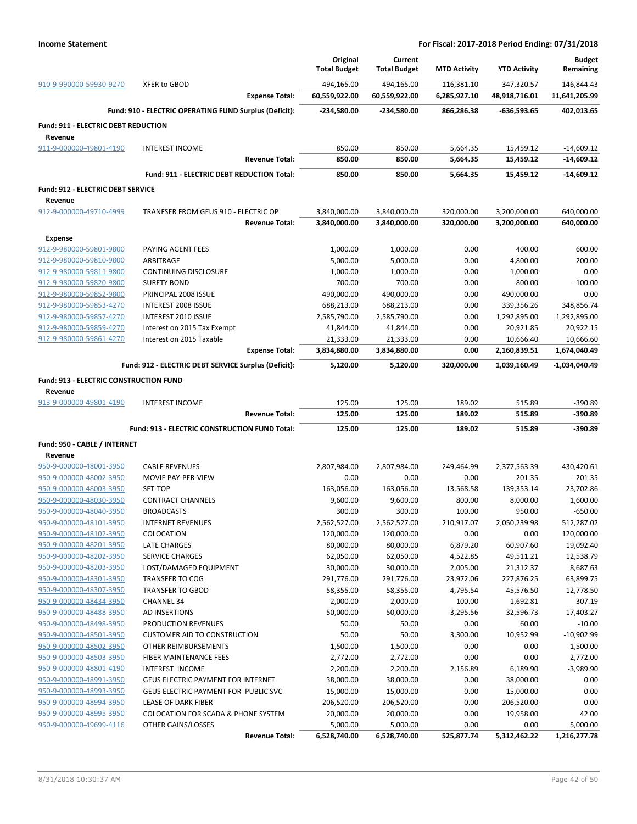|                                              |                                                        | Original<br><b>Total Budget</b> | Current<br><b>Total Budget</b> | <b>MTD Activity</b> | <b>YTD Activity</b>     | <b>Budget</b><br>Remaining |
|----------------------------------------------|--------------------------------------------------------|---------------------------------|--------------------------------|---------------------|-------------------------|----------------------------|
| 910-9-990000-59930-9270                      | <b>XFER to GBOD</b>                                    | 494,165.00                      | 494,165.00                     | 116,381.10          | 347,320.57              | 146,844.43                 |
|                                              | <b>Expense Total:</b>                                  | 60,559,922.00                   | 60,559,922.00                  | 6,285,927.10        | 48,918,716.01           | 11,641,205.99              |
|                                              | Fund: 910 - ELECTRIC OPERATING FUND Surplus (Deficit): | -234,580.00                     | -234,580.00                    | 866,286.38          | -636,593.65             | 402,013.65                 |
| <b>Fund: 911 - ELECTRIC DEBT REDUCTION</b>   |                                                        |                                 |                                |                     |                         |                            |
| Revenue                                      |                                                        |                                 |                                |                     |                         |                            |
| 911-9-000000-49801-4190                      | <b>INTEREST INCOME</b>                                 | 850.00                          | 850.00                         | 5,664.35            | 15,459.12               | $-14,609.12$               |
|                                              | <b>Revenue Total:</b>                                  | 850.00                          | 850.00                         | 5,664.35            | 15,459.12               | $-14,609.12$               |
|                                              | Fund: 911 - ELECTRIC DEBT REDUCTION Total:             | 850.00                          | 850.00                         | 5,664.35            | 15,459.12               | $-14,609.12$               |
| Fund: 912 - ELECTRIC DEBT SERVICE<br>Revenue |                                                        |                                 |                                |                     |                         |                            |
| 912-9-000000-49710-4999                      | TRANFSER FROM GEUS 910 - ELECTRIC OP                   | 3,840,000.00                    | 3,840,000.00                   | 320,000.00          | 3,200,000.00            | 640,000.00                 |
|                                              | <b>Revenue Total:</b>                                  | 3,840,000.00                    | 3,840,000.00                   | 320,000.00          | 3,200,000.00            | 640,000.00                 |
| <b>Expense</b>                               |                                                        |                                 |                                |                     |                         |                            |
| 912-9-980000-59801-9800                      | PAYING AGENT FEES                                      | 1,000.00                        | 1,000.00                       | 0.00                | 400.00                  | 600.00                     |
| 912-9-980000-59810-9800                      | ARBITRAGE                                              | 5,000.00                        | 5,000.00                       | 0.00                | 4,800.00                | 200.00                     |
| 912-9-980000-59811-9800                      | CONTINUING DISCLOSURE                                  | 1,000.00                        | 1,000.00                       | 0.00                | 1,000.00                | 0.00                       |
| 912-9-980000-59820-9800                      | <b>SURETY BOND</b>                                     | 700.00                          | 700.00                         | 0.00                | 800.00                  | $-100.00$                  |
| 912-9-980000-59852-9800                      | PRINCIPAL 2008 ISSUE                                   | 490,000.00                      | 490,000.00                     | 0.00                | 490,000.00              | 0.00                       |
| 912-9-980000-59853-4270                      | INTEREST 2008 ISSUE                                    | 688,213.00                      | 688,213.00                     | 0.00                | 339,356.26              | 348,856.74                 |
| 912-9-980000-59857-4270                      | INTEREST 2010 ISSUE                                    | 2,585,790.00                    | 2,585,790.00                   | 0.00                | 1,292,895.00            | 1,292,895.00               |
| 912-9-980000-59859-4270                      | Interest on 2015 Tax Exempt                            | 41,844.00                       | 41,844.00                      | 0.00                | 20,921.85               | 20,922.15                  |
| 912-9-980000-59861-4270                      | Interest on 2015 Taxable                               | 21,333.00                       | 21,333.00                      | 0.00                | 10,666.40               | 10,666.60                  |
|                                              | <b>Expense Total:</b>                                  | 3,834,880.00                    | 3,834,880.00                   | 0.00                | 2,160,839.51            | 1,674,040.49               |
|                                              | Fund: 912 - ELECTRIC DEBT SERVICE Surplus (Deficit):   | 5,120.00                        | 5,120.00                       | 320,000.00          | 1,039,160.49            | -1,034,040.49              |
| Fund: 913 - ELECTRIC CONSTRUCTION FUND       |                                                        |                                 |                                |                     |                         |                            |
| Revenue                                      |                                                        |                                 |                                |                     |                         |                            |
| 913-9-000000-49801-4190                      | <b>INTEREST INCOME</b>                                 | 125.00                          | 125.00                         | 189.02              | 515.89                  | -390.89                    |
|                                              | <b>Revenue Total:</b>                                  | 125.00                          | 125.00                         | 189.02              | 515.89                  | $-390.89$                  |
|                                              | Fund: 913 - ELECTRIC CONSTRUCTION FUND Total:          | 125.00                          | 125.00                         | 189.02              | 515.89                  | $-390.89$                  |
|                                              |                                                        |                                 |                                |                     |                         |                            |
| Fund: 950 - CABLE / INTERNET<br>Revenue      |                                                        |                                 |                                |                     |                         |                            |
| 950-9-000000-48001-3950                      | <b>CABLE REVENUES</b>                                  | 2,807,984.00                    | 2,807,984.00                   | 249,464.99          | 2,377,563.39            | 430,420.61                 |
| 950-9-000000-48002-3950                      | MOVIE PAY-PER-VIEW                                     | 0.00                            | 0.00                           | 0.00                | 201.35                  | $-201.35$                  |
| 950-9-000000-48003-3950                      | SET-TOP                                                | 163,056.00                      | 163,056.00                     | 13,568.58           | 139,353.14              | 23,702.86                  |
| 950-9-000000-48030-3950                      | <b>CONTRACT CHANNELS</b>                               | 9,600.00                        | 9,600.00                       | 800.00              | 8,000.00                | 1,600.00                   |
| 950-9-000000-48040-3950                      | <b>BROADCASTS</b>                                      | 300.00                          | 300.00                         | 100.00              | 950.00                  | $-650.00$                  |
| 950-9-000000-48101-3950                      | <b>INTERNET REVENUES</b>                               | 2,562,527.00                    | 2,562,527.00                   | 210,917.07          | 2,050,239.98            | 512,287.02                 |
| 950-9-000000-48102-3950                      | COLOCATION                                             | 120,000.00                      | 120,000.00                     | 0.00                | 0.00                    | 120,000.00                 |
| 950-9-000000-48201-3950                      | LATE CHARGES                                           | 80,000.00                       | 80,000.00                      | 6,879.20            | 60,907.60               | 19,092.40                  |
| 950-9-000000-48202-3950                      | <b>SERVICE CHARGES</b>                                 | 62,050.00                       | 62,050.00                      | 4,522.85            | 49,511.21               | 12,538.79                  |
| 950-9-000000-48203-3950                      | LOST/DAMAGED EQUIPMENT                                 | 30,000.00                       | 30,000.00                      | 2,005.00            | 21,312.37               | 8,687.63                   |
| 950-9-000000-48301-3950                      | <b>TRANSFER TO COG</b>                                 | 291,776.00                      | 291,776.00                     | 23,972.06           | 227,876.25              | 63,899.75                  |
| 950-9-000000-48307-3950                      | <b>TRANSFER TO GBOD</b>                                | 58,355.00                       | 58,355.00                      | 4,795.54            | 45,576.50               | 12,778.50                  |
| 950-9-000000-48434-3950                      | <b>CHANNEL 34</b>                                      | 2,000.00                        | 2,000.00                       | 100.00              | 1,692.81                | 307.19                     |
| 950-9-000000-48488-3950                      | AD INSERTIONS                                          | 50,000.00                       | 50,000.00                      | 3,295.56            | 32,596.73               | 17,403.27                  |
| 950-9-000000-48498-3950                      | PRODUCTION REVENUES                                    | 50.00                           | 50.00                          | 0.00                | 60.00                   | $-10.00$                   |
| 950-9-000000-48501-3950                      | <b>CUSTOMER AID TO CONSTRUCTION</b>                    | 50.00                           | 50.00                          | 3,300.00            | 10,952.99               | $-10,902.99$               |
| 950-9-000000-48502-3950                      | OTHER REIMBURSEMENTS                                   | 1,500.00                        | 1,500.00                       | 0.00                | 0.00                    | 1,500.00                   |
| 950-9-000000-48503-3950                      | FIBER MAINTENANCE FEES                                 | 2,772.00                        | 2,772.00                       | 0.00                | 0.00                    | 2,772.00                   |
| 950-9-000000-48801-4190                      | INTEREST INCOME                                        | 2,200.00                        | 2,200.00                       | 2,156.89            | 6,189.90                | $-3,989.90$                |
| 950-9-000000-48991-3950                      | <b>GEUS ELECTRIC PAYMENT FOR INTERNET</b>              | 38,000.00                       | 38,000.00                      | 0.00                | 38,000.00               | 0.00                       |
| 950-9-000000-48993-3950                      | GEUS ELECTRIC PAYMENT FOR PUBLIC SVC                   | 15,000.00                       | 15,000.00                      | 0.00                | 15,000.00               | 0.00                       |
| 950-9-000000-48994-3950                      |                                                        |                                 |                                |                     |                         | 0.00                       |
|                                              | LEASE OF DARK FIBER                                    | 206,520.00                      | 206,520.00                     | 0.00                |                         |                            |
| 950-9-000000-48995-3950                      | <b>COLOCATION FOR SCADA &amp; PHONE SYSTEM</b>         | 20,000.00                       | 20,000.00                      | 0.00                | 206,520.00<br>19,958.00 | 42.00                      |
| 950-9-000000-49699-4116                      | OTHER GAINS/LOSSES                                     | 5,000.00                        | 5,000.00                       | 0.00                | 0.00                    | 5,000.00                   |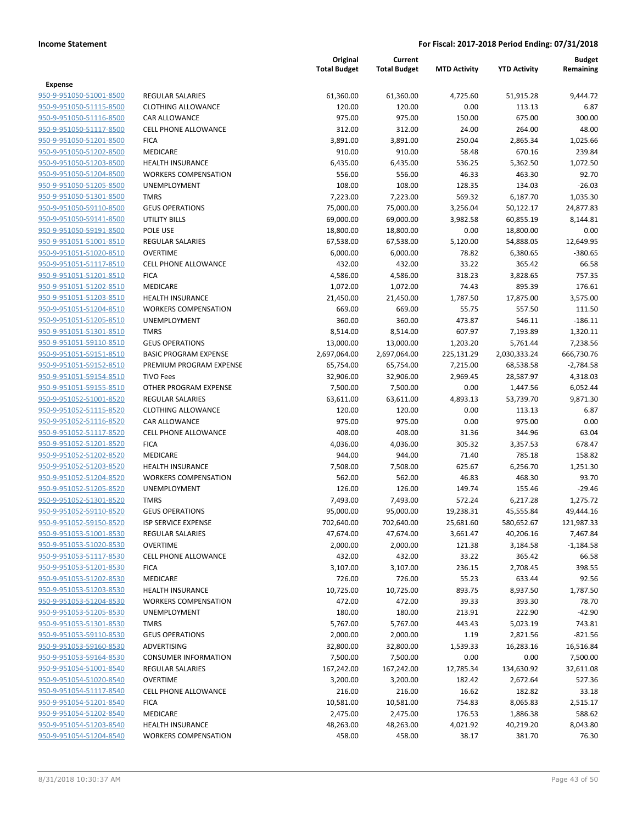|                                                    |                                | Original<br><b>Total Budget</b> | Current<br><b>Total Budget</b> | <b>MTD Activity</b> | <b>YTD Activity</b> | Budget<br>Remaining |
|----------------------------------------------------|--------------------------------|---------------------------------|--------------------------------|---------------------|---------------------|---------------------|
| Expense                                            |                                |                                 |                                |                     |                     |                     |
| 950-9-951050-51001-8500                            | <b>REGULAR SALARIES</b>        | 61,360.00                       | 61,360.00                      | 4,725.60            | 51,915.28           | 9,444.72            |
| 950-9-951050-51115-8500                            | <b>CLOTHING ALLOWANCE</b>      | 120.00                          | 120.00                         | 0.00                | 113.13              | 6.87                |
| 950-9-951050-51116-8500                            | <b>CAR ALLOWANCE</b>           | 975.00                          | 975.00                         | 150.00              | 675.00              | 300.00              |
| 950-9-951050-51117-8500                            | <b>CELL PHONE ALLOWANCE</b>    | 312.00                          | 312.00                         | 24.00               | 264.00              | 48.00               |
| 950-9-951050-51201-8500                            | <b>FICA</b>                    | 3,891.00                        | 3,891.00                       | 250.04              | 2,865.34            | 1,025.66            |
| 950-9-951050-51202-8500                            | <b>MEDICARE</b>                | 910.00                          | 910.00                         | 58.48               | 670.16              | 239.84              |
| 950-9-951050-51203-8500                            | <b>HEALTH INSURANCE</b>        | 6,435.00                        | 6,435.00                       | 536.25              | 5,362.50            | 1,072.50            |
| 950-9-951050-51204-8500                            | <b>WORKERS COMPENSATION</b>    | 556.00                          | 556.00                         | 46.33               | 463.30              | 92.70               |
| 950-9-951050-51205-8500                            | UNEMPLOYMENT                   | 108.00                          | 108.00                         | 128.35              | 134.03              | $-26.03$            |
| 950-9-951050-51301-8500                            | <b>TMRS</b>                    | 7,223.00                        | 7,223.00                       | 569.32              | 6,187.70            | 1.035.30            |
| 950-9-951050-59110-8500                            | <b>GEUS OPERATIONS</b>         | 75,000.00                       | 75,000.00                      | 3,256.04            | 50,122.17           | 24,877.83           |
| 950-9-951050-59141-8500                            | UTILITY BILLS                  | 69,000.00                       | 69,000.00                      | 3,982.58            | 60,855.19           | 8,144.81            |
| 950-9-951050-59191-8500                            | POLE USE                       | 18,800.00                       | 18,800.00                      | 0.00                | 18,800.00           | 0.00                |
| 950-9-951051-51001-8510                            | <b>REGULAR SALARIES</b>        | 67,538.00                       | 67,538.00                      | 5,120.00            | 54,888.05           | 12,649.95           |
| 950-9-951051-51020-8510                            | <b>OVERTIME</b>                | 6,000.00                        | 6,000.00                       | 78.82               | 6,380.65            | $-380.65$           |
| 950-9-951051-51117-8510                            | <b>CELL PHONE ALLOWANCE</b>    | 432.00                          | 432.00                         | 33.22               | 365.42              | 66.58               |
| 950-9-951051-51201-8510                            | <b>FICA</b>                    | 4,586.00                        | 4,586.00                       | 318.23              | 3,828.65            | 757.35              |
| 950-9-951051-51202-8510                            | <b>MEDICARE</b>                | 1,072.00                        | 1,072.00                       | 74.43               | 895.39              | 176.61              |
| 950-9-951051-51203-8510                            | <b>HEALTH INSURANCE</b>        | 21,450.00                       | 21,450.00                      | 1,787.50            | 17,875.00           | 3,575.00            |
| 950-9-951051-51204-8510                            | <b>WORKERS COMPENSATION</b>    | 669.00                          | 669.00                         | 55.75               | 557.50              | 111.50              |
| 950-9-951051-51205-8510                            | UNEMPLOYMENT                   | 360.00                          | 360.00                         | 473.87              | 546.11              | $-186.11$           |
| 950-9-951051-51301-8510                            | <b>TMRS</b>                    | 8,514.00                        | 8,514.00                       | 607.97              | 7,193.89            | 1,320.11            |
| 950-9-951051-59110-8510                            | <b>GEUS OPERATIONS</b>         | 13,000.00                       | 13,000.00                      | 1,203.20            | 5,761.44            | 7,238.56            |
| 950-9-951051-59151-8510                            | <b>BASIC PROGRAM EXPENSE</b>   | 2,697,064.00                    | 2,697,064.00                   | 225,131.29          | 2,030,333.24        | 666,730.76          |
| 950-9-951051-59152-8510                            | PREMIUM PROGRAM EXPENSE        | 65,754.00                       | 65,754.00                      | 7,215.00            | 68,538.58           | $-2,784.58$         |
| 950-9-951051-59154-8510                            | <b>TIVO Fees</b>               | 32,906.00                       | 32,906.00                      | 2,969.45            | 28,587.97           | 4,318.03            |
| 950-9-951051-59155-8510                            | OTHER PROGRAM EXPENSE          | 7,500.00                        | 7,500.00                       | 0.00                | 1,447.56            | 6,052.44            |
| 950-9-951052-51001-8520                            | <b>REGULAR SALARIES</b>        | 63,611.00                       | 63,611.00                      | 4,893.13            | 53,739.70           | 9,871.30            |
| 950-9-951052-51115-8520                            | <b>CLOTHING ALLOWANCE</b>      | 120.00                          | 120.00                         | 0.00                | 113.13              | 6.87                |
| 950-9-951052-51116-8520                            | <b>CAR ALLOWANCE</b>           | 975.00                          | 975.00                         | 0.00                | 975.00              | 0.00                |
| 950-9-951052-51117-8520                            | <b>CELL PHONE ALLOWANCE</b>    | 408.00                          | 408.00                         | 31.36               | 344.96              | 63.04               |
| 950-9-951052-51201-8520                            | <b>FICA</b>                    | 4,036.00                        | 4,036.00                       | 305.32              | 3,357.53            | 678.47              |
| 950-9-951052-51202-8520                            | <b>MEDICARE</b>                | 944.00                          | 944.00                         | 71.40               | 785.18              | 158.82              |
| 950-9-951052-51203-8520                            | <b>HEALTH INSURANCE</b>        | 7,508.00                        | 7,508.00                       | 625.67              | 6,256.70            | 1,251.30            |
| 950-9-951052-51204-8520                            | <b>WORKERS COMPENSATION</b>    | 562.00                          | 562.00                         | 46.83               | 468.30              | 93.70               |
| 950-9-951052-51205-8520                            | <b>UNEMPLOYMENT</b>            | 126.00                          | 126.00                         | 149.74              | 155.46              | $-29.46$            |
| 950-9-951052-51301-8520                            | <b>TMRS</b>                    | 7,493.00                        | 7,493.00                       | 572.24              | 6,217.28            | 1,275.72            |
| 950-9-951052-59110-8520                            | <b>GEUS OPERATIONS</b>         | 95,000.00                       | 95,000.00                      | 19,238.31           | 45,555.84           | 49,444.16           |
| 950-9-951052-59150-8520                            | <b>ISP SERVICE EXPENSE</b>     | 702,640.00                      | 702,640.00                     | 25,681.60           | 580,652.67          | 121,987.33          |
| 950-9-951053-51001-8530                            | <b>REGULAR SALARIES</b>        | 47,674.00                       | 47,674.00                      | 3,661.47            | 40,206.16           | 7,467.84            |
| 950-9-951053-51020-8530                            | <b>OVERTIME</b>                | 2,000.00                        | 2,000.00                       | 121.38              | 3,184.58            | $-1,184.58$         |
| 950-9-951053-51117-8530<br>950-9-951053-51201-8530 | <b>CELL PHONE ALLOWANCE</b>    | 432.00                          | 432.00                         | 33.22               | 365.42              | 66.58               |
|                                                    | <b>FICA</b><br><b>MEDICARE</b> | 3,107.00                        | 3,107.00                       | 236.15              | 2,708.45            | 398.55              |
| 950-9-951053-51202-8530<br>950-9-951053-51203-8530 | <b>HEALTH INSURANCE</b>        | 726.00<br>10,725.00             | 726.00<br>10,725.00            | 55.23<br>893.75     | 633.44              | 92.56<br>1,787.50   |
| 950-9-951053-51204-8530                            | <b>WORKERS COMPENSATION</b>    |                                 |                                | 39.33               | 8,937.50            |                     |
| 950-9-951053-51205-8530                            | UNEMPLOYMENT                   | 472.00<br>180.00                | 472.00<br>180.00               | 213.91              | 393.30<br>222.90    | 78.70<br>$-42.90$   |
| 950-9-951053-51301-8530                            | <b>TMRS</b>                    | 5,767.00                        | 5,767.00                       | 443.43              | 5,023.19            | 743.81              |
| 950-9-951053-59110-8530                            | <b>GEUS OPERATIONS</b>         | 2,000.00                        | 2,000.00                       | 1.19                | 2,821.56            | $-821.56$           |
| 950-9-951053-59160-8530                            | <b>ADVERTISING</b>             | 32,800.00                       | 32,800.00                      | 1,539.33            | 16,283.16           | 16,516.84           |
| 950-9-951053-59164-8530                            | <b>CONSUMER INFORMATION</b>    | 7,500.00                        | 7,500.00                       | 0.00                | 0.00                | 7,500.00            |
| 950-9-951054-51001-8540                            | <b>REGULAR SALARIES</b>        | 167,242.00                      | 167,242.00                     | 12,785.34           | 134,630.92          | 32,611.08           |
| 950-9-951054-51020-8540                            | <b>OVERTIME</b>                | 3,200.00                        | 3,200.00                       | 182.42              | 2,672.64            | 527.36              |
| 950-9-951054-51117-8540                            | <b>CELL PHONE ALLOWANCE</b>    | 216.00                          | 216.00                         | 16.62               | 182.82              | 33.18               |
| 950-9-951054-51201-8540                            | <b>FICA</b>                    | 10,581.00                       | 10,581.00                      | 754.83              | 8,065.83            | 2,515.17            |
| 950-9-951054-51202-8540                            | <b>MEDICARE</b>                | 2,475.00                        | 2,475.00                       | 176.53              | 1,886.38            | 588.62              |
| 950-9-951054-51203-8540                            | <b>HEALTH INSURANCE</b>        | 48,263.00                       | 48,263.00                      | 4,021.92            | 40,219.20           | 8,043.80            |
| 950-9-951054-51204-8540                            | <b>WORKERS COMPENSATION</b>    | 458.00                          | 458.00                         | 38.17               | 381.70              | 76.30               |
|                                                    |                                |                                 |                                |                     |                     |                     |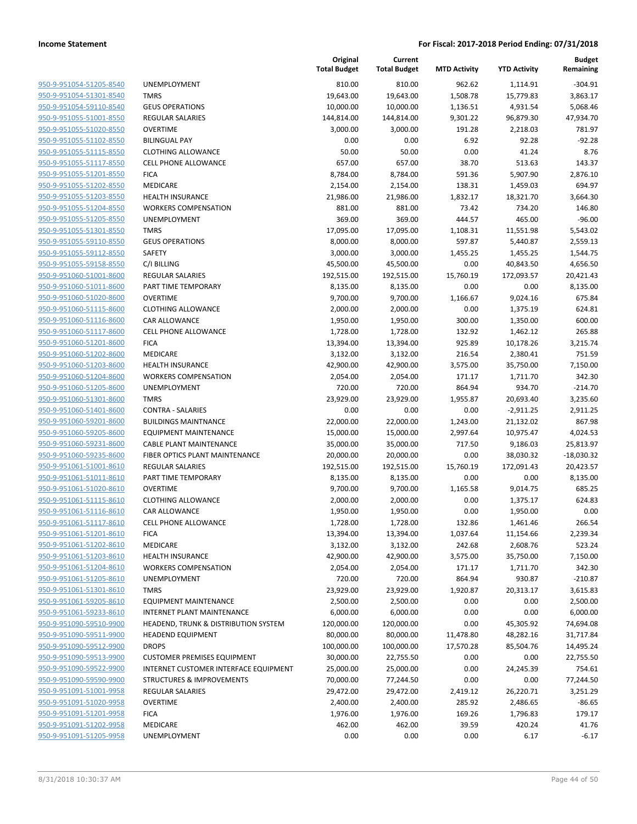| 950-9-951054-51205-8540        |
|--------------------------------|
| 950-9-951054-51301-8540        |
| 950-9-951054-59110-8540        |
| 950-9-951055-51001-8550        |
| 950-9-951055-51020-8550        |
| 950-9-951055-51102-8550        |
| 950-9-951055-51115-8550        |
| 950-9-951055-51117-8550        |
| 950-9-951055-51201-8550        |
| 950-9-951055-51202-8550        |
| 950-9-951055-51203-8550        |
| 950-9-951055-51204-8550        |
| 950-9-951055-51205-8550        |
|                                |
| 950-9-951055-51301-8550        |
| 950-9-951055-59110-8550        |
| 950-9-951055-59112-8550        |
| <u>950-9-951055-59158-8550</u> |
| 950-9-951060-51001-8600        |
| 950-9-951060-51011-8600        |
| 950-9-951060-51020-8600        |
| 950-9-951060-51115-8600        |
| 950-9-951060-51116-8600        |
| 950-9-951060-51117-8600        |
| 950-9-951060-51201-8600        |
| 950-9-951060-51202-8600        |
| 950-9-951060-51203-8600        |
| <u>950-9-951060-51204-8600</u> |
| 950-9-951060-51205-8600        |
| 950-9-951060-51301-8600        |
| 950-9-951060-51401-8600        |
| 950-9-951060-59201-8600        |
| 950-9-951060-59205-8600        |
| 950-9-951060-59231-8600        |
| 950-9-951060-59235-8600        |
| 950-9-951061-51001-8610        |
|                                |
| <u>950-9-951061-51011-8610</u> |
| <u>950-9-951061-51020-8610</u> |
| 950-9-951061-51115-8610        |
| 950-9-951061-51116-8610        |
| 950-9-951061-51117-8610        |
| <u>950-9-951061-51201-8610</u> |
| 950-9-951061-51202-8610        |
| <u>950-9-951061-51203-8610</u> |
| 950-9-951061-51204-8610        |
| 950-9-951061-51205-8610        |
| <u>950-9-951061-51301-8610</u> |
| 950-9-951061-59205-8610        |
| 950-9-951061-59233-8610        |
| 950-9-951090-59510-9900        |
| 950-9-951090-59511-9900        |
| 950-9-951090-59512-9900        |
| 950-9-951090-59513-9900        |
| 950-9-951090-59522-9900        |
| 950-9-951090-59590-9900        |
| 950-9-951091-51001-9958        |
| <u>950-9-951091-51020-9958</u> |
| 950-9-951091-51201-9958        |
| 950-9-951091-51202-9958        |
| 950-9-951091-51205-9958        |
|                                |

|                         |                                       | Original<br><b>Total Budget</b> | Current<br><b>Total Budget</b> | <b>MTD Activity</b> | <b>YTD Activity</b> | <b>Budget</b><br>Remaining |
|-------------------------|---------------------------------------|---------------------------------|--------------------------------|---------------------|---------------------|----------------------------|
| 950-9-951054-51205-8540 | UNEMPLOYMENT                          | 810.00                          | 810.00                         | 962.62              | 1,114.91            | $-304.91$                  |
| 950-9-951054-51301-8540 | <b>TMRS</b>                           | 19,643.00                       | 19,643.00                      | 1,508.78            | 15,779.83           | 3,863.17                   |
| 950-9-951054-59110-8540 | <b>GEUS OPERATIONS</b>                | 10,000.00                       | 10,000.00                      | 1,136.51            | 4,931.54            | 5,068.46                   |
| 950-9-951055-51001-8550 | REGULAR SALARIES                      | 144,814.00                      | 144,814.00                     | 9,301.22            | 96,879.30           | 47,934.70                  |
| 950-9-951055-51020-8550 | <b>OVERTIME</b>                       | 3,000.00                        | 3,000.00                       | 191.28              | 2,218.03            | 781.97                     |
| 950-9-951055-51102-8550 | <b>BILINGUAL PAY</b>                  | 0.00                            | 0.00                           | 6.92                | 92.28               | $-92.28$                   |
| 950-9-951055-51115-8550 | <b>CLOTHING ALLOWANCE</b>             | 50.00                           | 50.00                          | 0.00                | 41.24               | 8.76                       |
| 950-9-951055-51117-8550 | <b>CELL PHONE ALLOWANCE</b>           | 657.00                          | 657.00                         | 38.70               | 513.63              | 143.37                     |
| 950-9-951055-51201-8550 | <b>FICA</b>                           | 8,784.00                        | 8,784.00                       | 591.36              | 5,907.90            | 2,876.10                   |
| 950-9-951055-51202-8550 | MEDICARE                              | 2,154.00                        | 2,154.00                       | 138.31              | 1,459.03            | 694.97                     |
| 950-9-951055-51203-8550 | <b>HEALTH INSURANCE</b>               | 21,986.00                       | 21,986.00                      | 1,832.17            | 18,321.70           | 3,664.30                   |
| 950-9-951055-51204-8550 | <b>WORKERS COMPENSATION</b>           | 881.00                          | 881.00                         | 73.42               | 734.20              | 146.80                     |
| 950-9-951055-51205-8550 | UNEMPLOYMENT                          | 369.00                          | 369.00                         | 444.57              | 465.00              | $-96.00$                   |
| 950-9-951055-51301-8550 | <b>TMRS</b>                           | 17,095.00                       | 17,095.00                      | 1,108.31            | 11,551.98           | 5,543.02                   |
| 950-9-951055-59110-8550 | <b>GEUS OPERATIONS</b>                | 8,000.00                        | 8,000.00                       | 597.87              | 5,440.87            | 2,559.13                   |
| 950-9-951055-59112-8550 | <b>SAFETY</b>                         | 3,000.00                        | 3,000.00                       | 1,455.25            | 1,455.25            | 1,544.75                   |
| 950-9-951055-59158-8550 | C/I BILLING                           | 45,500.00                       | 45,500.00                      | 0.00                | 40,843.50           | 4,656.50                   |
| 950-9-951060-51001-8600 | REGULAR SALARIES                      | 192,515.00                      | 192,515.00                     | 15,760.19           | 172,093.57          | 20,421.43                  |
| 950-9-951060-51011-8600 | PART TIME TEMPORARY                   | 8,135.00                        | 8,135.00                       | 0.00                | 0.00                | 8,135.00                   |
| 950-9-951060-51020-8600 | <b>OVERTIME</b>                       | 9,700.00                        | 9,700.00                       | 1,166.67            | 9,024.16            | 675.84                     |
| 950-9-951060-51115-8600 | <b>CLOTHING ALLOWANCE</b>             | 2,000.00                        | 2,000.00                       | 0.00                | 1,375.19            | 624.81                     |
| 950-9-951060-51116-8600 | CAR ALLOWANCE                         | 1,950.00                        | 1,950.00                       | 300.00              | 1,350.00            | 600.00                     |
| 950-9-951060-51117-8600 | <b>CELL PHONE ALLOWANCE</b>           | 1,728.00                        | 1,728.00                       | 132.92              | 1,462.12            | 265.88                     |
| 950-9-951060-51201-8600 | <b>FICA</b>                           | 13,394.00                       | 13,394.00                      | 925.89              | 10,178.26           | 3,215.74                   |
| 950-9-951060-51202-8600 | MEDICARE                              | 3,132.00                        | 3,132.00                       | 216.54              | 2,380.41            | 751.59                     |
| 950-9-951060-51203-8600 | <b>HEALTH INSURANCE</b>               | 42,900.00                       | 42,900.00                      | 3,575.00            | 35,750.00           | 7,150.00                   |
| 950-9-951060-51204-8600 | <b>WORKERS COMPENSATION</b>           | 2,054.00                        | 2,054.00                       | 171.17              | 1,711.70            | 342.30                     |
| 950-9-951060-51205-8600 | UNEMPLOYMENT                          | 720.00                          | 720.00                         | 864.94              | 934.70              | $-214.70$                  |
| 950-9-951060-51301-8600 | <b>TMRS</b>                           | 23,929.00                       | 23,929.00                      | 1,955.87            | 20,693.40           | 3,235.60                   |
| 950-9-951060-51401-8600 | <b>CONTRA - SALARIES</b>              | 0.00                            | 0.00                           | 0.00                | $-2,911.25$         | 2,911.25                   |
| 950-9-951060-59201-8600 | <b>BUILDINGS MAINTNANCE</b>           | 22,000.00                       | 22,000.00                      | 1,243.00            | 21,132.02           | 867.98                     |
| 950-9-951060-59205-8600 | <b>EQUIPMENT MAINTENANCE</b>          | 15,000.00                       | 15,000.00                      | 2,997.64            | 10,975.47           | 4,024.53                   |
| 950-9-951060-59231-8600 | <b>CABLE PLANT MAINTENANCE</b>        | 35,000.00                       | 35,000.00                      | 717.50              | 9,186.03            | 25,813.97                  |
| 950-9-951060-59235-8600 | FIBER OPTICS PLANT MAINTENANCE        | 20,000.00                       | 20,000.00                      | 0.00                | 38,030.32           | $-18,030.32$               |
| 950-9-951061-51001-8610 | <b>REGULAR SALARIES</b>               | 192,515.00                      | 192,515.00                     | 15,760.19           | 172,091.43          | 20,423.57                  |
| 950-9-951061-51011-8610 | PART TIME TEMPORARY                   | 8,135.00                        | 8,135.00                       | 0.00                | 0.00                | 8,135.00                   |
| 950-9-951061-51020-8610 | <b>OVERTIME</b>                       | 9,700.00                        | 9,700.00                       | 1,165.58            | 9,014.75            | 685.25                     |
| 950-9-951061-51115-8610 | <b>CLOTHING ALLOWANCE</b>             | 2,000.00                        | 2,000.00                       | 0.00                | 1,375.17            | 624.83                     |
| 950-9-951061-51116-8610 | CAR ALLOWANCE                         | 1,950.00                        | 1,950.00                       | 0.00                | 1,950.00            | 0.00                       |
| 950-9-951061-51117-8610 | <b>CELL PHONE ALLOWANCE</b>           | 1,728.00                        | 1,728.00                       | 132.86              | 1,461.46            | 266.54                     |
| 950-9-951061-51201-8610 | <b>FICA</b>                           | 13,394.00                       | 13,394.00                      | 1,037.64            | 11,154.66           | 2,239.34                   |
| 950-9-951061-51202-8610 | MEDICARE                              | 3,132.00                        | 3,132.00                       | 242.68              | 2,608.76            | 523.24                     |
| 950-9-951061-51203-8610 | <b>HEALTH INSURANCE</b>               | 42,900.00                       | 42,900.00                      | 3,575.00            | 35,750.00           | 7,150.00                   |
| 950-9-951061-51204-8610 | <b>WORKERS COMPENSATION</b>           | 2,054.00                        | 2,054.00                       | 171.17              | 1,711.70            | 342.30                     |
| 950-9-951061-51205-8610 | <b>UNEMPLOYMENT</b>                   | 720.00                          | 720.00                         | 864.94              | 930.87              | $-210.87$                  |
| 950-9-951061-51301-8610 | <b>TMRS</b>                           | 23,929.00                       | 23,929.00                      | 1,920.87            | 20,313.17           | 3,615.83                   |
| 950-9-951061-59205-8610 | EQUIPMENT MAINTENANCE                 | 2,500.00                        | 2,500.00                       | 0.00                | 0.00                | 2,500.00                   |
| 950-9-951061-59233-8610 | <b>INTERNET PLANT MAINTENANCE</b>     | 6,000.00                        | 6,000.00                       | 0.00                | 0.00                | 6,000.00                   |
| 950-9-951090-59510-9900 | HEADEND, TRUNK & DISTRIBUTION SYSTEM  | 120,000.00                      | 120,000.00                     | 0.00                | 45,305.92           | 74,694.08                  |
| 950-9-951090-59511-9900 | <b>HEADEND EQUIPMENT</b>              | 80,000.00                       | 80,000.00                      | 11,478.80           | 48,282.16           | 31,717.84                  |
| 950-9-951090-59512-9900 | <b>DROPS</b>                          | 100,000.00                      | 100,000.00                     | 17,570.28           | 85,504.76           | 14,495.24                  |
| 950-9-951090-59513-9900 | <b>CUSTOMER PREMISES EQUIPMENT</b>    | 30,000.00                       | 22,755.50                      | 0.00                | 0.00                | 22,755.50                  |
| 950-9-951090-59522-9900 | INTERNET CUSTOMER INTERFACE EQUIPMENT | 25,000.00                       | 25,000.00                      | 0.00                | 24,245.39           | 754.61                     |
| 950-9-951090-59590-9900 | <b>STRUCTURES &amp; IMPROVEMENTS</b>  | 70,000.00                       | 77,244.50                      | 0.00                | 0.00                | 77,244.50                  |
| 950-9-951091-51001-9958 | REGULAR SALARIES                      | 29,472.00                       | 29,472.00                      | 2,419.12            | 26,220.71           | 3,251.29                   |
| 950-9-951091-51020-9958 | <b>OVERTIME</b>                       | 2,400.00                        | 2,400.00                       | 285.92              | 2,486.65            | $-86.65$                   |
| 950-9-951091-51201-9958 | <b>FICA</b>                           | 1,976.00                        | 1,976.00                       | 169.26              | 1,796.83            | 179.17                     |
| 950-9-951091-51202-9958 | MEDICARE                              | 462.00                          | 462.00                         | 39.59               | 420.24              | 41.76                      |
| 950-9-951091-51205-9958 | UNEMPLOYMENT                          | 0.00                            | 0.00                           | 0.00                | 6.17                | $-6.17$                    |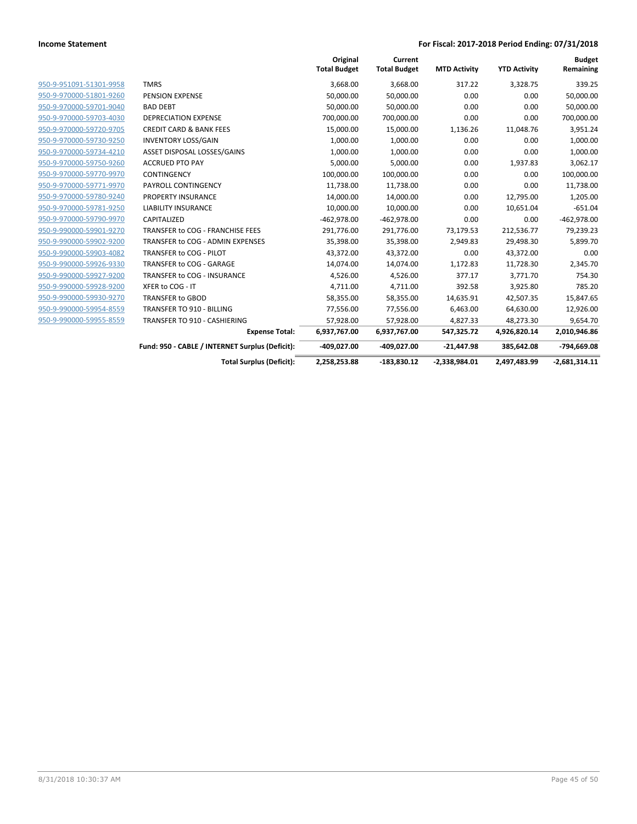|                         |                                                 | Original<br><b>Total Budget</b> | Current<br><b>Total Budget</b> | <b>MTD Activity</b> | <b>YTD Activity</b> | <b>Budget</b><br>Remaining |
|-------------------------|-------------------------------------------------|---------------------------------|--------------------------------|---------------------|---------------------|----------------------------|
| 950-9-951091-51301-9958 | <b>TMRS</b>                                     | 3,668.00                        | 3,668.00                       | 317.22              | 3,328.75            | 339.25                     |
| 950-9-970000-51801-9260 | PENSION EXPENSE                                 | 50,000.00                       | 50,000.00                      | 0.00                | 0.00                | 50,000.00                  |
| 950-9-970000-59701-9040 | <b>BAD DEBT</b>                                 | 50,000.00                       | 50,000.00                      | 0.00                | 0.00                | 50,000.00                  |
| 950-9-970000-59703-4030 | <b>DEPRECIATION EXPENSE</b>                     | 700,000.00                      | 700,000.00                     | 0.00                | 0.00                | 700,000.00                 |
| 950-9-970000-59720-9705 | <b>CREDIT CARD &amp; BANK FEES</b>              | 15,000.00                       | 15,000.00                      | 1,136.26            | 11,048.76           | 3,951.24                   |
| 950-9-970000-59730-9250 | <b>INVENTORY LOSS/GAIN</b>                      | 1,000.00                        | 1,000.00                       | 0.00                | 0.00                | 1,000.00                   |
| 950-9-970000-59734-4210 | ASSET DISPOSAL LOSSES/GAINS                     | 1,000.00                        | 1,000.00                       | 0.00                | 0.00                | 1,000.00                   |
| 950-9-970000-59750-9260 | <b>ACCRUED PTO PAY</b>                          | 5,000.00                        | 5,000.00                       | 0.00                | 1,937.83            | 3,062.17                   |
| 950-9-970000-59770-9970 | <b>CONTINGENCY</b>                              | 100,000.00                      | 100,000.00                     | 0.00                | 0.00                | 100,000.00                 |
| 950-9-970000-59771-9970 | PAYROLL CONTINGENCY                             | 11,738.00                       | 11,738.00                      | 0.00                | 0.00                | 11,738.00                  |
| 950-9-970000-59780-9240 | PROPERTY INSURANCE                              | 14,000.00                       | 14,000.00                      | 0.00                | 12,795.00           | 1,205.00                   |
| 950-9-970000-59781-9250 | <b>LIABILITY INSURANCE</b>                      | 10,000.00                       | 10,000.00                      | 0.00                | 10,651.04           | $-651.04$                  |
| 950-9-970000-59790-9970 | CAPITALIZED                                     | $-462,978.00$                   | $-462,978.00$                  | 0.00                | 0.00                | $-462,978.00$              |
| 950-9-990000-59901-9270 | TRANSFER to COG - FRANCHISE FEES                | 291,776.00                      | 291,776.00                     | 73,179.53           | 212,536.77          | 79,239.23                  |
| 950-9-990000-59902-9200 | TRANSFER to COG - ADMIN EXPENSES                | 35,398.00                       | 35,398.00                      | 2,949.83            | 29,498.30           | 5,899.70                   |
| 950-9-990000-59903-4082 | TRANSFER to COG - PILOT                         | 43,372.00                       | 43,372.00                      | 0.00                | 43,372.00           | 0.00                       |
| 950-9-990000-59926-9330 | TRANSFER to COG - GARAGE                        | 14,074.00                       | 14,074.00                      | 1,172.83            | 11,728.30           | 2,345.70                   |
| 950-9-990000-59927-9200 | TRANSFER to COG - INSURANCE                     | 4,526.00                        | 4,526.00                       | 377.17              | 3,771.70            | 754.30                     |
| 950-9-990000-59928-9200 | XFER to COG - IT                                | 4,711.00                        | 4,711.00                       | 392.58              | 3,925.80            | 785.20                     |
| 950-9-990000-59930-9270 | TRANSFER to GBOD                                | 58,355.00                       | 58,355.00                      | 14,635.91           | 42,507.35           | 15,847.65                  |
| 950-9-990000-59954-8559 | TRANSFER TO 910 - BILLING                       | 77,556.00                       | 77,556.00                      | 6,463.00            | 64,630.00           | 12,926.00                  |
| 950-9-990000-59955-8559 | <b>TRANSFER TO 910 - CASHIERING</b>             | 57,928.00                       | 57,928.00                      | 4,827.33            | 48,273.30           | 9,654.70                   |
|                         | <b>Expense Total:</b>                           | 6,937,767.00                    | 6,937,767.00                   | 547,325.72          | 4,926,820.14        | 2,010,946.86               |
|                         | Fund: 950 - CABLE / INTERNET Surplus (Deficit): | -409,027.00                     | -409,027.00                    | $-21,447.98$        | 385,642.08          | -794,669.08                |
|                         | <b>Total Surplus (Deficit):</b>                 | 2,258,253.88                    | $-183.830.12$                  | $-2,338,984.01$     | 2,497,483.99        | $-2,681,314.11$            |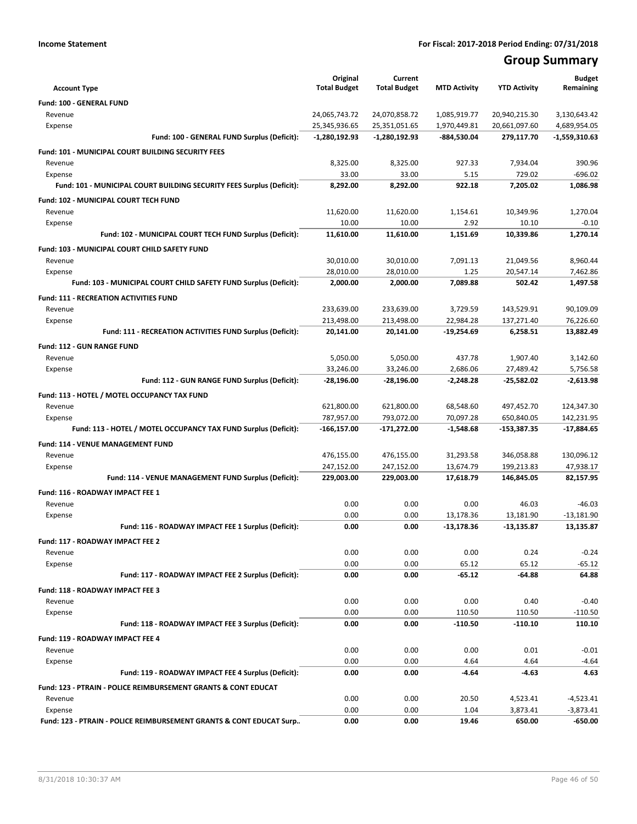# **Group Summary**

| <b>Account Type</b>                                                       | Original<br><b>Total Budget</b> | Current<br><b>Total Budget</b> | <b>MTD Activity</b> | <b>YTD Activity</b> | <b>Budget</b><br>Remaining |
|---------------------------------------------------------------------------|---------------------------------|--------------------------------|---------------------|---------------------|----------------------------|
| Fund: 100 - GENERAL FUND                                                  |                                 |                                |                     |                     |                            |
| Revenue                                                                   | 24,065,743.72                   | 24,070,858.72                  | 1,085,919.77        | 20,940,215.30       | 3,130,643.42               |
| Expense                                                                   | 25,345,936.65                   | 25,351,051.65                  | 1,970,449.81        | 20,661,097.60       | 4,689,954.05               |
| Fund: 100 - GENERAL FUND Surplus (Deficit):                               | $-1,280,192.93$                 | -1,280,192.93                  | -884,530.04         | 279,117.70          | $-1,559,310.63$            |
| Fund: 101 - MUNICIPAL COURT BUILDING SECURITY FEES                        |                                 |                                |                     |                     |                            |
| Revenue                                                                   | 8,325.00                        | 8,325.00                       | 927.33              | 7,934.04            | 390.96                     |
| Expense                                                                   | 33.00                           | 33.00                          | 5.15                | 729.02              | $-696.02$                  |
| Fund: 101 - MUNICIPAL COURT BUILDING SECURITY FEES Surplus (Deficit):     | 8.292.00                        | 8,292.00                       | 922.18              | 7,205.02            | 1,086.98                   |
| Fund: 102 - MUNICIPAL COURT TECH FUND                                     |                                 |                                |                     |                     |                            |
| Revenue                                                                   | 11,620.00                       | 11,620.00                      | 1,154.61            | 10,349.96           | 1,270.04                   |
| Expense                                                                   | 10.00                           | 10.00                          | 2.92                | 10.10               | $-0.10$                    |
| Fund: 102 - MUNICIPAL COURT TECH FUND Surplus (Deficit):                  | 11,610.00                       | 11,610.00                      | 1,151.69            | 10,339.86           | 1,270.14                   |
| <b>Fund: 103 - MUNICIPAL COURT CHILD SAFETY FUND</b>                      |                                 |                                |                     |                     |                            |
| Revenue                                                                   | 30,010.00                       | 30,010.00                      | 7,091.13            | 21,049.56           | 8,960.44                   |
| Expense                                                                   | 28,010.00                       | 28,010.00                      | 1.25                | 20,547.14           | 7,462.86                   |
| Fund: 103 - MUNICIPAL COURT CHILD SAFETY FUND Surplus (Deficit):          | 2,000.00                        | 2,000.00                       | 7,089.88            | 502.42              | 1,497.58                   |
| <b>Fund: 111 - RECREATION ACTIVITIES FUND</b>                             |                                 |                                |                     |                     |                            |
| Revenue                                                                   | 233,639.00                      | 233,639.00                     | 3,729.59            | 143,529.91          | 90,109.09                  |
| Expense                                                                   | 213,498.00                      | 213,498.00                     | 22,984.28           | 137,271.40          | 76,226.60                  |
| Fund: 111 - RECREATION ACTIVITIES FUND Surplus (Deficit):                 | 20,141.00                       | 20,141.00                      | -19,254.69          | 6,258.51            | 13,882.49                  |
| Fund: 112 - GUN RANGE FUND                                                |                                 |                                |                     |                     |                            |
| Revenue                                                                   | 5,050.00                        | 5,050.00                       | 437.78              | 1,907.40            | 3,142.60                   |
| Expense                                                                   | 33,246.00                       | 33,246.00                      | 2,686.06            | 27,489.42           | 5,756.58                   |
| Fund: 112 - GUN RANGE FUND Surplus (Deficit):                             | $-28,196.00$                    | -28,196.00                     | $-2,248.28$         | $-25,582.02$        | -2,613.98                  |
| Fund: 113 - HOTEL / MOTEL OCCUPANCY TAX FUND                              |                                 |                                |                     |                     |                            |
| Revenue                                                                   | 621,800.00                      | 621,800.00                     | 68,548.60           | 497,452.70          | 124,347.30                 |
| Expense                                                                   | 787,957.00                      | 793,072.00                     | 70,097.28           | 650,840.05          | 142,231.95                 |
| Fund: 113 - HOTEL / MOTEL OCCUPANCY TAX FUND Surplus (Deficit):           | -166,157.00                     | -171,272.00                    | $-1,548.68$         | -153,387.35         | -17,884.65                 |
| Fund: 114 - VENUE MANAGEMENT FUND                                         |                                 |                                |                     |                     |                            |
| Revenue                                                                   | 476,155.00                      | 476,155.00                     | 31,293.58           | 346,058.88          | 130,096.12                 |
| Expense                                                                   | 247,152.00                      | 247,152.00                     | 13,674.79           | 199,213.83          | 47,938.17                  |
| Fund: 114 - VENUE MANAGEMENT FUND Surplus (Deficit):                      | 229,003.00                      | 229,003.00                     | 17,618.79           | 146,845.05          | 82,157.95                  |
| Fund: 116 - ROADWAY IMPACT FEE 1                                          |                                 |                                |                     |                     |                            |
| Revenue                                                                   | 0.00                            | 0.00                           | 0.00                | 46.03               | -46.03                     |
| Expense                                                                   | 0.00                            | 0.00                           | 13,178.36           | 13,181.90           | $-13,181.90$               |
| Fund: 116 - ROADWAY IMPACT FEE 1 Surplus (Deficit):                       | 0.00                            | 0.00                           | $-13,178.36$        | $-13,135.87$        | 13,135.87                  |
| Fund: 117 - ROADWAY IMPACT FEE 2                                          |                                 |                                |                     |                     |                            |
| Revenue                                                                   | 0.00                            | 0.00                           | 0.00                | 0.24                | $-0.24$                    |
| Expense                                                                   | 0.00                            | 0.00                           | 65.12               | 65.12               | $-65.12$                   |
| Fund: 117 - ROADWAY IMPACT FEE 2 Surplus (Deficit):                       | 0.00                            | 0.00                           | $-65.12$            | -64.88              | 64.88                      |
| Fund: 118 - ROADWAY IMPACT FEE 3                                          |                                 |                                |                     |                     |                            |
| Revenue                                                                   | 0.00                            | 0.00                           | 0.00                | 0.40                | $-0.40$                    |
| Expense                                                                   | 0.00                            | 0.00                           | 110.50              | 110.50              | $-110.50$                  |
| Fund: 118 - ROADWAY IMPACT FEE 3 Surplus (Deficit):                       | 0.00                            | 0.00                           | $-110.50$           | $-110.10$           | 110.10                     |
| Fund: 119 - ROADWAY IMPACT FEE 4                                          |                                 |                                |                     |                     |                            |
| Revenue                                                                   | 0.00                            | 0.00                           | 0.00                | 0.01                | $-0.01$                    |
| Expense                                                                   | 0.00                            | 0.00                           | 4.64                | 4.64                | $-4.64$                    |
| Fund: 119 - ROADWAY IMPACT FEE 4 Surplus (Deficit):                       | 0.00                            | 0.00                           | $-4.64$             | $-4.63$             | 4.63                       |
| <b>Fund: 123 - PTRAIN - POLICE REIMBURSEMENT GRANTS &amp; CONT EDUCAT</b> |                                 |                                |                     |                     |                            |
| Revenue                                                                   | 0.00                            | 0.00                           | 20.50               | 4,523.41            | $-4,523.41$                |
| Expense                                                                   | 0.00                            | 0.00                           | 1.04                | 3,873.41            | $-3,873.41$                |
| Fund: 123 - PTRAIN - POLICE REIMBURSEMENT GRANTS & CONT EDUCAT Surp       | 0.00                            | 0.00                           | 19.46               | 650.00              | $-650.00$                  |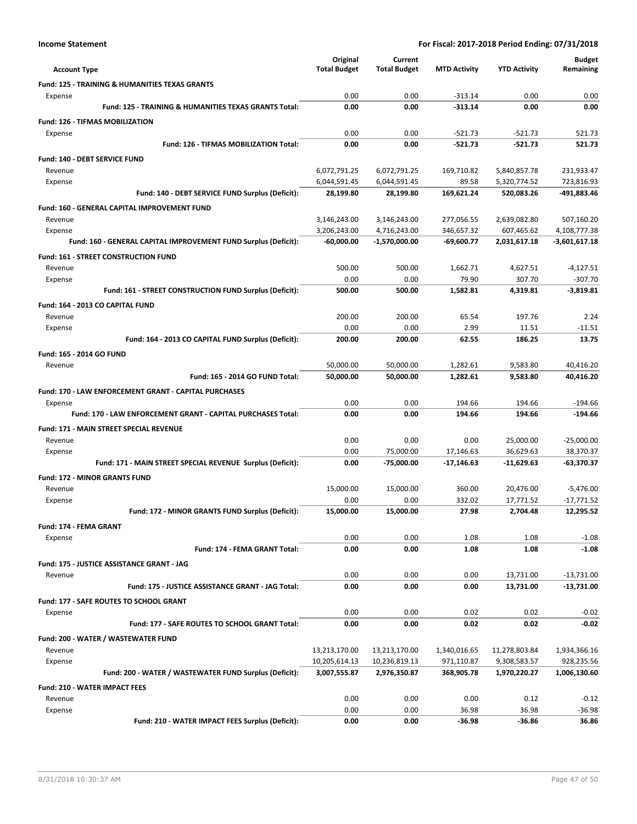| Income Statement |  |
|------------------|--|
|------------------|--|

| <b>Account Type</b>                                              | Original<br><b>Total Budget</b> | Current<br><b>Total Budget</b> | <b>MTD Activity</b>      | <b>YTD Activity</b>        | <b>Budget</b><br>Remaining |
|------------------------------------------------------------------|---------------------------------|--------------------------------|--------------------------|----------------------------|----------------------------|
| <b>Fund: 125 - TRAINING &amp; HUMANITIES TEXAS GRANTS</b>        |                                 |                                |                          |                            |                            |
| Expense                                                          | 0.00                            | 0.00                           | $-313.14$                | 0.00                       | 0.00                       |
| <b>Fund: 125 - TRAINING &amp; HUMANITIES TEXAS GRANTS Total:</b> | 0.00                            | 0.00                           | $-313.14$                | 0.00                       | 0.00                       |
| <b>Fund: 126 - TIFMAS MOBILIZATION</b>                           |                                 |                                |                          |                            |                            |
| Expense                                                          | 0.00                            | 0.00                           | $-521.73$                | $-521.73$                  | 521.73                     |
| Fund: 126 - TIFMAS MOBILIZATION Total:                           | 0.00                            | 0.00                           | $-521.73$                | $-521.73$                  | 521.73                     |
| Fund: 140 - DEBT SERVICE FUND                                    |                                 |                                |                          |                            |                            |
| Revenue                                                          | 6,072,791.25                    | 6,072,791.25                   | 169,710.82               | 5,840,857.78               | 231,933.47                 |
| Expense                                                          | 6,044,591.45                    | 6,044,591.45<br>28.199.80      | 89.58                    | 5,320,774.52               | 723,816.93                 |
| Fund: 140 - DEBT SERVICE FUND Surplus (Deficit):                 | 28,199.80                       |                                | 169,621.24               | 520,083.26                 | -491,883.46                |
| Fund: 160 - GENERAL CAPITAL IMPROVEMENT FUND                     |                                 |                                |                          |                            |                            |
| Revenue<br>Expense                                               | 3,146,243.00<br>3,206,243.00    | 3,146,243.00<br>4,716,243.00   | 277,056.55<br>346,657.32 | 2,639,082.80<br>607,465.62 | 507,160.20<br>4,108,777.38 |
| Fund: 160 - GENERAL CAPITAL IMPROVEMENT FUND Surplus (Deficit):  | -60,000.00                      | -1,570,000.00                  | $-69,600.77$             | 2,031,617.18               | -3,601,617.18              |
|                                                                  |                                 |                                |                          |                            |                            |
| <b>Fund: 161 - STREET CONSTRUCTION FUND</b><br>Revenue           | 500.00                          | 500.00                         | 1,662.71                 | 4,627.51                   | $-4,127.51$                |
| Expense                                                          | 0.00                            | 0.00                           | 79.90                    | 307.70                     | $-307.70$                  |
| Fund: 161 - STREET CONSTRUCTION FUND Surplus (Deficit):          | 500.00                          | 500.00                         | 1,582.81                 | 4,319.81                   | $-3,819.81$                |
| Fund: 164 - 2013 CO CAPITAL FUND                                 |                                 |                                |                          |                            |                            |
| Revenue                                                          | 200.00                          | 200.00                         | 65.54                    | 197.76                     | 2.24                       |
| Expense                                                          | 0.00                            | 0.00                           | 2.99                     | 11.51                      | $-11.51$                   |
| Fund: 164 - 2013 CO CAPITAL FUND Surplus (Deficit):              | 200.00                          | 200.00                         | 62.55                    | 186.25                     | 13.75                      |
| Fund: 165 - 2014 GO FUND                                         |                                 |                                |                          |                            |                            |
| Revenue                                                          | 50,000.00                       | 50,000.00                      | 1,282.61                 | 9,583.80                   | 40,416.20                  |
| Fund: 165 - 2014 GO FUND Total:                                  | 50,000.00                       | 50,000.00                      | 1,282.61                 | 9,583.80                   | 40,416.20                  |
| Fund: 170 - LAW ENFORCEMENT GRANT - CAPITAL PURCHASES            |                                 |                                |                          |                            |                            |
| Expense                                                          | 0.00                            | 0.00                           | 194.66                   | 194.66                     | $-194.66$                  |
| Fund: 170 - LAW ENFORCEMENT GRANT - CAPITAL PURCHASES Total:     | 0.00                            | 0.00                           | 194.66                   | 194.66                     | $-194.66$                  |
| Fund: 171 - MAIN STREET SPECIAL REVENUE                          |                                 |                                |                          |                            |                            |
| Revenue                                                          | 0.00                            | 0.00                           | 0.00                     | 25,000.00                  | $-25,000.00$               |
| Expense                                                          | 0.00                            | 75,000.00                      | 17,146.63                | 36,629.63                  | 38,370.37                  |
| Fund: 171 - MAIN STREET SPECIAL REVENUE Surplus (Deficit):       | 0.00                            | -75,000.00                     | -17,146.63               | -11,629.63                 | $-63,370.37$               |
| Fund: 172 - MINOR GRANTS FUND                                    |                                 |                                |                          |                            |                            |
| Revenue                                                          | 15,000.00                       | 15,000.00                      | 360.00                   | 20,476.00                  | $-5,476.00$                |
| Expense<br>Fund: 172 - MINOR GRANTS FUND Surplus (Deficit):      | 0.00<br>15,000.00               | 0.00<br>15,000.00              | 332.02<br>27.98          | 17,771.52<br>2.704.48      | $-17,771.52$<br>12,295.52  |
| Fund: 174 - FEMA GRANT                                           |                                 |                                |                          |                            |                            |
| Expense                                                          | 0.00                            | 0.00                           | 1.08                     | 1.08                       | $-1.08$                    |
| Fund: 174 - FEMA GRANT Total:                                    | 0.00                            | 0.00                           | 1.08                     | 1.08                       | $-1.08$                    |
| Fund: 175 - JUSTICE ASSISTANCE GRANT - JAG                       |                                 |                                |                          |                            |                            |
| Revenue                                                          | 0.00                            | 0.00                           | 0.00                     | 13,731.00                  | $-13,731.00$               |
| Fund: 175 - JUSTICE ASSISTANCE GRANT - JAG Total:                | 0.00                            | 0.00                           | 0.00                     | 13,731.00                  | -13,731.00                 |
| Fund: 177 - SAFE ROUTES TO SCHOOL GRANT                          |                                 |                                |                          |                            |                            |
| Expense                                                          | 0.00                            | 0.00                           | 0.02                     | 0.02                       | $-0.02$                    |
| Fund: 177 - SAFE ROUTES TO SCHOOL GRANT Total:                   | 0.00                            | 0.00                           | 0.02                     | 0.02                       | $-0.02$                    |
| Fund: 200 - WATER / WASTEWATER FUND                              |                                 |                                |                          |                            |                            |
| Revenue                                                          | 13,213,170.00                   | 13,213,170.00                  | 1,340,016.65             | 11,278,803.84              | 1,934,366.16               |
| Expense                                                          | 10,205,614.13                   | 10,236,819.13                  | 971,110.87               | 9,308,583.57               | 928,235.56                 |
| Fund: 200 - WATER / WASTEWATER FUND Surplus (Deficit):           | 3,007,555.87                    | 2,976,350.87                   | 368,905.78               | 1,970,220.27               | 1,006,130.60               |
| <b>Fund: 210 - WATER IMPACT FEES</b>                             |                                 |                                |                          |                            |                            |
| Revenue                                                          | 0.00                            | 0.00                           | 0.00                     | 0.12                       | $-0.12$                    |
| Expense                                                          | 0.00                            | 0.00                           | 36.98                    | 36.98                      | $-36.98$                   |
| Fund: 210 - WATER IMPACT FEES Surplus (Deficit):                 | 0.00                            | 0.00                           | $-36.98$                 | -36.86                     | 36.86                      |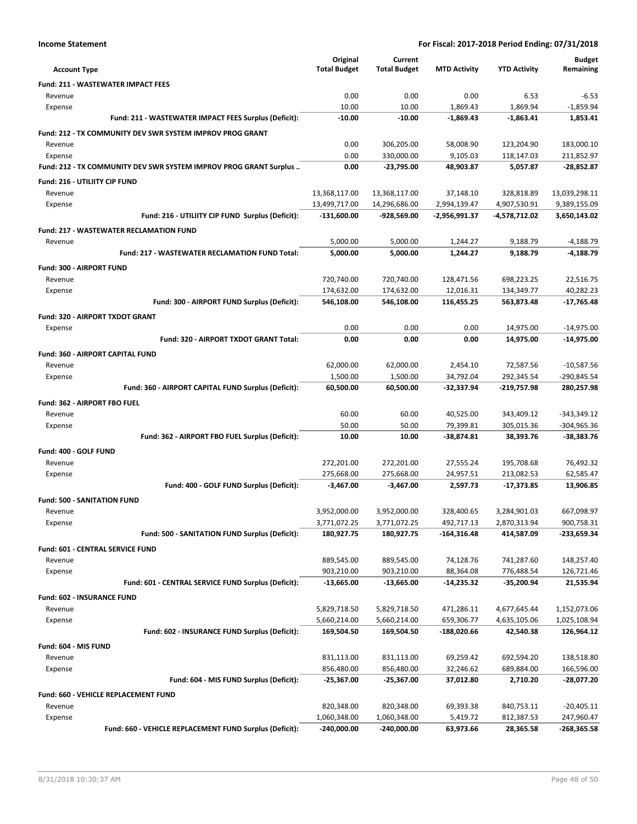|  | <b>Income Statement</b> |
|--|-------------------------|
|--|-------------------------|

|                                                                   | Original            | Current             |                     |                     | <b>Budget</b> |
|-------------------------------------------------------------------|---------------------|---------------------|---------------------|---------------------|---------------|
| <b>Account Type</b>                                               | <b>Total Budget</b> | <b>Total Budget</b> | <b>MTD Activity</b> | <b>YTD Activity</b> | Remaining     |
| <b>Fund: 211 - WASTEWATER IMPACT FEES</b>                         |                     |                     |                     |                     |               |
| Revenue                                                           | 0.00                | 0.00                | 0.00                | 6.53                | $-6.53$       |
| Expense                                                           | 10.00               | 10.00               | 1,869.43            | 1,869.94            | $-1,859.94$   |
| Fund: 211 - WASTEWATER IMPACT FEES Surplus (Deficit):             | $-10.00$            | $-10.00$            | $-1,869.43$         | $-1,863.41$         | 1,853.41      |
| <b>Fund: 212 - TX COMMUNITY DEV SWR SYSTEM IMPROV PROG GRANT</b>  |                     |                     |                     |                     |               |
| Revenue                                                           | 0.00                | 306,205.00          | 58,008.90           | 123,204.90          | 183,000.10    |
| Expense                                                           | 0.00                | 330,000.00          | 9,105.03            | 118,147.03          | 211,852.97    |
| Fund: 212 - TX COMMUNITY DEV SWR SYSTEM IMPROV PROG GRANT Surplus | 0.00                | -23,795.00          | 48,903.87           | 5,057.87            | $-28,852.87$  |
| Fund: 216 - UTILIITY CIP FUND                                     |                     |                     |                     |                     |               |
| Revenue                                                           | 13,368,117.00       | 13,368,117.00       | 37,148.10           | 328,818.89          | 13,039,298.11 |
| Expense                                                           | 13,499,717.00       | 14,296,686.00       | 2,994,139.47        | 4,907,530.91        | 9,389,155.09  |
| Fund: 216 - UTILIITY CIP FUND Surplus (Deficit):                  | $-131,600.00$       | -928,569.00         | -2,956,991.37       | -4,578,712.02       | 3,650,143.02  |
| <b>Fund: 217 - WASTEWATER RECLAMATION FUND</b>                    |                     |                     |                     |                     |               |
| Revenue                                                           | 5,000.00            | 5,000.00            | 1,244.27            | 9,188.79            | $-4,188.79$   |
| Fund: 217 - WASTEWATER RECLAMATION FUND Total:                    | 5,000.00            | 5,000.00            | 1,244.27            | 9,188.79            | -4,188.79     |
| Fund: 300 - AIRPORT FUND                                          |                     |                     |                     |                     |               |
| Revenue                                                           | 720,740.00          | 720,740.00          | 128,471.56          | 698,223.25          | 22,516.75     |
| Expense                                                           | 174,632.00          | 174,632.00          | 12,016.31           | 134,349.77          | 40,282.23     |
| Fund: 300 - AIRPORT FUND Surplus (Deficit):                       | 546,108.00          | 546,108.00          | 116.455.25          | 563,873.48          | $-17,765.48$  |
| Fund: 320 - AIRPORT TXDOT GRANT                                   |                     |                     |                     |                     |               |
| Expense                                                           | 0.00                | 0.00                | 0.00                | 14,975.00           | $-14,975.00$  |
| Fund: 320 - AIRPORT TXDOT GRANT Total:                            | 0.00                | 0.00                | 0.00                | 14,975.00           | -14,975.00    |
| Fund: 360 - AIRPORT CAPITAL FUND                                  |                     |                     |                     |                     |               |
| Revenue                                                           | 62,000.00           | 62,000.00           | 2,454.10            | 72,587.56           | $-10,587.56$  |
| Expense                                                           | 1,500.00            | 1,500.00            | 34,792.04           | 292,345.54          | -290,845.54   |
| Fund: 360 - AIRPORT CAPITAL FUND Surplus (Deficit):               | 60,500.00           | 60,500.00           | -32,337.94          | -219,757.98         | 280,257.98    |
| Fund: 362 - AIRPORT FBO FUEL                                      |                     |                     |                     |                     |               |
| Revenue                                                           | 60.00               | 60.00               | 40,525.00           | 343,409.12          | $-343,349.12$ |
| Expense                                                           | 50.00               | 50.00               | 79,399.81           | 305,015.36          | $-304,965.36$ |
| Fund: 362 - AIRPORT FBO FUEL Surplus (Deficit):                   | 10.00               | 10.00               | $-38,874.81$        | 38,393.76           | $-38,383.76$  |
| Fund: 400 - GOLF FUND                                             |                     |                     |                     |                     |               |
| Revenue                                                           | 272,201.00          | 272,201.00          | 27,555.24           | 195,708.68          | 76,492.32     |
| Expense                                                           | 275,668.00          | 275,668.00          | 24,957.51           | 213,082.53          | 62,585.47     |
| Fund: 400 - GOLF FUND Surplus (Deficit):                          | $-3,467.00$         | $-3,467.00$         | 2,597.73            | -17,373.85          | 13,906.85     |
| <b>Fund: 500 - SANITATION FUND</b>                                |                     |                     |                     |                     |               |
| Revenue                                                           | 3,952,000.00        | 3,952,000.00        | 328,400.65          | 3,284,901.03        | 667,098.97    |
| Expense                                                           | 3,771,072.25        | 3,771,072.25        | 492,717.13          | 2,870,313.94        | 900,758.31    |
| Fund: 500 - SANITATION FUND Surplus (Deficit):                    | 180,927.75          | 180,927.75          | $-164,316.48$       | 414,587.09          | -233,659.34   |
| Fund: 601 - CENTRAL SERVICE FUND                                  |                     |                     |                     |                     |               |
| Revenue                                                           | 889,545.00          | 889,545.00          | 74,128.76           | 741,287.60          | 148,257.40    |
| Expense                                                           | 903,210.00          | 903,210.00          | 88,364.08           | 776,488.54          | 126,721.46    |
| Fund: 601 - CENTRAL SERVICE FUND Surplus (Deficit):               | $-13,665.00$        | $-13,665.00$        | $-14,235.32$        | $-35,200.94$        | 21,535.94     |
| Fund: 602 - INSURANCE FUND                                        |                     |                     |                     |                     |               |
| Revenue                                                           | 5,829,718.50        | 5,829,718.50        | 471,286.11          | 4,677,645.44        | 1,152,073.06  |
| Expense                                                           | 5,660,214.00        | 5,660,214.00        | 659,306.77          | 4,635,105.06        | 1,025,108.94  |
| Fund: 602 - INSURANCE FUND Surplus (Deficit):                     | 169,504.50          | 169,504.50          | -188,020.66         | 42,540.38           | 126,964.12    |
| Fund: 604 - MIS FUND                                              |                     |                     |                     |                     |               |
| Revenue                                                           | 831,113.00          | 831,113.00          | 69,259.42           | 692,594.20          | 138,518.80    |
| Expense                                                           | 856,480.00          | 856,480.00          | 32,246.62           | 689,884.00          | 166,596.00    |
| Fund: 604 - MIS FUND Surplus (Deficit):                           | $-25,367.00$        | $-25,367.00$        | 37,012.80           | 2,710.20            | -28,077.20    |
| Fund: 660 - VEHICLE REPLACEMENT FUND                              |                     |                     |                     |                     |               |
| Revenue                                                           | 820,348.00          | 820,348.00          | 69,393.38           | 840,753.11          | $-20,405.11$  |
| Expense                                                           | 1,060,348.00        | 1,060,348.00        | 5,419.72            | 812,387.53          | 247,960.47    |
| Fund: 660 - VEHICLE REPLACEMENT FUND Surplus (Deficit):           | $-240,000.00$       | -240,000.00         | 63,973.66           | 28,365.58           | -268,365.58   |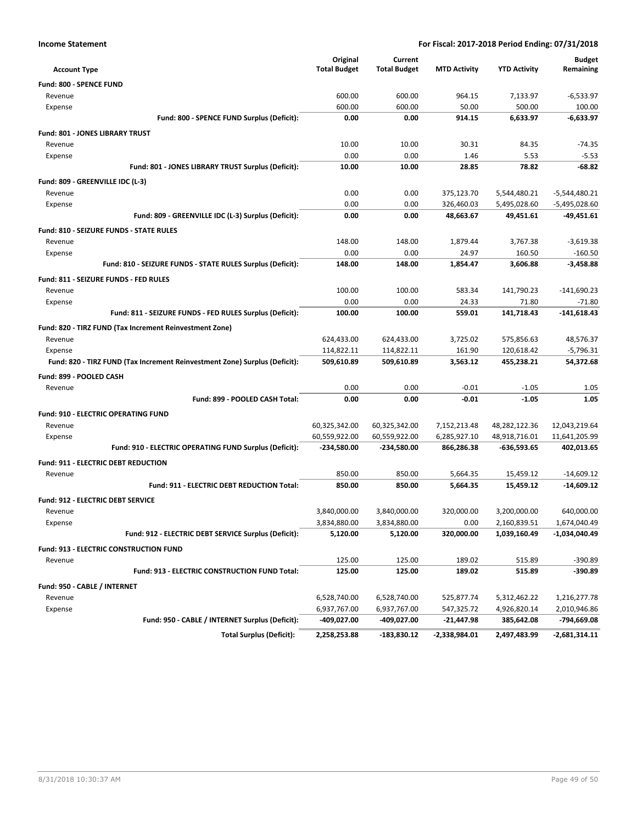| <b>Income Statement</b> | For Fiscal: 2017-2018 Period Ending: 07/31/2018 |
|-------------------------|-------------------------------------------------|
|-------------------------|-------------------------------------------------|

| <b>Account Type</b>                                                        | Original<br><b>Total Budget</b> | Current<br><b>Total Budget</b> | <b>MTD Activity</b> | <b>YTD Activity</b> | <b>Budget</b><br>Remaining |
|----------------------------------------------------------------------------|---------------------------------|--------------------------------|---------------------|---------------------|----------------------------|
| Fund: 800 - SPENCE FUND                                                    |                                 |                                |                     |                     |                            |
| Revenue                                                                    | 600.00                          | 600.00                         | 964.15              | 7,133.97            | $-6,533.97$                |
| Expense                                                                    | 600.00                          | 600.00                         | 50.00               | 500.00              | 100.00                     |
| Fund: 800 - SPENCE FUND Surplus (Deficit):                                 | 0.00                            | 0.00                           | 914.15              | 6,633.97            | $-6,633.97$                |
| <b>Fund: 801 - JONES LIBRARY TRUST</b>                                     |                                 |                                |                     |                     |                            |
| Revenue                                                                    | 10.00                           | 10.00                          | 30.31               | 84.35               | $-74.35$                   |
| Expense                                                                    | 0.00                            | 0.00                           | 1.46                | 5.53                | $-5.53$                    |
| Fund: 801 - JONES LIBRARY TRUST Surplus (Deficit):                         | 10.00                           | 10.00                          | 28.85               | 78.82               | -68.82                     |
| Fund: 809 - GREENVILLE IDC (L-3)                                           |                                 |                                |                     |                     |                            |
| Revenue                                                                    | 0.00                            | 0.00                           | 375,123.70          | 5,544,480.21        | $-5,544,480.21$            |
| Expense                                                                    | 0.00                            | 0.00                           | 326,460.03          | 5,495,028.60        | -5,495,028.60              |
| Fund: 809 - GREENVILLE IDC (L-3) Surplus (Deficit):                        | 0.00                            | 0.00                           | 48,663.67           | 49,451.61           | -49,451.61                 |
| <b>Fund: 810 - SEIZURE FUNDS - STATE RULES</b>                             |                                 |                                |                     |                     |                            |
| Revenue                                                                    | 148.00                          | 148.00                         | 1,879.44            | 3,767.38            | $-3,619.38$                |
| Expense                                                                    | 0.00                            | 0.00                           | 24.97               | 160.50              | $-160.50$                  |
| Fund: 810 - SEIZURE FUNDS - STATE RULES Surplus (Deficit):                 | 148.00                          | 148.00                         | 1,854.47            | 3,606.88            | $-3,458.88$                |
| Fund: 811 - SEIZURE FUNDS - FED RULES                                      |                                 |                                |                     |                     |                            |
| Revenue                                                                    | 100.00                          | 100.00                         | 583.34              | 141,790.23          | $-141,690.23$              |
| Expense                                                                    | 0.00                            | 0.00                           | 24.33               | 71.80               | $-71.80$                   |
| Fund: 811 - SEIZURE FUNDS - FED RULES Surplus (Deficit):                   | 100.00                          | 100.00                         | 559.01              | 141,718.43          | -141,618.43                |
| Fund: 820 - TIRZ FUND (Tax Increment Reinvestment Zone)                    |                                 |                                |                     |                     |                            |
| Revenue                                                                    | 624,433.00                      | 624,433.00                     | 3,725.02            | 575,856.63          | 48,576.37                  |
| Expense                                                                    | 114,822.11                      | 114,822.11                     | 161.90              | 120,618.42          | $-5,796.31$                |
| Fund: 820 - TIRZ FUND (Tax Increment Reinvestment Zone) Surplus (Deficit): | 509,610.89                      | 509,610.89                     | 3,563.12            | 455,238.21          | 54,372.68                  |
| Fund: 899 - POOLED CASH                                                    |                                 |                                |                     |                     |                            |
| Revenue                                                                    | 0.00                            | 0.00                           | $-0.01$             | $-1.05$             | 1.05                       |
| Fund: 899 - POOLED CASH Total:                                             | 0.00                            | 0.00                           | $-0.01$             | $-1.05$             | 1.05                       |
| <b>Fund: 910 - ELECTRIC OPERATING FUND</b>                                 |                                 |                                |                     |                     |                            |
| Revenue                                                                    | 60,325,342.00                   | 60,325,342.00                  | 7,152,213.48        | 48,282,122.36       | 12,043,219.64              |
| Expense                                                                    | 60,559,922.00                   | 60,559,922.00                  | 6,285,927.10        | 48,918,716.01       | 11,641,205.99              |
| Fund: 910 - ELECTRIC OPERATING FUND Surplus (Deficit):                     | -234,580.00                     | -234,580.00                    | 866,286.38          | -636,593.65         | 402,013.65                 |
| Fund: 911 - ELECTRIC DEBT REDUCTION                                        |                                 |                                |                     |                     |                            |
| Revenue                                                                    | 850.00                          | 850.00                         | 5,664.35            | 15,459.12           | $-14,609.12$               |
| <b>Fund: 911 - ELECTRIC DEBT REDUCTION Total:</b>                          | 850.00                          | 850.00                         | 5,664.35            | 15.459.12           | $-14.609.12$               |
| Fund: 912 - ELECTRIC DEBT SERVICE                                          |                                 |                                |                     |                     |                            |
| Revenue                                                                    | 3.840.000.00                    | 3.840.000.00                   | 320.000.00          | 3,200,000.00        | 640,000.00                 |
| Expense                                                                    | 3,834,880.00                    | 3,834,880.00                   | 0.00                | 2,160,839.51        | 1,674,040.49               |
| Fund: 912 - ELECTRIC DEBT SERVICE Surplus (Deficit):                       | 5,120.00                        | 5,120.00                       | 320,000.00          | 1,039,160.49        | $-1,034,040.49$            |
| <b>Fund: 913 - ELECTRIC CONSTRUCTION FUND</b>                              |                                 |                                |                     |                     |                            |
| Revenue                                                                    | 125.00                          | 125.00                         | 189.02              | 515.89              | $-390.89$                  |
| Fund: 913 - ELECTRIC CONSTRUCTION FUND Total:                              | 125.00                          | 125.00                         | 189.02              | 515.89              | $-390.89$                  |
|                                                                            |                                 |                                |                     |                     |                            |
| Fund: 950 - CABLE / INTERNET<br>Revenue                                    | 6,528,740.00                    | 6,528,740.00                   | 525,877.74          | 5,312,462.22        | 1,216,277.78               |
| Expense                                                                    | 6,937,767.00                    | 6,937,767.00                   | 547,325.72          | 4,926,820.14        | 2,010,946.86               |
| Fund: 950 - CABLE / INTERNET Surplus (Deficit):                            | -409,027.00                     | -409,027.00                    | $-21,447.98$        | 385,642.08          | -794,669.08                |
| <b>Total Surplus (Deficit):</b>                                            | 2,258,253.88                    | $-183,830.12$                  | -2,338,984.01       | 2,497,483.99        | $-2,681,314.11$            |
|                                                                            |                                 |                                |                     |                     |                            |